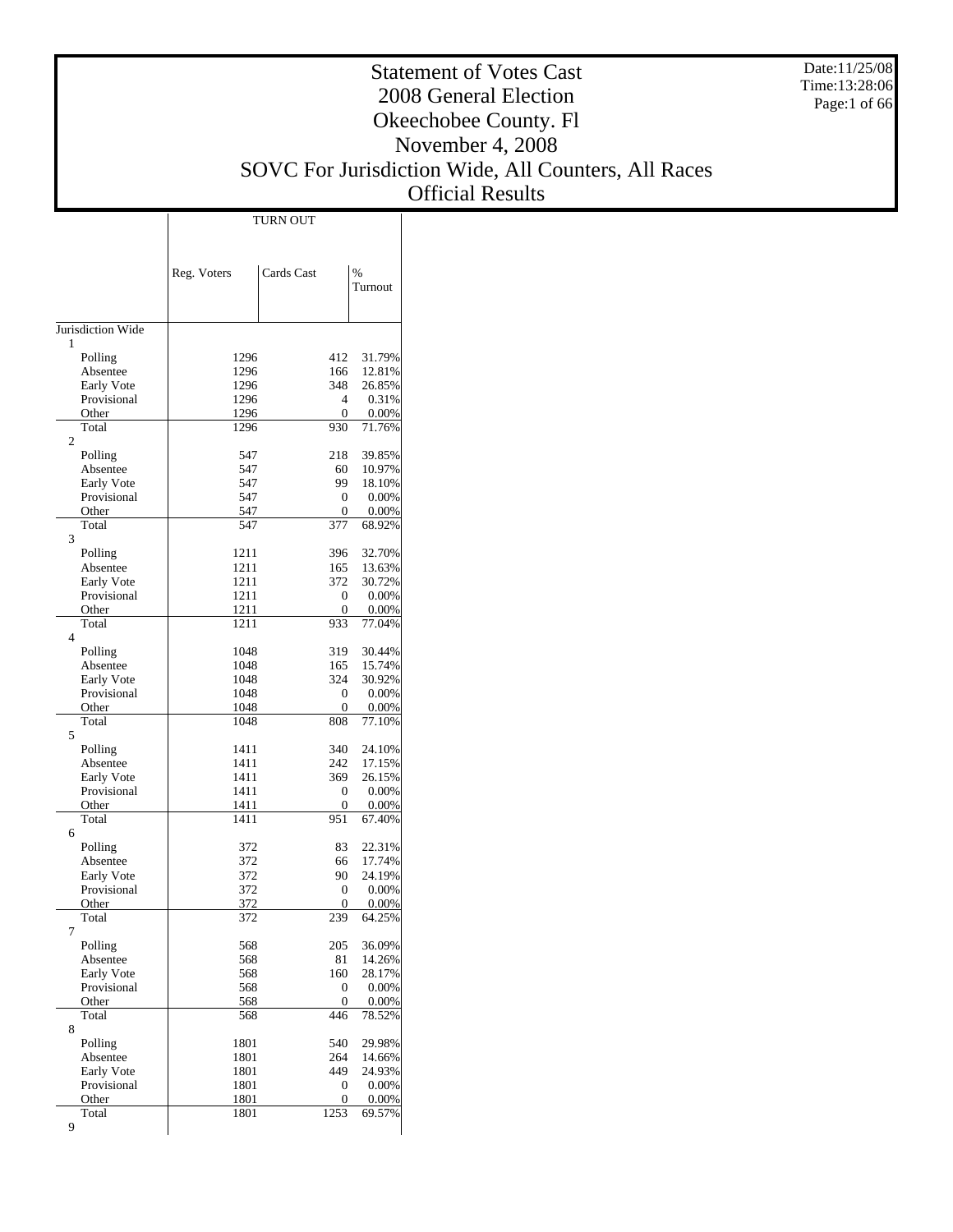Date:11/25/08 Time:13:28:06 Page:1 of 66

#### Statement of Votes Cast 2008 General Election Okeechobee County. Fl November 4, 2008 SOVC For Jurisdiction Wide, All Counters, All Races

Official Results

|                           |                   | TURN OUT       |                    |
|---------------------------|-------------------|----------------|--------------------|
|                           |                   |                |                    |
|                           |                   |                |                    |
|                           | Reg. Voters       | Cards Cast     | $\frac{0}{0}$      |
|                           |                   |                | Turnout            |
|                           |                   |                |                    |
| Jurisdiction Wide         |                   |                |                    |
| 1                         |                   |                |                    |
| Polling<br>Absentee       | 1296              | 412<br>166     | 31.79%             |
| Early Vote                | 1296<br>1296      | 348            | 12.81%<br>26.85%   |
| Provisional               | 1296              | 4              | 0.31%              |
| Other                     | 1296              | 0              | $0.00\%$           |
| Total                     | 1296              | 930            | 71.76%             |
| $\overline{c}$            |                   |                |                    |
| Polling                   | 547               | 218            | 39.85%             |
| Absentee                  | 547               | 60<br>99       | 10.97%             |
| Early Vote<br>Provisional | 547<br>547        | 0              | 18.10%<br>$0.00\%$ |
| Other                     | 547               | 0              | $0.00\%$           |
| Total                     | 547               | 377            | 68.92%             |
| 3                         |                   |                |                    |
| Polling                   | 1211              | 396            | 32.70%             |
| Absentee                  | 1211              | 165            | 13.63%             |
| Early Vote                | 1211              | 372            | 30.72%             |
| Provisional               | 1211              | 0              | $0.00\%$           |
| Other                     | 1211              | 0              | $0.00\%$           |
| Total<br>$\overline{4}$   | 1211              | 933            | 77.04%             |
| Polling                   | 1048              | 319            | 30.44%             |
| Absentee                  | 1048              | 165            | 15.74%             |
| Early Vote                | 1048              | 324            | 30.92%             |
| Provisional               | 1048              | 0              | $0.00\%$           |
| Other                     | 1048              | 0              | $0.00\%$           |
| Total                     | 1048              | 808            | 77.10%             |
| 5                         |                   |                |                    |
| Polling                   | 1411              | 340            | 24.10%             |
| Absentee                  | 1411              | 242            | 17.15%             |
| Early Vote<br>Provisional | 1411<br>1411      | 369<br>0       | 26.15%<br>$0.00\%$ |
| Other                     | 1411              | 0              | $0.00\%$           |
| Total                     | 1411              | 951            | 67.40%             |
| 6                         |                   |                |                    |
| Polling                   | 372               | 83             | 22.31%             |
| Absentee                  | 372               | 66             | 17.74%             |
| Early Vote                | 372               | 90             | 24.19%             |
| Provisional               | 372               | 0              | $0.00\%$           |
| Other<br>Total            | <u>372</u><br>372 | 0<br>239       | $0.00\%$<br>64.25% |
| 7                         |                   |                |                    |
| Polling                   | 568               | 205            | 36.09%             |
| Absentee                  | 568               | 81             | 14.26%             |
| Early Vote                | 568               | 160            | 28.17%             |
| Provisional               | 568               | 0              | $0.00\%$           |
| Other                     | 568               | $\overline{0}$ | $0.00\%$           |
| Total                     | 568               | 446            | 78.52%             |
| 8<br>Polling              | 1801              | 540            | 29.98%             |
| Absentee                  | 1801              | 264            | 14.66%             |
| Early Vote                | 1801              | 449            | 24.93%             |
| Provisional               | 1801              | 0              | $0.00\%$           |
| Other                     | 1801              | 0              | $0.00\%$           |
| Total                     | 1801              | 1253           | 69.57%             |
| 9                         |                   |                |                    |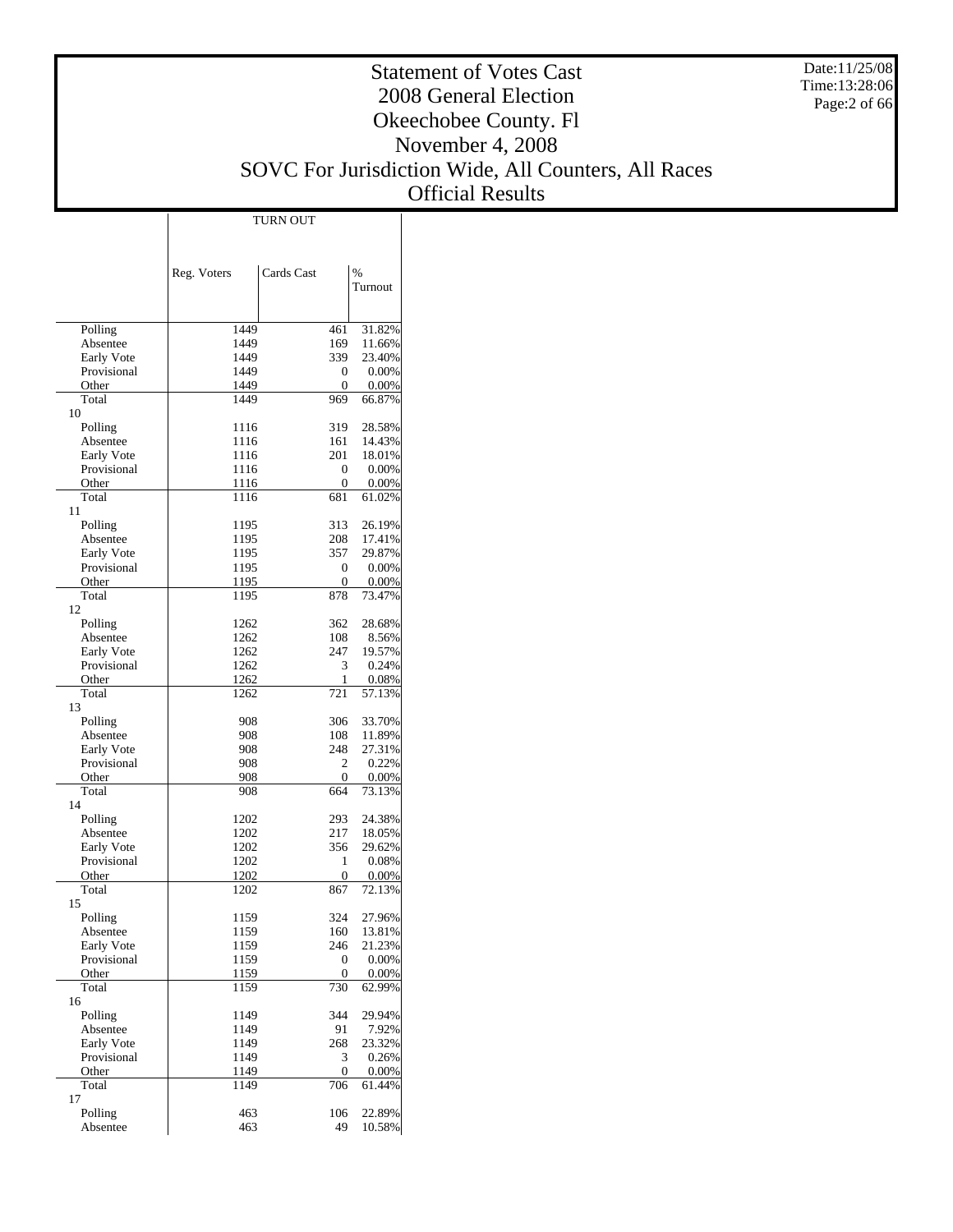Date:11/25/08 Time:13:28:06 Page:2 of 66

## Statement of Votes Cast 2008 General Election Okeechobee County. Fl November 4, 2008 SOVC For Jurisdiction Wide, All Counters, All Races

Official Results

|                           |              | <b>TURN OUT</b> |                 |
|---------------------------|--------------|-----------------|-----------------|
|                           |              |                 |                 |
|                           |              |                 |                 |
|                           |              |                 |                 |
|                           | Reg. Voters  | Cards Cast      | $\frac{0}{0}$   |
|                           |              |                 | Turnout         |
|                           |              |                 |                 |
| Polling                   | 1449         | 461             | 31.82%          |
| Absentee                  | 1449         | 169             | 11.66%          |
| Early Vote                | 1449         | 339             | 23.40%          |
| Provisional               | 1449         | 0               | 0.00%           |
| Other                     | 1449         | 0               | 0.00%           |
| Total                     | 1449         | 969             | 66.87%          |
| 10                        |              |                 |                 |
| Polling                   | 1116         | 319             | 28.58%          |
| Absentee                  | 1116         | 161             | 14.43%          |
| Early Vote                | 1116         | 201             | 18.01%          |
| Provisional               | 1116         | 0               | 0.00%           |
| Other                     | 1116         | 0               | 0.00%           |
| Total                     | 1116         | 681             | 61.02%          |
| 11                        |              |                 |                 |
| Polling                   | 1195         | 313             | 26.19%          |
| Absentee                  | 1195         | 208             | 17.41%          |
| Early Vote                | 1195         | 357             | 29.87%          |
| Provisional               | 1195         | 0               | 0.00%           |
| Other                     | 1195         | $\overline{0}$  | 0.00%           |
| Total                     | 1195         | 878             | 73.47%          |
| 12                        |              |                 |                 |
| Polling                   | 1262         | 362             | 28.68%          |
| Absentee                  | 1262         | 108             | 8.56%           |
| Early Vote<br>Provisional | 1262         | 247<br>3        | 19.57%<br>0.24% |
| Other                     | 1262<br>1262 | 1               | 0.08%           |
| Total                     | 1262         | 721             | 57.13%          |
| 13                        |              |                 |                 |
| Polling                   | 908          | 306             | 33.70%          |
| Absentee                  | 908          | 108             | 11.89%          |
| Early Vote                | 908          | 248             | 27.31%          |
| Provisional               | 908          | 2               | 0.22%           |
| Other                     | 908          | 0               | 0.00%           |
| Total                     | 908          | 664             | 73.13%          |
| 14                        |              |                 |                 |
| Polling                   | 1202         | 293             | 24.38%          |
| Absentee                  | 1202         | 217             | 18.05%          |
| Early Vote                | 1202         | 356             | 29.62%          |
| Provisional               | 1202         | 1               | 0.08%           |
| Other                     | 1202         | 0               | 0.00%           |
| Total                     | 1202         | 867             | 72.13%          |
| 15                        |              |                 |                 |
| Polling                   | 1159         | 324             | 27.96%          |
| Absentee                  | 1159         | 160             | 13.81%          |
| Early Vote                | 1159         | 246             | 21.23%          |
| Provisional               | 1159         | 0               | 0.00%           |
| Other                     | 1159         | $\overline{0}$  | 0.00%           |
| Total                     | 1159         | 730             | 62.99%          |
| 16                        |              |                 |                 |
| Polling                   | 1149         | 344             | 29.94%          |
| Absentee                  | 1149         | 91              | 7.92%           |
| Early Vote                | 1149         | 268             | 23.32%          |
| Provisional               | 1149         | 3               | 0.26%           |
| Other                     | 1149         | 0               | 0.00%<br>61.44% |
| Total<br>17               | 1149         | 706             |                 |
| Polling                   | 463          | 106             | 22.89%          |
| Absentee                  | 463          | 49              | 10.58%          |
|                           |              |                 |                 |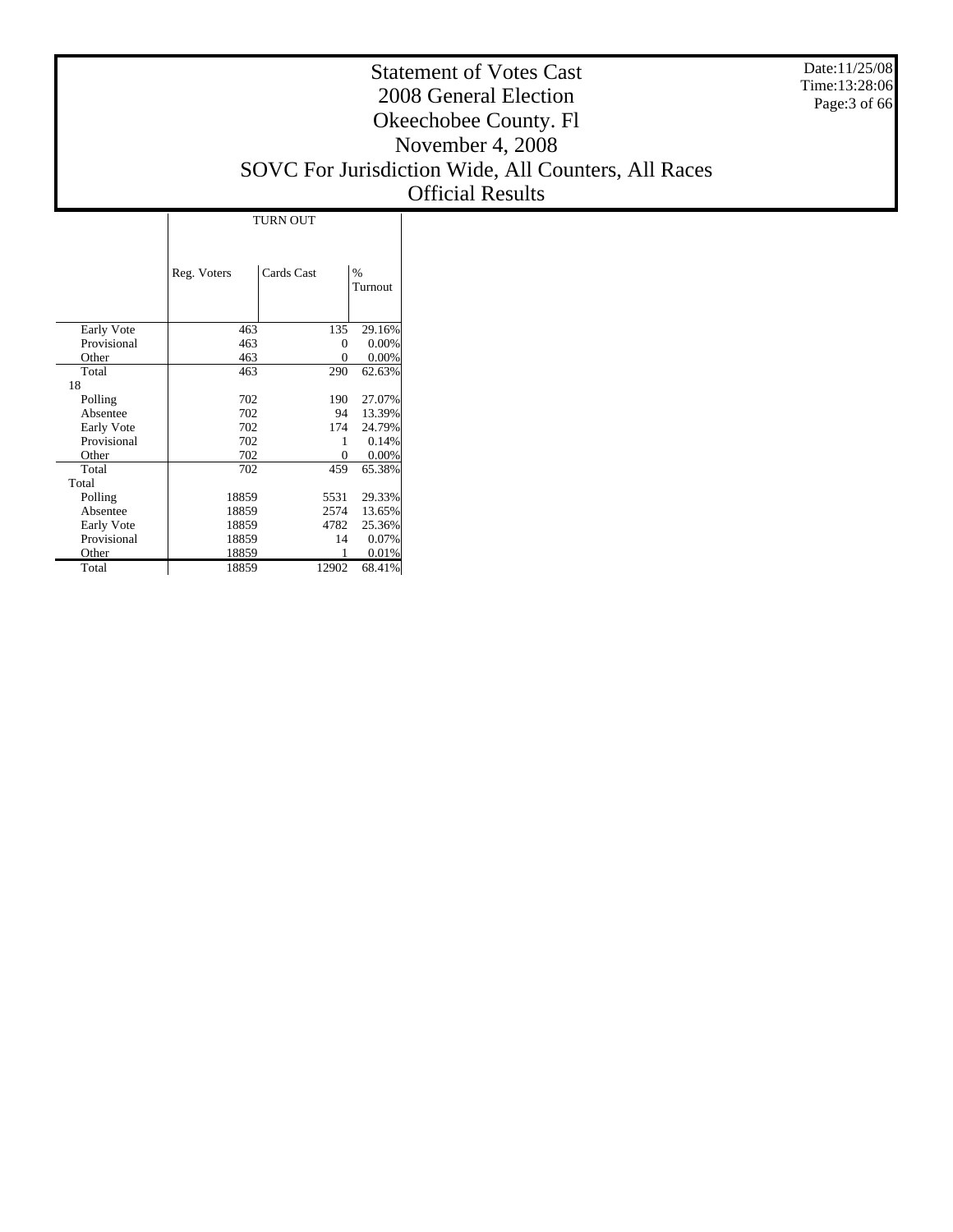Date:11/25/08 Time:13:28:06 Page:3 of 66

#### Statement of Votes Cast 2008 General Election Okeechobee County. Fl November 4, 2008 SOVC For Jurisdiction Wide, All Counters, All Races Official Results

|             | <b>TURN OUT</b> |            |         |  |  |  |  |  |  |  |
|-------------|-----------------|------------|---------|--|--|--|--|--|--|--|
|             |                 |            |         |  |  |  |  |  |  |  |
|             | Reg. Voters     | Cards Cast | $\%$    |  |  |  |  |  |  |  |
|             |                 |            | Turnout |  |  |  |  |  |  |  |
|             |                 |            |         |  |  |  |  |  |  |  |
| Early Vote  | 463             | 135        | 29.16%  |  |  |  |  |  |  |  |
| Provisional | 463             | 0          | 0.00%   |  |  |  |  |  |  |  |
| Other       | 463             | 0          | 0.00%   |  |  |  |  |  |  |  |
| Total       | 463             | 290        | 62.63%  |  |  |  |  |  |  |  |
| 18          |                 |            |         |  |  |  |  |  |  |  |
| Polling     | 702             | 190        | 27.07%  |  |  |  |  |  |  |  |
| Absentee    | 702             | 94         | 13.39%  |  |  |  |  |  |  |  |
| Early Vote  | 702             | 174        | 24.79%  |  |  |  |  |  |  |  |
| Provisional | 702             | 1          | 0.14%   |  |  |  |  |  |  |  |
| Other       | 702             | 0          | 0.00%   |  |  |  |  |  |  |  |
| Total       | 702             | 459        | 65.38%  |  |  |  |  |  |  |  |
| Total       |                 |            |         |  |  |  |  |  |  |  |
| Polling     | 18859           | 5531       | 29.33%  |  |  |  |  |  |  |  |
| Absentee    | 18859           | 2574       | 13.65%  |  |  |  |  |  |  |  |
| Early Vote  | 18859           | 4782       | 25.36%  |  |  |  |  |  |  |  |
| Provisional | 18859           | 14         | 0.07%   |  |  |  |  |  |  |  |
| Other       | 18859           |            | 0.01%   |  |  |  |  |  |  |  |
| Total       | 18859           | 12902      | 68.41%  |  |  |  |  |  |  |  |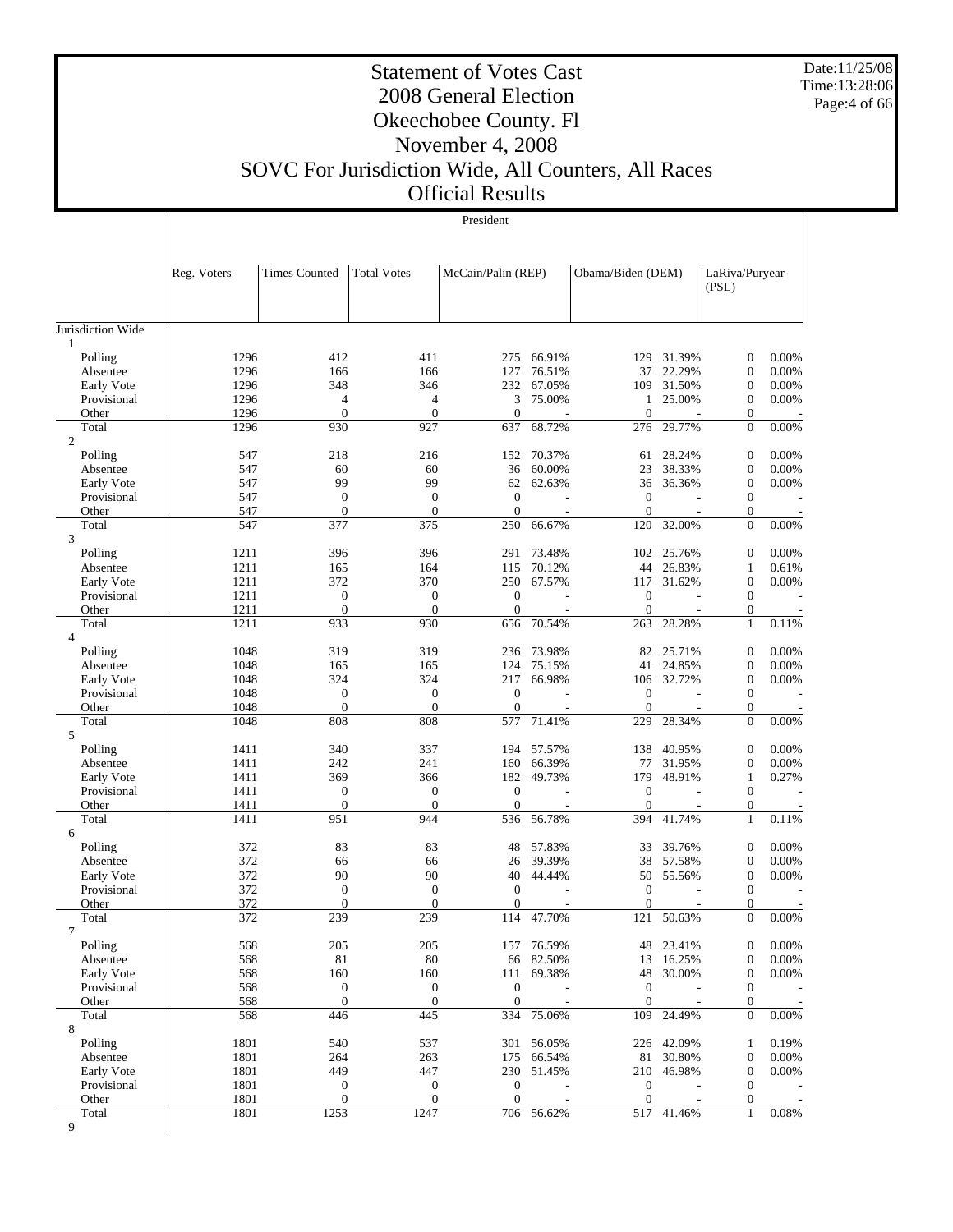Date:11/25/08 Time:13:28:06 Page:4 of 66

#### Statement of Votes Cast 2008 General Election Okeechobee County. Fl November 4, 2008 SOVC For Jurisdiction Wide, All Counters, All Races Official Results

|                           |              |                                    |                                    | President             |                  |                     |                  |                                  |                |
|---------------------------|--------------|------------------------------------|------------------------------------|-----------------------|------------------|---------------------|------------------|----------------------------------|----------------|
|                           |              |                                    |                                    |                       |                  |                     |                  |                                  |                |
|                           | Reg. Voters  | <b>Times Counted</b>               | Total Votes                        | McCain/Palin (REP)    |                  | Obama/Biden (DEM)   |                  | LaRiva/Puryear<br>(PSL)          |                |
|                           |              |                                    |                                    |                       |                  |                     |                  |                                  |                |
| Jurisdiction Wide         |              |                                    |                                    |                       |                  |                     |                  |                                  |                |
| 1<br>Polling              | 1296         | 412                                | 411                                | 275                   | 66.91%           | 129                 | 31.39%           | $\boldsymbol{0}$                 | 0.00%          |
| Absentee                  | 1296         | 166                                | 166                                | 127                   | 76.51%           | 37                  | 22.29%           | $\boldsymbol{0}$                 | 0.00%          |
| Early Vote                | 1296         | 348                                | 346                                |                       | 232 67.05%       | 109                 | 31.50%           | $\boldsymbol{0}$                 | 0.00%          |
| Provisional               | 1296         | 4                                  | 4                                  | 3                     | 75.00%           | $\mathbf{1}$        | 25.00%           | $\boldsymbol{0}$                 | 0.00%          |
| Other                     | 1296         | $\overline{0}$                     | $\overline{0}$                     | $\overline{0}$        |                  | $\theta$            |                  | $\boldsymbol{0}$                 |                |
| Total                     | 1296         | 930                                | 927                                | 637                   | 68.72%           | 276                 | 29.77%           | $\mathbf{0}$                     | $0.00\%$       |
| $\mathbf{2}$              |              |                                    |                                    |                       |                  |                     |                  |                                  |                |
| Polling                   | 547          | 218                                | 216                                | 152                   | 70.37%           | 61                  | 28.24%           | $\boldsymbol{0}$                 | 0.00%          |
| Absentee                  | 547          | 60                                 | 60                                 | 36                    | 60.00%           | 23                  | 38.33%           | $\boldsymbol{0}$                 | 0.00%          |
| Early Vote                | 547          | 99                                 | 99                                 |                       | 62 62.63%        | 36                  | 36.36%           | $\boldsymbol{0}$                 | 0.00%          |
| Provisional               | 547          | $\boldsymbol{0}$                   | $\boldsymbol{0}$                   | $\mathbf{0}$          |                  | $\mathbf{0}$        |                  | $\mathbf{0}$                     |                |
| Other                     | 547          | $\overline{0}$                     | $\overline{0}$                     | $\mathbf{0}$          |                  | $\Omega$            |                  | $\boldsymbol{0}$                 |                |
| Total                     | 547          | 377                                | 375                                | 250                   | 66.67%           | 120                 | 32.00%           | $\boldsymbol{0}$                 | 0.00%          |
| 3                         |              |                                    |                                    |                       |                  |                     |                  |                                  |                |
| Polling                   | 1211         | 396                                | 396                                | 291                   | 73.48%<br>70.12% | 102                 | 25.76%<br>26.83% | $\boldsymbol{0}$                 | 0.00%<br>0.61% |
| Absentee                  | 1211<br>1211 | 165<br>372                         | 164<br>370                         | 115<br>250            | 67.57%           | 44                  | 31.62%           | 1<br>$\boldsymbol{0}$            | 0.00%          |
| Early Vote<br>Provisional | 1211         | $\boldsymbol{0}$                   | $\mathbf{0}$                       | $\mathbf{0}$          |                  | 117<br>$\mathbf{0}$ |                  | $\boldsymbol{0}$                 |                |
| Other                     | 1211         | $\overline{0}$                     | $\overline{0}$                     | $\overline{0}$        |                  | $\theta$            |                  | $\boldsymbol{0}$                 |                |
| Total                     | 1211         | 933                                | 930                                | 656                   | 70.54%           | 263                 | 28.28%           | $\mathbf{1}$                     | 0.11%          |
| 4                         |              |                                    |                                    |                       |                  |                     |                  |                                  |                |
| Polling                   | 1048         | 319                                | 319                                | 236                   | 73.98%           |                     | 82 25.71%        | $\boldsymbol{0}$                 | 0.00%          |
| Absentee                  | 1048         | 165                                | 165                                | 124                   | 75.15%           | 41                  | 24.85%           | $\boldsymbol{0}$                 | 0.00%          |
| Early Vote                | 1048         | 324                                | 324                                |                       | 217 66.98%       |                     | 106 32.72%       | $\boldsymbol{0}$                 | 0.00%          |
| Provisional               | 1048         | $\boldsymbol{0}$                   | $\boldsymbol{0}$                   | $\mathbf{0}$          |                  | $\mathbf{0}$        |                  | $\boldsymbol{0}$                 |                |
| Other                     | 1048         | $\overline{0}$                     | $\overline{0}$                     | $\mathbf{0}$          |                  | $\overline{0}$      |                  | $\boldsymbol{0}$                 |                |
| Total                     | 1048         | 808                                | 808                                | 577                   | 71.41%           | 229                 | 28.34%           | $\boldsymbol{0}$                 | 0.00%          |
| 5                         |              |                                    |                                    |                       |                  |                     |                  |                                  |                |
| Polling                   | 1411         | 340                                | 337                                | 194                   | 57.57%           | 138                 | 40.95%           | $\boldsymbol{0}$                 | 0.00%          |
| Absentee                  | 1411         | 242                                | 241                                | 160                   | 66.39%           | 77                  | 31.95%           | $\boldsymbol{0}$                 | 0.00%          |
| Early Vote                | 1411         | 369                                | 366                                | 182                   | 49.73%           | 179                 | 48.91%           | $\mathbf{1}$                     | 0.27%          |
| Provisional               | 1411         | $\boldsymbol{0}$<br>$\overline{0}$ | $\boldsymbol{0}$<br>$\overline{0}$ | $\mathbf{0}$          |                  | $\mathbf{0}$        |                  | $\boldsymbol{0}$                 |                |
| Other<br>Total            | 1411<br>1411 | 951                                | 944                                | $\overline{0}$<br>536 | 56.78%           | $\theta$<br>394     | 41.74%           | $\boldsymbol{0}$<br>$\mathbf{1}$ | 0.11%          |
| 6                         |              |                                    |                                    |                       |                  |                     |                  |                                  |                |
| Polling                   | 372          | 83                                 | 83                                 | 48                    | 57.83%           | 33                  | 39.76%           | $\boldsymbol{0}$                 | 0.00%          |
| Absentee                  | 372          | 66                                 | 66                                 | 26                    | 39.39%           | 38                  | 57.58%           | $\boldsymbol{0}$                 | 0.00%          |
| Early Vote                | 372          | 90                                 | 90                                 | 40                    | 44.44%           |                     | 50 55.56%        | $\boldsymbol{0}$                 | 0.00%          |
| Provisional               | 372          | $\boldsymbol{0}$                   | $\boldsymbol{0}$                   | $\mathbf{0}$          |                  | $\mathbf{0}$        |                  | $\boldsymbol{0}$                 |                |
| Other                     | 372          | $\theta$                           | $\theta$                           | $\mathbf{0}$          |                  | $\boldsymbol{0}$    |                  | $\boldsymbol{0}$                 |                |
| Total                     | 372          | 239                                | 239                                |                       | 114 47.70%       |                     | 121 50.63%       | $\mathbf{0}$                     | $0.00\%$       |
| 7                         |              |                                    |                                    |                       |                  |                     |                  |                                  |                |
| Polling                   | 568          | 205                                | 205                                | 157                   | 76.59%           | 48                  | 23.41%           | 0                                | 0.00%          |
| Absentee                  | 568          | 81                                 | 80                                 |                       | 66 82.50%        | 13                  | 16.25%           | $\boldsymbol{0}$                 | 0.00%          |
| Early Vote                | 568          | 160                                | 160                                | 111                   | 69.38%           | 48                  | 30.00%           | $\boldsymbol{0}$                 | 0.00%          |
| Provisional               | 568          | $\boldsymbol{0}$                   | $\boldsymbol{0}$                   | $\mathbf{0}$          |                  | $\mathbf{0}$        |                  | $\boldsymbol{0}$                 |                |
| Other                     | 568          | $\mathbf{0}$                       | $\boldsymbol{0}$                   | $\mathbf{0}$          |                  | $\mathbf{0}$        |                  | $\boldsymbol{0}$                 |                |
| Total<br>8                | 568          | 446                                | 445                                | 334                   | 75.06%           | 109                 | 24.49%           | $\boldsymbol{0}$                 | 0.00%          |
| Polling                   | 1801         | 540                                | 537                                |                       | 301 56.05%       |                     | 226 42.09%       | 1                                | 0.19%          |
| Absentee                  | 1801         | 264                                | 263                                | 175                   | 66.54%           | 81                  | 30.80%           | $\boldsymbol{0}$                 | 0.00%          |
| Early Vote                | 1801         | 449                                | 447                                |                       | 230 51.45%       | 210                 | 46.98%           | $\boldsymbol{0}$                 | 0.00%          |
| Provisional               | 1801         | $\boldsymbol{0}$                   | $\boldsymbol{0}$                   | $\mathbf{0}$          |                  | $\boldsymbol{0}$    |                  | $\boldsymbol{0}$                 |                |
| Other                     | 1801         | $\overline{0}$                     | $\overline{0}$                     | $\mathbf{0}$          |                  | $\overline{0}$      |                  | $\mathbf{0}$                     |                |
| Total                     | 1801         | 1253                               | 1247                               |                       | 706 56.62%       | 517                 | 41.46%           | $\mathbf{1}$                     | 0.08%          |
| 9                         |              |                                    |                                    |                       |                  |                     |                  |                                  |                |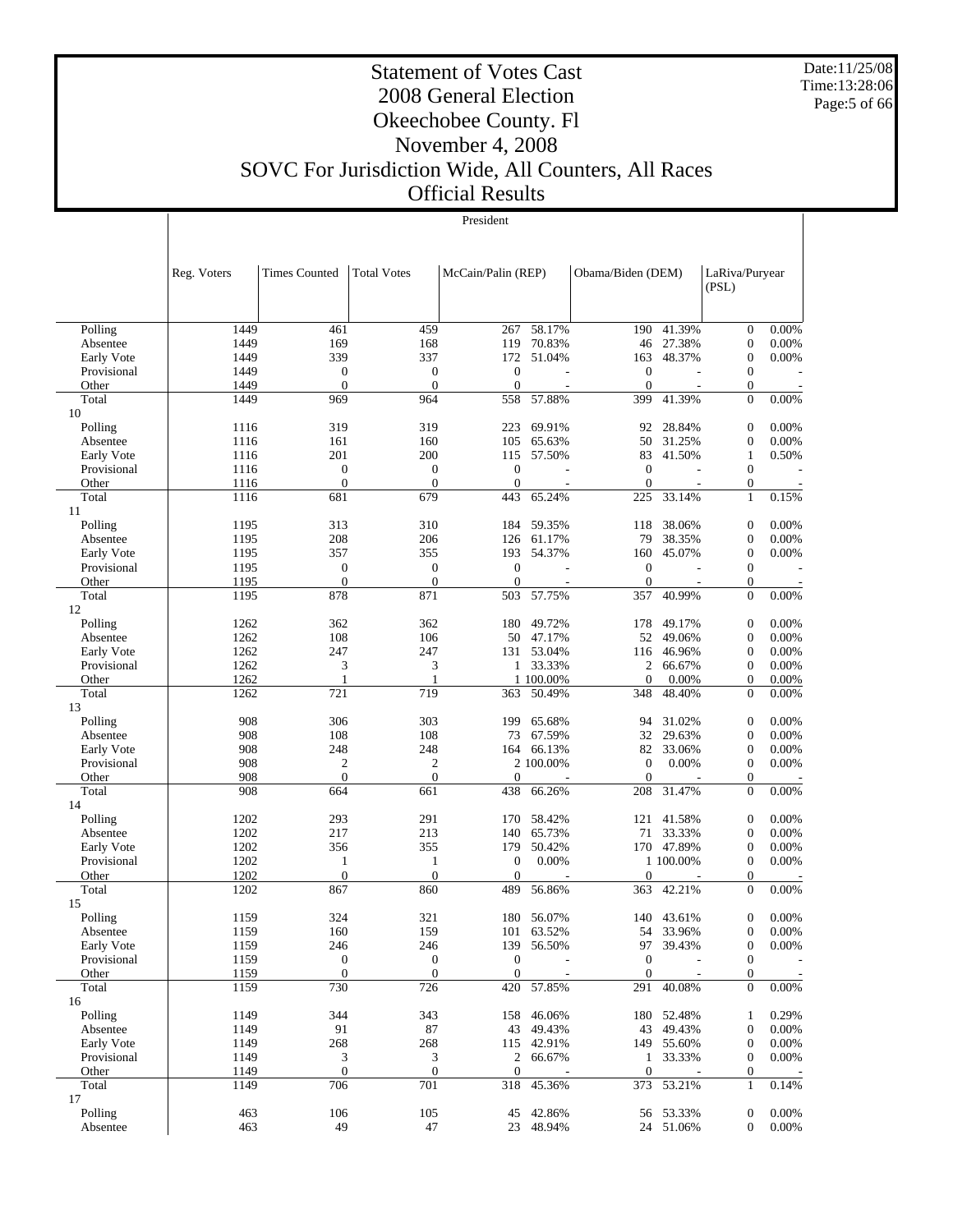Date:11/25/08 Time:13:28:06 Page:5 of 66

#### Statement of Votes Cast 2008 General Election Okeechobee County. Fl November 4, 2008 SOVC For Jurisdiction Wide, All Counters, All Races Official Results

|                           | Reg. Voters | <b>Times Counted</b> | <b>Total Votes</b> | McCain/Palin (REP) |                  | Obama/Biden (DEM) | LaRiva/Puryear<br>(PSL) |                                      |                |  |
|---------------------------|-------------|----------------------|--------------------|--------------------|------------------|-------------------|-------------------------|--------------------------------------|----------------|--|
| Polling                   | 1449        | 461                  | 459                | 267                | 58.17%           | 190               | 41.39%                  | $\mathbf{0}$                         | 0.00%          |  |
| Absentee                  | 1449        | 169                  | 168                | 119                | 70.83%           | 46                | 27.38%                  | $\boldsymbol{0}$                     | 0.00%          |  |
| Early Vote                | 1449        | 339                  | 337                | 172                | 51.04%           | 163               | 48.37%                  | $\boldsymbol{0}$                     | 0.00%          |  |
| Provisional               | 1449        | 0                    | $\boldsymbol{0}$   | $\mathbf{0}$       |                  | $\boldsymbol{0}$  |                         | $\mathbf{0}$                         |                |  |
| Other                     | 1449        | $\theta$             | $\mathbf{0}$       | $\overline{0}$     |                  | $\boldsymbol{0}$  |                         | $\mathbf{0}$                         |                |  |
| Total                     | 1449        | 969                  | 964                | 558                | 57.88%           | 399               | 41.39%                  | $\mathbf{0}$                         | 0.00%          |  |
| 10                        |             |                      |                    |                    |                  |                   |                         |                                      |                |  |
| Polling                   | 1116        | 319                  | 319                | 223                | 69.91%           | 92                | 28.84%                  | $\boldsymbol{0}$                     | 0.00%          |  |
| Absentee                  | 1116        | 161                  | 160                | 105                | 65.63%           | 50                | 31.25%                  | $\mathbf{0}$                         | 0.00%          |  |
| Early Vote                | 1116        | 201                  | 200                | 115                | 57.50%           | 83                | 41.50%                  | $\mathbf{1}$                         | 0.50%          |  |
| Provisional               | 1116        | 0                    | $\boldsymbol{0}$   | $\boldsymbol{0}$   |                  | $\boldsymbol{0}$  |                         | $\mathbf{0}$                         |                |  |
| Other                     | 1116        | $\overline{0}$       | $\mathbf{0}$       | $\overline{0}$     |                  | $\mathbf{0}$      |                         | $\mathbf{0}$                         |                |  |
| Total                     | 1116        | 681                  | 679                | 443                | 65.24%           | 225               | 33.14%                  | $\mathbf{1}$                         | 0.15%          |  |
| 11                        |             |                      |                    |                    |                  |                   |                         |                                      |                |  |
| Polling                   | 1195        | 313                  | 310                | 184                | 59.35%           | 118               | 38.06%                  | $\boldsymbol{0}$                     | 0.00%          |  |
| Absentee                  | 1195        | 208                  | 206                | 126                | 61.17%           | 79                | 38.35%                  | $\boldsymbol{0}$                     | 0.00%          |  |
| Early Vote                | 1195        | 357                  | 355                | 193                | 54.37%           | 160               | 45.07%                  | $\boldsymbol{0}$                     | 0.00%          |  |
| Provisional               | 1195        | $\boldsymbol{0}$     | $\boldsymbol{0}$   | $\mathbf{0}$       |                  | $\boldsymbol{0}$  |                         | $\mathbf{0}$                         |                |  |
| Other                     | 1195        | 0                    | $\boldsymbol{0}$   | $\overline{0}$     |                  | $\boldsymbol{0}$  |                         | $\mathbf{0}$                         |                |  |
| Total                     | 1195        | 878                  | 871                | 503                | 57.75%           | 357               | 40.99%                  | $\mathbf{0}$                         | 0.00%          |  |
| 12                        |             |                      |                    |                    |                  |                   |                         |                                      |                |  |
| Polling                   | 1262        | 362                  | 362                | 180                | 49.72%           | 178               | 49.17%                  | $\boldsymbol{0}$                     | 0.00%          |  |
| Absentee                  | 1262        | 108                  | 106                | 50                 | 47.17%           | 52                | 49.06%                  | $\boldsymbol{0}$                     | 0.00%          |  |
| Early Vote                | 1262        | 247                  | 247                |                    | 131 53.04%       | 116               | 46.96%                  | $\mathbf{0}$                         | 0.00%          |  |
| Provisional               | 1262        | 3                    | 3                  | 1                  | 33.33%           | 2                 | 66.67%                  | $\boldsymbol{0}$                     | 0.00%          |  |
| Other                     | 1262        | 1                    | 1                  |                    | 1 100.00%        | $\boldsymbol{0}$  | 0.00%                   | $\boldsymbol{0}$                     | 0.00%          |  |
| Total                     | 1262        | 721                  | 719                | 363                | 50.49%           | 348               | 48.40%                  | $\Omega$                             | 0.00%          |  |
| 13                        | 908         |                      | 303                |                    | 65.68%           |                   | 31.02%                  |                                      | 0.00%          |  |
| Polling                   | 908         | 306                  | 108                | 199                |                  | 94                | 29.63%                  | $\boldsymbol{0}$<br>$\boldsymbol{0}$ |                |  |
| Absentee                  | 908         | 108<br>248           | 248                | 73<br>164          | 67.59%<br>66.13% | 32<br>82          | 33.06%                  | $\boldsymbol{0}$                     | 0.00%<br>0.00% |  |
| Early Vote<br>Provisional | 908         | 2                    | 2                  |                    | 2 100.00%        | $\boldsymbol{0}$  | 0.00%                   | $\mathbf{0}$                         | 0.00%          |  |
| Other                     | 908         | $\theta$             | $\boldsymbol{0}$   | $\overline{0}$     |                  | $\mathbf{0}$      |                         | $\mathbf{0}$                         |                |  |
| Total                     | 908         | 664                  | 661                | 438                | 66.26%           | 208               | 31.47%                  | $\mathbf{0}$                         | 0.00%          |  |
| 14                        |             |                      |                    |                    |                  |                   |                         |                                      |                |  |
| Polling                   | 1202        | 293                  | 291                | 170                | 58.42%           | 121               | 41.58%                  | $\mathbf{0}$                         | 0.00%          |  |
| Absentee                  | 1202        | 217                  | 213                | 140                | 65.73%           | 71                | 33.33%                  | $\mathbf{0}$                         | 0.00%          |  |
| Early Vote                | 1202        | 356                  | 355                | 179                | 50.42%           |                   | 170 47.89%              | $\boldsymbol{0}$                     | 0.00%          |  |
| Provisional               | 1202        | 1                    | $\mathbf{1}$       | $\boldsymbol{0}$   | 0.00%            |                   | 1 100.00%               | $\mathbf{0}$                         | 0.00%          |  |
| Other                     | 1202        | $\overline{0}$       | $\mathbf{0}$       | $\overline{0}$     |                  | $\boldsymbol{0}$  |                         | $\mathbf{0}$                         |                |  |
| Total                     | 1202        | 867                  | 860                | 489                | 56.86%           | 363               | 42.21%                  | $\Omega$                             | $0.00\%$       |  |
| 15                        |             |                      |                    |                    |                  |                   |                         |                                      |                |  |
| Polling                   | 1159        | 324                  | 321                | 180                | 56.07%           | 140               | 43.61%                  | $\boldsymbol{0}$                     | 0.00%          |  |
| Absentee                  | 1159        | 160                  | 159                | 101                | 63.52%           |                   | 54 33.96%               | $\mathbf{0}$                         | 0.00%          |  |
| Early Vote                | 1159        | 246                  | 246                | 139                | 56.50%           | 97                | 39.43%                  | $\boldsymbol{0}$                     | 0.00%          |  |
| Provisional               | 1159        | $\boldsymbol{0}$     | $\boldsymbol{0}$   | $\mathbf{0}$       |                  | $\mathbf{0}$      |                         | $\mathbf{0}$                         |                |  |
| Other                     | 1159        | $\boldsymbol{0}$     | $\boldsymbol{0}$   | $\boldsymbol{0}$   |                  | $\boldsymbol{0}$  |                         | $\mathbf{0}$                         |                |  |
| Total                     | 1159        | 730                  | 726                | 420                | 57.85%           | 291               | 40.08%                  | $\mathbf{0}$                         | $0.00\%$       |  |
| 16                        |             |                      |                    |                    |                  |                   |                         |                                      |                |  |
| Polling                   | 1149        | 344                  | 343                | 158                | 46.06%           | 180               | 52.48%                  | 1                                    | 0.29%          |  |
| Absentee                  | 1149        | 91                   | $87\,$             | 43                 | 49.43%           | 43                | 49.43%                  | $\boldsymbol{0}$                     | 0.00%          |  |
| Early Vote                | 1149        | 268                  | 268                |                    | 115 42.91%       | 149               | 55.60%                  | $\boldsymbol{0}$                     | 0.00%          |  |
| Provisional               | 1149        | 3                    | 3                  | $\overline{2}$     | 66.67%           | $\mathbf{1}$      | 33.33%                  | $\mathbf{0}$                         | 0.00%          |  |
| Other                     | 1149        | $\overline{0}$       | $\boldsymbol{0}$   | $\mathbf{0}$       |                  | $\boldsymbol{0}$  |                         | $\mathbf{0}$                         |                |  |
| Total                     | 1149        | 706                  | 701                | 318                | 45.36%           | 373               | 53.21%                  | 1                                    | 0.14%          |  |
| 17                        |             |                      |                    |                    |                  |                   |                         |                                      |                |  |
| Polling                   | 463         | 106                  | 105                | 45                 | 42.86%           |                   | 56 53.33%               | $\boldsymbol{0}$                     | 0.00%          |  |
| Absentee                  | 463         | 49                   | $47\,$             |                    | 23 48.94%        |                   | 24 51.06%               | $\mathbf{0}$                         | $0.00\%$       |  |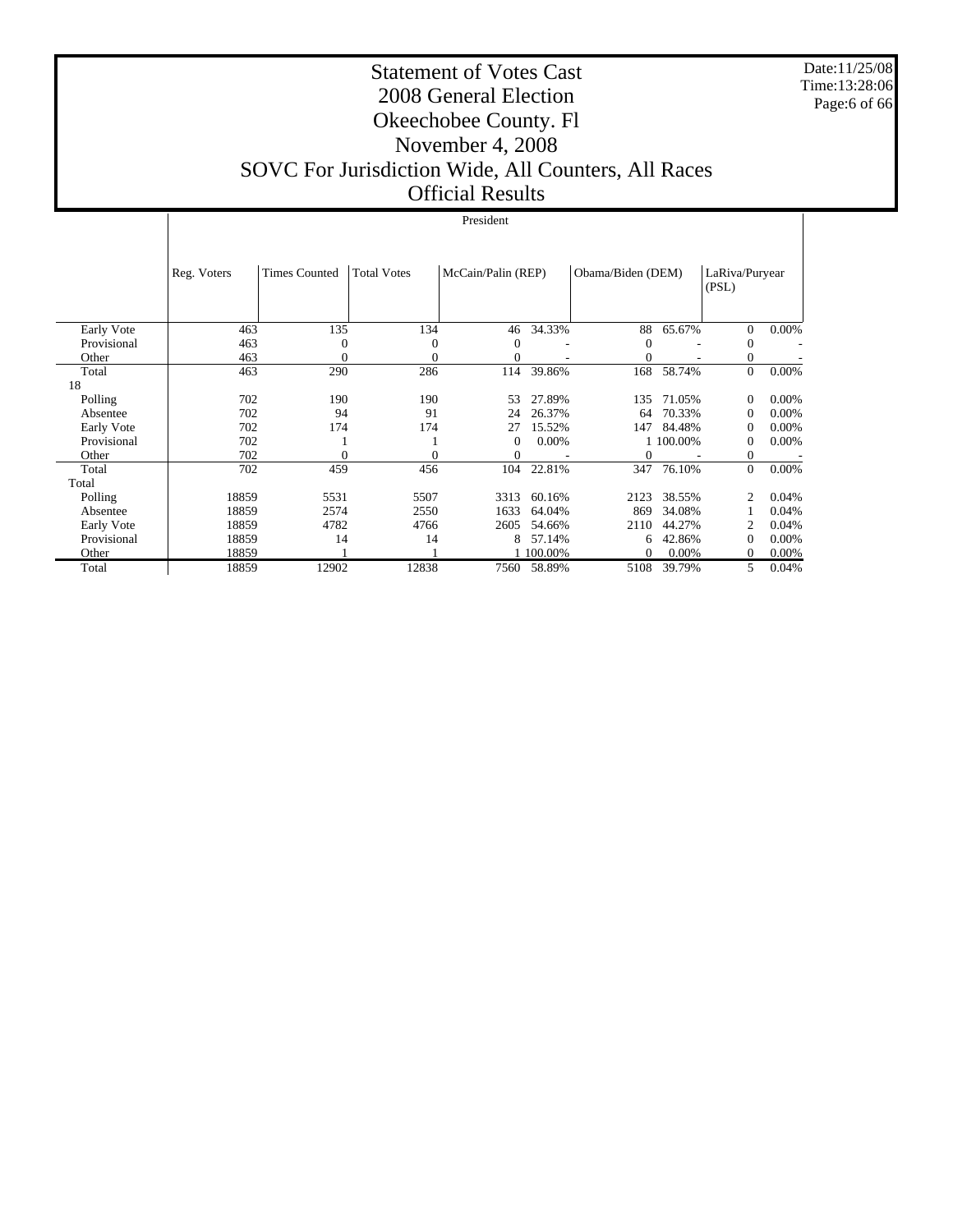Date:11/25/08 Time:13:28:06 Page:6 of 66

#### Statement of Votes Cast 2008 General Election Okeechobee County. Fl November 4, 2008 SOVC For Jurisdiction Wide, All Counters, All Races Official Results

|             | Reg. Voters | <b>Times Counted</b> | <b>Total Votes</b> | McCain/Palin (REP) |             | Obama/Biden (DEM) | LaRiva/Puryear<br>(PSL) |                |       |
|-------------|-------------|----------------------|--------------------|--------------------|-------------|-------------------|-------------------------|----------------|-------|
|             |             |                      |                    |                    |             |                   |                         |                |       |
| Early Vote  | 463         | 135                  | 134                | 46                 | 34.33%      | 88                | 65.67%                  | $\mathbf{0}$   | 0.00% |
| Provisional | 463         | 0                    | 0                  | 0                  |             | $\Omega$          |                         | $\Omega$       |       |
| Other       | 463         | $\theta$             | 0                  | $\overline{0}$     |             | $\Omega$          |                         | $\mathbf{0}$   |       |
| Total       | 463         | 290                  | 286                | 114                | 39.86%      | 168               | 58.74%                  | $\mathbf{0}$   | 0.00% |
| 18          |             |                      |                    |                    |             |                   |                         |                |       |
| Polling     | 702         | 190                  | 190                | 53                 | 27.89%      | 135               | 71.05%                  | $\mathbf{0}$   | 0.00% |
| Absentee    | 702         | 94                   | 91                 | 24                 | 26.37%      | 64                | 70.33%                  | $\mathbf{0}$   | 0.00% |
| Early Vote  | 702         | 174                  | 174                | 27                 | 15.52%      | 147               | 84.48%                  | $\theta$       | 0.00% |
| Provisional | 702         |                      |                    | 0                  | 0.00%       |                   | 1 100.00%               | $\Omega$       | 0.00% |
| Other       | 702         |                      |                    | $\mathbf{0}$       |             | 0                 |                         | $\theta$       |       |
| Total       | 702         | 459                  | 456                | 104                | 22.81%      | 347               | 76.10%                  | $\mathbf{0}$   | 0.00% |
| Total       |             |                      |                    |                    |             |                   |                         |                |       |
| Polling     | 18859       | 5531                 | 5507               | 3313               | 60.16%      | 2123              | 38.55%                  | $\overline{2}$ | 0.04% |
| Absentee    | 18859       | 2574                 | 2550               | 1633               | 64.04%      | 869               | 34.08%                  |                | 0.04% |
| Early Vote  | 18859       | 4782                 | 4766               | 2605               | 54.66%      | 2110              | 44.27%                  | 2              | 0.04% |
| Provisional | 18859       | 14                   | 14                 | 8                  | 57.14%      | 6                 | 42.86%                  | $\Omega$       | 0.00% |
| Other       | 18859       |                      |                    |                    | 100.00%     | $\Omega$          | 0.00%                   | $\Omega$       | 0.00% |
| Total       | 18859       | 12902                | 12838              |                    | 7560 58.89% | 5108              | 39.79%                  | 5              | 0.04% |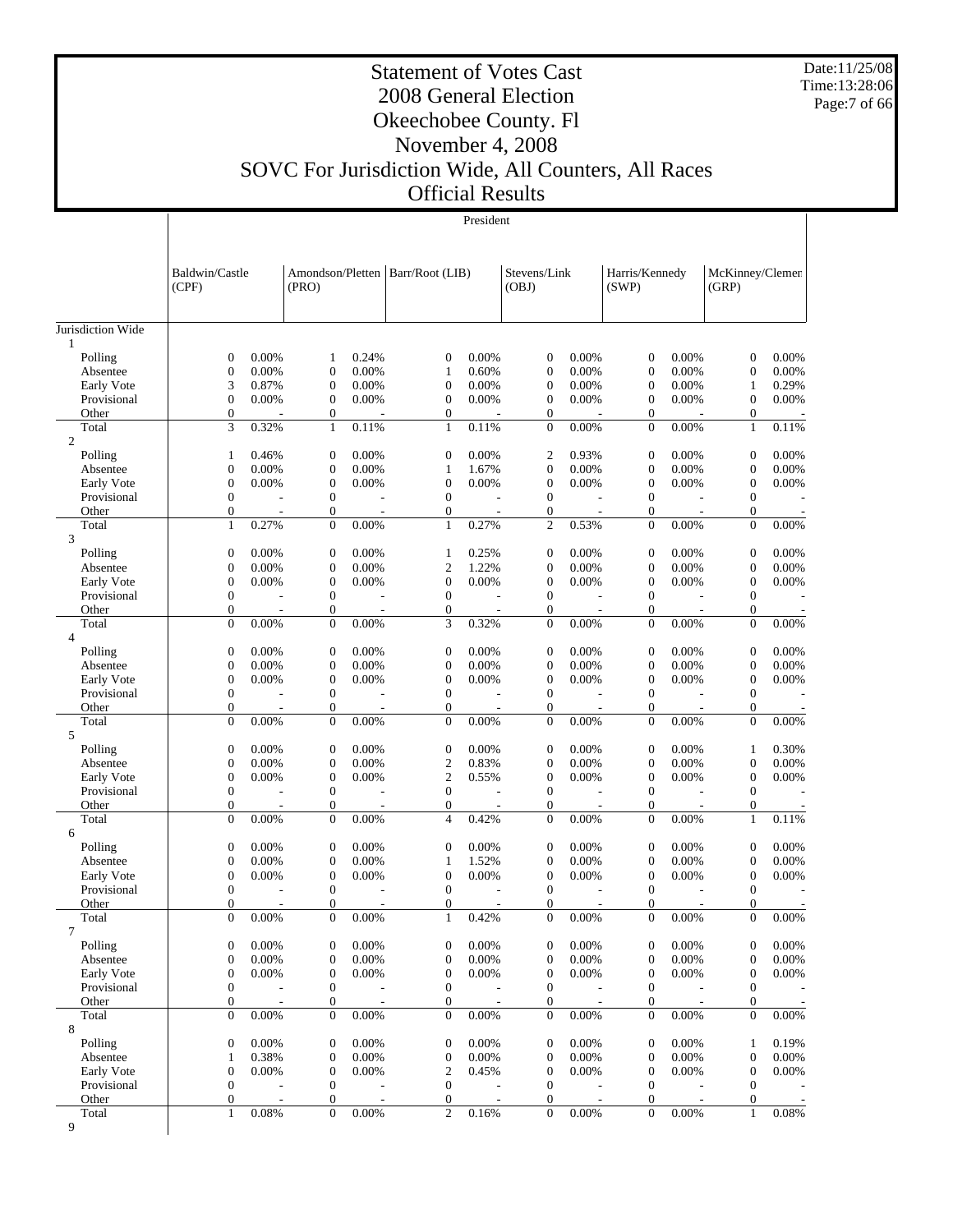Date:11/25/08 Time:13:28:06 Page:7 of 66

#### Statement of Votes Cast 2008 General Election Okeechobee County. Fl November 4, 2008 SOVC For Jurisdiction Wide, All Counters, All Races Official Results

|                           | Baldwin/Castle<br>(CPF)              |                          | Amondson/Pletten   Barr/Root (LIB)<br>(PRO) |                          |                                  |                          | Stevens/Link<br>(OBJ)                |                          | Harris/Kennedy<br>(SWP)            |                          | McKinney/Clemen<br>(GRP)       |                          |
|---------------------------|--------------------------------------|--------------------------|---------------------------------------------|--------------------------|----------------------------------|--------------------------|--------------------------------------|--------------------------|------------------------------------|--------------------------|--------------------------------|--------------------------|
| Jurisdiction Wide         |                                      |                          |                                             |                          |                                  |                          |                                      |                          |                                    |                          |                                |                          |
| $\mathbf{1}$<br>Polling   | $\mathbf{0}$                         | 0.00%                    | 1                                           | 0.24%                    | $\theta$                         | 0.00%                    | $\boldsymbol{0}$                     | 0.00%                    | $\boldsymbol{0}$                   | 0.00%                    | $\theta$                       | 0.00%                    |
| Absentee                  | $\boldsymbol{0}$                     | 0.00%                    | $\mathbf{0}$                                | 0.00%                    | $\mathbf{1}$                     | 0.60%                    | $\mathbf{0}$                         | 0.00%                    | $\overline{0}$                     | 0.00%                    | $\overline{0}$                 | 0.00%                    |
| Early Vote                | 3                                    | 0.87%                    | $\boldsymbol{0}$                            | 0.00%                    | $\mathbf{0}$                     | 0.00%                    | $\boldsymbol{0}$                     | 0.00%                    | 0                                  | 0.00%                    | 1                              | 0.29%                    |
| Provisional               | $\boldsymbol{0}$                     | 0.00%                    | $\overline{0}$                              | 0.00%                    | $\theta$                         | 0.00%                    | $\boldsymbol{0}$                     | 0.00%                    | 0                                  | 0.00%                    | $\mathbf{0}$                   | 0.00%                    |
| Other                     | $\boldsymbol{0}$                     |                          | $\boldsymbol{0}$                            |                          | $\overline{0}$                   |                          | $\mathbf{0}$                         |                          | 0                                  |                          | $\mathbf{0}$                   |                          |
| Total                     | 3                                    | 0.32%                    | $\mathbf{1}$                                | 0.11%                    | $\mathbf{1}$                     | 0.11%                    | $\mathbf{0}$                         | 0.00%                    | $\overline{0}$                     | 0.00%                    | $\mathbf{1}$                   | 0.11%                    |
| $\mathfrak{2}$            |                                      |                          |                                             |                          |                                  |                          |                                      |                          |                                    |                          |                                |                          |
| Polling<br>Absentee       | $\mathbf{1}$<br>$\mathbf{0}$         | 0.46%<br>0.00%           | $\mathbf{0}$<br>$\mathbf{0}$                | 0.00%<br>0.00%           | $\boldsymbol{0}$<br>$\mathbf{1}$ | 0.00%<br>1.67%           | $\mathfrak{2}$<br>$\boldsymbol{0}$   | 0.93%<br>0.00%           | $\overline{0}$<br>$\boldsymbol{0}$ | 0.00%<br>0.00%           | $\overline{0}$<br>$\mathbf{0}$ | 0.00%<br>0.00%           |
| Early Vote                | $\boldsymbol{0}$                     | 0.00%                    | $\overline{0}$                              | 0.00%                    | $\theta$                         | 0.00%                    | $\mathbf{0}$                         | 0.00%                    | $\overline{0}$                     | 0.00%                    | $\overline{0}$                 | 0.00%                    |
| Provisional               | $\mathbf{0}$                         | ÷,                       | $\overline{0}$                              | $\overline{a}$           | $\overline{0}$                   | $\sim$                   | $\boldsymbol{0}$                     |                          | $\mathbf{0}$                       |                          | $\mathbf{0}$                   |                          |
| Other                     | $\boldsymbol{0}$                     | ÷,                       | $\boldsymbol{0}$                            | $\overline{\phantom{a}}$ | $\overline{0}$                   | $\overline{\phantom{a}}$ | $\mathbf{0}$                         | $\overline{a}$           | $\overline{0}$                     | $\sim$                   | $\overline{0}$                 | $\overline{a}$           |
| Total                     | $\mathbf{1}$                         | 0.27%                    | $\mathbf{0}$                                | 0.00%                    | $\mathbf{1}$                     | 0.27%                    | $\mathfrak{2}$                       | 0.53%                    | $\mathbf{0}$                       | 0.00%                    | $\theta$                       | 0.00%                    |
| 3                         |                                      |                          |                                             |                          |                                  |                          |                                      |                          |                                    |                          |                                |                          |
| Polling                   | $\boldsymbol{0}$                     | 0.00%                    | $\mathbf{0}$                                | 0.00%                    | $\mathbf{1}$                     | 0.25%                    | $\boldsymbol{0}$                     | 0.00%                    | $\boldsymbol{0}$                   | 0.00%                    | $\mathbf{0}$                   | 0.00%                    |
| Absentee                  | $\boldsymbol{0}$                     | 0.00%                    | $\mathbf{0}$                                | 0.00%                    | $\mathfrak{2}$                   | 1.22%                    | $\mathbf{0}$                         | 0.00%                    | $\overline{0}$                     | 0.00%                    | $\overline{0}$                 | 0.00%                    |
| Early Vote                | $\mathbf{0}$                         | 0.00%                    | $\mathbf{0}$                                | 0.00%                    | $\mathbf{0}$                     | 0.00%                    | $\boldsymbol{0}$                     | 0.00%                    | 0                                  | 0.00%                    | $\mathbf{0}$                   | 0.00%                    |
| Provisional<br>Other      | $\boldsymbol{0}$<br>$\mathbf{0}$     | J.<br>÷,                 | $\mathbf{0}$<br>$\boldsymbol{0}$            | $\sim$                   | $\overline{0}$<br>$\overline{0}$ | $\overline{\phantom{a}}$ | $\mathbf{0}$<br>$\mathbf{0}$         | $\overline{\phantom{a}}$ | $\boldsymbol{0}$<br>$\mathbf{0}$   | $\overline{a}$<br>$\sim$ | $\mathbf{0}$<br>$\mathbf{0}$   |                          |
| Total                     | $\overline{0}$                       | 0.00%                    | $\overline{0}$                              | 0.00%                    | 3                                | 0.32%                    | $\mathbf{0}$                         | 0.00%                    | $\overline{0}$                     | 0.00%                    | $\mathbf{0}$                   | 0.00%                    |
| $\overline{4}$            |                                      |                          |                                             |                          |                                  |                          |                                      |                          |                                    |                          |                                |                          |
| Polling                   | $\mathbf{0}$                         | 0.00%                    | $\mathbf{0}$                                | 0.00%                    | $\boldsymbol{0}$                 | 0.00%                    | $\boldsymbol{0}$                     | 0.00%                    | $\boldsymbol{0}$                   | 0.00%                    | $\mathbf{0}$                   | 0.00%                    |
| Absentee                  | $\mathbf{0}$                         | 0.00%                    | $\mathbf{0}$                                | 0.00%                    | $\mathbf{0}$                     | 0.00%                    | $\boldsymbol{0}$                     | 0.00%                    | $\boldsymbol{0}$                   | 0.00%                    | $\theta$                       | 0.00%                    |
| Early Vote                | $\boldsymbol{0}$                     | 0.00%                    | $\mathbf{0}$                                | 0.00%                    | $\mathbf{0}$                     | 0.00%                    | $\mathbf{0}$                         | 0.00%                    | $\overline{0}$                     | 0.00%                    | $\overline{0}$                 | 0.00%                    |
| Provisional               | $\mathbf{0}$                         |                          | $\overline{0}$                              |                          | $\mathbf{0}$                     |                          | $\mathbf{0}$                         |                          | $\mathbf{0}$                       |                          | $\mathbf{0}$                   |                          |
| Other                     | $\boldsymbol{0}$                     | $\overline{\phantom{a}}$ | $\boldsymbol{0}$                            | $\sim$                   | $\mathbf{0}$                     | $\overline{\phantom{a}}$ | $\overline{0}$                       | $\overline{\phantom{a}}$ | $\overline{0}$                     | $\sim$                   | $\overline{0}$                 | $\overline{a}$           |
| Total<br>5                | $\boldsymbol{0}$                     | 0.00%                    | $\mathbf{0}$                                | 0.00%                    | $\overline{0}$                   | 0.00%                    | $\mathbf{0}$                         | 0.00%                    | $\mathbf{0}$                       | 0.00%                    | $\theta$                       | 0.00%                    |
| Polling                   | $\mathbf{0}$                         | 0.00%                    | $\mathbf{0}$                                | 0.00%                    | $\boldsymbol{0}$                 | 0.00%                    | $\boldsymbol{0}$                     | 0.00%                    | $\boldsymbol{0}$                   | 0.00%                    | $\mathbf{1}$                   | 0.30%                    |
| Absentee                  | $\boldsymbol{0}$                     | 0.00%                    | $\overline{0}$                              | 0.00%                    | $\boldsymbol{2}$                 | 0.83%                    | $\boldsymbol{0}$                     | 0.00%                    | $\boldsymbol{0}$                   | 0.00%                    | $\overline{0}$                 | 0.00%                    |
| Early Vote                | $\mathbf{0}$                         | 0.00%                    | $\mathbf{0}$                                | 0.00%                    | $\boldsymbol{2}$                 | 0.55%                    | $\boldsymbol{0}$                     | 0.00%                    | $\boldsymbol{0}$                   | 0.00%                    | $\mathbf{0}$                   | 0.00%                    |
| Provisional               | $\boldsymbol{0}$                     | ÷,                       | $\overline{0}$                              | L,                       | $\overline{0}$                   | $\overline{\phantom{a}}$ | $\mathbf{0}$                         | $\overline{a}$           | $\boldsymbol{0}$                   | $\overline{\phantom{a}}$ | $\overline{0}$                 |                          |
| Other                     | $\boldsymbol{0}$                     | ÷,                       | $\boldsymbol{0}$                            |                          | $\overline{0}$                   | $\overline{\phantom{a}}$ | $\boldsymbol{0}$                     | $\overline{\phantom{a}}$ | 0                                  | $\sim$                   | $\mathbf{0}$                   |                          |
| Total                     | $\boldsymbol{0}$                     | 0.00%                    | $\mathbf{0}$                                | 0.00%                    | $\overline{4}$                   | 0.42%                    | $\mathbf{0}$                         | 0.00%                    | $\overline{0}$                     | 0.00%                    | $\mathbf{1}$                   | 0.11%                    |
| 6                         |                                      | 0.00%                    | $\mathbf{0}$                                |                          | $\mathbf{0}$                     |                          | $\mathbf{0}$                         |                          | $\overline{0}$                     |                          | $\overline{0}$                 | 0.00%                    |
| Polling<br>Absentee       | $\mathbf{0}$<br>$\mathbf{0}$         | 0.00%                    | $\mathbf{0}$                                | 0.00%<br>0.00%           | $\mathbf{1}$                     | 0.00%<br>1.52%           | $\boldsymbol{0}$                     | 0.00%<br>0.00%           | $\boldsymbol{0}$                   | 0.00%<br>0.00%           | $\mathbf{0}$                   | 0.00%                    |
| Early Vote                | $\boldsymbol{0}$                     | 0.00%                    | $\mathbf{0}$                                | 0.00%                    | $\mathbf{0}$                     | 0.00%                    | $\theta$                             | 0.00%                    | 0                                  | 0.00%                    | $\overline{0}$                 | 0.00%                    |
| Provisional               | $\mathbf{0}$                         | J.                       | $\overline{0}$                              | $\overline{a}$           | $\overline{0}$                   |                          | $\mathbf{0}$                         |                          | $\mathbf{0}$                       |                          | $\overline{0}$                 |                          |
| Other                     | $\boldsymbol{0}$                     |                          | $\mathbf{0}$                                |                          | $\mathbf{0}$                     | $\overline{\phantom{a}}$ | $\theta$                             |                          | $\overline{0}$                     | $\overline{\phantom{a}}$ | $\overline{0}$                 |                          |
| Total                     | $\mathbf{0}$                         | 0.00%                    | $\overline{0}$                              | 0.00%                    | $\mathbf{1}$                     | 0.42%                    | $\mathbf{0}$                         | 0.00%                    | $\mathbf{0}$                       | 0.00%                    | $\overline{0}$                 | 0.00%                    |
| 7                         |                                      |                          |                                             |                          |                                  |                          |                                      |                          |                                    |                          |                                |                          |
| Polling                   | $\boldsymbol{0}$                     | 0.00%                    | $\boldsymbol{0}$                            | 0.00%                    | $\boldsymbol{0}$                 | 0.00%                    | $\boldsymbol{0}$                     | 0.00%                    | $\boldsymbol{0}$                   | 0.00%                    | $\boldsymbol{0}$               | 0.00%                    |
| Absentee                  | $\boldsymbol{0}$                     | 0.00%                    | $\mathbf{0}$                                | 0.00%                    | $\boldsymbol{0}$                 | 0.00%                    | $\boldsymbol{0}$                     | 0.00%                    | $\boldsymbol{0}$                   | 0.00%                    | $\overline{0}$                 | 0.00%                    |
| Early Vote<br>Provisional | $\boldsymbol{0}$<br>$\boldsymbol{0}$ | 0.00%                    | $\boldsymbol{0}$<br>$\mathbf{0}$            | 0.00%                    | $\boldsymbol{0}$<br>$\mathbf{0}$ | 0.00%                    | $\boldsymbol{0}$<br>$\boldsymbol{0}$ | 0.00%                    | 0<br>0                             | 0.00%                    | $\mathbf{0}$<br>$\mathbf{0}$   | 0.00%                    |
| Other                     | $\boldsymbol{0}$                     | ÷,                       | $\boldsymbol{0}$                            | $\overline{\phantom{a}}$ | $\mathbf{0}$                     | $\overline{\phantom{a}}$ | $\boldsymbol{0}$                     | $\overline{a}$           | 0                                  | $\overline{a}$           | $\mathbf{0}$                   |                          |
| Total                     | $\boldsymbol{0}$                     | 0.00%                    | $\mathbf{0}$                                | 0.00%                    | $\theta$                         | 0.00%                    | $\mathbf{0}$                         | 0.00%                    | $\overline{0}$                     | 0.00%                    | $\overline{0}$                 | 0.00%                    |
| 8                         |                                      |                          |                                             |                          |                                  |                          |                                      |                          |                                    |                          |                                |                          |
| Polling                   | $\boldsymbol{0}$                     | 0.00%                    | $\mathbf 0$                                 | 0.00%                    | $\boldsymbol{0}$                 | 0.00%                    | 0                                    | 0.00%                    | 0                                  | 0.00%                    | 1                              | 0.19%                    |
| Absentee                  | $\mathbf{1}$                         | 0.38%                    | $\mathbf{0}$                                | 0.00%                    | $\boldsymbol{0}$                 | 0.00%                    | $\boldsymbol{0}$                     | 0.00%                    | 0                                  | 0.00%                    | $\mathbf{0}$                   | 0.00%                    |
| Early Vote                | $\boldsymbol{0}$                     | 0.00%                    | $\mathbf{0}$                                | 0.00%                    | $\mathfrak{2}$                   | 0.45%                    | $\boldsymbol{0}$                     | 0.00%                    | 0                                  | 0.00%                    | $\boldsymbol{0}$               | $0.00\%$                 |
| Provisional               | $\boldsymbol{0}$                     |                          | $\mathbf{0}$                                |                          | $\mathbf{0}$                     |                          | $\boldsymbol{0}$                     |                          | 0                                  |                          | $\mathbf{0}$                   |                          |
| Other                     | $\boldsymbol{0}$                     | Ĭ.                       | $\overline{0}$                              | $\overline{\phantom{a}}$ | $\mathbf{0}$                     | $\overline{\phantom{a}}$ | $\theta$                             |                          | 0                                  | $\overline{a}$           | $\overline{0}$                 | $\overline{\phantom{a}}$ |
| Total                     | $\mathbf{1}$                         | 0.08%                    | $\boldsymbol{0}$                            | 0.00%                    | 2                                | 0.16%                    | $\theta$                             | 0.00%                    | $\overline{0}$                     | 0.00%                    | 1                              | 0.08%                    |
| 9                         |                                      |                          |                                             |                          |                                  |                          |                                      |                          |                                    |                          |                                |                          |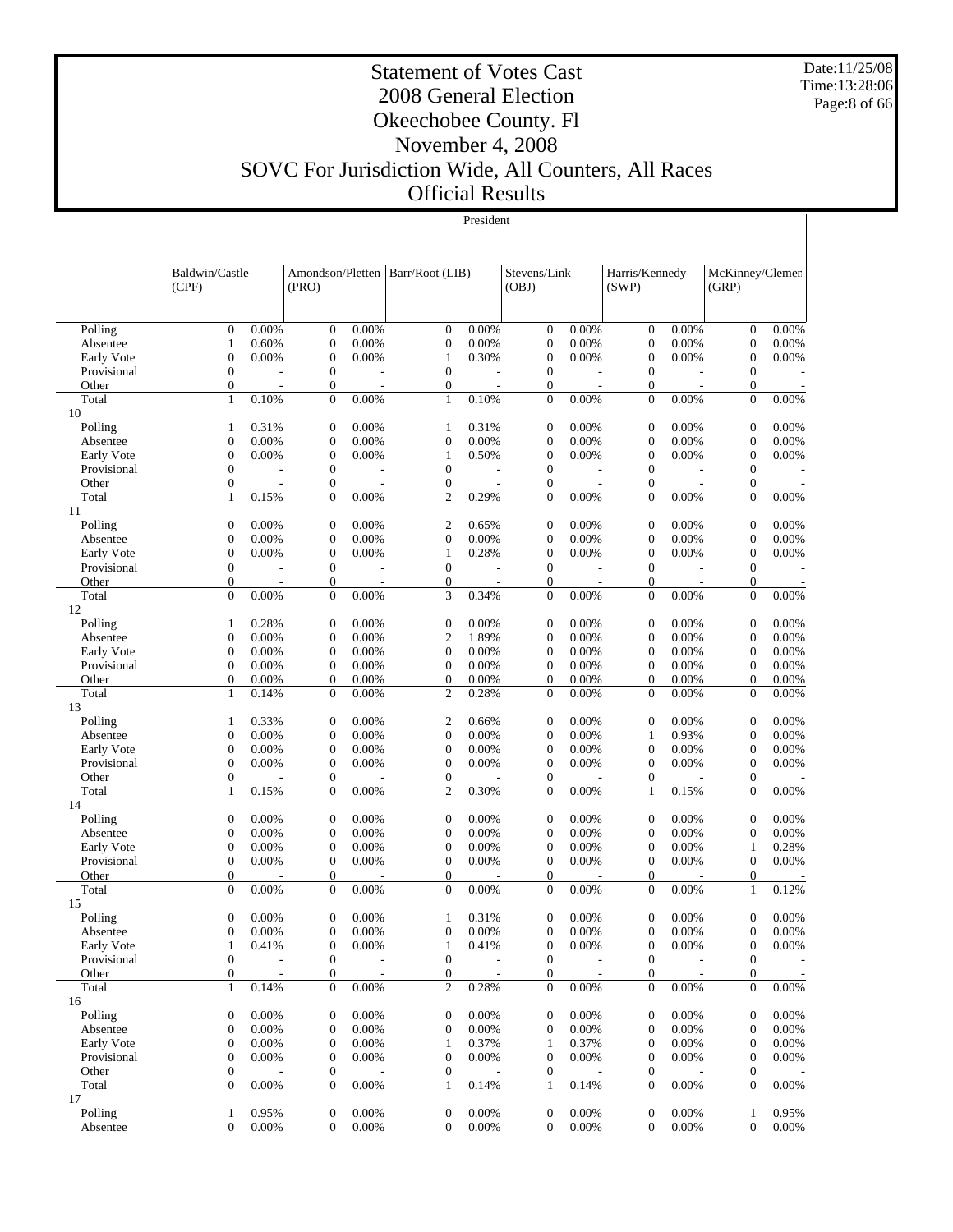Date:11/25/08 Time:13:28:06 Page:8 of 66

#### Statement of Votes Cast 2008 General Election Okeechobee County. Fl November 4, 2008 SOVC For Jurisdiction Wide, All Counters, All Races Official Results

|             | Baldwin/Castle<br>(CPF) |                          | (PRO)            |                          | Amondson/Pletten   Barr/Root (LIB) |                          | Stevens/Link<br>(OBJ) |                | Harris/Kennedy<br>(SWP) |                          | McKinney/Clemen<br>(GRP) |          |
|-------------|-------------------------|--------------------------|------------------|--------------------------|------------------------------------|--------------------------|-----------------------|----------------|-------------------------|--------------------------|--------------------------|----------|
|             |                         |                          |                  |                          |                                    |                          |                       |                |                         |                          |                          |          |
| Polling     | $\boldsymbol{0}$        | 0.00%                    | $\mathbf{0}$     | 0.00%                    | $\theta$                           | 0.00%                    | $\overline{0}$        | 0.00%          | $\mathbf{0}$            | 0.00%                    | $\boldsymbol{0}$         | 0.00%    |
| Absentee    | $\mathbf{1}$            | 0.60%                    | $\mathbf{0}$     | 0.00%                    | $\boldsymbol{0}$                   | 0.00%                    | $\boldsymbol{0}$      | 0.00%          | $\boldsymbol{0}$        | 0.00%                    | $\boldsymbol{0}$         | 0.00%    |
| Early Vote  | $\boldsymbol{0}$        | 0.00%                    | $\boldsymbol{0}$ | 0.00%                    | $\mathbf{1}$                       | 0.30%                    | $\boldsymbol{0}$      | 0.00%          | $\boldsymbol{0}$        | 0.00%                    | $\overline{0}$           | 0.00%    |
| Provisional | $\boldsymbol{0}$        |                          | $\mathbf{0}$     |                          | $\boldsymbol{0}$                   | $\overline{a}$           | $\mathbf{0}$          | $\overline{a}$ | $\mathbf{0}$            | J.                       | $\mathbf{0}$             |          |
| Other       | $\boldsymbol{0}$        |                          | $\boldsymbol{0}$ | $\overline{\phantom{a}}$ | $\boldsymbol{0}$                   | $\overline{a}$           | $\boldsymbol{0}$      | $\overline{a}$ | $\boldsymbol{0}$        | L,                       | $\boldsymbol{0}$         |          |
| Total       | $\mathbf{1}$            | 0.10%                    | $\mathbf{0}$     | 0.00%                    | $\mathbf{1}$                       | 0.10%                    | $\boldsymbol{0}$      | 0.00%          | $\boldsymbol{0}$        | 0.00%                    | $\theta$                 | 0.00%    |
| 10          |                         |                          |                  |                          |                                    |                          |                       |                |                         |                          |                          |          |
| Polling     | $\mathbf{1}$            | 0.31%                    | $\boldsymbol{0}$ | 0.00%                    | 1                                  | 0.31%                    | 0                     | 0.00%          | $\boldsymbol{0}$        | 0.00%                    | $\mathbf{0}$             | 0.00%    |
| Absentee    | $\boldsymbol{0}$        | 0.00%                    | $\mathbf{0}$     | 0.00%                    | $\boldsymbol{0}$                   | 0.00%                    | $\boldsymbol{0}$      | 0.00%          | $\mathbf{0}$            | 0.00%                    | $\overline{0}$           | 0.00%    |
| Early Vote  | $\boldsymbol{0}$        | 0.00%                    | $\boldsymbol{0}$ | 0.00%                    | $\mathbf{1}$                       | 0.50%                    | $\boldsymbol{0}$      | 0.00%          | $\boldsymbol{0}$        | 0.00%                    | $\boldsymbol{0}$         | 0.00%    |
| Provisional | $\boldsymbol{0}$        |                          | $\boldsymbol{0}$ |                          | $\boldsymbol{0}$                   | $\overline{a}$           | $\boldsymbol{0}$      | L,             | $\mathbf{0}$            | L,                       | $\boldsymbol{0}$         |          |
| Other       | $\boldsymbol{0}$        |                          | $\mathbf{0}$     | $\overline{\phantom{a}}$ | $\boldsymbol{0}$                   | $\overline{\phantom{a}}$ | $\boldsymbol{0}$      | $\overline{a}$ | $\boldsymbol{0}$        | $\overline{\phantom{a}}$ | $\boldsymbol{0}$         |          |
| Total       | $\mathbf{1}$            | 0.15%                    | $\overline{0}$   | 0.00%                    | $\overline{c}$                     | 0.29%                    | $\overline{0}$        | 0.00%          | $\overline{0}$          | 0.00%                    | $\overline{0}$           | 0.00%    |
| 11          |                         |                          |                  |                          |                                    |                          |                       |                |                         |                          |                          |          |
| Polling     | $\boldsymbol{0}$        | 0.00%                    | $\boldsymbol{0}$ | 0.00%                    | $\boldsymbol{2}$                   | 0.65%                    | $\boldsymbol{0}$      | 0.00%          | $\boldsymbol{0}$        | 0.00%                    | $\boldsymbol{0}$         | 0.00%    |
| Absentee    | $\boldsymbol{0}$        | 0.00%                    | $\boldsymbol{0}$ | 0.00%                    | $\boldsymbol{0}$                   | 0.00%                    | $\boldsymbol{0}$      | 0.00%          | $\boldsymbol{0}$        | 0.00%                    | $\mathbf{0}$             | 0.00%    |
| Early Vote  | $\boldsymbol{0}$        | 0.00%                    | $\mathbf{0}$     | 0.00%                    | 1                                  | 0.28%                    | $\boldsymbol{0}$      | 0.00%          | $\boldsymbol{0}$        | 0.00%                    | $\overline{0}$           | 0.00%    |
| Provisional | $\boldsymbol{0}$        |                          | $\mathbf{0}$     |                          | $\boldsymbol{0}$                   | $\overline{a}$           | $\boldsymbol{0}$      | $\overline{a}$ | $\mathbf{0}$            | L,                       | $\mathbf{0}$             |          |
| Other       | $\mathbf{0}$            | $\overline{\phantom{a}}$ | $\mathbf{0}$     | $\overline{\phantom{a}}$ | $\boldsymbol{0}$                   | $\overline{\phantom{a}}$ | $\boldsymbol{0}$      | $\overline{a}$ | $\mathbf{0}$            | $\overline{\phantom{a}}$ | $\boldsymbol{0}$         |          |
| Total<br>12 | $\mathbf{0}$            | 0.00%                    | $\boldsymbol{0}$ | 0.00%                    | 3                                  | 0.34%                    | $\boldsymbol{0}$      | 0.00%          | $\boldsymbol{0}$        | 0.00%                    | $\boldsymbol{0}$         | 0.00%    |
| Polling     | $\mathbf{1}$            | 0.28%                    | $\mathbf{0}$     | 0.00%                    | $\boldsymbol{0}$                   | 0.00%                    | 0                     | 0.00%          | $\boldsymbol{0}$        | 0.00%                    | $\mathbf{0}$             | 0.00%    |
| Absentee    | $\boldsymbol{0}$        | 0.00%                    | $\mathbf{0}$     | 0.00%                    | $\mathbf{2}$                       | 1.89%                    | $\boldsymbol{0}$      | 0.00%          | $\boldsymbol{0}$        | 0.00%                    | $\overline{0}$           | 0.00%    |
| Early Vote  | $\boldsymbol{0}$        | 0.00%                    | $\boldsymbol{0}$ | 0.00%                    | $\boldsymbol{0}$                   | 0.00%                    | $\boldsymbol{0}$      | 0.00%          | $\boldsymbol{0}$        | 0.00%                    | $\mathbf{0}$             | 0.00%    |
| Provisional | $\boldsymbol{0}$        | 0.00%                    | $\boldsymbol{0}$ | 0.00%                    | $\boldsymbol{0}$                   | 0.00%                    | $\boldsymbol{0}$      | 0.00%          | $\boldsymbol{0}$        | 0.00%                    | $\boldsymbol{0}$         | 0.00%    |
| Other       | $\mathbf{0}$            | 0.00%                    | $\mathbf{0}$     | 0.00%                    | $\boldsymbol{0}$                   | 0.00%                    | $\boldsymbol{0}$      | 0.00%          | $\boldsymbol{0}$        | 0.00%                    | $\boldsymbol{0}$         | 0.00%    |
| Total       | $\mathbf{1}$            | 0.14%                    | $\mathbf{0}$     | 0.00%                    | $\mathfrak{2}$                     | 0.28%                    | $\overline{0}$        | 0.00%          | $\mathbf{0}$            | 0.00%                    | $\overline{0}$           | 0.00%    |
| 13          |                         |                          |                  |                          |                                    |                          |                       |                |                         |                          |                          |          |
| Polling     | $\mathbf{1}$            | 0.33%                    | $\mathbf{0}$     | 0.00%                    | $\boldsymbol{2}$                   | 0.66%                    | $\boldsymbol{0}$      | 0.00%          | $\mathbf{0}$            | 0.00%                    | $\boldsymbol{0}$         | 0.00%    |
| Absentee    | $\boldsymbol{0}$        | 0.00%                    | $\boldsymbol{0}$ | 0.00%                    | $\boldsymbol{0}$                   | 0.00%                    | $\boldsymbol{0}$      | 0.00%          | 1                       | 0.93%                    | $\mathbf{0}$             | 0.00%    |
| Early Vote  | $\boldsymbol{0}$        | 0.00%                    | $\boldsymbol{0}$ | 0.00%                    | $\boldsymbol{0}$                   | 0.00%                    | $\boldsymbol{0}$      | 0.00%          | $\mathbf{0}$            | 0.00%                    | $\boldsymbol{0}$         | 0.00%    |
| Provisional | $\boldsymbol{0}$        | 0.00%                    | $\boldsymbol{0}$ | 0.00%                    | $\boldsymbol{0}$                   | 0.00%                    | $\boldsymbol{0}$      | 0.00%          | $\boldsymbol{0}$        | 0.00%                    | $\boldsymbol{0}$         | 0.00%    |
| Other       | $\mathbf{0}$            |                          | $\mathbf{0}$     |                          | $\boldsymbol{0}$                   |                          | $\boldsymbol{0}$      |                | $\mathbf{0}$            |                          | $\mathbf{0}$             |          |
| Total       | $\mathbf{1}$            | 0.15%                    | $\mathbf{0}$     | 0.00%                    | $\mathfrak{2}$                     | 0.30%                    | $\boldsymbol{0}$      | 0.00%          | $\mathbf{1}$            | 0.15%                    | $\mathbf{0}$             | 0.00%    |
| 14          |                         |                          |                  |                          |                                    |                          |                       |                |                         |                          |                          |          |
| Polling     | $\mathbf{0}$            | 0.00%                    | $\mathbf{0}$     | 0.00%                    | $\boldsymbol{0}$                   | 0.00%                    | 0                     | 0.00%          | $\boldsymbol{0}$        | 0.00%                    | $\mathbf{0}$             | 0.00%    |
| Absentee    | $\boldsymbol{0}$        | 0.00%                    | $\mathbf{0}$     | 0.00%                    | $\boldsymbol{0}$                   | 0.00%                    | $\overline{0}$        | 0.00%          | $\mathbf{0}$            | 0.00%                    | $\overline{0}$           | 0.00%    |
| Early Vote  | $\boldsymbol{0}$        | 0.00%                    | $\boldsymbol{0}$ | 0.00%                    | $\boldsymbol{0}$                   | 0.00%                    | $\boldsymbol{0}$      | 0.00%          | $\boldsymbol{0}$        | 0.00%                    | 1                        | 0.28%    |
| Provisional | $\boldsymbol{0}$        | 0.00%                    | $\boldsymbol{0}$ | 0.00%                    | $\boldsymbol{0}$                   | 0.00%                    | $\boldsymbol{0}$      | 0.00%          | $\boldsymbol{0}$        | 0.00%                    | $\boldsymbol{0}$         | 0.00%    |
| Other       | $\mathbf{0}$            |                          | $\mathbf{0}$     | $\overline{a}$           | $\mathbf{0}$                       | $\overline{a}$           | $\boldsymbol{0}$      | $\overline{a}$ | $\boldsymbol{0}$        | L,                       | $\boldsymbol{0}$         |          |
| Total       | $\overline{0}$          | 0.00%                    | $\overline{0}$   | 0.00%                    | $\boldsymbol{0}$                   | 0.00%                    | $\overline{0}$        | 0.00%          | $\overline{0}$          | 0.00%                    | $\mathbf{1}$             | 0.12%    |
| 15          |                         |                          |                  |                          |                                    |                          |                       |                |                         |                          |                          |          |
| Polling     | $\boldsymbol{0}$        | 0.00%                    | $\mathbf{0}$     | 0.00%                    | 1                                  | 0.31%                    | $\overline{0}$        | 0.00%          | $\mathbf{0}$            | 0.00%                    | $\overline{0}$           | 0.00%    |
| Absentee    | $\mathbf{0}$            | 0.00%                    | $\mathbf{0}$     | 0.00%                    | $\mathbf{0}$                       | 0.00%                    | $\overline{0}$        | 0.00%          | $\mathbf{0}$            | 0.00%                    | $\theta$                 | 0.00%    |
| Early Vote  | $\mathbf{1}$            | 0.41%                    | $\boldsymbol{0}$ | 0.00%                    | $\mathbf{1}$                       | 0.41%                    | 0                     | 0.00%          | $\boldsymbol{0}$        | 0.00%                    | $\boldsymbol{0}$         | 0.00%    |
| Provisional | $\boldsymbol{0}$        |                          | $\mathbf{0}$     |                          | $\boldsymbol{0}$                   |                          | $\boldsymbol{0}$      |                | $\boldsymbol{0}$        |                          | $\boldsymbol{0}$         |          |
| Other       | $\boldsymbol{0}$        |                          | $\mathbf{0}$     | $\overline{\phantom{a}}$ | $\boldsymbol{0}$                   |                          | 0                     |                | $\boldsymbol{0}$        |                          | $\mathbf{0}$             |          |
| Total<br>16 | $\mathbf{1}$            | 0.14%                    | $\mathbf{0}$     | 0.00%                    | $\overline{c}$                     | 0.28%                    | $\boldsymbol{0}$      | 0.00%          | $\mathbf{0}$            | 0.00%                    | $\mathbf{0}$             | $0.00\%$ |
| Polling     | $\boldsymbol{0}$        | 0.00%                    | $\boldsymbol{0}$ | 0.00%                    | $\boldsymbol{0}$                   | 0.00%                    | 0                     | 0.00%          | 0                       | 0.00%                    | $\mathbf 0$              | 0.00%    |
| Absentee    | $\boldsymbol{0}$        | 0.00%                    | $\boldsymbol{0}$ | 0.00%                    | $\boldsymbol{0}$                   | 0.00%                    | 0                     | 0.00%          | $\boldsymbol{0}$        | 0.00%                    | $\mathbf{0}$             | 0.00%    |
| Early Vote  | $\boldsymbol{0}$        | 0.00%                    | $\boldsymbol{0}$ | 0.00%                    | $\mathbf{1}$                       | 0.37%                    | $\mathbf{1}$          | 0.37%          | $\boldsymbol{0}$        | 0.00%                    | $\boldsymbol{0}$         | 0.00%    |
| Provisional | $\boldsymbol{0}$        | 0.00%                    | $\boldsymbol{0}$ | 0.00%                    | $\boldsymbol{0}$                   | 0.00%                    | $\boldsymbol{0}$      | 0.00%          | $\boldsymbol{0}$        | 0.00%                    | $\boldsymbol{0}$         | 0.00%    |
| Other       | $\boldsymbol{0}$        |                          | $\mathbf{0}$     |                          | $\boldsymbol{0}$                   |                          | 0                     |                | $\boldsymbol{0}$        |                          | $\boldsymbol{0}$         |          |
| Total       | $\overline{0}$          | $0.00\%$                 | $\mathbf{0}$     | 0.00%                    | $\mathbf{1}$                       | 0.14%                    | $\mathbf{1}$          | 0.14%          | $\mathbf{0}$            | 0.00%                    | $\mathbf{0}$             | 0.00%    |
| 17          |                         |                          |                  |                          |                                    |                          |                       |                |                         |                          |                          |          |
| Polling     | $\mathbf{1}$            | 0.95%                    | $\boldsymbol{0}$ | 0.00%                    | $\boldsymbol{0}$                   | 0.00%                    | 0                     | 0.00%          | $\boldsymbol{0}$        | 0.00%                    | $\mathbf{1}$             | 0.95%    |
| Absentee    | $\boldsymbol{0}$        | 0.00%                    | $\mathbf{0}$     | $0.00\%$                 | $\boldsymbol{0}$                   | 0.00%                    | $\boldsymbol{0}$      | 0.00%          | $\boldsymbol{0}$        | 0.00%                    | $\mathbf{0}$             | 0.00%    |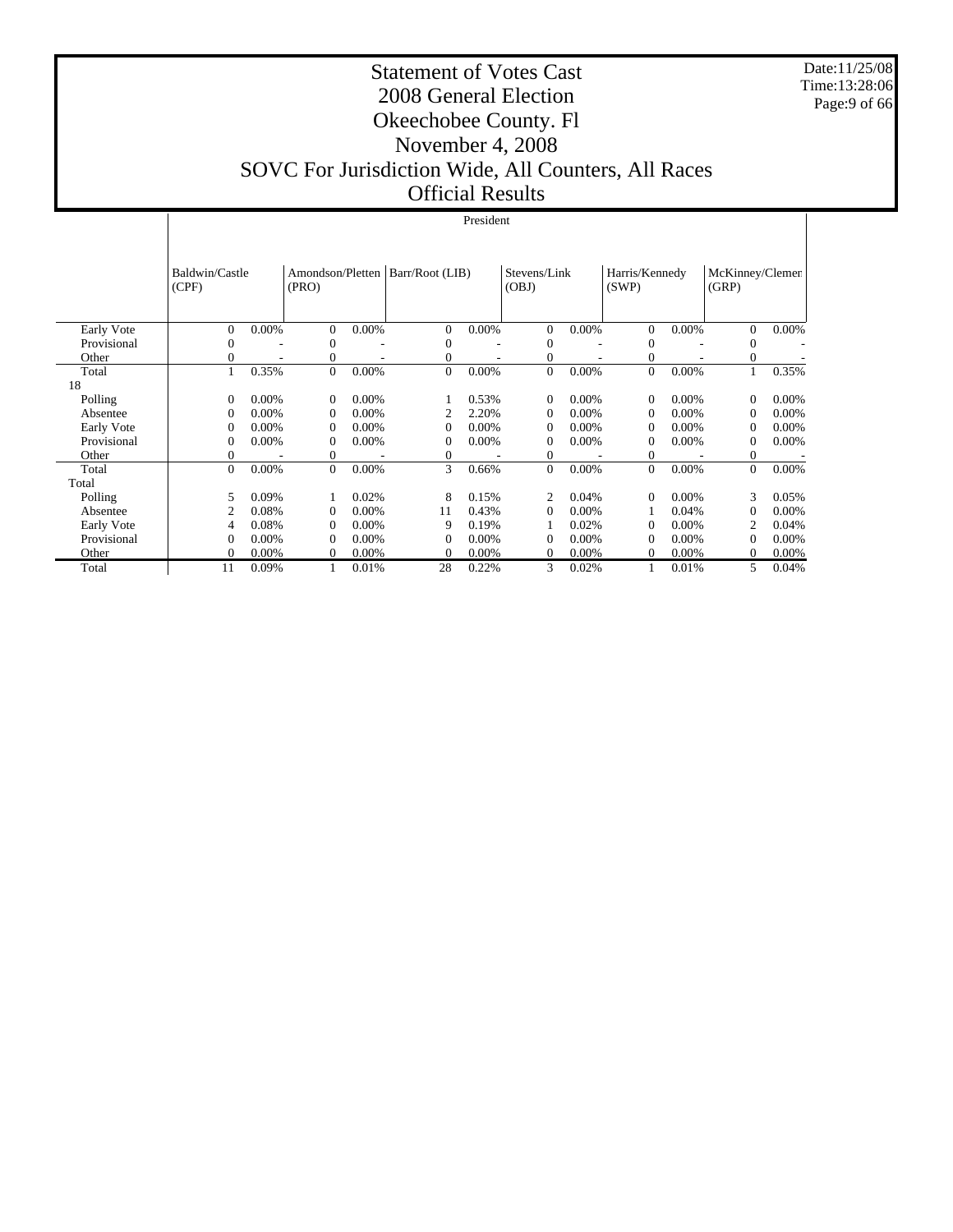Date:11/25/08 Time:13:28:06 Page:9 of 66

#### Statement of Votes Cast 2008 General Election Okeechobee County. Fl November 4, 2008 SOVC For Jurisdiction Wide, All Counters, All Races Official Results

|             | President               |          |                           |          |                 |          |                       |          |                         |          |                          |       |
|-------------|-------------------------|----------|---------------------------|----------|-----------------|----------|-----------------------|----------|-------------------------|----------|--------------------------|-------|
|             |                         |          |                           |          |                 |          |                       |          |                         |          |                          |       |
|             | Baldwin/Castle<br>(CPF) |          | Amondson/Pletten<br>(PRO) |          | Barr/Root (LIB) |          | Stevens/Link<br>(OBJ) |          | Harris/Kennedy<br>(SWP) |          | McKinney/Clemen<br>(GRP) |       |
| Early Vote  | $\Omega$                | 0.00%    | $\Omega$                  | 0.00%    | 0               | 0.00%    | $\overline{0}$        | 0.00%    | $\overline{0}$          | 0.00%    | $\Omega$                 | 0.00% |
| Provisional | 0                       |          | $\mathbf{0}$              |          | 0               |          | 0                     |          | $\overline{0}$          |          | $\theta$                 |       |
| Other       | 0                       |          | 0                         |          | 0               |          | 0                     |          | $\overline{0}$          |          | $\mathbf{0}$             |       |
| Total       |                         | 0.35%    | $\mathbf{0}$              | 0.00%    | $\overline{0}$  | 0.00%    | $\overline{0}$        | 0.00%    | $\overline{0}$          | 0.00%    |                          | 0.35% |
| 18          |                         |          |                           |          |                 |          |                       |          |                         |          |                          |       |
| Polling     | 0                       | $0.00\%$ | $\Omega$                  | $0.00\%$ |                 | 0.53%    | $\Omega$              | $0.00\%$ | $\overline{0}$          | $0.00\%$ | $\Omega$                 | 0.00% |
| Absentee    | $\mathbf{0}$            | 0.00%    | $\Omega$                  | 0.00%    |                 | 2.20%    | 0                     | $0.00\%$ | $\theta$                | 0.00%    | $\Omega$                 | 0.00% |
| Early Vote  | $\Omega$                | 0.00%    | $\Omega$                  | 0.00%    | $\Omega$        | 0.00%    | 0                     | 0.00%    | $\overline{0}$          | 0.00%    | $\Omega$                 | 0.00% |
| Provisional | $\mathbf{0}$            | 0.00%    | $\Omega$                  | 0.00%    | 0               | 0.00%    | 0                     | 0.00%    | $\theta$                | 0.00%    | $\mathbf{0}$             | 0.00% |
| Other       | 0                       |          | $\theta$                  |          | 0               |          | $\overline{0}$        |          | $\overline{0}$          |          | $\overline{0}$           |       |
| Total       | $\theta$                | 0.00%    | $\theta$                  | 0.00%    | 3               | 0.66%    | $\overline{0}$        | 0.00%    | $\overline{0}$          | 0.00%    | $\Omega$                 | 0.00% |
| Total       |                         |          |                           |          |                 |          |                       |          |                         |          |                          |       |
| Polling     | 5                       | 0.09%    |                           | 0.02%    | 8               | 0.15%    | $\overline{c}$        | 0.04%    | $\Omega$                | $0.00\%$ | 3                        | 0.05% |
| Absentee    | $\overline{2}$          | 0.08%    | $\theta$                  | 0.00%    | 11              | 0.43%    | 0                     | $0.00\%$ |                         | 0.04%    | $\overline{0}$           | 0.00% |
| Early Vote  | 4                       | 0.08%    | $\Omega$                  | 0.00%    | 9               | 0.19%    |                       | 0.02%    | $\Omega$                | $0.00\%$ | 2                        | 0.04% |
| Provisional | $\Omega$                | 0.00%    | $\Omega$                  | 0.00%    | $\Omega$        | 0.00%    | $\Omega$              | 0.00%    | $\Omega$                | $0.00\%$ | $\Omega$                 | 0.00% |
| Other       | 0                       | 0.00%    | $\Omega$                  | 0.00%    | 0               | $0.00\%$ | 0                     | $0.00\%$ | $\Omega$                | 0.00%    | $\Omega$                 | 0.00% |
| Total       | 11                      | 0.09%    |                           | 0.01%    | 28              | 0.22%    | 3                     | 0.02%    |                         | 0.01%    | 5                        | 0.04% |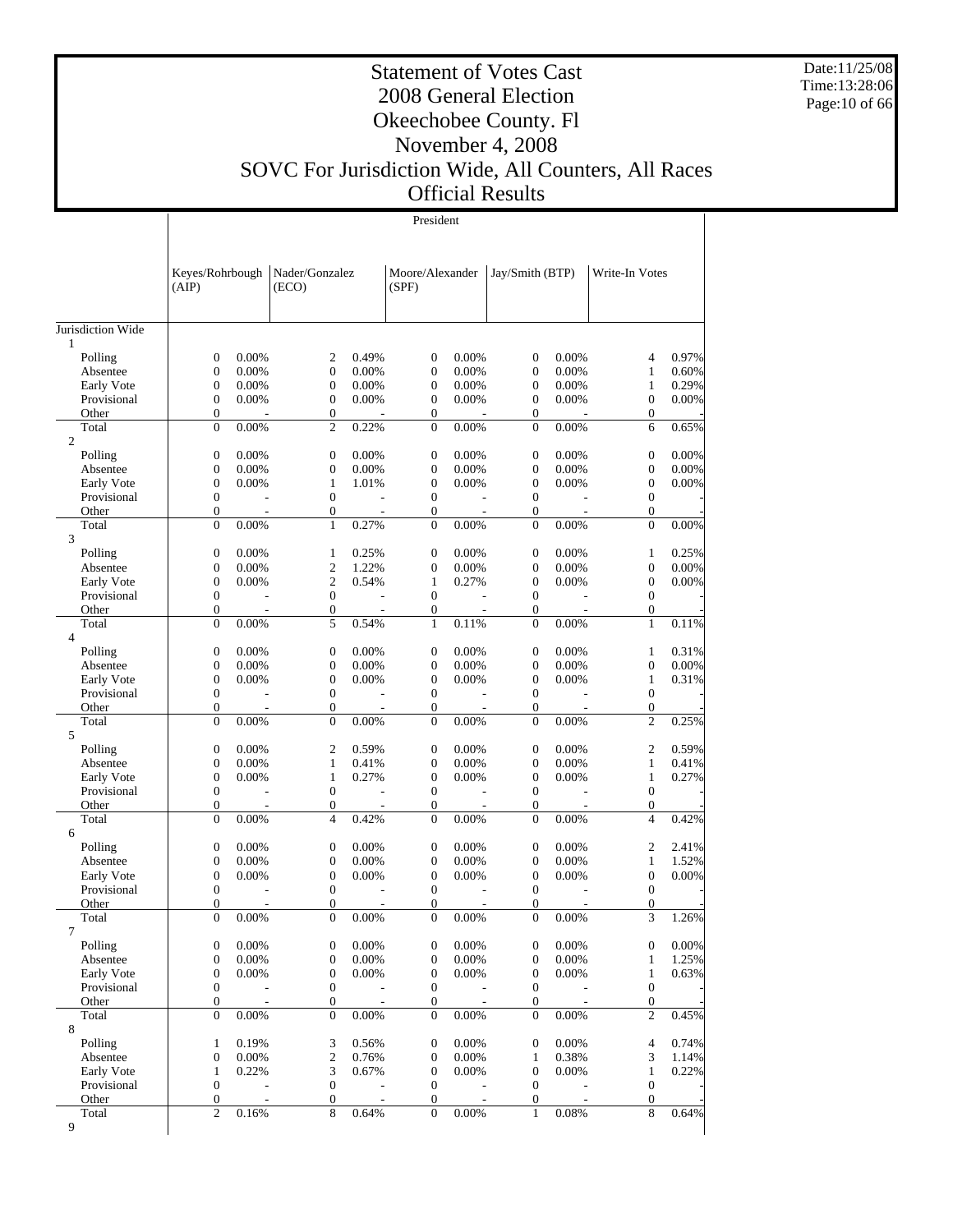Date:11/25/08 Time:13:28:06 Page:10 of 66

#### Statement of Votes Cast 2008 General Election Okeechobee County. Fl November 4, 2008 SOVC For Jurisdiction Wide, All Counters, All Races Official Results

|                           | (AIP)                                |                          | Keyes/Rohrbough   Nader/Gonzalez<br>(ECO) |                                   | Moore/Alexander<br>(SPF)         |                          | Jay/Smith (BTP)                      |                                   | Write-In Votes                     |                |
|---------------------------|--------------------------------------|--------------------------|-------------------------------------------|-----------------------------------|----------------------------------|--------------------------|--------------------------------------|-----------------------------------|------------------------------------|----------------|
| Jurisdiction Wide         |                                      |                          |                                           |                                   |                                  |                          |                                      |                                   |                                    |                |
| 1                         |                                      |                          |                                           |                                   |                                  |                          |                                      |                                   |                                    |                |
| Polling                   | $\mathbf{0}$                         | 0.00%                    | $\mathfrak{2}$                            | 0.49%                             | $\mathbf{0}$                     | 0.00%                    | $\mathbf{0}$                         | 0.00%                             | $\overline{4}$                     | 0.97%          |
| Absentee                  | $\mathbf{0}$                         | 0.00%                    | $\mathbf{0}$                              | $0.00\%$                          | $\mathbf{0}$                     | 0.00%                    | $\mathbf{0}$                         | 0.00%                             | $\mathbf{1}$                       | 0.60%          |
| Early Vote                | $\mathbf{0}$                         | 0.00%                    | $\mathbf{0}$                              | $0.00\%$                          | $\mathbf{0}$                     | 0.00%                    | $\overline{0}$                       | 0.00%                             | $\mathbf{1}$                       | 0.29%          |
| Provisional               | $\boldsymbol{0}$<br>$\boldsymbol{0}$ | 0.00%                    | $\mathbf{0}$<br>$\boldsymbol{0}$          | 0.00%                             | $\mathbf{0}$                     | 0.00%                    | $\overline{0}$                       | 0.00%                             | $\overline{0}$<br>$\boldsymbol{0}$ | 0.00%          |
| Other<br>Total            | $\boldsymbol{0}$                     | 0.00%                    | $\mathfrak{2}$                            | 0.22%                             | $\boldsymbol{0}$<br>$\mathbf{0}$ | 0.00%                    | $\boldsymbol{0}$<br>$\mathbf{0}$     | 0.00%                             | 6                                  | 0.65%          |
| $\overline{2}$            |                                      |                          |                                           |                                   |                                  |                          |                                      |                                   |                                    |                |
| Polling                   | $\mathbf{0}$                         | 0.00%                    | $\mathbf{0}$                              | 0.00%                             | $\mathbf{0}$                     | 0.00%                    | $\mathbf{0}$                         | 0.00%                             | $\boldsymbol{0}$                   | 0.00%          |
| Absentee                  | $\boldsymbol{0}$                     | 0.00%                    | $\mathbf{0}$                              | 0.00%                             | $\mathbf{0}$                     | 0.00%                    | $\overline{0}$                       | 0.00%                             | $\boldsymbol{0}$                   | 0.00%          |
| Early Vote                | $\mathbf{0}$                         | 0.00%                    | 1                                         | 1.01%                             | $\boldsymbol{0}$                 | 0.00%                    | $\mathbf{0}$                         | 0.00%                             | $\overline{0}$                     | 0.00%          |
| Provisional               | $\boldsymbol{0}$                     | $\overline{a}$           | $\mathbf{0}$                              | $\overline{\phantom{a}}$          | $\mathbf{0}$                     | $\overline{a}$           | $\overline{0}$                       | $\overline{\phantom{a}}$          | $\overline{0}$                     |                |
| Other                     | $\boldsymbol{0}$                     | $\overline{\phantom{a}}$ | 0                                         |                                   | $\boldsymbol{0}$                 | $\overline{\phantom{a}}$ | $\overline{0}$                       | $\overline{\phantom{a}}$          | $\boldsymbol{0}$                   |                |
| Total                     | $\mathbf{0}$                         | 0.00%                    | $\mathbf{1}$                              | 0.27%                             | $\mathbf{0}$                     | 0.00%                    | $\Omega$                             | 0.00%                             | $\overline{0}$                     | 0.00%          |
| 3                         |                                      |                          |                                           |                                   |                                  |                          |                                      |                                   |                                    |                |
| Polling                   | $\boldsymbol{0}$                     | 0.00%                    | 1                                         | 0.25%                             | $\mathbf{0}$                     | 0.00%                    | $\mathbf{0}$                         | 0.00%                             | $\mathbf{1}$                       | 0.25%          |
| Absentee                  | $\boldsymbol{0}$<br>$\boldsymbol{0}$ | 0.00%<br>0.00%           | $\mathfrak{2}$<br>$\mathfrak{2}$          | 1.22%<br>0.54%                    | $\mathbf{0}$<br>$\mathbf{1}$     | 0.00%                    | $\mathbf{0}$<br>$\mathbf{0}$         | 0.00%<br>0.00%                    | $\overline{0}$<br>$\overline{0}$   | 0.00%<br>0.00% |
| Early Vote<br>Provisional | $\boldsymbol{0}$                     | $\overline{a}$           | $\mathbf{0}$                              | $\overline{\phantom{a}}$          | $\mathbf{0}$                     | 0.27%<br>$\overline{a}$  | $\overline{0}$                       | $\overline{\phantom{a}}$          | $\overline{0}$                     |                |
| Other                     | $\boldsymbol{0}$                     |                          | $\boldsymbol{0}$                          |                                   | $\boldsymbol{0}$                 |                          | $\mathbf{0}$                         |                                   | $\boldsymbol{0}$                   |                |
| Total                     | $\mathbf{0}$                         | 0.00%                    | 5                                         | 0.54%                             | $\mathbf{1}$                     | 0.11%                    | $\mathbf{0}$                         | 0.00%                             | $\mathbf{1}$                       | 0.11%          |
| $\overline{4}$            |                                      |                          |                                           |                                   |                                  |                          |                                      |                                   |                                    |                |
| Polling                   | $\mathbf{0}$                         | 0.00%                    | $\boldsymbol{0}$                          | 0.00%                             | $\mathbf{0}$                     | 0.00%                    | $\mathbf{0}$                         | 0.00%                             | $\mathbf{1}$                       | 0.31%          |
| Absentee                  | $\boldsymbol{0}$                     | 0.00%                    | $\mathbf{0}$                              | 0.00%                             | $\mathbf{0}$                     | 0.00%                    | $\mathbf{0}$                         | 0.00%                             | $\boldsymbol{0}$                   | 0.00%          |
| Early Vote                | $\boldsymbol{0}$                     | 0.00%                    | $\boldsymbol{0}$                          | 0.00%                             | $\mathbf{0}$                     | 0.00%                    | $\mathbf{0}$                         | 0.00%                             | $\mathbf{1}$                       | 0.31%          |
| Provisional               | $\boldsymbol{0}$                     |                          | $\mathbf{0}$                              | $\overline{a}$                    | $\mathbf{0}$                     | $\overline{a}$           | $\overline{0}$                       | $\overline{\phantom{a}}$          | $\overline{0}$                     |                |
| Other                     | $\boldsymbol{0}$                     |                          | $\boldsymbol{0}$                          |                                   | $\boldsymbol{0}$                 |                          | $\overline{0}$                       | $\overline{\phantom{a}}$          | 0                                  |                |
| Total                     | $\mathbf{0}$                         | 0.00%                    | $\mathbf{0}$                              | 0.00%                             | $\mathbf{0}$                     | 0.00%                    | $\mathbf{0}$                         | 0.00%                             | $\mathfrak{2}$                     | 0.25%          |
| 5                         |                                      |                          |                                           |                                   |                                  |                          |                                      |                                   |                                    |                |
| Polling                   | $\boldsymbol{0}$                     | 0.00%                    | $\overline{c}$                            | 0.59%                             | $\mathbf{0}$                     | 0.00%                    | $\mathbf{0}$                         | 0.00%                             | $\overline{c}$                     | 0.59%          |
| Absentee                  | $\boldsymbol{0}$                     | 0.00%                    | 1                                         | 0.41%                             | $\mathbf{0}$                     | 0.00%                    | $\mathbf{0}$                         | 0.00%                             | $\mathbf{1}$                       | 0.41%          |
| Early Vote<br>Provisional | $\boldsymbol{0}$<br>$\boldsymbol{0}$ | 0.00%                    | $\mathbf{1}$<br>$\boldsymbol{0}$          | 0.27%<br>$\overline{\phantom{a}}$ | $\mathbf{0}$<br>$\mathbf{0}$     | 0.00%                    | $\mathbf{0}$<br>$\overline{0}$       | 0.00%<br>$\overline{\phantom{a}}$ | $\mathbf{1}$<br>$\overline{0}$     | 0.27%          |
| Other                     | $\boldsymbol{0}$                     | $\overline{\phantom{a}}$ | $\boldsymbol{0}$                          |                                   | $\boldsymbol{0}$                 | ÷,                       | $\mathbf{0}$                         |                                   | $\boldsymbol{0}$                   |                |
| Total                     | $\boldsymbol{0}$                     | 0.00%                    | $\overline{4}$                            | 0.42%                             | $\mathbf{0}$                     | 0.00%                    | $\mathbf{0}$                         | 0.00%                             | $\overline{4}$                     | 0.42%          |
| 6                         |                                      |                          |                                           |                                   |                                  |                          |                                      |                                   |                                    |                |
| Polling                   | $\boldsymbol{0}$                     | 0.00%                    | $\boldsymbol{0}$                          | 0.00%                             | $\mathbf{0}$                     | 0.00%                    | $\mathbf{0}$                         | 0.00%                             | $\overline{c}$                     | 2.41%          |
| Absentee                  | $\boldsymbol{0}$                     | 0.00%                    | $\boldsymbol{0}$                          | 0.00%                             | $\mathbf{0}$                     | 0.00%                    | $\overline{0}$                       | 0.00%                             | $\mathbf{1}$                       | 1.52%          |
| Early Vote                | $\boldsymbol{0}$                     | 0.00%                    | $\boldsymbol{0}$                          | $0.00\%$                          | $\mathbf{0}$                     | 0.00%                    | $\mathbf{0}$                         | 0.00%                             | $\overline{0}$                     | 0.00%          |
| Provisional               | $\boldsymbol{0}$                     |                          | $\mathbf{0}$                              |                                   | $\mathbf{0}$                     | L.                       | $\overline{0}$                       | $\overline{\phantom{a}}$          | $\overline{0}$                     |                |
| Other                     | $\boldsymbol{0}$                     |                          | $\boldsymbol{0}$                          |                                   | $\mathbf{0}$                     |                          | $\mathbf{0}$                         |                                   | $\boldsymbol{0}$                   |                |
| Total                     | $\Omega$                             | 0.00%                    | $\Omega$                                  | 0.00%                             | $\Omega$                         | 0.00%                    | $\Omega$                             | 0.00%                             | 3                                  | 1.26%          |
| 7                         |                                      |                          |                                           |                                   |                                  |                          |                                      |                                   |                                    |                |
| Polling                   | $\boldsymbol{0}$                     | 0.00%                    | $\boldsymbol{0}$                          | 0.00%<br>0.00%                    | $\boldsymbol{0}$                 | 0.00%                    | $\boldsymbol{0}$                     | 0.00%                             | $\boldsymbol{0}$                   | 0.00%          |
| Absentee                  | $\mathbf{0}$<br>$\boldsymbol{0}$     | 0.00%<br>0.00%           | $\boldsymbol{0}$<br>$\boldsymbol{0}$      | 0.00%                             | $\boldsymbol{0}$                 | 0.00%<br>0.00%           | $\boldsymbol{0}$<br>$\boldsymbol{0}$ | 0.00%<br>0.00%                    | 1<br>$\mathbf{1}$                  | 1.25%          |
| Early Vote<br>Provisional | $\boldsymbol{0}$                     |                          | $\boldsymbol{0}$                          |                                   | $\boldsymbol{0}$<br>$\mathbf{0}$ |                          | $\mathbf{0}$                         |                                   | $\boldsymbol{0}$                   | 0.63%          |
| Other                     | $\boldsymbol{0}$                     |                          | $\overline{0}$                            |                                   | 0                                |                          | $\mathbf{0}$                         |                                   | $\boldsymbol{0}$                   |                |
| Total                     | $\boldsymbol{0}$                     | 0.00%                    | $\boldsymbol{0}$                          | 0.00%                             | $\boldsymbol{0}$                 | 0.00%                    | $\mathbf{0}$                         | 0.00%                             | $\sqrt{2}$                         | 0.45%          |
| 8                         |                                      |                          |                                           |                                   |                                  |                          |                                      |                                   |                                    |                |
| Polling                   | $\mathbf{1}$                         | 0.19%                    | 3                                         | 0.56%                             | $\boldsymbol{0}$                 | 0.00%                    | $\boldsymbol{0}$                     | 0.00%                             | 4                                  | 0.74%          |
| Absentee                  | $\boldsymbol{0}$                     | 0.00%                    | $\sqrt{2}$                                | 0.76%                             | $\boldsymbol{0}$                 | 0.00%                    | $\mathbf{1}$                         | 0.38%                             | $\mathfrak{Z}$                     | 1.14%          |
| Early Vote                | $\mathbf{1}$                         | 0.22%                    | 3                                         | 0.67%                             | $\boldsymbol{0}$                 | 0.00%                    | $\boldsymbol{0}$                     | 0.00%                             | $\mathbf{1}$                       | 0.22%          |
| Provisional               | $\boldsymbol{0}$                     |                          | $\boldsymbol{0}$                          |                                   | $\mathbf{0}$                     |                          | $\mathbf{0}$                         |                                   | $\boldsymbol{0}$                   |                |
| Other                     | $\boldsymbol{0}$                     |                          | $\boldsymbol{0}$                          |                                   | $\boldsymbol{0}$                 |                          | $\boldsymbol{0}$                     |                                   | $\boldsymbol{0}$                   |                |
| Total                     | $\overline{c}$                       | 0.16%                    | 8                                         | 0.64%                             | $\mathbf{0}$                     | 0.00%                    | 1                                    | 0.08%                             | 8                                  | 0.64%          |
| 9                         |                                      |                          |                                           |                                   |                                  |                          |                                      |                                   |                                    |                |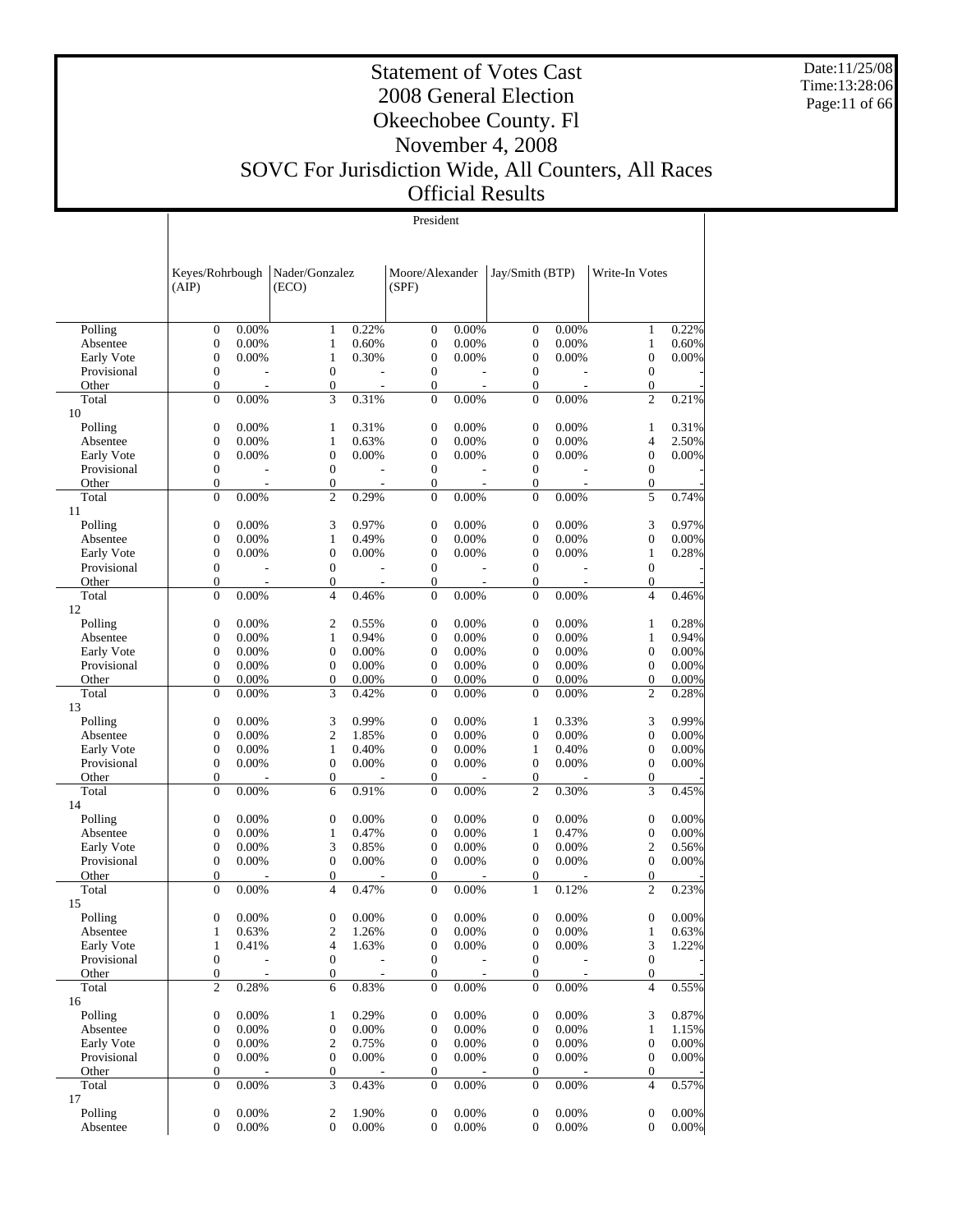Date:11/25/08 Time:13:28:06 Page:11 of 66

#### Statement of Votes Cast 2008 General Election Okeechobee County. Fl November 4, 2008 SOVC For Jurisdiction Wide, All Counters, All Races Official Results

|                           | (AIP)            | Keyes/Rohrbough   Nader/Gonzalez |                                    | (ECO)    |                                  | Moore/Alexander<br>(SPF) |                  | Jay/Smith (BTP) | Write-In Votes                 |                |
|---------------------------|------------------|----------------------------------|------------------------------------|----------|----------------------------------|--------------------------|------------------|-----------------|--------------------------------|----------------|
|                           |                  |                                  |                                    |          |                                  |                          |                  |                 |                                |                |
| Polling                   | $\boldsymbol{0}$ | 0.00%                            | $\mathbf{1}$                       | 0.22%    | $\boldsymbol{0}$                 | 0.00%                    | $\boldsymbol{0}$ | 0.00%           | $\mathbf{1}$                   | 0.22%          |
| Absentee                  | $\boldsymbol{0}$ | 0.00%                            | 1                                  | 0.60%    | $\boldsymbol{0}$                 | 0.00%                    | $\boldsymbol{0}$ | 0.00%           | $\mathbf{1}$                   | 0.60%          |
| Early Vote                | $\boldsymbol{0}$ | 0.00%                            | $\mathbf{1}$                       | 0.30%    | $\mathbf{0}$                     | 0.00%                    | $\boldsymbol{0}$ | 0.00%           | $\boldsymbol{0}$               | 0.00%          |
| Provisional               | $\boldsymbol{0}$ |                                  | $\boldsymbol{0}$                   |          | $\mathbf{0}$                     |                          | $\boldsymbol{0}$ |                 | $\mathbf{0}$                   |                |
| Other                     | $\boldsymbol{0}$ | $\overline{\phantom{a}}$         | $\mathbf{0}$                       | $\sim$   | $\boldsymbol{0}$                 |                          | $\boldsymbol{0}$ | $\overline{a}$  | $\mathbf{0}$                   |                |
| Total                     | $\boldsymbol{0}$ | 0.00%                            | 3                                  | 0.31%    | $\boldsymbol{0}$                 | 0.00%                    | $\mathbf{0}$     | 0.00%           | $\overline{c}$                 | 0.21%          |
| 10                        |                  |                                  |                                    |          |                                  |                          |                  |                 |                                |                |
| Polling                   | $\boldsymbol{0}$ | 0.00%                            | 1                                  | 0.31%    | $\boldsymbol{0}$                 | 0.00%                    | $\boldsymbol{0}$ | 0.00%           | 1                              | 0.31%          |
| Absentee                  | $\boldsymbol{0}$ | 0.00%                            | $\mathbf{1}$                       | 0.63%    | $\boldsymbol{0}$                 | 0.00%                    | $\boldsymbol{0}$ | 0.00%           | 4                              | 2.50%          |
| Early Vote                | $\boldsymbol{0}$ | 0.00%                            | $\boldsymbol{0}$                   | 0.00%    | $\boldsymbol{0}$                 | 0.00%                    | $\boldsymbol{0}$ | 0.00%           | $\boldsymbol{0}$               | 0.00%          |
| Provisional               | $\boldsymbol{0}$ |                                  | $\mathbf{0}$                       |          | $\boldsymbol{0}$                 |                          | $\boldsymbol{0}$ |                 | $\mathbf{0}$                   |                |
| Other                     | $\boldsymbol{0}$ | $\overline{\phantom{a}}$         | $\boldsymbol{0}$                   |          | $\boldsymbol{0}$                 |                          | $\boldsymbol{0}$ |                 | $\mathbf{0}$                   |                |
| Total                     | $\boldsymbol{0}$ | 0.00%                            | $\overline{c}$                     | 0.29%    | $\boldsymbol{0}$                 | 0.00%                    | $\mathbf{0}$     | 0.00%           | 5                              | 0.74%          |
| 11                        |                  |                                  |                                    |          |                                  |                          |                  |                 |                                |                |
| Polling                   | $\boldsymbol{0}$ | 0.00%                            | 3                                  | 0.97%    | $\boldsymbol{0}$                 | 0.00%                    | $\boldsymbol{0}$ | 0.00%           | 3                              | 0.97%          |
| Absentee                  | $\boldsymbol{0}$ | 0.00%                            | $\mathbf{1}$                       | 0.49%    | $\boldsymbol{0}$                 | 0.00%                    | $\boldsymbol{0}$ | 0.00%           | $\boldsymbol{0}$               | 0.00%          |
| Early Vote                | $\boldsymbol{0}$ | 0.00%                            | $\boldsymbol{0}$                   | 0.00%    | $\boldsymbol{0}$                 | 0.00%                    | $\boldsymbol{0}$ | 0.00%           | $\mathbf{1}$                   | 0.28%          |
| Provisional               | $\boldsymbol{0}$ |                                  | $\boldsymbol{0}$                   |          | $\boldsymbol{0}$                 |                          | $\boldsymbol{0}$ |                 | $\mathbf{0}$                   |                |
| Other                     | $\boldsymbol{0}$ |                                  | $\boldsymbol{0}$                   |          | $\boldsymbol{0}$                 |                          | $\boldsymbol{0}$ |                 | $\mathbf{0}$                   | ÷,             |
| Total                     | $\boldsymbol{0}$ | 0.00%                            | $\overline{4}$                     | 0.46%    | $\boldsymbol{0}$                 | 0.00%                    | $\mathbf{0}$     | 0.00%           | $\overline{4}$                 | 0.46%          |
| 12                        |                  |                                  |                                    |          |                                  |                          |                  |                 |                                |                |
| Polling                   | $\boldsymbol{0}$ | 0.00%                            | $\mathfrak{2}$                     | 0.55%    | $\boldsymbol{0}$                 | 0.00%                    | $\boldsymbol{0}$ | 0.00%           | 1                              | 0.28%          |
| Absentee                  | $\boldsymbol{0}$ | 0.00%                            | $\mathbf{1}$                       | 0.94%    | $\boldsymbol{0}$                 | 0.00%                    | $\boldsymbol{0}$ | 0.00%           | $\mathbf{1}$                   | 0.94%          |
| Early Vote                | $\boldsymbol{0}$ | 0.00%                            | $\boldsymbol{0}$                   | 0.00%    | $\boldsymbol{0}$                 | 0.00%                    | $\boldsymbol{0}$ | 0.00%           | $\boldsymbol{0}$               | 0.00%          |
| Provisional               | $\boldsymbol{0}$ | 0.00%                            | $\boldsymbol{0}$                   | 0.00%    | $\boldsymbol{0}$                 | 0.00%                    | $\boldsymbol{0}$ | 0.00%           | $\mathbf{0}$                   | 0.00%          |
| Other                     | $\boldsymbol{0}$ | 0.00%                            | $\boldsymbol{0}$                   | 0.00%    | $\boldsymbol{0}$                 | 0.00%                    | $\boldsymbol{0}$ | 0.00%           | $\overline{0}$                 | 0.00%          |
| Total                     | $\boldsymbol{0}$ | 0.00%                            | 3                                  | 0.42%    | $\boldsymbol{0}$                 | 0.00%                    | $\mathbf{0}$     | 0.00%           | $\overline{2}$                 | 0.28%          |
| 13                        |                  |                                  |                                    |          |                                  |                          |                  |                 |                                |                |
| Polling                   | $\boldsymbol{0}$ | 0.00%                            | 3                                  | 0.99%    | $\mathbf{0}$                     | 0.00%                    | $\mathbf{1}$     | 0.33%           | 3                              | 0.99%          |
| Absentee                  | $\boldsymbol{0}$ | 0.00%                            | $\mathfrak{2}$                     | 1.85%    | $\boldsymbol{0}$                 | 0.00%                    | $\boldsymbol{0}$ | 0.00%           | $\boldsymbol{0}$               | 0.00%          |
| Early Vote                | $\boldsymbol{0}$ | 0.00%                            | $\mathbf{1}$                       | 0.40%    | $\boldsymbol{0}$                 | 0.00%                    | $\mathbf{1}$     | 0.40%           | $\boldsymbol{0}$               | 0.00%          |
| Provisional               | $\boldsymbol{0}$ | 0.00%                            | $\boldsymbol{0}$                   | 0.00%    | $\boldsymbol{0}$                 | 0.00%                    | $\boldsymbol{0}$ | 0.00%           | $\mathbf{0}$                   | 0.00%          |
| Other                     | $\boldsymbol{0}$ |                                  | $\mathbf{0}$                       |          | $\boldsymbol{0}$                 |                          | $\boldsymbol{0}$ |                 | $\mathbf{0}$                   | $\overline{a}$ |
| Total                     | $\boldsymbol{0}$ | 0.00%                            | 6                                  | 0.91%    | $\mathbf{0}$                     | 0.00%                    | 2                | 0.30%           | 3                              | 0.45%          |
| 14                        |                  |                                  |                                    |          |                                  |                          |                  |                 |                                |                |
| Polling                   | $\boldsymbol{0}$ | 0.00%                            | $\boldsymbol{0}$                   | 0.00%    | $\boldsymbol{0}$                 | 0.00%                    | $\boldsymbol{0}$ | 0.00%           | $\boldsymbol{0}$               | 0.00%          |
| Absentee                  | $\boldsymbol{0}$ | 0.00%                            | $\mathbf{1}$                       | 0.47%    | $\boldsymbol{0}$                 | 0.00%                    | $\mathbf{1}$     | 0.47%           | $\boldsymbol{0}$               | 0.00%          |
| Early Vote                | $\boldsymbol{0}$ | 0.00%                            | 3                                  | 0.85%    | $\mathbf{0}$                     | 0.00%                    | $\boldsymbol{0}$ | 0.00%           | $\mathfrak{2}$                 | 0.56%          |
| Provisional               | $\boldsymbol{0}$ | 0.00%                            | $\boldsymbol{0}$                   | 0.00%    | $\boldsymbol{0}$                 | 0.00%                    | $\boldsymbol{0}$ | 0.00%           | $\mathbf{0}$                   | 0.00%          |
| Other                     | $\boldsymbol{0}$ |                                  | $\boldsymbol{0}$<br>$\overline{4}$ |          | $\boldsymbol{0}$<br>$\mathbf{0}$ |                          | $\boldsymbol{0}$ |                 | $\mathbf{0}$<br>$\overline{2}$ | 0.23%          |
| Total                     | $\boldsymbol{0}$ | 0.00%                            |                                    | 0.47%    |                                  | 0.00%                    | 1                | 0.12%           |                                |                |
| 15                        | $\boldsymbol{0}$ | 0.00%                            | $\boldsymbol{0}$                   | 0.00%    | $\boldsymbol{0}$                 | 0.00%                    | $\boldsymbol{0}$ | 0.00%           | $\boldsymbol{0}$               |                |
| Polling                   | $\mathbf{1}$     | 0.63%                            | $\mathfrak{2}$                     | 1.26%    | $\boldsymbol{0}$                 | 0.00%                    | $\boldsymbol{0}$ | 0.00%           | $\mathbf{1}$                   | 0.00%          |
| Absentee                  | $\mathbf{1}$     |                                  | $\overline{4}$                     | 1.63%    | 0                                | 0.00%                    |                  | 0.00%           | 3                              | 0.63%<br>1.22% |
| Early Vote<br>Provisional | 0                | 0.41%                            |                                    |          | $\mathbf{0}$                     |                          | 0<br>0           |                 | $\boldsymbol{0}$               |                |
| Other                     | $\mathbf{0}$     |                                  | $\boldsymbol{0}$<br>$\mathbf{0}$   |          | $\boldsymbol{0}$                 |                          | $\boldsymbol{0}$ |                 | $\mathbf{0}$                   |                |
| Total                     | $\sqrt{2}$       | 0.28%                            | 6                                  | 0.83%    | $\boldsymbol{0}$                 | $0.00\%$                 | $\mathbf{0}$     | 0.00%           | $\overline{4}$                 | 0.55%          |
| 16                        |                  |                                  |                                    |          |                                  |                          |                  |                 |                                |                |
| Polling                   | $\boldsymbol{0}$ | 0.00%                            | 1                                  | 0.29%    | $\boldsymbol{0}$                 | 0.00%                    | 0                | 0.00%           | 3                              | 0.87%          |
| Absentee                  | 0                | 0.00%                            | $\boldsymbol{0}$                   | 0.00%    | $\boldsymbol{0}$                 | 0.00%                    | 0                | 0.00%           | $\mathbf{1}$                   | 1.15%          |
| Early Vote                | $\boldsymbol{0}$ | 0.00%                            | $\boldsymbol{2}$                   | 0.75%    | $\boldsymbol{0}$                 | 0.00%                    | 0                | 0.00%           | $\boldsymbol{0}$               | 0.00%          |
| Provisional               | $\boldsymbol{0}$ | 0.00%                            | $\boldsymbol{0}$                   | 0.00%    | 0                                | 0.00%                    | 0                | 0.00%           | $\boldsymbol{0}$               | 0.00%          |
| Other                     | $\boldsymbol{0}$ |                                  | $\boldsymbol{0}$                   |          | $\boldsymbol{0}$                 |                          | 0                |                 | $\mathbf{0}$                   |                |
| Total                     | $\boldsymbol{0}$ | 0.00%                            | 3                                  | 0.43%    | $\boldsymbol{0}$                 | 0.00%                    | $\mathbf{0}$     | 0.00%           | $\overline{4}$                 | 0.57%          |
| 17                        |                  |                                  |                                    |          |                                  |                          |                  |                 |                                |                |
| Polling                   | $\boldsymbol{0}$ | 0.00%                            | 2                                  | 1.90%    | 0                                | 0.00%                    | 0                | 0.00%           | $\boldsymbol{0}$               | 0.00%          |
| Absentee                  | $\overline{0}$   | $0.00\%$                         | $\mathbf{0}$                       | $0.00\%$ | $\mathbf{0}$                     | 0.00%                    | $\mathbf{0}$     | $0.00\%$        | $\overline{0}$                 | 0.00%          |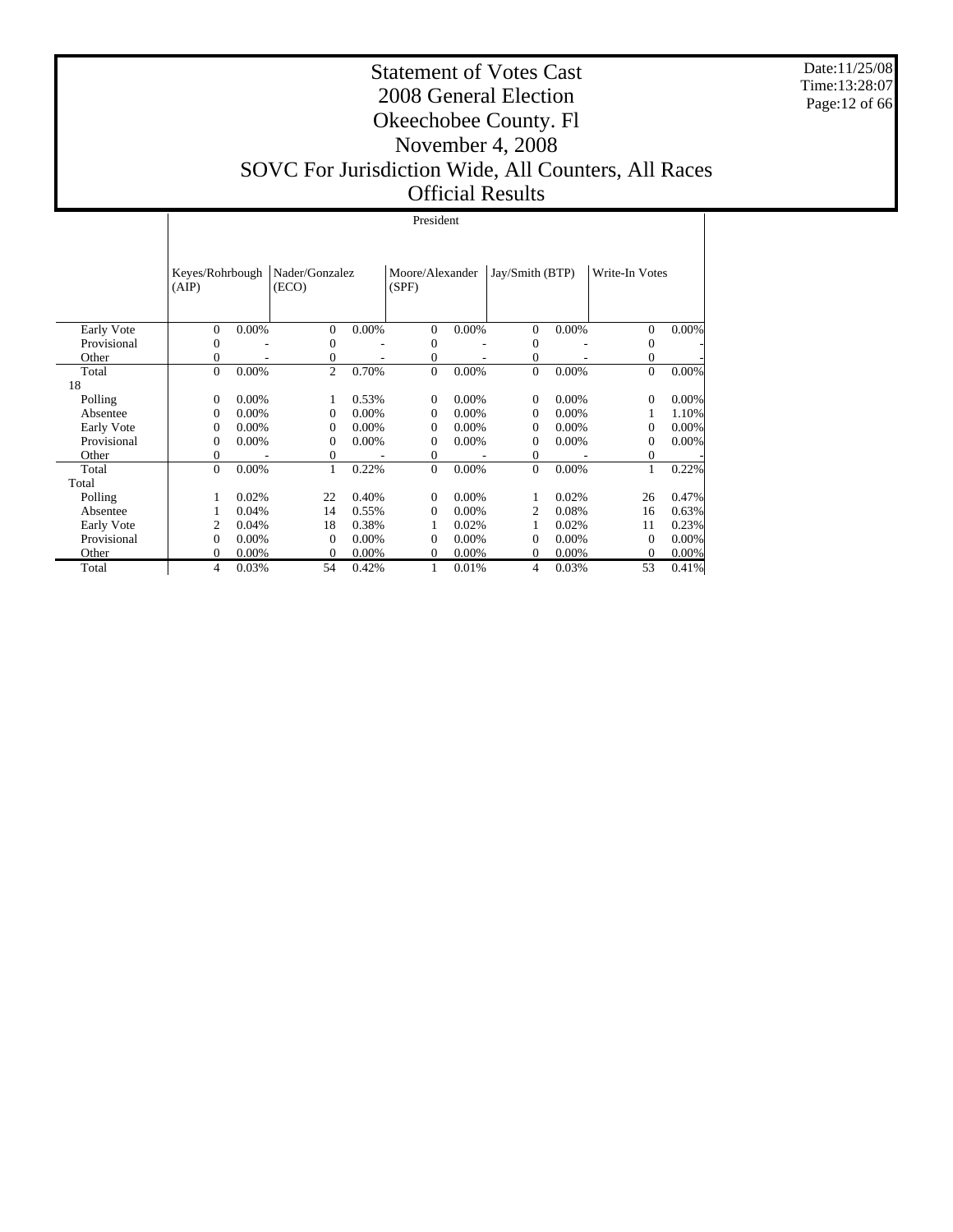Date:11/25/08 Time:13:28:07 Page:12 of 66

#### Statement of Votes Cast 2008 General Election Okeechobee County. Fl November 4, 2008 SOVC For Jurisdiction Wide, All Counters, All Races Official Results

|                      | (AIP)                    | Keyes/Rohrbough |                              | Nader/Gonzalez<br>(ECO) |                          | Moore/Alexander<br>(SPF) |                          | Jay/Smith (BTP) |               | Write-In Votes |
|----------------------|--------------------------|-----------------|------------------------------|-------------------------|--------------------------|--------------------------|--------------------------|-----------------|---------------|----------------|
|                      | $\Omega$                 |                 |                              | $0.00\%$                | $\Omega$                 |                          |                          |                 | $\Omega$      |                |
| Early Vote           |                          | 0.00%           | 0                            |                         |                          | 0.00%                    | $\mathbf{0}$             | 0.00%           |               | 0.00%          |
| Provisional<br>Other | $\Omega$<br>$\mathbf{0}$ |                 | $\mathbf{0}$<br>$\mathbf{0}$ |                         | $\Omega$<br>$\mathbf{0}$ |                          | $\Omega$<br>$\mathbf{0}$ |                 | $\Omega$      |                |
|                      | $\Omega$                 | 0.00%           | $\overline{c}$               | 0.70%                   | $\mathbf{0}$             | 0.00%                    | $\mathbf{0}$             | 0.00%           | 0<br>$\Omega$ | 0.00%          |
| Total<br>18          |                          |                 |                              |                         |                          |                          |                          |                 |               |                |
|                      |                          |                 |                              |                         |                          |                          |                          |                 |               |                |
| Polling              | $\Omega$                 | 0.00%           |                              | 0.53%                   | $\Omega$                 | $0.00\%$                 | $\Omega$                 | 0.00%           | $\Omega$      | 0.00%          |
| Absentee             | $\Omega$                 | 0.00%           | $\mathbf{0}$                 | 0.00%                   | $\mathbf{0}$             | $0.00\%$                 | $\Omega$                 | $0.00\%$        |               | 1.10%          |
| Early Vote           | $\Omega$                 | 0.00%           | $\Omega$                     | $0.00\%$                | $\Omega$                 | $0.00\%$                 | $\Omega$                 | $0.00\%$        | $\Omega$      | 0.00%          |
| Provisional          | $\Omega$                 | 0.00%           | 0                            | $0.00\%$                | $\Omega$                 | $0.00\%$                 | $\Omega$                 | 0.00%           | $\Omega$      | 0.00%          |
| Other                | $\mathbf{0}$             |                 | $\mathbf{0}$                 |                         | 0                        |                          | $\mathbf{0}$             |                 | $^{0}$        |                |
| Total                | $\Omega$                 | 0.00%           | 1                            | 0.22%                   | $\mathbf{0}$             | 0.00%                    | $\mathbf{0}$             | 0.00%           | 1             | 0.22%          |
| Total                |                          |                 |                              |                         |                          |                          |                          |                 |               |                |
| Polling              |                          | 0.02%           | 22                           | 0.40%                   | 0                        | 0.00%                    |                          | 0.02%           | 26            | 0.47%          |
| Absentee             |                          | 0.04%           | 14                           | 0.55%                   | $\Omega$                 | $0.00\%$                 | 2                        | 0.08%           | 16            | 0.63%          |
| Early Vote           | 2                        | 0.04%           | 18                           | 0.38%                   | 1                        | 0.02%                    |                          | 0.02%           | 11            | 0.23%          |
| Provisional          | $\Omega$                 | 0.00%           | $\mathbf{0}$                 | 0.00%                   | $\Omega$                 | $0.00\%$                 | $\Omega$                 | 0.00%           | $\Omega$      | 0.00%          |
| Other                | $\Omega$                 | 0.00%           | $\Omega$                     | 0.00%                   | $\Omega$                 | $0.00\%$                 | $\Omega$                 | $0.00\%$        | $\Omega$      | 0.00%          |
| Total                | 4                        | 0.03%           | 54                           | 0.42%                   |                          | 0.01%                    | 4                        | 0.03%           | 53            | 0.41%          |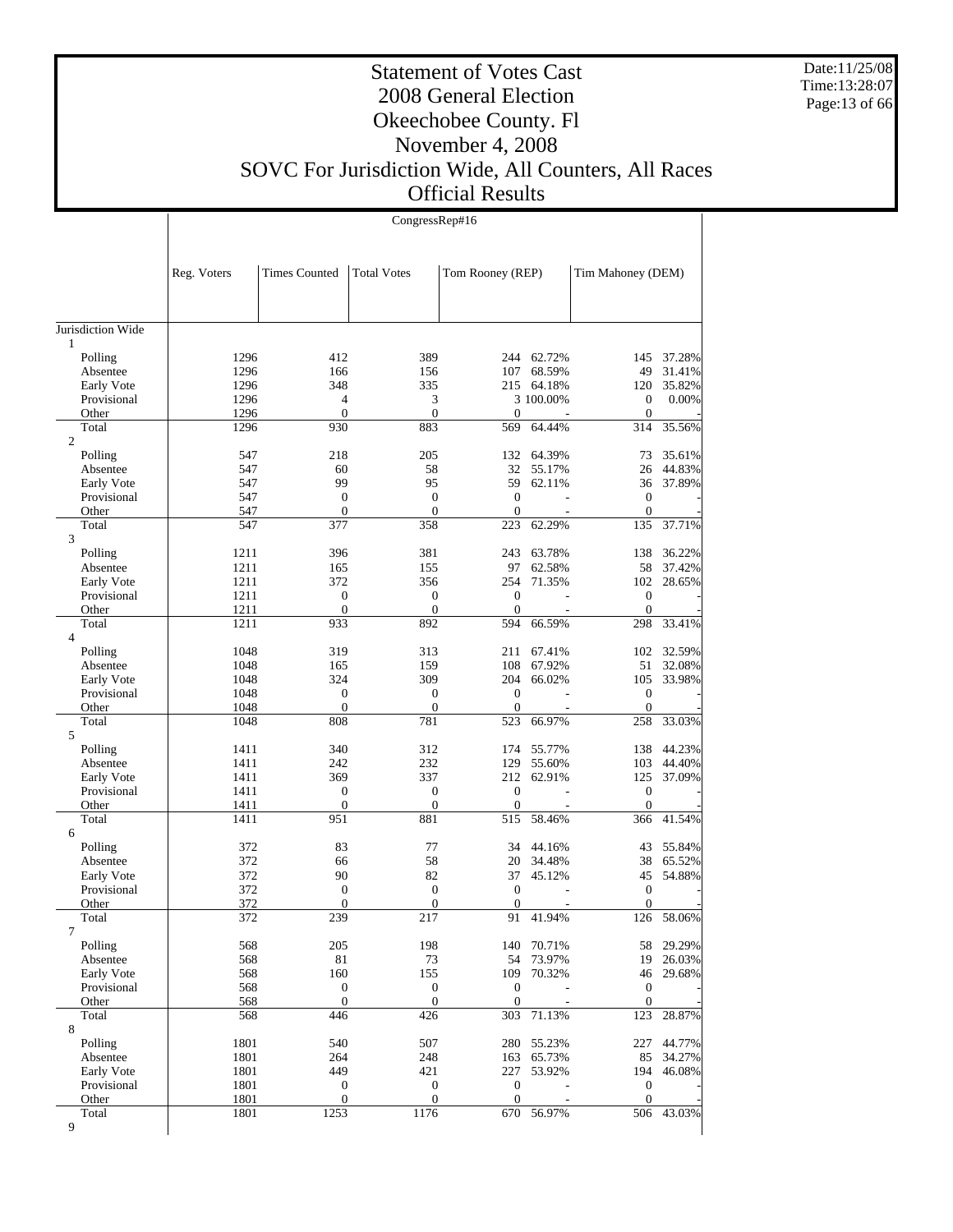Date:11/25/08 Time:13:28:07 Page:13 of 66

#### Statement of Votes Cast 2008 General Election Okeechobee County. Fl November 4, 2008 SOVC For Jurisdiction Wide, All Counters, All Races Official Results

|                         |              | CongressRep#16                       |                                      |                                      |                  |                                      |                  |  |  |  |
|-------------------------|--------------|--------------------------------------|--------------------------------------|--------------------------------------|------------------|--------------------------------------|------------------|--|--|--|
|                         |              |                                      |                                      |                                      |                  |                                      |                  |  |  |  |
|                         | Reg. Voters  | <b>Times Counted</b>                 | <b>Total Votes</b>                   | Tom Rooney (REP)                     |                  | Tim Mahoney (DEM)                    |                  |  |  |  |
| Jurisdiction Wide       |              |                                      |                                      |                                      |                  |                                      |                  |  |  |  |
| 1                       |              |                                      |                                      |                                      |                  |                                      |                  |  |  |  |
| Polling<br>Absentee     | 1296<br>1296 | 412<br>166                           | 389<br>156                           | 244<br>107                           | 62.72%<br>68.59% | 145<br>49                            | 37.28%<br>31.41% |  |  |  |
| Early Vote              | 1296         | 348                                  | 335                                  |                                      | 215 64.18%       | 120                                  | 35.82%           |  |  |  |
| Provisional             | 1296         | $\overline{4}$                       | 3                                    |                                      | 3 100.00%        | $\boldsymbol{0}$                     | 0.00%            |  |  |  |
| Other                   | 1296         | $\boldsymbol{0}$                     | $\boldsymbol{0}$                     | $\boldsymbol{0}$                     |                  | $\boldsymbol{0}$                     |                  |  |  |  |
| Total<br>$\overline{2}$ | 1296         | 930                                  | 883                                  | 569                                  | 64.44%           | 314                                  | 35.56%           |  |  |  |
| Polling                 | 547          | 218                                  | 205                                  | 132                                  | 64.39%           | 73                                   | 35.61%           |  |  |  |
| Absentee                | 547          | 60                                   | 58                                   | 32                                   | 55.17%           | 26                                   | 44.83%           |  |  |  |
| Early Vote              | 547          | 99                                   | 95                                   | 59                                   | 62.11%           | 36                                   | 37.89%           |  |  |  |
| Provisional             | 547          | $\boldsymbol{0}$<br>$\mathbf{0}$     | $\boldsymbol{0}$<br>$\boldsymbol{0}$ | $\mathbf{0}$<br>$\overline{0}$       |                  | $\boldsymbol{0}$<br>$\boldsymbol{0}$ |                  |  |  |  |
| Other<br>Total          | 547<br>547   | 377                                  | 358                                  | 223                                  | 62.29%           | 135                                  | 37.71%           |  |  |  |
| 3                       |              |                                      |                                      |                                      |                  |                                      |                  |  |  |  |
| Polling                 | 1211         | 396                                  | 381                                  | 243                                  | 63.78%           | 138                                  | 36.22%           |  |  |  |
| Absentee                | 1211         | 165                                  | 155                                  | 97                                   | 62.58%           | 58                                   | 37.42%           |  |  |  |
| Early Vote              | 1211         | 372                                  | 356                                  | 254                                  | 71.35%           | 102                                  | 28.65%           |  |  |  |
| Provisional             | 1211         | $\boldsymbol{0}$<br>$\mathbf{0}$     | $\boldsymbol{0}$<br>$\mathbf{0}$     | $\boldsymbol{0}$<br>$\overline{0}$   |                  | $\boldsymbol{0}$                     |                  |  |  |  |
| Other<br>Total          | 1211<br>1211 | 933                                  | 892                                  | 594                                  | 66.59%           | $\boldsymbol{0}$<br>298              | 33.41%           |  |  |  |
| $\overline{4}$          |              |                                      |                                      |                                      |                  |                                      |                  |  |  |  |
| Polling                 | 1048         | 319                                  | 313                                  | 211                                  | 67.41%           | 102                                  | 32.59%           |  |  |  |
| Absentee                | 1048         | 165                                  | 159                                  | 108                                  | 67.92%           | 51                                   | 32.08%           |  |  |  |
| Early Vote              | 1048         | 324                                  | 309                                  | 204                                  | 66.02%           | 105                                  | 33.98%           |  |  |  |
| Provisional             | 1048         | $\mathbf{0}$                         | $\boldsymbol{0}$                     | $\boldsymbol{0}$                     |                  | $\boldsymbol{0}$                     |                  |  |  |  |
| Other<br>Total          | 1048<br>1048 | $\mathbf{0}$<br>808                  | $\boldsymbol{0}$<br>781              | $\overline{0}$<br>523                | 66.97%           | $\boldsymbol{0}$<br>258              | 33.03%           |  |  |  |
| 5                       |              |                                      |                                      |                                      |                  |                                      |                  |  |  |  |
| Polling                 | 1411         | 340                                  | 312                                  | 174                                  | 55.77%           | 138                                  | 44.23%           |  |  |  |
| Absentee                | 1411         | 242                                  | 232                                  | 129                                  | 55.60%           | 103                                  | 44.40%           |  |  |  |
| Early Vote              | 1411         | 369                                  | 337                                  | 212<br>$\mathbf{0}$                  | 62.91%           | 125                                  | 37.09%           |  |  |  |
| Provisional<br>Other    | 1411<br>1411 | $\mathbf{0}$<br>$\boldsymbol{0}$     | $\boldsymbol{0}$<br>$\boldsymbol{0}$ | $\boldsymbol{0}$                     |                  | $\boldsymbol{0}$<br>$\boldsymbol{0}$ |                  |  |  |  |
| Total                   | 1411         | 951                                  | 881                                  | 515                                  | 58.46%           | 366                                  | 41.54%           |  |  |  |
| 6                       |              |                                      |                                      |                                      |                  |                                      |                  |  |  |  |
| Polling                 | 372          | 83                                   | 77                                   | 34                                   | 44.16%           | 43                                   | 55.84%           |  |  |  |
| Absentee                | 372          | 66                                   | 58                                   | 20                                   | 34.48%           | 38                                   | 65.52%           |  |  |  |
| Early Vote              | 372          | 90                                   | 82                                   | 37                                   | 45.12%           | 45                                   | 54.88%           |  |  |  |
| Provisional<br>Other    | 372<br>372   | $\mathbf{0}$<br>$\mathbf{0}$         | $\mathbf{0}$<br>$\overline{0}$       | $\mathbf{0}$<br>$\mathbf{0}$         |                  | $\boldsymbol{0}$<br>$\mathbf{0}$     |                  |  |  |  |
| Total                   | 372          | 239                                  | 217                                  | 91                                   | 41.94%           | 126                                  | 58.06%           |  |  |  |
| 7                       |              |                                      |                                      |                                      |                  |                                      |                  |  |  |  |
| Polling                 | 568          | 205                                  | 198                                  | 140                                  | 70.71%           | 58                                   | 29.29%           |  |  |  |
| Absentee                | 568          | 81                                   | 73                                   | 54                                   | 73.97%           | 19                                   | 26.03%           |  |  |  |
| Early Vote              | 568          | 160                                  | 155                                  | 109                                  | 70.32%           | 46                                   | 29.68%           |  |  |  |
| Provisional<br>Other    | 568<br>568   | $\boldsymbol{0}$<br>$\boldsymbol{0}$ | $\boldsymbol{0}$<br>$\boldsymbol{0}$ | $\boldsymbol{0}$<br>$\boldsymbol{0}$ |                  | $\boldsymbol{0}$<br>$\mathbf{0}$     |                  |  |  |  |
| Total                   | 568          | 446                                  | 426                                  | 303                                  | 71.13%           | 123                                  | 28.87%           |  |  |  |
| 8                       |              |                                      |                                      |                                      |                  |                                      |                  |  |  |  |
| Polling                 | 1801         | 540                                  | 507                                  | 280                                  | 55.23%           | 227                                  | 44.77%           |  |  |  |
| Absentee                | 1801         | 264                                  | 248                                  | 163                                  | 65.73%           | 85                                   | 34.27%           |  |  |  |
| Early Vote              | 1801         | 449                                  | 421                                  | 227                                  | 53.92%           | 194                                  | 46.08%           |  |  |  |
| Provisional             | 1801         | $\boldsymbol{0}$<br>$\boldsymbol{0}$ | $\boldsymbol{0}$<br>$\boldsymbol{0}$ | $\boldsymbol{0}$<br>$\boldsymbol{0}$ |                  | $\boldsymbol{0}$<br>$\boldsymbol{0}$ |                  |  |  |  |
| Other<br>Total          | 1801<br>1801 | 1253                                 | 1176                                 | 670                                  | 56.97%           | 506                                  | 43.03%           |  |  |  |
| 9                       |              |                                      |                                      |                                      |                  |                                      |                  |  |  |  |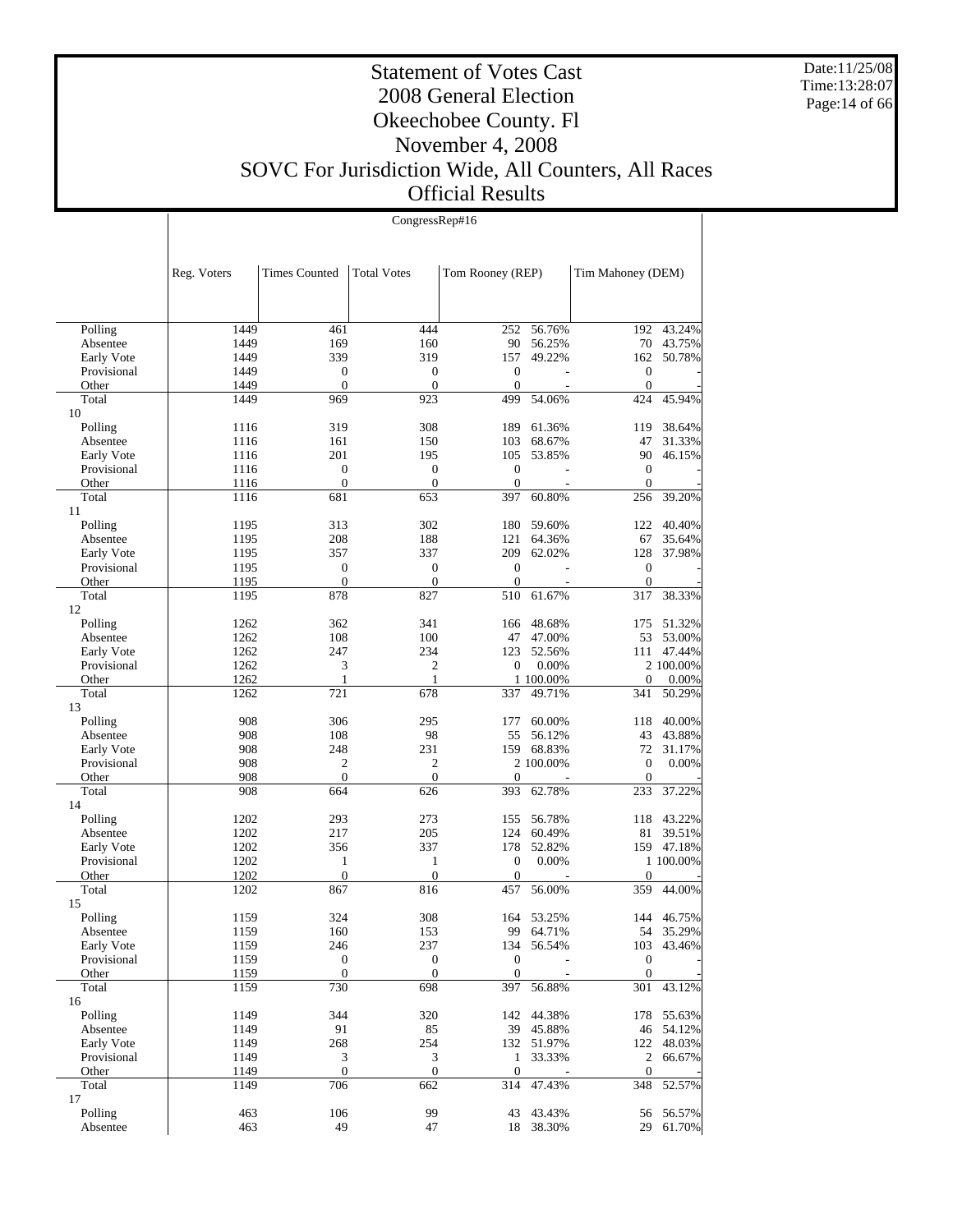Date:11/25/08 Time:13:28:07 Page:14 of 66

Τ

#### Statement of Votes Cast 2008 General Election Okeechobee County. Fl November 4, 2008 SOVC For Jurisdiction Wide, All Counters, All Races Official Results

|                     |              | CongressRep#16       |                    |                  |                     |                   |                      |  |  |  |
|---------------------|--------------|----------------------|--------------------|------------------|---------------------|-------------------|----------------------|--|--|--|
|                     |              |                      |                    |                  |                     |                   |                      |  |  |  |
|                     |              |                      |                    |                  |                     |                   |                      |  |  |  |
|                     | Reg. Voters  | <b>Times Counted</b> | <b>Total Votes</b> | Tom Rooney (REP) |                     | Tim Mahoney (DEM) |                      |  |  |  |
|                     |              |                      |                    |                  |                     |                   |                      |  |  |  |
|                     |              |                      |                    |                  |                     |                   |                      |  |  |  |
|                     |              |                      |                    |                  |                     |                   |                      |  |  |  |
| Polling             | 1449         | 461                  | 444                | 252              | 56.76%              | 192               | 43.24%               |  |  |  |
| Absentee            | 1449         | 169                  | 160                | 90               | 56.25%              | 70                | 43.75%               |  |  |  |
| Early Vote          | 1449         | 339                  | 319                | 157              | 49.22%              | 162               | 50.78%               |  |  |  |
| Provisional         | 1449         | $\boldsymbol{0}$     | $\boldsymbol{0}$   | $\boldsymbol{0}$ |                     | $\boldsymbol{0}$  |                      |  |  |  |
| Other               | 1449         | $\boldsymbol{0}$     | $\mathbf{0}$       | $\mathbf{0}$     |                     | $\boldsymbol{0}$  |                      |  |  |  |
| Total               | 1449         | 969                  | 923                | 499              | 54.06%              | 424               | 45.94%               |  |  |  |
| 10<br>Polling       | 1116         | 319                  | 308                | 189              | 61.36%              | 119               | 38.64%               |  |  |  |
| Absentee            | 1116         | 161                  | 150                | 103              | 68.67%              | 47                | 31.33%               |  |  |  |
| Early Vote          | 1116         | 201                  | 195                | 105              | 53.85%              | 90                | 46.15%               |  |  |  |
| Provisional         | 1116         | $\boldsymbol{0}$     | $\boldsymbol{0}$   | $\boldsymbol{0}$ |                     | $\boldsymbol{0}$  |                      |  |  |  |
| Other               | 1116         | $\boldsymbol{0}$     | $\boldsymbol{0}$   | $\boldsymbol{0}$ |                     | $\boldsymbol{0}$  |                      |  |  |  |
| Total               | 1116         | 681                  | 653                | 397              | 60.80%              | 256               | 39.20%               |  |  |  |
| 11                  |              |                      |                    |                  |                     |                   |                      |  |  |  |
| Polling             | 1195         | 313                  | 302                | 180              | 59.60%              | 122               | 40.40%               |  |  |  |
| Absentee            | 1195         | 208                  | 188                | 121              | 64.36%              | 67                | 35.64%               |  |  |  |
| Early Vote          | 1195         | 357                  | 337                | 209              | 62.02%              | 128               | 37.98%               |  |  |  |
| Provisional         | 1195         | $\boldsymbol{0}$     | $\boldsymbol{0}$   | $\boldsymbol{0}$ |                     | $\boldsymbol{0}$  |                      |  |  |  |
| Other               | 1195         | $\mathbf{0}$         | $\mathbf{0}$       | $\Omega$         |                     | $\boldsymbol{0}$  |                      |  |  |  |
| Total               | 1195         | 878                  | 827                | 510              | 61.67%              | 317               | 38.33%               |  |  |  |
| 12                  |              |                      |                    |                  |                     |                   |                      |  |  |  |
| Polling<br>Absentee | 1262         | 362                  | 341                | 166<br>47        | 48.68%              | 175<br>53         | 51.32%               |  |  |  |
| Early Vote          | 1262<br>1262 | 108<br>247           | 100<br>234         | 123              | 47.00%<br>52.56%    | 111               | 53.00%<br>47.44%     |  |  |  |
| Provisional         | 1262         | 3                    | $\overline{c}$     | $\mathbf{0}$     | 0.00%               |                   | 2 100.00%            |  |  |  |
| Other               | 1262         | 1                    | 1                  |                  | 1 100.00%           | $\boldsymbol{0}$  | 0.00%                |  |  |  |
| Total               | 1262         | 721                  | 678                | 337              | 49.71%              | 341               | 50.29%               |  |  |  |
| 13                  |              |                      |                    |                  |                     |                   |                      |  |  |  |
| Polling             | 908          | 306                  | 295                | 177              | 60.00%              | 118               | 40.00%               |  |  |  |
| Absentee            | 908          | 108                  | 98                 | 55               | 56.12%              | 43                | 43.88%               |  |  |  |
| Early Vote          | 908          | 248                  | 231                | 159              | 68.83%              | 72                | 31.17%               |  |  |  |
| Provisional         | 908          | 2                    | 2                  |                  | 2 100.00%           | $\boldsymbol{0}$  | 0.00%                |  |  |  |
| Other               | 908          | $\boldsymbol{0}$     | $\mathbf{0}$       | $\overline{0}$   |                     | $\mathbf{0}$      |                      |  |  |  |
| Total               | 908          | 664                  | 626                | 393              | 62.78%              | 233               | 37.22%               |  |  |  |
| 14                  |              |                      |                    |                  |                     |                   |                      |  |  |  |
| Polling<br>Absentee | 1202<br>1202 | 293<br>217           | 273<br>205         | 155<br>124       | 56.78%<br>60.49%    | 118<br>81         | 43.22%               |  |  |  |
| Early Vote          | 1202         | 356                  | 337                | 178              | 52.82%              |                   | 39.51%<br>159 47.18% |  |  |  |
| Provisional         | 1202         | 1                    | 1                  | $\boldsymbol{0}$ | 0.00%               |                   | 1 100.00%            |  |  |  |
| Other               | 1202         | $\boldsymbol{0}$     | $\boldsymbol{0}$   | $\overline{0}$   |                     | $\boldsymbol{0}$  |                      |  |  |  |
| Total               | 1202         | 867                  | 816                | 457              | 56.00%              | 359               | 44.00%               |  |  |  |
| 15                  |              |                      |                    |                  |                     |                   |                      |  |  |  |
| Polling             | 1159         | 324                  | 308                | 164              | 53.25%              |                   | 144 46.75%           |  |  |  |
| Absentee            | 1159         | 160                  | 153                | 99               | 64.71%              |                   | 54 35.29%            |  |  |  |
| Early Vote          | 1159         | 246                  | 237                | 134              | 56.54%              | 103               | 43.46%               |  |  |  |
| Provisional         | 1159         | $\boldsymbol{0}$     | $\boldsymbol{0}$   | $\boldsymbol{0}$ |                     | $\boldsymbol{0}$  |                      |  |  |  |
| Other               | 1159         | $\boldsymbol{0}$     | $\boldsymbol{0}$   | $\mathbf{0}$     |                     | $\mathbf{0}$      |                      |  |  |  |
| Total               | 1159         | 730                  | 698                | 397              | 56.88%              | 301               | 43.12%               |  |  |  |
| 16                  |              |                      |                    |                  |                     |                   |                      |  |  |  |
| Polling<br>Absentee | 1149         | 344                  | 320                | 142              | 44.38%<br>39 45.88% | 178               | 55.63%               |  |  |  |
| Early Vote          | 1149<br>1149 | 91<br>268            | 85<br>254          |                  | 132 51.97%          | 122               | 46 54.12%<br>48.03%  |  |  |  |
| Provisional         | 1149         | 3                    | $\mathfrak{Z}$     | $\mathbf{1}$     | 33.33%              | $\overline{c}$    | 66.67%               |  |  |  |
| Other               | 1149         | $\boldsymbol{0}$     | $\boldsymbol{0}$   | $\boldsymbol{0}$ |                     | $\boldsymbol{0}$  |                      |  |  |  |
| Total               | 1149         | 706                  | 662                | 314              | 47.43%              | 348               | 52.57%               |  |  |  |
| 17                  |              |                      |                    |                  |                     |                   |                      |  |  |  |
| Polling             | 463          | 106                  | 99                 | 43               | 43.43%              | 56                | 56.57%               |  |  |  |
| Absentee            | 463          | 49                   | 47                 |                  | 18 38.30%           | 29                | 61.70%               |  |  |  |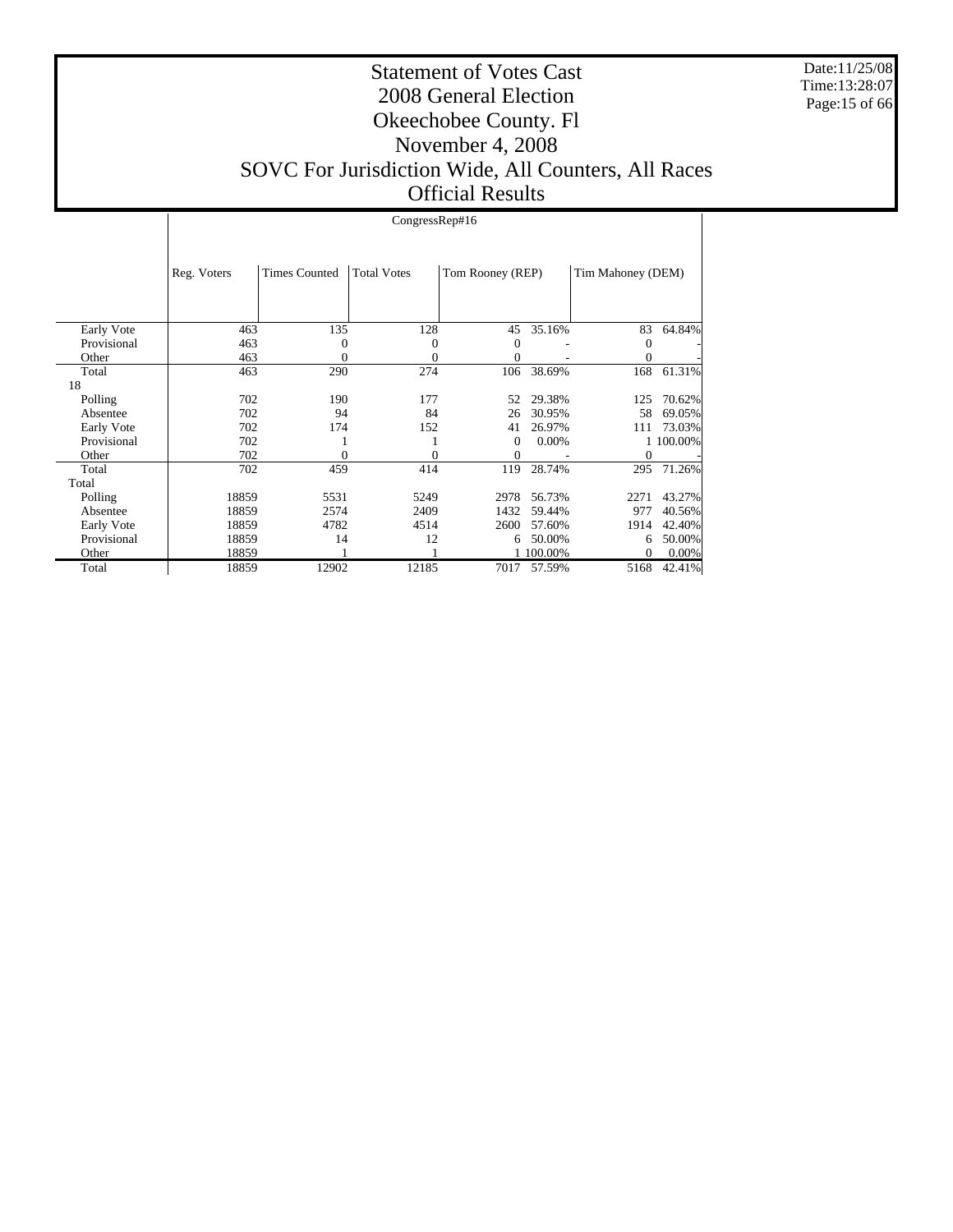Date:11/25/08 Time:13:28:07 Page:15 of 66

#### Statement of Votes Cast 2008 General Election Okeechobee County. Fl November 4, 2008 SOVC For Jurisdiction Wide, All Counters, All Races Official Results

 Early Vote Provisional Other Total 18 Polling Absentee Early Vote Provisional Other Total Total Polling Absentee Early Vote Provisional **Other**  Total Reg. Voters Times Counted Total Votes Tom Rooney (REP) Tim Mahoney (DEM) CongressRep#16 463 135 128 45 35.16% 83 64.84%<br>463 0 0 0 0 0 0 463 0 0 0 - 0 -463 0 0 0 - 0 -463 290 274 106 38.69% 168 61.31% 702 190 177 52 29.38% 125 70.62% 702 94 84 26 30.95% 58 69.05%  $\begin{array}{ccccccccc}\n702 & & & 174 & & & 152 & & 41 & 26.97\% & & & 111 & 73.03\% \\
702 & & & 1 & & & 1 & & 0 & 0.00\% & & & 1 & 100.00\% \\
\end{array}$  $\begin{array}{ccccccccccc} 702 && 1 && 1 && 0 && 0.00\% & && 1 && 100.00\% \\ 702 && 0 && 0 && 0 && 0 && 0 & && 0 \end{array}$  $702$  0 0 0 0 0 0 702 459 414 119 28.74% 295 71.26% 18859 5531 5249 2978 56.73% 2271 43.27% 18859 2574 2409 1432 59.44% 977 40.56%<br>18859 4782 4514 2600 57.60% 1914 42.40% 18859 4782 4514 2600 57.60% 1914 42.40% 18859 14 12 6 50.00% 6 50.00% 18859 14 12 6 50.00% 6 50.00% 6 50.00% 6 50.00% 6 50.00% 6 50.00% 6 50.00% 6 50.00% 6 50.00% 6 50.00  $\frac{1}{2}$  1  $\begin{array}{cccccccccc} 18859 & 1 & 1 & 100.00\% & 0 & 0.00\% \\ 18859 & 12902 & 12185 & 7017 & 57.59\% & 5168 & 42.41\% \end{array}$ 7017 57.59%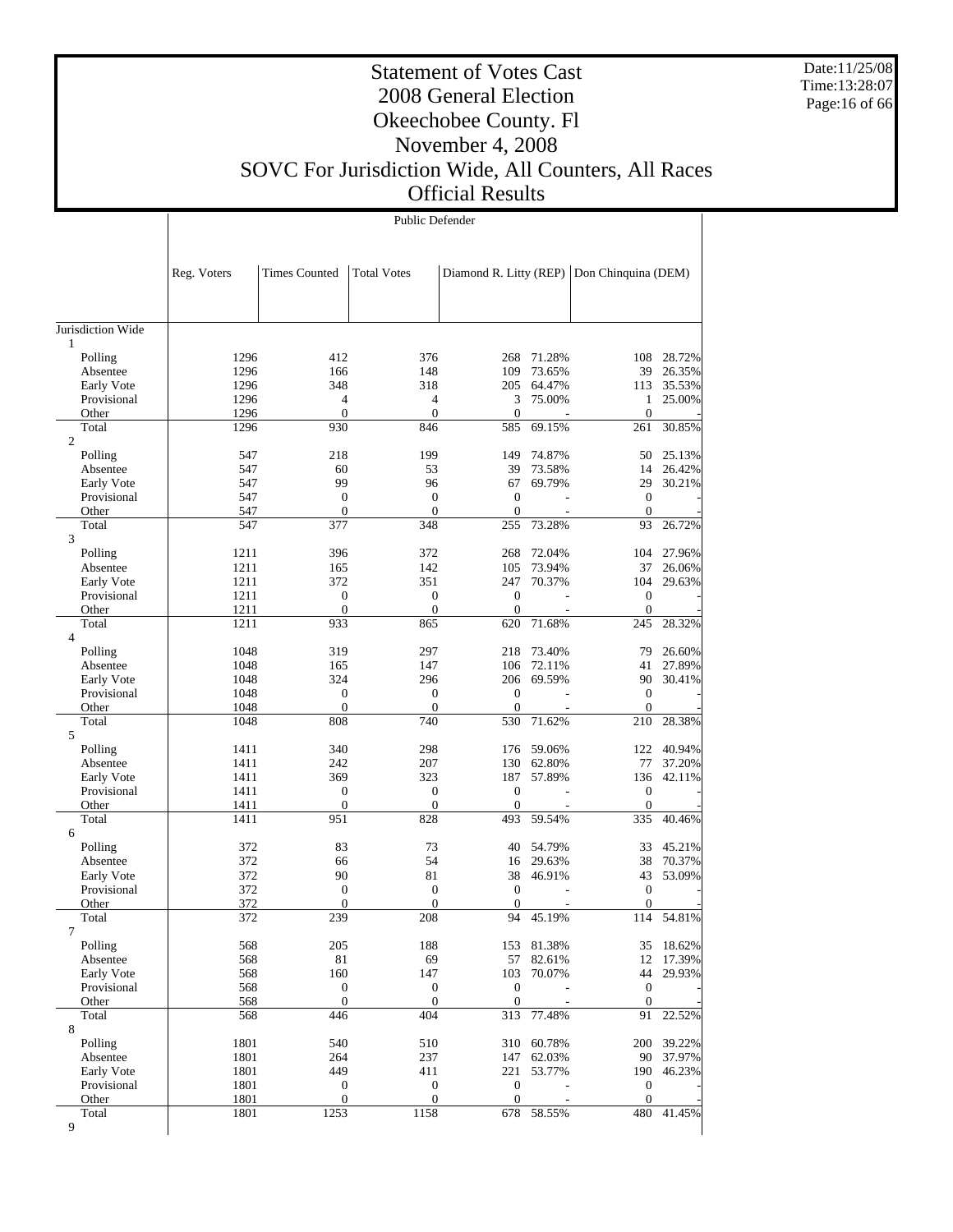Date:11/25/08 Time:13:28:07 Page:16 of 66

 $\mathbb{R}$ 

#### Statement of Votes Cast 2008 General Election Okeechobee County. Fl November 4, 2008 SOVC For Jurisdiction Wide, All Counters, All Races Official Results

Public Defender

 $\overline{1}$ 

|                           | Reg. Voters  | <b>Times Counted</b> | <b>Total Votes</b>  | Diamond R. Litty (REP) |                  | Don Chinquina (DEM) |                  |
|---------------------------|--------------|----------------------|---------------------|------------------------|------------------|---------------------|------------------|
|                           |              |                      |                     |                        |                  |                     |                  |
| Jurisdiction Wide<br>1    |              |                      |                     |                        |                  |                     |                  |
| Polling                   | 1296         | 412                  | 376                 | 268                    | 71.28%           | 108                 | 28.72%           |
| Absentee                  | 1296         | 166                  | 148                 | 109                    | 73.65%           | 39                  | 26.35%           |
| Early Vote                | 1296         | 348                  | 318                 | 205                    | 64.47%           | 113                 | 35.53%           |
| Provisional               | 1296         | 4                    | $\overline{4}$      | 3                      | 75.00%           | 1                   | 25.00%           |
| Other                     | 1296         | $\overline{0}$       | $\mathbf{0}$        | $\overline{0}$         |                  | $\boldsymbol{0}$    |                  |
| Total                     | 1296         | 930                  | 846                 | 585                    | 69.15%           | 261                 | 30.85%           |
| $\overline{c}$<br>Polling | 547          | 218                  | 199                 | 149                    | 74.87%           | 50                  | 25.13%           |
| Absentee                  | 547          | 60                   | 53                  | 39                     | 73.58%           | 14                  | 26.42%           |
| Early Vote                | 547          | 99                   | 96                  | 67                     | 69.79%           | 29                  | 30.21%           |
| Provisional               | 547          | $\boldsymbol{0}$     | $\mathbf{0}$        | $\overline{0}$         | $\sim$           | $\boldsymbol{0}$    |                  |
| Other                     | 547          | $\mathbf{0}$         | $\mathbf{0}$        | $\theta$               |                  | $\mathbf{0}$        |                  |
| Total<br>3                | 547          | 377                  | 348                 | 255                    | 73.28%           | 93                  | 26.72%           |
| Polling                   | 1211         | 396                  | 372                 | 268                    | 72.04%           | 104                 | 27.96%           |
| Absentee                  | 1211         | 165                  | 142                 | 105                    | 73.94%           | 37                  | 26.06%           |
| Early Vote                | 1211         | 372                  | 351                 | 247                    | 70.37%           | 104                 | 29.63%           |
| Provisional               | 1211         | $\mathbf{0}$         | $\boldsymbol{0}$    | $\theta$               |                  | $\boldsymbol{0}$    |                  |
| Other                     | 1211         | $\boldsymbol{0}$     | $\mathbf{0}$        | $\overline{0}$         | $\overline{a}$   | $\boldsymbol{0}$    |                  |
| Total<br>$\overline{4}$   | 1211         | 933                  | 865                 | 620                    | 71.68%           | 245                 | 28.32%           |
| Polling                   | 1048         | 319                  | 297                 | 218                    | 73.40%           | 79                  | 26.60%           |
| Absentee                  | 1048         | 165                  | 147                 | 106                    | 72.11%           | 41                  | 27.89%           |
| Early Vote                | 1048         | 324                  | 296                 | 206                    | 69.59%           | 90                  | 30.41%           |
| Provisional               | 1048         | $\mathbf{0}$         | $\mathbf{0}$        | $\overline{0}$         |                  | $\boldsymbol{0}$    |                  |
| Other                     | 1048         | $\boldsymbol{0}$     | $\mathbf{0}$        | $\theta$               |                  | $\boldsymbol{0}$    |                  |
| Total                     | 1048         | 808                  | 740                 | 530                    | 71.62%           | 210                 | 28.38%           |
| 5                         |              |                      |                     |                        |                  |                     |                  |
| Polling                   | 1411         | 340                  | 298                 |                        | 176 59.06%       | 122                 | 40.94%           |
| Absentee<br>Early Vote    | 1411<br>1411 | 242<br>369           | 207<br>323          | 130<br>187             | 62.80%<br>57.89% | 77<br>136           | 37.20%<br>42.11% |
| Provisional               | 1411         | $\mathbf{0}$         | $\mathbf{0}$        | $\theta$               |                  | $\mathbf{0}$        |                  |
| Other                     | 1411         | $\mathbf{0}$         | $\mathbf{0}$        | $\overline{0}$         |                  | $\mathbf{0}$        |                  |
| Total                     | 1411         | 951                  | 828                 | 493                    | 59.54%           | 335                 | 40.46%           |
| 6                         |              |                      |                     |                        |                  |                     |                  |
| Polling                   | 372          | 83                   | 73                  | 40                     | 54.79%           | 33                  | 45.21%           |
| Absentee                  | 372          | 66                   | 54                  | 16                     | 29.63%           | 38                  | 70.37%           |
| Early Vote                | 372          | 90                   | 81                  | 38                     | 46.91%           | 43                  | 53.09%           |
| Provisional               | 372          | $\mathbf{0}$         | $\boldsymbol{0}$    | $\mathbf{0}$           | $\overline{a}$   | $\boldsymbol{0}$    |                  |
| Other<br>Total            | 372<br>372   | $\mathbf{0}$<br>239  | $\mathbf{0}$<br>208 | $\theta$<br>94         | 45.19%           | $\mathbf{0}$<br>114 | 54.81%           |
|                           |              |                      |                     |                        |                  |                     |                  |
| Polling                   | 568          | 205                  | 188                 |                        | 153 81.38%       | 35                  | 18.62%           |
| Absentee                  | 568          | $81\,$               | 69                  | 57                     | 82.61%           | 12                  | 17.39%           |
| Early Vote                | 568          | 160                  | 147                 | 103                    | 70.07%           | 44                  | 29.93%           |
| Provisional               | 568          | $\boldsymbol{0}$     | $\boldsymbol{0}$    | $\mathbf{0}$           |                  | $\mathbf{0}$        |                  |
| Other                     | 568          | $\boldsymbol{0}$     | $\boldsymbol{0}$    | $\boldsymbol{0}$       |                  | $\mathbf{0}$        |                  |
| Total<br>8                | 568          | 446                  | 404                 | 313                    | 77.48%           | 91                  | 22.52%           |
| Polling                   | 1801         | 540                  | 510                 | 310                    | 60.78%           | 200                 | 39.22%           |
| Absentee                  | 1801         | 264                  | 237                 | 147                    | 62.03%           | 90                  | 37.97%           |
| Early Vote                | 1801         | 449                  | 411                 | 221                    | 53.77%           | 190                 | 46.23%           |
| Provisional               | 1801         | $\boldsymbol{0}$     | $\boldsymbol{0}$    | $\boldsymbol{0}$       |                  | $\boldsymbol{0}$    |                  |
| Other                     | 1801         | $\mathbf{0}$         | $\mathbf{0}$        | $\mathbf{0}$           |                  | $\mathbf{0}$        |                  |
| Total                     | 1801         | 1253                 | 1158                | 678                    | 58.55%           | 480                 | 41.45%           |
| 9                         |              |                      |                     |                        |                  |                     |                  |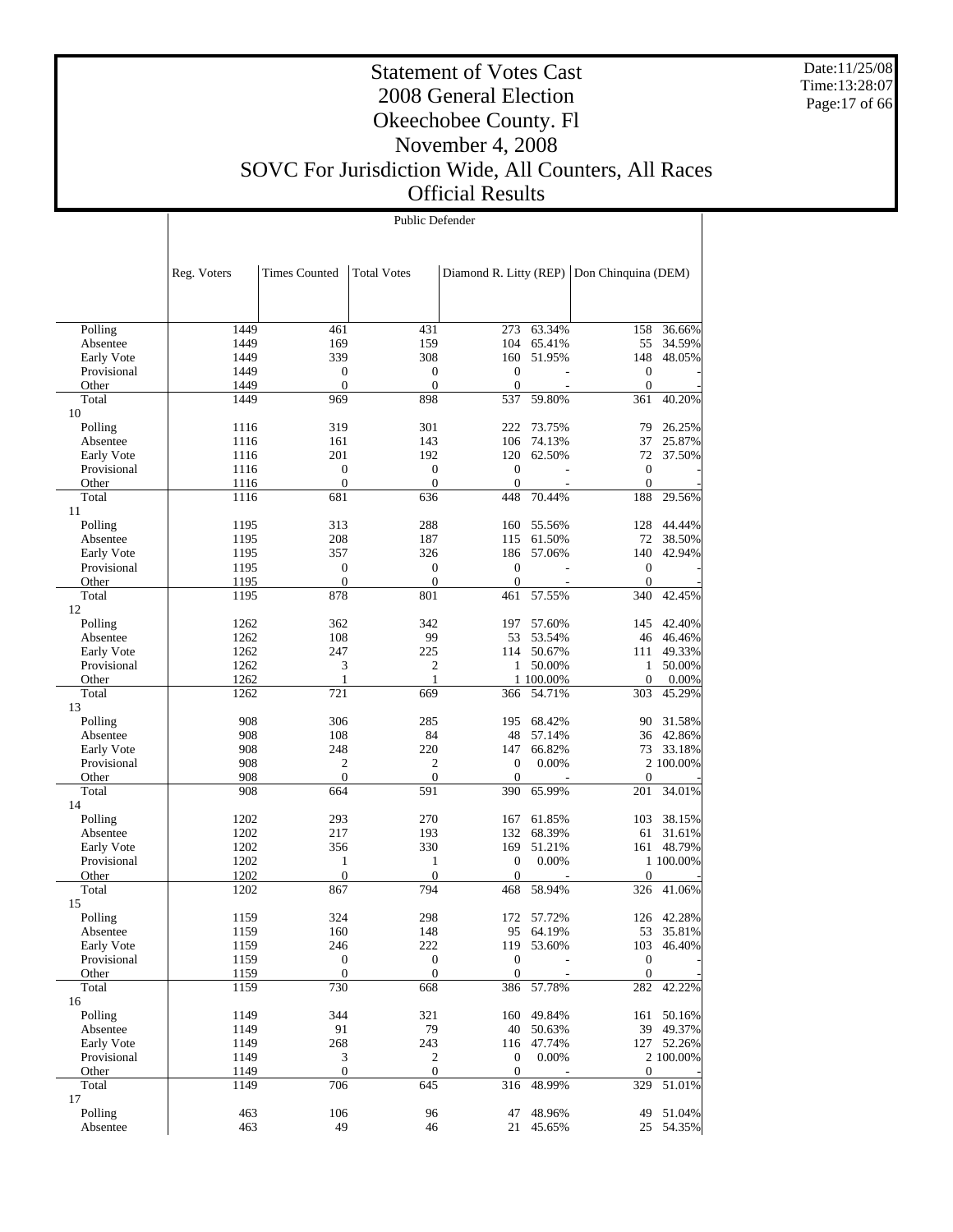Date:11/25/08 Time:13:28:07 Page:17 of 66

#### Statement of Votes Cast 2008 General Election Okeechobee County. Fl November 4, 2008 SOVC For Jurisdiction Wide, All Counters, All Races Official Results

|             |             | Public Defender      |                    |                        |            |                     |            |  |  |  |
|-------------|-------------|----------------------|--------------------|------------------------|------------|---------------------|------------|--|--|--|
|             |             |                      |                    |                        |            |                     |            |  |  |  |
|             |             |                      |                    |                        |            |                     |            |  |  |  |
|             | Reg. Voters | <b>Times Counted</b> | <b>Total Votes</b> | Diamond R. Litty (REP) |            | Don Chinquina (DEM) |            |  |  |  |
|             |             |                      |                    |                        |            |                     |            |  |  |  |
|             |             |                      |                    |                        |            |                     |            |  |  |  |
|             |             |                      |                    |                        |            |                     |            |  |  |  |
| Polling     | 1449        | 461                  | 431                | 273                    | 63.34%     | 158                 | 36.66%     |  |  |  |
| Absentee    | 1449        | 169                  | 159                | 104                    | 65.41%     | 55                  | 34.59%     |  |  |  |
| Early Vote  | 1449        | 339                  | 308                | 160                    | 51.95%     | 148                 | 48.05%     |  |  |  |
| Provisional | 1449        | 0                    | $\boldsymbol{0}$   | $\theta$               |            | $\boldsymbol{0}$    |            |  |  |  |
| Other       | 1449        | $\boldsymbol{0}$     | $\mathbf{0}$       | $\mathbf{0}$           |            | $\boldsymbol{0}$    |            |  |  |  |
| Total<br>10 | 1449        | 969                  | 898                | 537                    | 59.80%     | 361                 | 40.20%     |  |  |  |
| Polling     | 1116        | 319                  | 301                | 222                    | 73.75%     | 79                  | 26.25%     |  |  |  |
| Absentee    | 1116        | 161                  | 143                | 106                    | 74.13%     | 37                  | 25.87%     |  |  |  |
| Early Vote  | 1116        | 201                  | 192                | 120                    | 62.50%     | 72                  | 37.50%     |  |  |  |
| Provisional | 1116        | $\overline{0}$       | $\mathbf{0}$       | $\theta$               |            | $\mathbf{0}$        |            |  |  |  |
| Other       | 1116        | $\boldsymbol{0}$     | $\mathbf{0}$       | $\mathbf{0}$           |            | $\boldsymbol{0}$    |            |  |  |  |
| Total       | 1116        | 681                  | 636                | 448                    | 70.44%     | 188                 | 29.56%     |  |  |  |
| 11          |             |                      |                    |                        |            |                     |            |  |  |  |
| Polling     | 1195        | 313                  | 288                | 160                    | 55.56%     | 128                 | 44.44%     |  |  |  |
| Absentee    | 1195        | 208                  | 187                | 115                    | 61.50%     | 72                  | 38.50%     |  |  |  |
| Early Vote  | 1195        | 357                  | 326                | 186                    | 57.06%     | 140                 | 42.94%     |  |  |  |
| Provisional | 1195        | 0                    | $\boldsymbol{0}$   | $\theta$               |            | $\boldsymbol{0}$    |            |  |  |  |
| Other       | 1195        | $\overline{0}$       | $\overline{0}$     | $\mathbf{0}$           |            | $\mathbf{0}$        |            |  |  |  |
| Total<br>12 | 1195        | 878                  | 801                | 461                    | 57.55%     | 340                 | 42.45%     |  |  |  |
| Polling     | 1262        | 362                  | 342                | 197                    | 57.60%     | 145                 | 42.40%     |  |  |  |
| Absentee    | 1262        | 108                  | 99                 | 53                     | 53.54%     | 46                  | 46.46%     |  |  |  |
| Early Vote  | 1262        | 247                  | 225                | 114                    | 50.67%     | 111                 | 49.33%     |  |  |  |
| Provisional | 1262        | 3                    | 2                  | $\mathbf{1}$           | 50.00%     | $\mathbf{1}$        | 50.00%     |  |  |  |
| Other       | 1262        | 1                    | $\mathbf{1}$       |                        | 1 100.00%  | 0                   | 0.00%      |  |  |  |
| Total       | 1262        | 721                  | 669                | 366                    | 54.71%     | 303                 | 45.29%     |  |  |  |
| 13          |             |                      |                    |                        |            |                     |            |  |  |  |
| Polling     | 908         | 306                  | 285                | 195                    | 68.42%     | 90                  | 31.58%     |  |  |  |
| Absentee    | 908         | 108                  | 84                 | 48                     | 57.14%     | 36                  | 42.86%     |  |  |  |
| Early Vote  | 908         | 248                  | 220                | 147                    | 66.82%     | 73                  | 33.18%     |  |  |  |
| Provisional | 908         | 2                    | 2                  | $\mathbf{0}$           | 0.00%      |                     | 2 100.00%  |  |  |  |
| Other       | 908         | $\boldsymbol{0}$     | $\mathbf{0}$       | $\theta$               |            | $\mathbf{0}$        |            |  |  |  |
| Total<br>14 | 908         | 664                  | 591                | 390                    | 65.99%     | 201                 | 34.01%     |  |  |  |
| Polling     | 1202        | 293                  | 270                | 167                    | 61.85%     | 103                 | 38.15%     |  |  |  |
| Absentee    | 1202        | 217                  | 193                | 132                    | 68.39%     | 61                  | 31.61%     |  |  |  |
| Early Vote  | 1202        | 356                  | 330                | 169                    | 51.21%     | 161                 | 48.79%     |  |  |  |
| Provisional | 1202        | 1                    | $\mathbf{1}$       | $\theta$               | 0.00%      |                     | 1 100.00%  |  |  |  |
| Other       | 1202        | $\boldsymbol{0}$     | $\boldsymbol{0}$   | $\overline{0}$         |            | 0                   |            |  |  |  |
| Total       | 1202        | 867                  | 794                | 468                    | 58.94%     | 326                 | 41.06%     |  |  |  |
| 15          |             |                      |                    |                        |            |                     |            |  |  |  |
| Polling     | 1159        | 324                  | 298                | 172                    | 57.72%     |                     | 126 42.28% |  |  |  |
| Absentee    | 1159        | 160                  | 148                | 95                     | 64.19%     | 53                  | 35.81%     |  |  |  |
| Early Vote  | 1159        | 246                  | 222                | 119                    | 53.60%     | 103                 | 46.40%     |  |  |  |
| Provisional | 1159        | 0                    | $\boldsymbol{0}$   | $\boldsymbol{0}$       |            | $\boldsymbol{0}$    |            |  |  |  |
| Other       | 1159        | $\boldsymbol{0}$     | $\mathbf{0}$       | $\boldsymbol{0}$       |            | $\mathbf{0}$        |            |  |  |  |
| Total<br>16 | 1159        | 730                  | 668                | 386                    | 57.78%     | 282                 | 42.22%     |  |  |  |
| Polling     | 1149        | 344                  | 321                |                        | 160 49.84% | 161                 | 50.16%     |  |  |  |
| Absentee    | 1149        | 91                   | 79                 | 40                     | 50.63%     | 39                  | 49.37%     |  |  |  |
| Early Vote  | 1149        | 268                  | 243                |                        | 116 47.74% | 127                 | 52.26%     |  |  |  |
| Provisional | 1149        | 3                    | $\sqrt{2}$         | $\mathbf{0}$           | 0.00%      |                     | 2 100.00%  |  |  |  |
| Other       | 1149        | $\boldsymbol{0}$     | $\boldsymbol{0}$   | $\mathbf{0}$           |            | $\boldsymbol{0}$    |            |  |  |  |
| Total       | 1149        | 706                  | 645                | 316                    | 48.99%     | 329                 | 51.01%     |  |  |  |
| 17          |             |                      |                    |                        |            |                     |            |  |  |  |
| Polling     | 463         | 106                  | 96                 | 47                     | 48.96%     | 49                  | 51.04%     |  |  |  |
| Absentee    | 463         | 49                   | 46                 |                        | 21 45.65%  | 25                  | 54.35%     |  |  |  |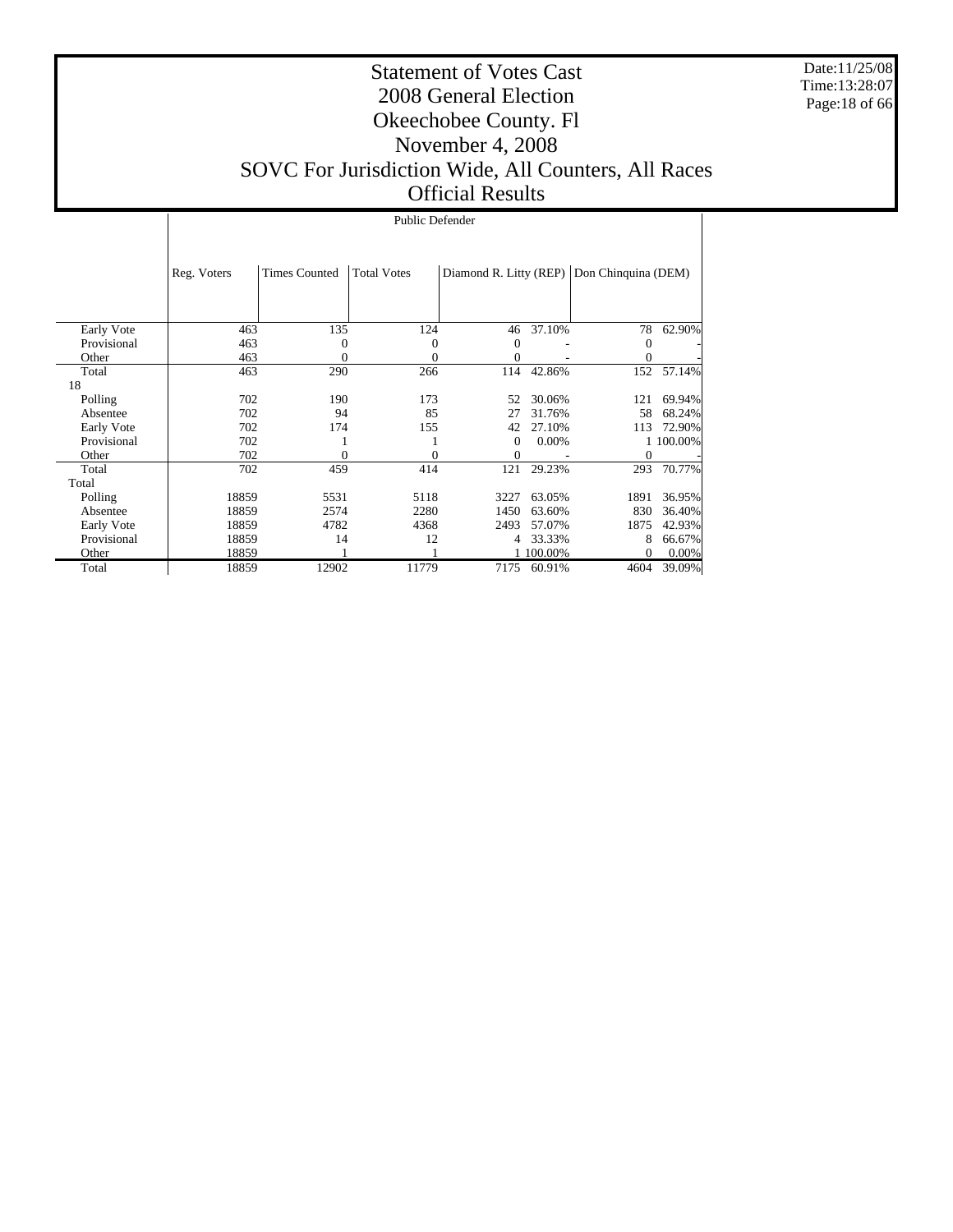Date:11/25/08 Time:13:28:07 Page:18 of 66

#### Statement of Votes Cast 2008 General Election Okeechobee County. Fl November 4, 2008 SOVC For Jurisdiction Wide, All Counters, All Races Official Results

|             |             | Public Defender      |                    |          |           |                                            |           |  |  |  |  |
|-------------|-------------|----------------------|--------------------|----------|-----------|--------------------------------------------|-----------|--|--|--|--|
|             |             |                      |                    |          |           |                                            |           |  |  |  |  |
|             | Reg. Voters | <b>Times Counted</b> | <b>Total Votes</b> |          |           | Diamond R. Litty (REP) Don Chinquina (DEM) |           |  |  |  |  |
|             |             |                      |                    |          |           |                                            |           |  |  |  |  |
|             |             |                      |                    |          |           |                                            |           |  |  |  |  |
| Early Vote  | 463         | 135                  | 124                | 46       | 37.10%    | 78                                         | 62.90%    |  |  |  |  |
| Provisional | 463         | 0                    | 0                  | $\Omega$ |           | $\overline{0}$                             |           |  |  |  |  |
| Other       | 463         | 0                    | $\theta$           | 0        |           | $\boldsymbol{0}$                           |           |  |  |  |  |
| Total       | 463         | 290                  | 266                | 114      | 42.86%    | 152                                        | 57.14%    |  |  |  |  |
| 18          |             |                      |                    |          |           |                                            |           |  |  |  |  |
| Polling     | 702         | 190                  | 173                | 52       | 30.06%    | 121                                        | 69.94%    |  |  |  |  |
| Absentee    | 702         | 94                   | 85                 | 27       | 31.76%    | 58                                         | 68.24%    |  |  |  |  |
| Early Vote  | 702         | 174                  | 155                | 42       | 27.10%    | 113                                        | 72.90%    |  |  |  |  |
| Provisional | 702         |                      |                    | $\Omega$ | 0.00%     |                                            | 1 100.00% |  |  |  |  |
| Other       | 702         | 0                    | $\Omega$           | 0        |           | $\boldsymbol{0}$                           |           |  |  |  |  |
| Total       | 702         | 459                  | 414                | 121      | 29.23%    | 293                                        | 70.77%    |  |  |  |  |
| Total       |             |                      |                    |          |           |                                            |           |  |  |  |  |
| Polling     | 18859       | 5531                 | 5118               | 3227     | 63.05%    | 1891                                       | 36.95%    |  |  |  |  |
| Absentee    | 18859       | 2574                 | 2280               | 1450     | 63.60%    | 830                                        | 36.40%    |  |  |  |  |
| Early Vote  | 18859       | 4782                 | 4368               | 2493     | 57.07%    | 1875                                       | 42.93%    |  |  |  |  |
| Provisional | 18859       | 14                   | 12                 | 4        | 33.33%    | 8                                          | 66.67%    |  |  |  |  |
| Other       | 18859       |                      |                    |          | 1 100.00% | $\overline{0}$                             | 0.00%     |  |  |  |  |
| Total       | 18859       | 12902                | 11779              | 7175     | 60.91%    | 4604                                       | 39.09%    |  |  |  |  |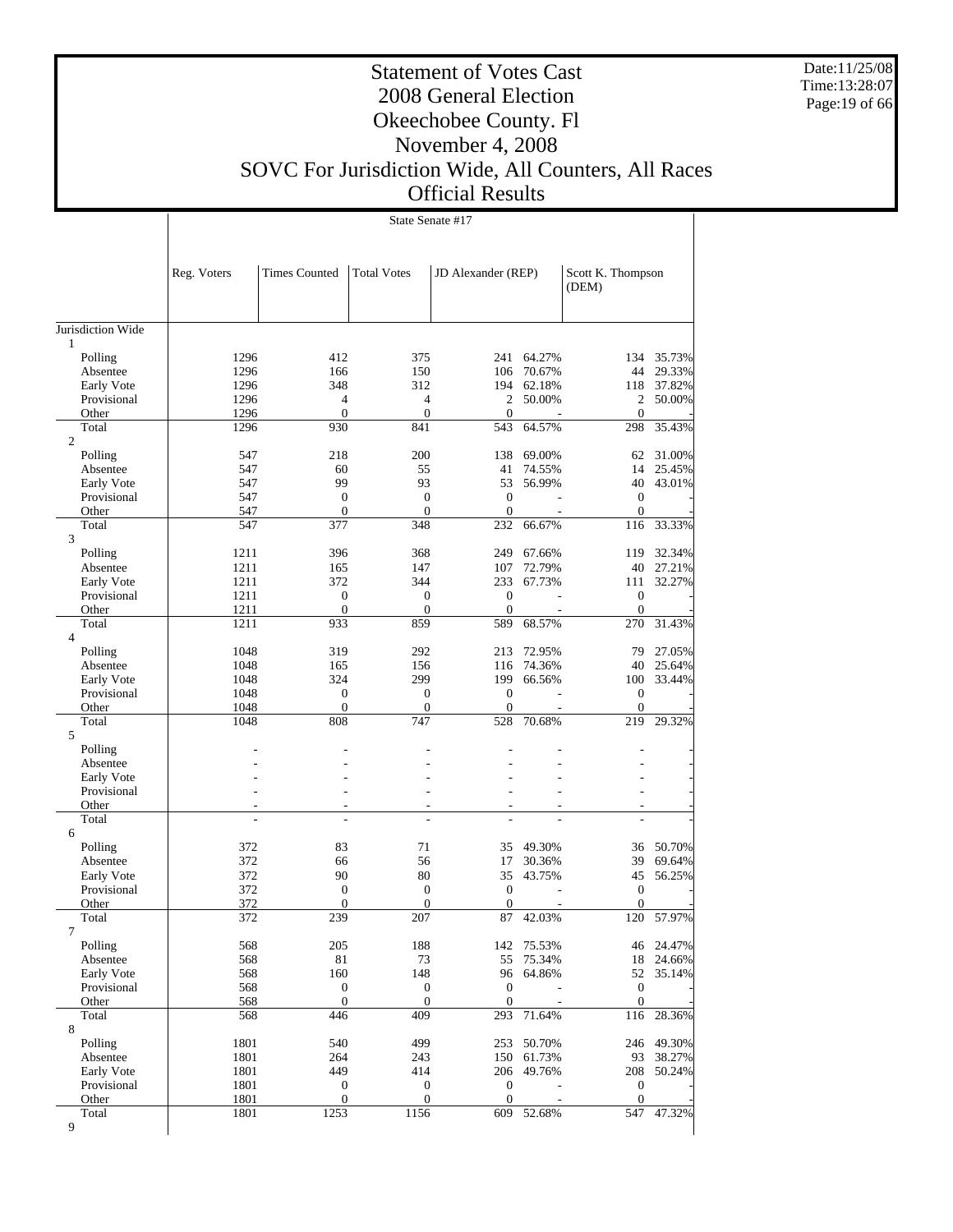Date:11/25/08 Time:13:28:07 Page:19 of 66

#### Statement of Votes Cast 2008 General Election Okeechobee County. Fl November 4, 2008 SOVC For Jurisdiction Wide, All Counters, All Races Official Results

State Senate #17

 $\overline{1}$ 

|                           | Reg. Voters  | <b>Times Counted</b>    | <b>Total Votes</b>    | JD Alexander (REP)      |                  | Scott K. Thompson<br>(DEM) |                  |
|---------------------------|--------------|-------------------------|-----------------------|-------------------------|------------------|----------------------------|------------------|
| Jurisdiction Wide         |              |                         |                       |                         |                  |                            |                  |
| 1                         |              |                         |                       |                         |                  |                            |                  |
| Polling                   | 1296         | 412                     | 375                   | 241                     | 64.27%           | 134                        | 35.73%           |
| Absentee                  | 1296         | 166                     | 150                   | 106                     | 70.67%           | 44                         | 29.33%           |
| Early Vote<br>Provisional | 1296<br>1296 | 348<br>$\overline{4}$   | 312<br>$\overline{4}$ | 194<br>2                | 62.18%<br>50.00% | 118<br>2                   | 37.82%<br>50.00% |
| Other                     | 1296         | $\boldsymbol{0}$        | $\mathbf{0}$          | $\mathbf{0}$            |                  | $\theta$                   |                  |
| Total                     | 1296         | 930                     | 841                   | 543                     | 64.57%           | 298                        | 35.43%           |
| $\overline{c}$            |              |                         |                       |                         |                  |                            |                  |
| Polling                   | 547          | 218                     | 200                   | 138                     | 69.00%           | 62                         | 31.00%           |
| Absentee                  | 547          | 60                      | 55                    | 41                      | 74.55%           | 14                         | 25.45%           |
| Early Vote                | 547          | 99                      | 93                    | 53                      | 56.99%           | 40                         | 43.01%           |
| Provisional               | 547          | $\boldsymbol{0}$        | $\mathbf{0}$          | $\mathbf{0}$            |                  | $\mathbf{0}$               |                  |
| Other                     | 547          | $\boldsymbol{0}$        | $\mathbf{0}$          | $\mathbf{0}$            |                  | $\theta$                   |                  |
| Total<br>3                | 547          | 377                     | 348                   | 232                     | 66.67%           | 116                        | 33.33%           |
| Polling                   | 1211         | 396                     | 368                   | 249                     | 67.66%           | 119                        | 32.34%           |
| Absentee                  | 1211         | 165                     | 147                   | 107                     | 72.79%           | 40                         | 27.21%           |
| Early Vote                | 1211         | 372                     | 344                   | 233                     | 67.73%           | 111                        | 32.27%           |
| Provisional               | 1211         | $\boldsymbol{0}$        | $\boldsymbol{0}$      | $\boldsymbol{0}$        |                  | $\boldsymbol{0}$           |                  |
| Other                     | 1211         | $\boldsymbol{0}$        | $\mathbf{0}$          | $\mathbf{0}$            |                  | $\boldsymbol{0}$           |                  |
| Total<br>$\overline{4}$   | 1211         | 933                     | 859                   | 589                     | 68.57%           | 270                        | 31.43%           |
| Polling                   | 1048         | 319                     | 292                   | 213                     | 72.95%           | 79                         | 27.05%           |
| Absentee                  | 1048         | 165                     | 156                   | 116                     | 74.36%           | 40                         | 25.64%           |
| Early Vote                | 1048         | 324                     | 299                   | 199                     | 66.56%           | 100                        | 33.44%           |
| Provisional               | 1048         | $\overline{0}$          | $\mathbf{0}$          | $\mathbf{0}$            |                  | $\mathbf{0}$               |                  |
| Other                     | 1048         | $\boldsymbol{0}$        | $\boldsymbol{0}$      | $\boldsymbol{0}$        |                  | $\boldsymbol{0}$           |                  |
| Total<br>5                | 1048         | 808                     | 747                   | 528                     | 70.68%           | 219                        | 29.32%           |
| Polling                   |              |                         |                       |                         |                  |                            |                  |
| Absentee                  |              |                         |                       |                         |                  |                            |                  |
| Early Vote                |              |                         |                       |                         |                  |                            |                  |
| Provisional               |              |                         |                       |                         | ٠                |                            |                  |
| Other                     |              | $\overline{a}$          |                       |                         |                  |                            |                  |
| Total                     |              |                         |                       |                         |                  |                            |                  |
| 6                         |              |                         |                       |                         |                  |                            |                  |
| Polling<br>Absentee       | 372<br>372   | 83<br>66                | 71<br>56              | 35<br>17                | 49.30%<br>30.36% | 36<br>39                   | 50.70%<br>69.64% |
| Early Vote                | 372          | 90                      | 80                    | 35                      | 43.75%           | 45                         | 56.25%           |
| Provisional               | 372          | $\boldsymbol{0}$        | $\boldsymbol{0}$      | $\boldsymbol{0}$        |                  | $\boldsymbol{0}$           |                  |
| Other                     | 372          | $\boldsymbol{0}$        | $\boldsymbol{0}$      | $\mathbf{0}$            |                  | $\boldsymbol{0}$           |                  |
| Total                     | 372          | 239                     | 207                   | 87                      | 42.03%           | 120                        | 57.97%           |
| 7                         |              |                         |                       |                         |                  |                            |                  |
| Polling                   | 568          | 205                     | 188                   | 142                     | 75.53%           | 46                         | 24.47%           |
| Absentee                  | 568          | 81                      | 73                    | 55                      | 75.34%           | 18                         | 24.66%           |
| Early Vote                | 568          | 160                     | 148                   | 96                      | 64.86%           | 52                         | 35.14%           |
| Provisional               | 568          | $\boldsymbol{0}$        | $\boldsymbol{0}$      | $\boldsymbol{0}$        |                  | $\boldsymbol{0}$           |                  |
| Other<br>Total            | 568<br>568   | $\boldsymbol{0}$<br>446 | $\mathbf{0}$<br>409   | $\boldsymbol{0}$<br>293 | 71.64%           | $\mathbf{0}$<br>116        | 28.36%           |
| 8                         |              |                         |                       |                         |                  |                            |                  |
| Polling                   | 1801         | 540                     | 499                   | 253                     | 50.70%           | 246                        | 49.30%           |
| Absentee                  | 1801         | 264                     | 243                   | 150                     | 61.73%           | 93                         | 38.27%           |
| Early Vote                | 1801         | 449                     | 414                   | 206                     | 49.76%           | 208                        | 50.24%           |
| Provisional               | 1801         | $\boldsymbol{0}$        | $\boldsymbol{0}$      | $\boldsymbol{0}$        |                  | $\boldsymbol{0}$           |                  |
| Other                     | 1801         | $\boldsymbol{0}$        | $\boldsymbol{0}$      | $\boldsymbol{0}$        |                  | $\boldsymbol{0}$           |                  |
| Total                     | 1801         | 1253                    | 1156                  | 609                     | 52.68%           | 547                        | 47.32%           |
| 9                         |              |                         |                       |                         |                  |                            |                  |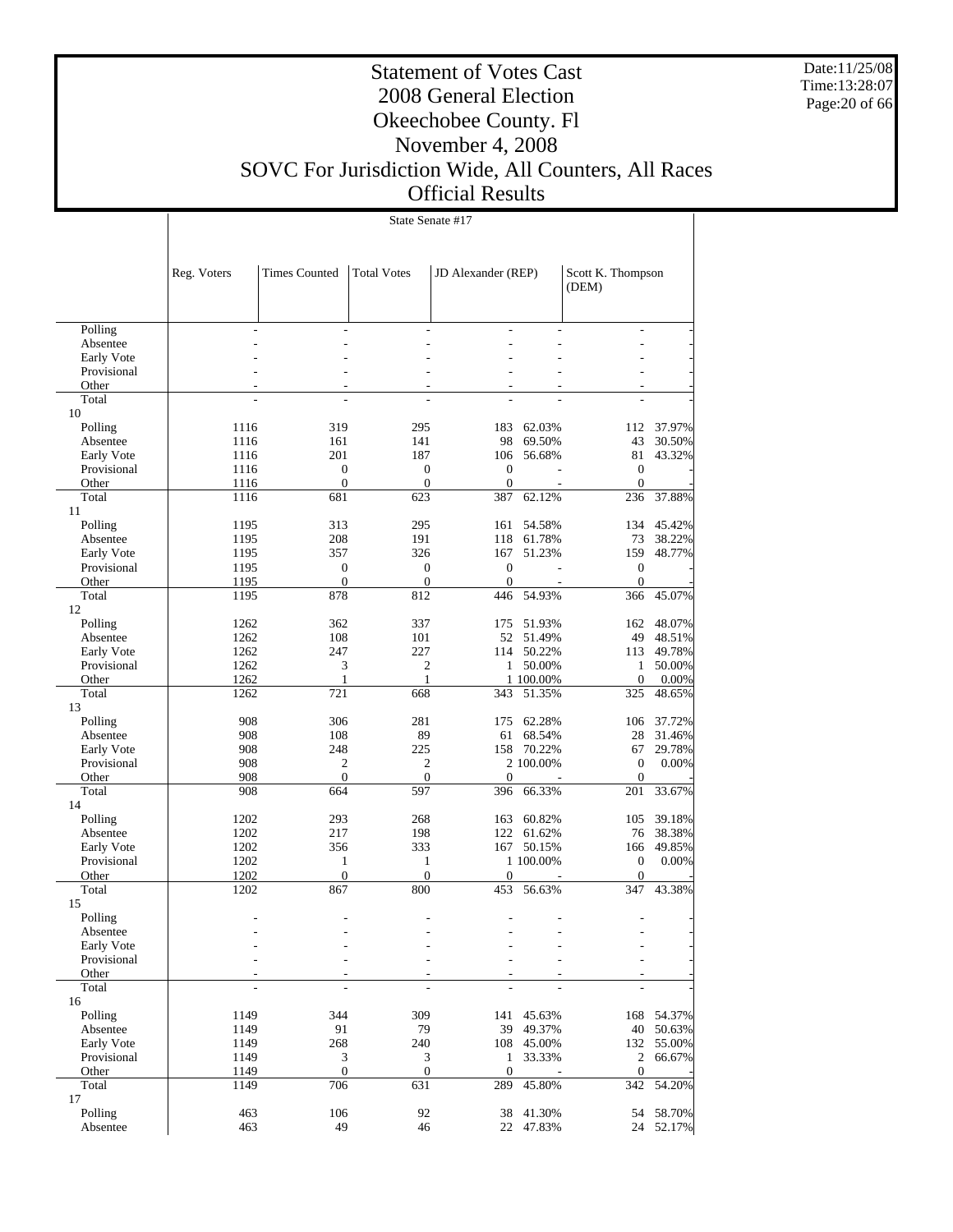Date:11/25/08 Time:13:28:07 Page:20 of 66

## Statement of Votes Cast 2008 General Election Okeechobee County. Fl November 4, 2008 SOVC For Jurisdiction Wide, All Counters, All Races

Official Results

|                        |              | State Senate #17                 |                                  |                                  |                  |                                  |                  |  |  |  |
|------------------------|--------------|----------------------------------|----------------------------------|----------------------------------|------------------|----------------------------------|------------------|--|--|--|
|                        |              |                                  |                                  |                                  |                  |                                  |                  |  |  |  |
|                        | Reg. Voters  | <b>Times Counted</b>             | <b>Total Votes</b>               | JD Alexander (REP)               |                  | Scott K. Thompson<br>(DEM)       |                  |  |  |  |
|                        |              |                                  |                                  |                                  |                  |                                  |                  |  |  |  |
| Polling                |              |                                  |                                  |                                  |                  | $\overline{a}$                   |                  |  |  |  |
| Absentee<br>Early Vote |              |                                  |                                  |                                  |                  |                                  |                  |  |  |  |
| Provisional            |              |                                  |                                  |                                  |                  |                                  |                  |  |  |  |
| Other                  |              |                                  |                                  |                                  |                  |                                  |                  |  |  |  |
| Total                  | ÷            | ÷                                | ÷.                               |                                  |                  |                                  |                  |  |  |  |
| 10                     |              |                                  |                                  |                                  |                  |                                  |                  |  |  |  |
| Polling                | 1116         | 319                              | 295                              | 183                              | 62.03%           | 112                              | 37.97%           |  |  |  |
| Absentee<br>Early Vote | 1116<br>1116 | 161<br>201                       | 141<br>187                       | 98<br>106                        | 69.50%<br>56.68% | 43<br>81                         | 30.50%<br>43.32% |  |  |  |
| Provisional            | 1116         | $\mathbf{0}$                     | $\boldsymbol{0}$                 | $\mathbf{0}$                     |                  | $\boldsymbol{0}$                 |                  |  |  |  |
| Other                  | 1116         | $\boldsymbol{0}$                 | $\boldsymbol{0}$                 | $\boldsymbol{0}$                 |                  | $\boldsymbol{0}$                 |                  |  |  |  |
| Total                  | 1116         | 681                              | 623                              | 387                              | 62.12%           | 236                              | 37.88%           |  |  |  |
| 11                     |              |                                  |                                  |                                  |                  |                                  |                  |  |  |  |
| Polling                | 1195         | 313                              | 295                              | 161                              | 54.58%           | 134                              | 45.42%           |  |  |  |
| Absentee               | 1195         | 208                              | 191                              | 118                              | 61.78%           | 73                               | 38.22%           |  |  |  |
| Early Vote             | 1195         | 357                              | 326                              | 167                              | 51.23%           | 159                              | 48.77%           |  |  |  |
| Provisional<br>Other   | 1195<br>1195 | $\boldsymbol{0}$<br>$\mathbf{0}$ | $\boldsymbol{0}$<br>$\mathbf{0}$ | $\boldsymbol{0}$<br>$\mathbf{0}$ |                  | $\boldsymbol{0}$<br>$\mathbf{0}$ |                  |  |  |  |
| Total                  | 1195         | 878                              | 812                              | 446                              | 54.93%           | 366                              | 45.07%           |  |  |  |
| 12                     |              |                                  |                                  |                                  |                  |                                  |                  |  |  |  |
| Polling                | 1262         | 362                              | 337                              | 175                              | 51.93%           | 162                              | 48.07%           |  |  |  |
| Absentee               | 1262         | 108                              | 101                              | 52                               | 51.49%           | 49                               | 48.51%           |  |  |  |
| Early Vote             | 1262         | 247                              | 227                              | 114                              | 50.22%           | 113                              | 49.78%           |  |  |  |
| Provisional            | 1262         | 3                                | $\overline{c}$                   | 1                                | 50.00%           | $\mathbf{1}$                     | 50.00%           |  |  |  |
| Other                  | 1262         | 1                                | $\mathbf{1}$                     |                                  | 1 100.00%        | $\boldsymbol{0}$                 | 0.00%            |  |  |  |
| Total<br>13            | 1262         | 721                              | 668                              | 343                              | 51.35%           | 325                              | 48.65%           |  |  |  |
| Polling                | 908          | 306                              | 281                              | 175                              | 62.28%           | 106                              | 37.72%           |  |  |  |
| Absentee               | 908          | 108                              | 89                               | 61                               | 68.54%           | 28                               | 31.46%           |  |  |  |
| Early Vote             | 908          | 248                              | 225                              | 158                              | 70.22%           | 67                               | 29.78%           |  |  |  |
| Provisional            | 908          | $\mathfrak{2}$                   | $\overline{c}$                   |                                  | 2 100.00%        | $\mathbf{0}$                     | $0.00\%$         |  |  |  |
| Other                  | 908          | $\boldsymbol{0}$                 | $\mathbf{0}$                     | $\mathbf{0}$                     |                  | $\mathbf{0}$                     |                  |  |  |  |
| Total<br>14            | 908          | 664                              | 597                              | 396                              | 66.33%           | 201                              | 33.67%           |  |  |  |
| Polling                | 1202         | 293                              | 268                              | 163                              | 60.82%           | 105                              | 39.18%           |  |  |  |
| Absentee               | 1202         | 217                              | 198                              |                                  | 122 61.62%       | 76                               | 38.38%           |  |  |  |
| Early Vote             | 1202         | 356                              | 333                              |                                  | 167 50.15%       | 166                              | 49.85%           |  |  |  |
| Provisional            | 1202         | 1                                | $\mathbf{1}$                     |                                  | 1 100.00%        | $\boldsymbol{0}$                 | 0.00%            |  |  |  |
| Other                  | 1202         | $\boldsymbol{0}$                 | $\mathbf{0}$                     | $\boldsymbol{0}$                 |                  | $\boldsymbol{0}$                 |                  |  |  |  |
| Total<br>15            | 1202         | 867                              | 800                              | 453                              | 56.63%           | 347                              | 43.38%           |  |  |  |
| Polling                |              |                                  |                                  |                                  |                  |                                  |                  |  |  |  |
| Absentee               |              |                                  |                                  |                                  |                  |                                  |                  |  |  |  |
| Early Vote             |              |                                  |                                  |                                  |                  |                                  |                  |  |  |  |
| Provisional            |              |                                  |                                  |                                  |                  |                                  |                  |  |  |  |
| Other                  |              |                                  |                                  |                                  |                  |                                  |                  |  |  |  |
| Total                  |              |                                  | ÷.                               |                                  |                  |                                  |                  |  |  |  |
| 16                     |              |                                  |                                  |                                  |                  |                                  |                  |  |  |  |
| Polling<br>Absentee    | 1149<br>1149 | 344<br>91                        | 309<br>79                        | 141<br>39                        | 45.63%<br>49.37% | 168<br>40                        | 54.37%<br>50.63% |  |  |  |
| Early Vote             | 1149         | 268                              | 240                              |                                  | 108 45.00%       | 132                              | 55.00%           |  |  |  |
| Provisional            | 1149         | 3                                | $\mathfrak{Z}$                   | $\mathbf{1}$                     | 33.33%           | $\overline{c}$                   | 66.67%           |  |  |  |
| Other                  | 1149         | $\boldsymbol{0}$                 | $\boldsymbol{0}$                 | $\boldsymbol{0}$                 |                  | $\boldsymbol{0}$                 |                  |  |  |  |
| Total                  | 1149         | 706                              | 631                              | 289                              | 45.80%           |                                  | 342 54.20%       |  |  |  |
| 17                     |              |                                  |                                  |                                  |                  |                                  |                  |  |  |  |
| Polling                | 463          | 106                              | 92                               | 38                               | 41.30%           | 54                               | 58.70%           |  |  |  |
| Absentee               | 463          | 49                               | 46                               | 22                               | 47.83%           |                                  | 24 52.17%        |  |  |  |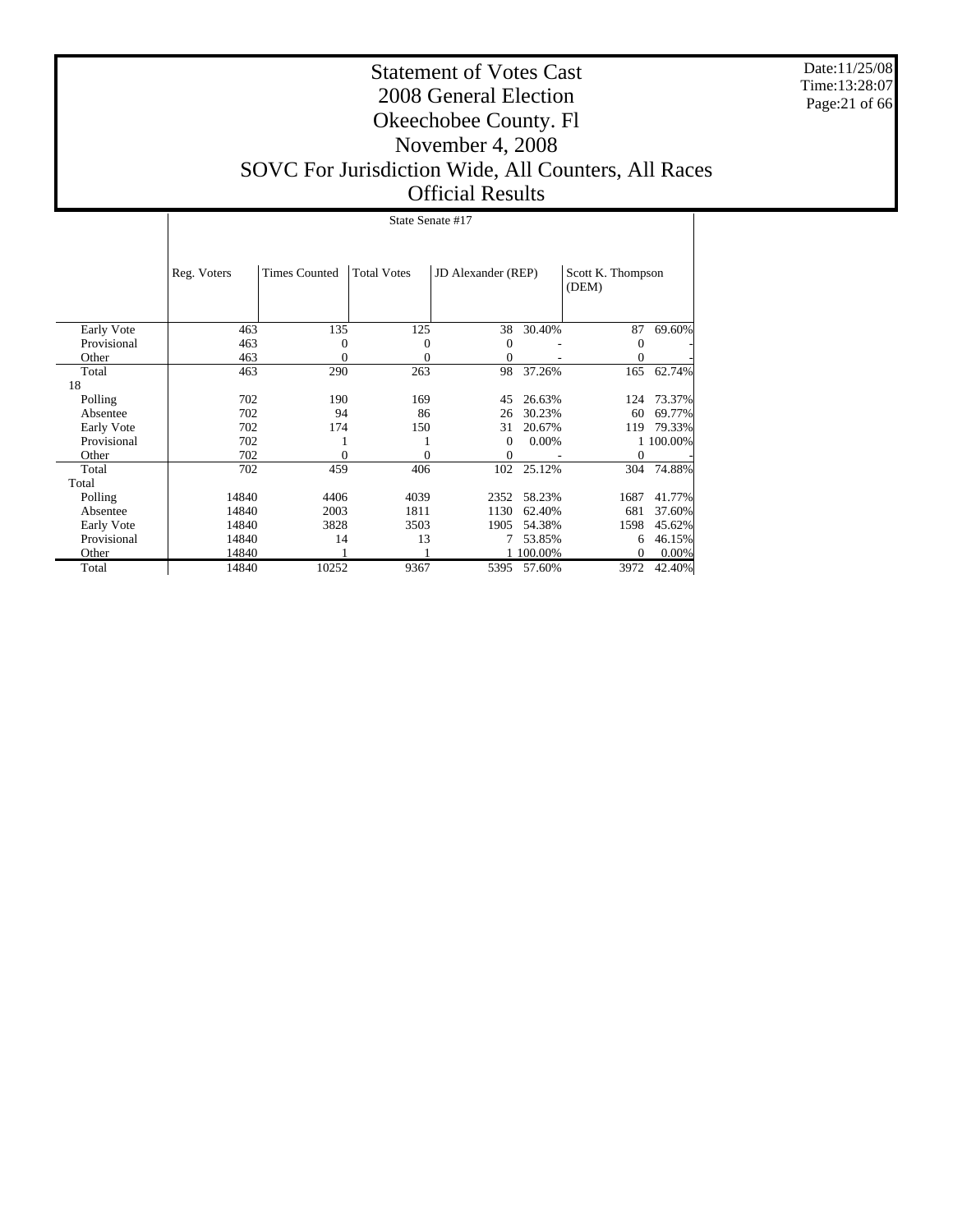Date:11/25/08 Time:13:28:07 Page:21 of 66

#### Statement of Votes Cast 2008 General Election Okeechobee County. Fl November 4, 2008 SOVC For Jurisdiction Wide, All Counters, All Races Official Results

State Senate #17

|             | Reg. Voters | <b>Times Counted</b> | <b>Total Votes</b> | JD Alexander (REP) |          | Scott K. Thompson<br>(DEM) |           |
|-------------|-------------|----------------------|--------------------|--------------------|----------|----------------------------|-----------|
|             |             |                      |                    |                    |          |                            |           |
| Early Vote  | 463         | 135                  | 125                | 38                 | 30.40%   | 87                         | 69.60%    |
| Provisional | 463         | 0                    | 0                  | $\Omega$           |          | $\Omega$                   |           |
| Other       | 463         | 0                    | 0                  | 0                  |          | $\theta$                   |           |
| Total       | 463         | 290                  | 263                | 98                 | 37.26%   | 165                        | 62.74%    |
| 18          |             |                      |                    |                    |          |                            |           |
| Polling     | 702         | 190                  | 169                | 45                 | 26.63%   | 124                        | 73.37%    |
| Absentee    | 702         | 94                   | 86                 | 26                 | 30.23%   | 60                         | 69.77%    |
| Early Vote  | 702         | 174                  | 150                | 31                 | 20.67%   | 119                        | 79.33%    |
| Provisional | 702         |                      |                    | $\Omega$           | $0.00\%$ |                            | 1 100,00% |
| Other       | 702         | $\Omega$             | 0                  | $\Omega$           |          | 0                          |           |
| Total       | 702         | 459                  | 406                | 102                | 25.12%   | 304                        | 74.88%    |
| Total       |             |                      |                    |                    |          |                            |           |
| Polling     | 14840       | 4406                 | 4039               | 2352               | 58.23%   | 1687                       | 41.77%    |
| Absentee    | 14840       | 2003                 | 1811               | 1130               | 62.40%   | 681                        | 37.60%    |
| Early Vote  | 14840       | 3828                 | 3503               | 1905               | 54.38%   | 1598                       | 45.62%    |
| Provisional | 14840       | 14                   | 13                 |                    | 53.85%   | 6                          | 46.15%    |
| Other       | 14840       |                      |                    |                    | 100.00%  | $\Omega$                   | 0.00%     |
| Total       | 14840       | 10252                | 9367               | 5395               | 57.60%   | 3972                       | 42.40%    |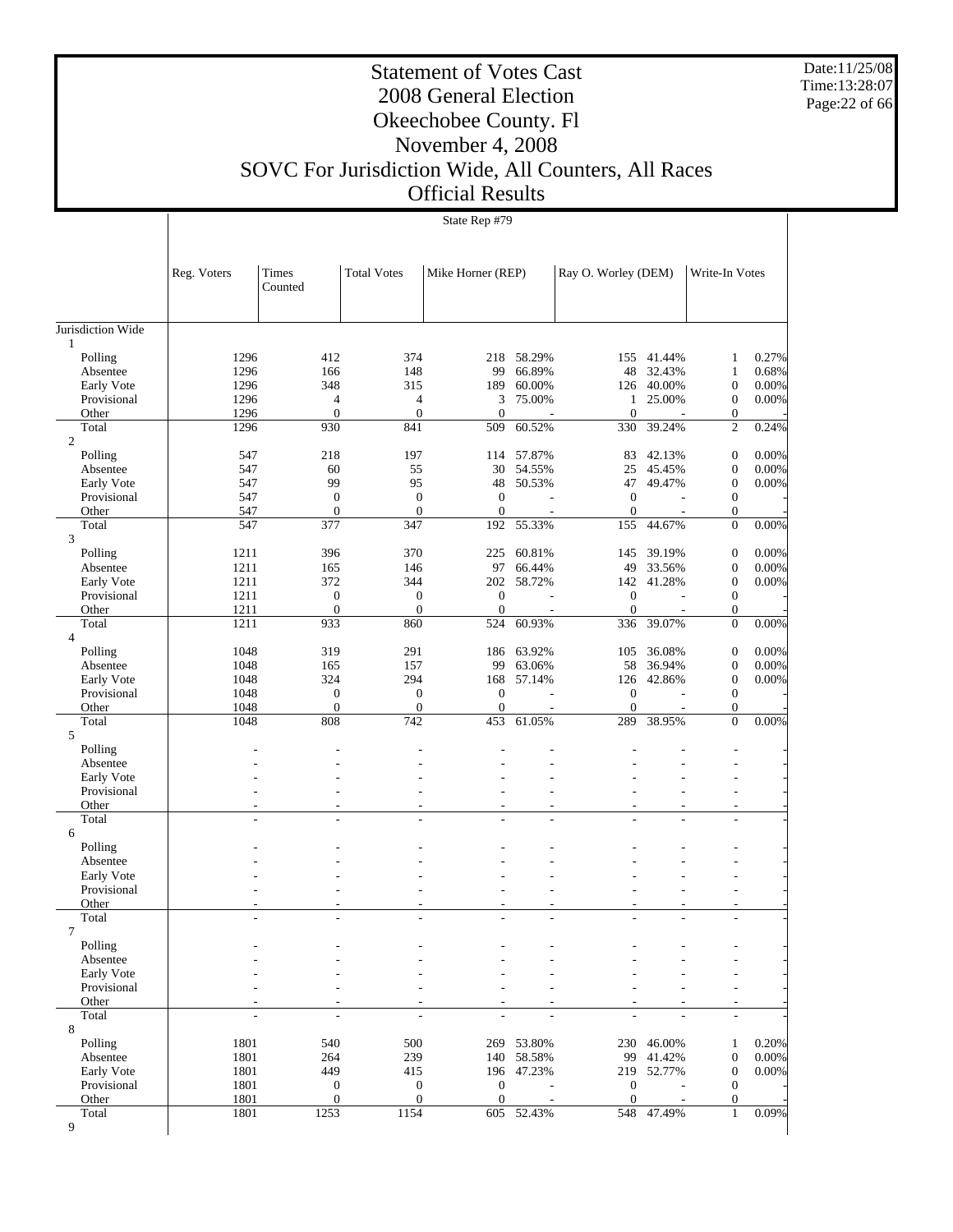Date:11/25/08 Time:13:28:07 Page:22 of 66

Τ

## Statement of Votes Cast 2008 General Election Okeechobee County. Fl November 4, 2008 SOVC For Jurisdiction Wide, All Counters, All Races

Official Results

|                         |              | State Rep #79       |                         |                         |            |                     |            |                                    |       |
|-------------------------|--------------|---------------------|-------------------------|-------------------------|------------|---------------------|------------|------------------------------------|-------|
|                         |              |                     |                         |                         |            |                     |            |                                    |       |
|                         | Reg. Voters  | Times<br>Counted    | <b>Total Votes</b>      | Mike Horner (REP)       |            | Ray O. Worley (DEM) |            | Write-In Votes                     |       |
|                         |              |                     |                         |                         |            |                     |            |                                    |       |
| Jurisdiction Wide       |              |                     |                         |                         |            |                     |            |                                    |       |
| $\mathbf{1}$<br>Polling | 1296         | 412                 | 374                     | 218                     | 58.29%     | 155                 | 41.44%     | $\mathbf{1}$                       | 0.27% |
| Absentee                | 1296         | 166                 | 148                     | 99                      | 66.89%     | 48                  | 32.43%     | $\mathbf{1}$                       | 0.68% |
| Early Vote              | 1296         | 348                 | 315                     | 189                     | 60.00%     | 126                 | 40.00%     | $\boldsymbol{0}$                   | 0.00% |
| Provisional             | 1296         | 4                   | $\overline{4}$          | 3                       | 75.00%     | 1                   | 25.00%     | $\boldsymbol{0}$                   | 0.00% |
| Other                   | 1296         | $\boldsymbol{0}$    | $\boldsymbol{0}$        | $\mathbf{0}$            |            | $\mathbf{0}$        |            | $\mathbf{0}$                       |       |
| Total<br>$\overline{c}$ | 1296         | 930                 | 841                     | 509                     | 60.52%     | 330                 | 39.24%     | $\overline{c}$                     | 0.24% |
| Polling                 | 547          | 218                 | 197                     | 114                     | 57.87%     | 83                  | 42.13%     | $\boldsymbol{0}$                   | 0.00% |
| Absentee                | 547          | 60                  | 55                      | 30                      | 54.55%     | 25                  | 45.45%     | $\boldsymbol{0}$                   | 0.00% |
| Early Vote              | 547          | 99                  | 95                      | 48                      | 50.53%     |                     | 47 49.47%  | $\boldsymbol{0}$                   | 0.00% |
| Provisional             | 547          | $\boldsymbol{0}$    | $\boldsymbol{0}$        | $\mathbf{0}$            |            | $\mathbf{0}$        |            | $\theta$                           |       |
| Other                   | 547          | $\mathbf{0}$        | $\mathbf{0}$            | $\mathbf{0}$            |            | $\boldsymbol{0}$    |            | $\boldsymbol{0}$                   |       |
| Total<br>3              | 547          | 377                 | 347                     | 192                     | 55.33%     | 155                 | 44.67%     | $\mathbf{0}$                       | 0.00% |
| Polling                 | 1211         | 396                 | 370                     | 225                     | 60.81%     | 145                 | 39.19%     | $\boldsymbol{0}$                   | 0.00% |
| Absentee                | 1211         | 165                 | 146                     | 97                      | 66.44%     | 49                  | 33.56%     | $\boldsymbol{0}$                   | 0.00% |
| Early Vote              | 1211         | 372                 | 344                     | 202                     | 58.72%     | 142                 | 41.28%     | $\boldsymbol{0}$                   | 0.00% |
| Provisional             | 1211         | $\boldsymbol{0}$    | $\boldsymbol{0}$        | $\mathbf{0}$            |            | $\boldsymbol{0}$    |            | $\theta$                           |       |
| Other                   | 1211         | $\boldsymbol{0}$    | $\mathbf{0}$            | $\mathbf{0}$            |            | $\boldsymbol{0}$    |            | $\mathbf{0}$                       |       |
| Total<br>$\overline{4}$ | 1211         | 933                 | 860                     | 524                     | 60.93%     | 336                 | 39.07%     | $\mathbf{0}$                       | 0.00% |
| Polling                 | 1048         | 319                 | 291                     | 186                     | 63.92%     | 105                 | 36.08%     | $\boldsymbol{0}$                   | 0.00% |
| Absentee                | 1048         | 165                 | 157                     | 99                      | 63.06%     | 58                  | 36.94%     | $\boldsymbol{0}$                   | 0.00% |
| Early Vote              | 1048         | 324                 | 294                     | 168                     | 57.14%     | 126                 | 42.86%     | $\boldsymbol{0}$                   | 0.00% |
| Provisional             | 1048         | $\boldsymbol{0}$    | $\boldsymbol{0}$        | $\mathbf{0}$            |            | $\mathbf{0}$        |            | $\mathbf{0}$                       |       |
| Other<br>Total          | 1048<br>1048 | $\mathbf{0}$<br>808 | $\boldsymbol{0}$<br>742 | $\boldsymbol{0}$<br>453 | 61.05%     | $\mathbf{0}$<br>289 | 38.95%     | $\boldsymbol{0}$<br>$\overline{0}$ | 0.00% |
| 5                       |              |                     |                         |                         |            |                     |            |                                    |       |
| Polling                 |              |                     |                         |                         |            |                     |            |                                    |       |
| Absentee                |              |                     |                         |                         |            |                     |            |                                    |       |
| Early Vote              |              |                     |                         |                         |            |                     |            |                                    |       |
| Provisional<br>Other    |              |                     |                         |                         |            |                     |            | L,                                 |       |
| Total                   |              | L,                  |                         |                         | ÷,         |                     |            | $\overline{a}$                     |       |
| 6                       |              |                     |                         |                         |            |                     |            |                                    |       |
| Polling                 |              |                     |                         |                         |            |                     |            |                                    |       |
| Absentee                |              |                     |                         |                         |            |                     |            |                                    |       |
| Early Vote              |              |                     |                         |                         |            |                     |            |                                    |       |
| Provisional             |              |                     |                         |                         |            |                     |            |                                    |       |
| Other<br>Total          |              |                     |                         |                         |            |                     |            |                                    |       |
| $\overline{7}$          |              |                     |                         |                         |            |                     |            |                                    |       |
| Polling                 |              |                     |                         |                         |            |                     |            |                                    |       |
| Absentee                |              |                     |                         |                         |            |                     |            |                                    |       |
| Early Vote              |              |                     |                         |                         |            |                     |            |                                    |       |
| Provisional             |              |                     |                         |                         |            |                     |            |                                    |       |
| Other<br>Total          |              |                     |                         |                         |            |                     |            |                                    |       |
| 8                       |              |                     |                         |                         |            |                     |            |                                    |       |
| Polling                 | 1801         | 540                 | 500                     | 269                     | 53.80%     |                     | 230 46.00% | 1                                  | 0.20% |
| Absentee                | 1801         | 264                 | 239                     | 140                     | 58.58%     | 99                  | 41.42%     | $\boldsymbol{0}$                   | 0.00% |
| Early Vote              | 1801         | 449                 | 415                     |                         | 196 47.23% |                     | 219 52.77% | $\mathbf{0}$                       | 0.00% |
| Provisional             | 1801         | $\boldsymbol{0}$    | $\mathbf{0}$            | $\mathbf{0}$            |            | $\boldsymbol{0}$    |            | $\mathbf{0}$                       |       |
| Other                   | 1801         | $\mathbf{0}$        | $\overline{0}$          | $\mathbf{0}$            |            | $\mathbf{0}$        |            | $\mathbf{0}$                       |       |
| Total<br>9              | 1801         | 1253                | 1154                    | 605                     | 52.43%     | 548                 | 47.49%     | 1                                  | 0.09% |
|                         |              |                     |                         |                         |            |                     |            |                                    |       |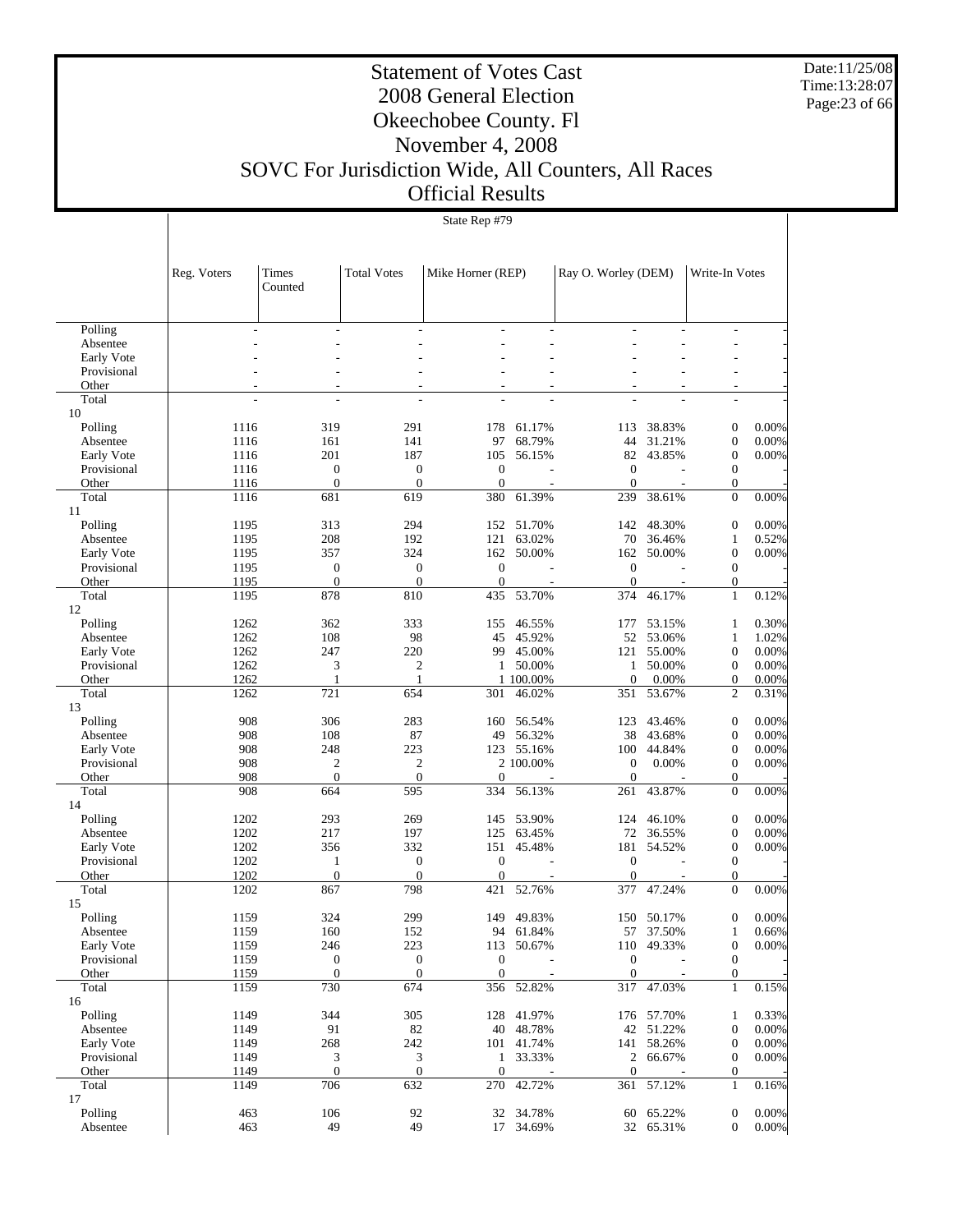Date:11/25/08 Time:13:28:07 Page:23 of 66

Τ

## Statement of Votes Cast 2008 General Election Okeechobee County. Fl November 4, 2008 SOVC For Jurisdiction Wide, All Counters, All Races

#### Official Results

|                           |              | State Rep #79           |                         |                         |                  |                     |                  |                                  |                   |
|---------------------------|--------------|-------------------------|-------------------------|-------------------------|------------------|---------------------|------------------|----------------------------------|-------------------|
|                           |              |                         |                         |                         |                  |                     |                  |                                  |                   |
|                           |              |                         |                         |                         |                  |                     |                  |                                  |                   |
|                           | Reg. Voters  | Times                   | <b>Total Votes</b>      | Mike Horner (REP)       |                  | Ray O. Worley (DEM) |                  | Write-In Votes                   |                   |
|                           |              | Counted                 |                         |                         |                  |                     |                  |                                  |                   |
|                           |              |                         |                         |                         |                  |                     |                  |                                  |                   |
| Polling                   |              |                         |                         |                         |                  |                     |                  |                                  |                   |
| Absentee                  |              |                         |                         |                         |                  |                     |                  |                                  |                   |
| Early Vote                |              |                         |                         |                         |                  |                     |                  |                                  |                   |
| Provisional<br>Other      |              |                         |                         |                         |                  |                     |                  |                                  |                   |
| Total                     |              |                         |                         |                         |                  |                     |                  |                                  |                   |
| 10                        |              |                         |                         |                         |                  |                     |                  |                                  |                   |
| Polling                   | 1116         | 319                     | 291                     | 178                     | 61.17%           | 113                 | 38.83%           | $\boldsymbol{0}$                 | 0.00%             |
| Absentee                  | 1116         | 161<br>201              | 141                     | 97                      | 68.79%           | 44                  | 31.21%           | $\boldsymbol{0}$                 | $0.00\%$          |
| Early Vote<br>Provisional | 1116<br>1116 | $\boldsymbol{0}$        | 187<br>0                | 105<br>$\mathbf{0}$     | 56.15%           | 82<br>$\mathbf{0}$  | 43.85%           | $\boldsymbol{0}$<br>$\mathbf{0}$ | 0.00%             |
| Other                     | 1116         | $\mathbf{0}$            | $\overline{0}$          | $\mathbf{0}$            |                  | $\mathbf{0}$        |                  | $\boldsymbol{0}$                 |                   |
| Total                     | 1116         | 681                     | 619                     | 380                     | 61.39%           | 239                 | 38.61%           | $\mathbf{0}$                     | 0.00%             |
| 11                        |              |                         |                         |                         |                  |                     |                  |                                  |                   |
| Polling                   | 1195         | 313                     | 294                     | 152                     | 51.70%           | 142                 | 48.30%           | $\boldsymbol{0}$                 | $0.00\%$          |
| Absentee<br>Early Vote    | 1195<br>1195 | 208<br>357              | 192<br>324              | 121<br>162              | 63.02%<br>50.00% | 70<br>162           | 36.46%<br>50.00% | $\mathbf{1}$<br>$\mathbf{0}$     | 0.52%<br>$0.00\%$ |
| Provisional               | 1195         | $\mathbf{0}$            | 0                       | $\mathbf{0}$            |                  | $\boldsymbol{0}$    |                  | $\mathbf{0}$                     |                   |
| Other                     | 1195         | $\boldsymbol{0}$        | $\overline{0}$          | $\mathbf{0}$            |                  | $\mathbf{0}$        |                  | $\boldsymbol{0}$                 |                   |
| Total                     | 1195         | 878                     | 810                     | 435                     | 53.70%           | 374                 | 46.17%           | 1                                | 0.12%             |
| 12                        |              |                         |                         |                         |                  |                     |                  |                                  |                   |
| Polling                   | 1262         | 362                     | 333                     | 155                     | 46.55%           | 177                 | 53.15%           | $\mathbf{1}$                     | 0.30%<br>1.02%    |
| Absentee<br>Early Vote    | 1262<br>1262 | 108<br>247              | 98<br>220               | 45<br>99                | 45.92%<br>45.00% | 52<br>121           | 53.06%<br>55.00% | $\mathbf{1}$<br>$\mathbf{0}$     | 0.00%             |
| Provisional               | 1262         | 3                       | 2                       | $\mathbf{1}$            | 50.00%           | 1                   | 50.00%           | $\mathbf{0}$                     | 0.00%             |
| Other                     | 1262         | $\mathbf{1}$            | 1                       |                         | 1 100.00%        | $\mathbf{0}$        | 0.00%            | $\boldsymbol{0}$                 | $0.00\%$          |
| Total                     | 1262         | 721                     | 654                     | 301                     | 46.02%           | 351                 | 53.67%           | $\mathfrak{2}$                   | 0.31%             |
| 13                        |              |                         |                         |                         |                  |                     |                  |                                  |                   |
| Polling<br>Absentee       | 908<br>908   | 306<br>108              | 283<br>87               | 160<br>49               | 56.54%<br>56.32% | 123<br>38           | 43.46%<br>43.68% | $\boldsymbol{0}$<br>$\mathbf{0}$ | 0.00%<br>0.00%    |
| Early Vote                | 908          | 248                     | 223                     | 123                     | 55.16%           | 100                 | 44.84%           | $\boldsymbol{0}$                 | 0.00%             |
| Provisional               | 908          | $\mathbf{2}$            | 2                       |                         | 2 100.00%        | $\mathbf{0}$        | 0.00%            | $\mathbf{0}$                     | 0.00%             |
| Other                     | 908          | $\mathbf{0}$            | $\mathbf{0}$            | $\mathbf{0}$            |                  | $\boldsymbol{0}$    |                  | $\boldsymbol{0}$                 |                   |
| Total                     | 908          | 664                     | 595                     | 334                     | 56.13%           | 261                 | 43.87%           | $\mathbf{0}$                     | $0.00\%$          |
| 14<br>Polling             | 1202         | 293                     | 269                     | 145                     | 53.90%           | 124                 | 46.10%           | $\boldsymbol{0}$                 | 0.00%             |
| Absentee                  | 1202         | 217                     | 197                     | 125                     | 63.45%           | 72                  | 36.55%           | $\boldsymbol{0}$                 | $0.00\%$          |
| Early Vote                | 1202         | 356                     | 332                     | 151                     | 45.48%           | 181                 | 54.52%           | $\mathbf{0}$                     | $0.00\%$          |
| Provisional               | 1202         | $\mathbf{1}$            | 0                       | $\mathbf{0}$            |                  | $\mathbf{0}$        |                  | $\mathbf{0}$                     |                   |
| Other                     | 1202         | $\mathbf{0}$            | $\overline{0}$          | $\mathbf{0}$            |                  | $\overline{0}$      |                  | $\mathbf{0}$                     |                   |
| Total                     | 1202         | 867                     | 798                     | 421                     | 52.76%           | 377                 | 47.24%           | $\Omega$                         | 0.00%             |
| 15<br>Polling             | 1159         | 324                     | 299                     |                         | 149 49.83%       |                     | 150 50.17%       | $\boldsymbol{0}$                 | $0.00\%$          |
| Absentee                  | 1159         | 160                     | 152                     | 94                      | 61.84%           | 57                  | 37.50%           | $\mathbf{1}$                     | 0.66%             |
| Early Vote                | 1159         | 246                     | 223                     | 113                     | 50.67%           | 110                 | 49.33%           | $\boldsymbol{0}$                 | $0.00\%$          |
| Provisional               | 1159         | $\boldsymbol{0}$        | $\boldsymbol{0}$        | $\boldsymbol{0}$        |                  | $\boldsymbol{0}$    |                  | $\boldsymbol{0}$                 |                   |
| Other                     | 1159         | $\boldsymbol{0}$        | $\mathbf{0}$            | $\mathbf{0}$            |                  | $\boldsymbol{0}$    |                  | 0                                |                   |
| Total<br>16               | 1159         | 730                     | 674                     | 356                     | 52.82%           | 317                 | 47.03%           | $\mathbf{1}$                     | 0.15%             |
| Polling                   | 1149         | 344                     | 305                     | 128                     | 41.97%           |                     | 176 57.70%       | 1                                | 0.33%             |
| Absentee                  | 1149         | 91                      | 82                      | 40                      | 48.78%           |                     | 42 51.22%        | $\boldsymbol{0}$                 | 0.00%             |
| Early Vote                | 1149         | 268                     | 242                     |                         | 101 41.74%       |                     | 141 58.26%       | $\boldsymbol{0}$                 | $0.00\%$          |
| Provisional               | 1149         | 3                       | 3                       | $\mathbf{1}$            | 33.33%           | $\overline{c}$      | 66.67%           | $\boldsymbol{0}$                 | 0.00%             |
| Other<br>Total            | 1149<br>1149 | $\boldsymbol{0}$<br>706 | $\boldsymbol{0}$<br>632 | $\boldsymbol{0}$<br>270 | 42.72%           | $\boldsymbol{0}$    |                  | 0<br>$\mathbf{1}$                | 0.16%             |
| 17                        |              |                         |                         |                         |                  | 361                 | 57.12%           |                                  |                   |
| Polling                   | 463          | 106                     | 92                      | 32                      | 34.78%           | 60                  | 65.22%           | $\boldsymbol{0}$                 | 0.00%             |
| Absentee                  | 463          | 49                      | 49                      | 17                      | 34.69%           | 32                  | 65.31%           | $\boldsymbol{0}$                 | $0.00\%$          |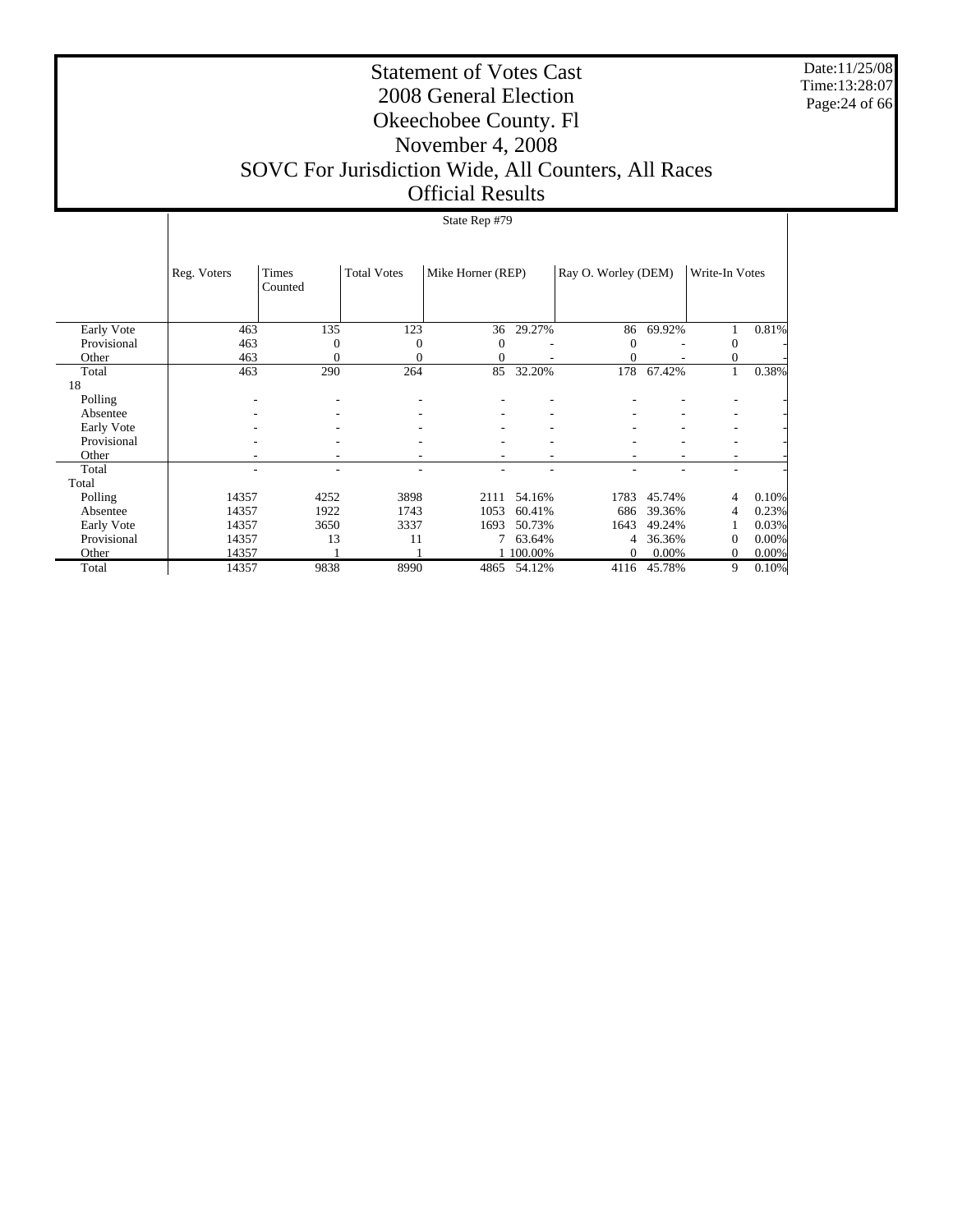Date:11/25/08 Time:13:28:07 Page:24 of 66

#### Statement of Votes Cast 2008 General Election Okeechobee County. Fl November 4, 2008 SOVC For Jurisdiction Wide, All Counters, All Races Official Results

#### Early Vote Provisional Other Total 18 Polling Absentee Early Vote Provisional Other Total Total Polling Absentee Early Vote Provisional **Other**  Total Reg. Voters Times Counted Total Votes | Mike Horner (REP) | Ray O. Worley (DEM) | Write-In Votes State Rep #79 463 135 123 36 29.27% 86 69.92% 1 0.81% 463 0 0 0 - 0 - 0 -463 0 0 0 - 0 - 0 -463 290 264 85 32.20% 178 67.42% 1 0.38% - - - - - - - - - - - - - - - - - - - - - - - - - - - - - - - - - - - - - - - - - - - - - - - - - - - - - - 14357 4252 3898 2111 54.16% 1783 45.74% 4 0.10% 14357 1922 1743 1053 60.41% 686 39.36% 4 0.23%<br>14357 3650 3337 1693 50.73% 1643 49.24% 1 0.03%  $\begin{array}{ccccccccccc} 14357 && 3650 && 3337 && 1693 & 50.73\% && 1643 & 49.24\% && 1 & 0.03\% \\ 14357 && 13 && 11 && 7 & 63.64\% && 4 & 36.36\% && 0 & 0.00\% \end{array}$  $\begin{array}{cccccccccccccccccc} 14357 &&&& 13 &&&& 11 &&&& 7 & 63.64\% & &&&& 4 & 36.36\% & && 0 & 0.00\% \\ 14357 &&&& 1 &&&& 1 & 1 & 100.00\% &&&& 0 & 0.00\% && && 0 & 0.00\% \end{array}$  $\begin{array}{ccccccccccc}\n 14357 & 1 & 1 & 100.00\% & 0 & 0.00\% & 0 & 0.00\% \\
 14357 & 9838 & 8990 & 4865 & 54.12\% & 4116 & 45.78\% & 9 & 0.10\% \\
 \end{array}$ 4116 45.78%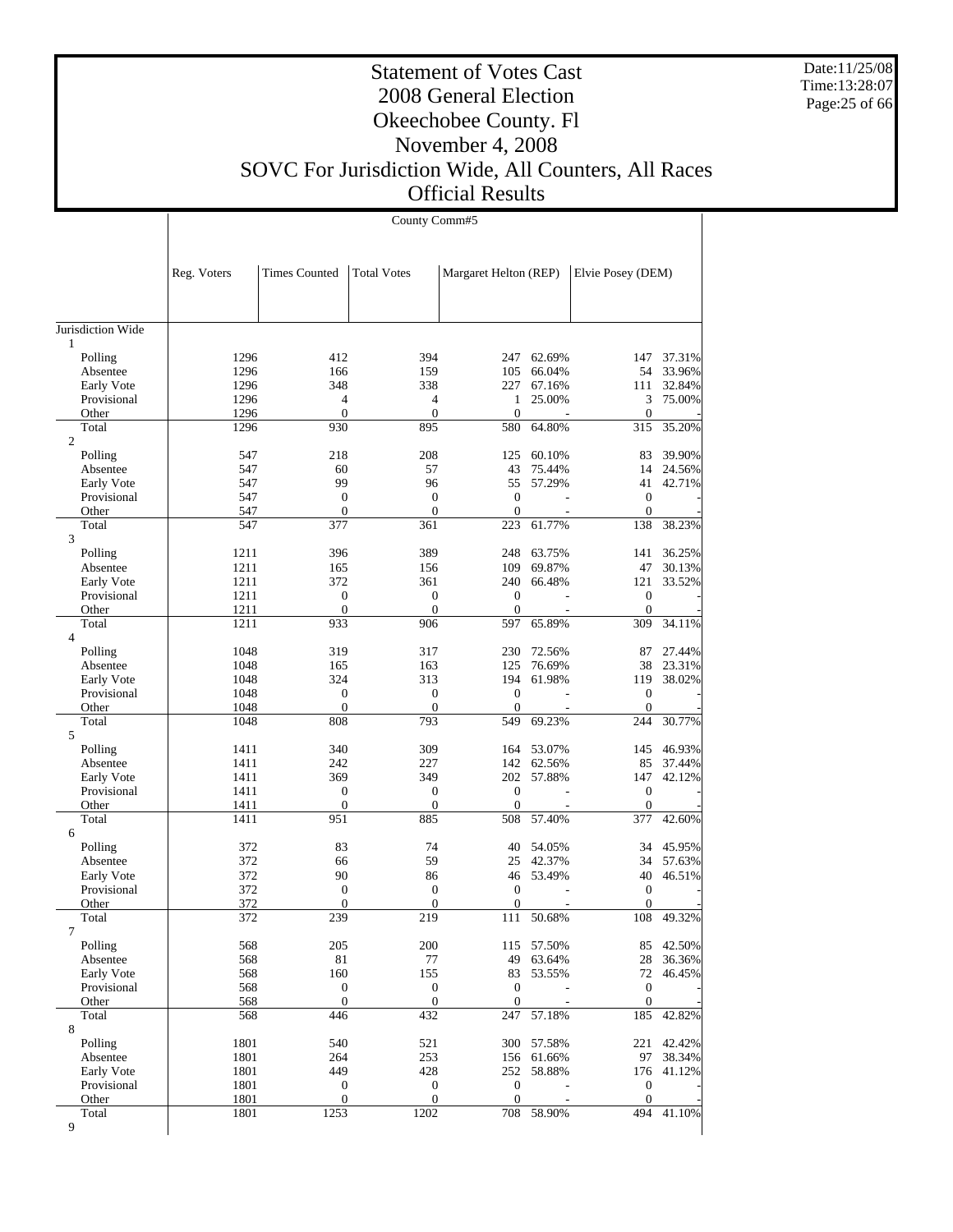Date:11/25/08 Time:13:28:07 Page:25 of 66

#### Statement of Votes Cast 2008 General Election Okeechobee County. Fl November 4, 2008 SOVC For Jurisdiction Wide, All Counters, All Races Official Results

|                         |              | County Comm#5                      |                              |                                  |                  |                                  |                  |  |  |  |
|-------------------------|--------------|------------------------------------|------------------------------|----------------------------------|------------------|----------------------------------|------------------|--|--|--|
|                         |              |                                    |                              |                                  |                  |                                  |                  |  |  |  |
|                         | Reg. Voters  | <b>Times Counted</b>               | <b>Total Votes</b>           | Margaret Helton (REP)            |                  | Elvie Posey (DEM)                |                  |  |  |  |
| Jurisdiction Wide       |              |                                    |                              |                                  |                  |                                  |                  |  |  |  |
| 1                       |              |                                    |                              |                                  |                  |                                  |                  |  |  |  |
| Polling                 | 1296<br>1296 | 412                                | 394<br>159                   | 247                              | 62.69%<br>66.04% | 147<br>54                        | 37.31%<br>33.96% |  |  |  |
| Absentee<br>Early Vote  | 1296         | 166<br>348                         | 338                          | 105<br>227                       | 67.16%           | 111                              | 32.84%           |  |  |  |
| Provisional             | 1296         | 4                                  | $\overline{4}$               | 1                                | 25.00%           | 3                                | 75.00%           |  |  |  |
| Other                   | 1296         | $\boldsymbol{0}$                   | $\boldsymbol{0}$             | $\mathbf{0}$                     |                  | $\boldsymbol{0}$                 |                  |  |  |  |
| Total                   | 1296         | 930                                | 895                          | 580                              | 64.80%           | 315                              | 35.20%           |  |  |  |
| $\overline{2}$          |              |                                    |                              |                                  |                  |                                  |                  |  |  |  |
| Polling                 | 547          | 218                                | 208                          | 125                              | 60.10%           | 83                               | 39.90%           |  |  |  |
| Absentee                | 547          | 60                                 | 57                           | 43                               | 75.44%           | 14                               | 24.56%           |  |  |  |
| Early Vote              | 547          | 99                                 | 96                           | 55                               | 57.29%           | 41                               | 42.71%           |  |  |  |
| Provisional             | 547          | $\boldsymbol{0}$                   | $\mathbf{0}$                 | $\boldsymbol{0}$                 |                  | $\mathbf{0}$                     |                  |  |  |  |
| Other                   | 547          | $\overline{0}$                     | $\mathbf{0}$                 | $\theta$                         |                  | $\mathbf{0}$                     |                  |  |  |  |
| Total                   | 547          | 377                                | 361                          | 223                              | 61.77%           | 138                              | 38.23%           |  |  |  |
| 3                       | 1211         | 396                                | 389                          | 248                              | 63.75%           | 141                              | 36.25%           |  |  |  |
| Polling<br>Absentee     | 1211         | 165                                | 156                          | 109                              | 69.87%           | 47                               | 30.13%           |  |  |  |
| Early Vote              | 1211         | 372                                | 361                          | 240                              | 66.48%           | 121                              | 33.52%           |  |  |  |
| Provisional             | 1211         | $\boldsymbol{0}$                   | $\boldsymbol{0}$             | $\boldsymbol{0}$                 |                  | $\mathbf{0}$                     |                  |  |  |  |
| Other                   | 1211         | $\overline{0}$                     | $\mathbf{0}$                 | $\theta$                         |                  | $\mathbf{0}$                     |                  |  |  |  |
| Total<br>$\overline{4}$ | 1211         | 933                                | 906                          | 597                              | 65.89%           | 309                              | 34.11%           |  |  |  |
| Polling                 | 1048         | 319                                | 317                          | 230                              | 72.56%           | 87                               | 27.44%           |  |  |  |
| Absentee                | 1048         | 165                                | 163                          | 125                              | 76.69%           | 38                               | 23.31%           |  |  |  |
| Early Vote              | 1048         | 324                                | 313                          | 194                              | 61.98%           | 119                              | 38.02%           |  |  |  |
| Provisional             | 1048         | $\boldsymbol{0}$                   | $\boldsymbol{0}$             | $\boldsymbol{0}$                 |                  | $\mathbf{0}$                     |                  |  |  |  |
| Other                   | 1048         | $\boldsymbol{0}$                   | $\mathbf{0}$                 | $\boldsymbol{0}$                 |                  | $\mathbf{0}$                     |                  |  |  |  |
| Total<br>5              | 1048         | 808                                | 793                          | 549                              | 69.23%           | 244                              | 30.77%           |  |  |  |
| Polling                 | 1411         | 340                                | 309                          | 164                              | 53.07%           | 145                              | 46.93%           |  |  |  |
| Absentee                | 1411         | 242                                | 227                          |                                  | 142 62.56%       | 85                               | 37.44%           |  |  |  |
| Early Vote              | 1411         | 369                                | 349                          |                                  | 202 57.88%       | 147                              | 42.12%           |  |  |  |
| Provisional             | 1411         | $\boldsymbol{0}$                   | $\mathbf{0}$                 | $\boldsymbol{0}$                 |                  | $\mathbf{0}$                     |                  |  |  |  |
| Other                   | 1411         | $\boldsymbol{0}$                   | $\boldsymbol{0}$             | $\boldsymbol{0}$                 |                  | $\mathbf{0}$                     |                  |  |  |  |
| Total                   | 1411         | 951                                | 885                          | 508                              | 57.40%           | 377                              | 42.60%           |  |  |  |
| 6                       |              |                                    |                              |                                  |                  |                                  |                  |  |  |  |
| Polling                 | 372          | 83                                 | 74                           | 40                               | 54.05%           | 34                               | 45.95%           |  |  |  |
| Absentee                | 372          | 66                                 | 59                           | 25                               | 42.37%           | 34                               | 57.63%           |  |  |  |
| Early Vote              | 372          | 90                                 | 86                           | 46                               | 53.49%           | 40                               | 46.51%           |  |  |  |
| Provisional<br>Other    | 372<br>372   | $\boldsymbol{0}$<br>$\overline{0}$ | $\mathbf{0}$<br>$\mathbf{0}$ | $\boldsymbol{0}$<br>$\mathbf{0}$ |                  | $\boldsymbol{0}$<br>$\mathbf{0}$ |                  |  |  |  |
| Total                   | 372          |                                    | 219                          |                                  |                  | 108                              |                  |  |  |  |
| 7                       |              | 239                                |                              | 111                              | 50.68%           |                                  | 49.32%           |  |  |  |
| Polling                 | 568          | 205                                | 200                          |                                  | 115 57.50%       | 85                               | 42.50%           |  |  |  |
| Absentee                | 568          | 81                                 | 77                           | 49                               | 63.64%           | 28                               | 36.36%           |  |  |  |
| Early Vote              | 568          | 160                                | 155                          |                                  | 83 53.55%        | 72                               | 46.45%           |  |  |  |
| Provisional             | 568          | $\boldsymbol{0}$                   | $\boldsymbol{0}$             | $\mathbf{0}$                     |                  | $\boldsymbol{0}$                 |                  |  |  |  |
| Other                   | 568          | $\overline{0}$                     | $\boldsymbol{0}$             | $\boldsymbol{0}$                 |                  | $\boldsymbol{0}$                 |                  |  |  |  |
| Total                   | 568          | 446                                | 432                          | 247                              | 57.18%           | 185                              | 42.82%           |  |  |  |
| 8                       |              |                                    |                              |                                  |                  |                                  |                  |  |  |  |
| Polling                 | 1801         | 540                                | 521                          |                                  | 300 57.58%       | 221                              | 42.42%           |  |  |  |
| Absentee                | 1801         | 264                                | 253                          |                                  | 156 61.66%       | 97                               | 38.34%           |  |  |  |
| Early Vote              | 1801         | 449                                | 428                          | 252                              | 58.88%           | 176                              | 41.12%           |  |  |  |
| Provisional             | 1801         | $\boldsymbol{0}$                   | $\boldsymbol{0}$             | $\boldsymbol{0}$                 |                  | $\boldsymbol{0}$                 |                  |  |  |  |
| Other                   | 1801         | $\boldsymbol{0}$                   | $\mathbf{0}$                 | $\boldsymbol{0}$                 |                  | $\mathbf{0}$                     |                  |  |  |  |
| Total<br>9              | 1801         | 1253                               | 1202                         |                                  | 708 58.90%       | 494                              | 41.10%           |  |  |  |
|                         |              |                                    |                              |                                  |                  |                                  |                  |  |  |  |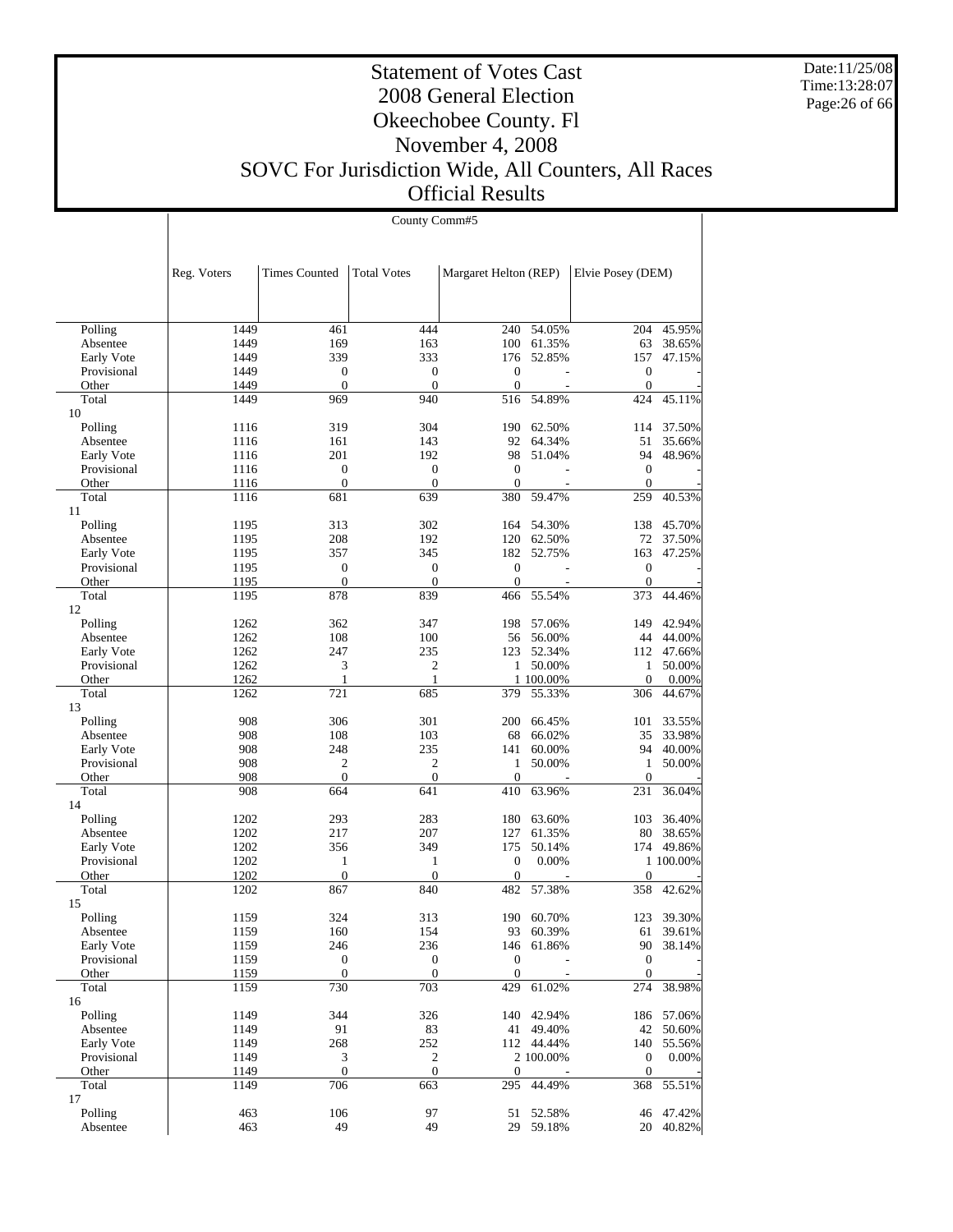Date:11/25/08 Time:13:28:07 Page:26 of 66

#### Statement of Votes Cast 2008 General Election Okeechobee County. Fl November 4, 2008 SOVC For Jurisdiction Wide, All Counters, All Races Official Results

|                           |              | County Comm#5        |                    |                       |                      |                   |                     |  |  |  |
|---------------------------|--------------|----------------------|--------------------|-----------------------|----------------------|-------------------|---------------------|--|--|--|
|                           |              |                      |                    |                       |                      |                   |                     |  |  |  |
|                           |              |                      |                    |                       |                      |                   |                     |  |  |  |
|                           | Reg. Voters  | <b>Times Counted</b> | <b>Total Votes</b> | Margaret Helton (REP) |                      | Elvie Posey (DEM) |                     |  |  |  |
|                           |              |                      |                    |                       |                      |                   |                     |  |  |  |
|                           |              |                      |                    |                       |                      |                   |                     |  |  |  |
| Polling                   | 1449         | 461                  | 444                | 240                   | 54.05%               | 204               | 45.95%              |  |  |  |
| Absentee                  | 1449         | 169                  | 163                |                       | 100 61.35%           | 63                | 38.65%              |  |  |  |
| Early Vote                | 1449         | 339                  | 333                | 176                   | 52.85%               | 157               | 47.15%              |  |  |  |
| Provisional               | 1449         | $\boldsymbol{0}$     | $\mathbf{0}$       | $\mathbf{0}$          |                      | $\mathbf{0}$      |                     |  |  |  |
| Other                     | 1449         | $\overline{0}$       | $\mathbf{0}$       | $\mathbf{0}$          |                      | $\mathbf{0}$      |                     |  |  |  |
| Total                     | 1449         | 969                  | 940                | 516                   | 54.89%               | 424               | 45.11%              |  |  |  |
| 10<br>Polling             | 1116         | 319                  | 304                | 190                   | 62.50%               | 114               | 37.50%              |  |  |  |
| Absentee                  | 1116         | 161                  | 143                | 92                    | 64.34%               | 51                | 35.66%              |  |  |  |
| Early Vote                | 1116         | 201                  | 192                | 98                    | 51.04%               | 94                | 48.96%              |  |  |  |
| Provisional               | 1116         | $\theta$             | $\overline{0}$     | $\mathbf{0}$          |                      | $\mathbf{0}$      |                     |  |  |  |
| Other                     | 1116         | $\overline{0}$       | $\theta$           | $\overline{0}$        |                      | $\mathbf{0}$      |                     |  |  |  |
| Total                     | 1116         | 681                  | 639                | 380                   | 59.47%               | 259               | 40.53%              |  |  |  |
| 11                        |              |                      |                    |                       |                      |                   |                     |  |  |  |
| Polling                   | 1195         | 313                  | 302                | 164                   | 54.30%               | 138               | 45.70%              |  |  |  |
| Absentee                  | 1195<br>1195 | 208                  | 192<br>345         | 182                   | 120 62.50%<br>52.75% | 72<br>163         | 37.50%              |  |  |  |
| Early Vote<br>Provisional | 1195         | 357<br>$\theta$      | $\mathbf{0}$       | $\theta$              |                      | $\mathbf{0}$      | 47.25%              |  |  |  |
| Other                     | 1195         | $\mathbf{0}$         | $\mathbf{0}$       | $\mathbf{0}$          |                      | $\mathbf{0}$      |                     |  |  |  |
| Total                     | 1195         | 878                  | 839                | 466                   | 55.54%               | 373               | 44.46%              |  |  |  |
| 12                        |              |                      |                    |                       |                      |                   |                     |  |  |  |
| Polling                   | 1262         | 362                  | 347                | 198                   | 57.06%               | 149               | 42.94%              |  |  |  |
| Absentee                  | 1262         | 108                  | 100                | 56                    | 56.00%               | 44                | 44.00%              |  |  |  |
| Early Vote                | 1262         | 247                  | 235                |                       | 123 52.34%           | 112               | 47.66%              |  |  |  |
| Provisional               | 1262         | 3                    | $\mathfrak{2}$     | $\mathbf{1}$          | 50.00%               | $\mathbf{1}$      | 50.00%              |  |  |  |
| Other                     | 1262         | 1                    | 1                  |                       | 1 100.00%            | $\mathbf{0}$      | 0.00%               |  |  |  |
| Total<br>13               | 1262         | 721                  | 685                | 379                   | 55.33%               | 306               | 44.67%              |  |  |  |
| Polling                   | 908          | 306                  | 301                | 200                   | 66.45%               | 101               | 33.55%              |  |  |  |
| Absentee                  | 908          | 108                  | 103                | 68                    | 66.02%               | 35                | 33.98%              |  |  |  |
| Early Vote                | 908          | 248                  | 235                | 141                   | 60.00%               | 94                | 40.00%              |  |  |  |
| Provisional               | 908          | 2                    | $\mathfrak{2}$     | 1                     | 50.00%               | $\mathbf{1}$      | 50.00%              |  |  |  |
| Other                     | 908          | $\mathbf{0}$         | $\mathbf{0}$       | $\overline{0}$        |                      | $\mathbf{0}$      |                     |  |  |  |
| Total                     | 908          | 664                  | 641                | 410                   | 63.96%               | 231               | 36.04%              |  |  |  |
| 14                        |              |                      |                    |                       |                      |                   |                     |  |  |  |
| Polling                   | 1202         | 293                  | 283                | 180                   | 63.60%               | 103               | 36.40%              |  |  |  |
| Absentee                  | 1202         | 217                  | 207<br>349         | 127                   | 61.35%               | 80                | 38.65%              |  |  |  |
| Early Vote<br>Provisional | 1202<br>1202 | 356<br>1             | $\mathbf{1}$       | 175<br>$\overline{0}$ | 50.14%<br>0.00%      | 174               | 49.86%<br>1 100.00% |  |  |  |
| Other                     | 1202         | $\boldsymbol{0}$     | $\mathbf{0}$       | $\overline{0}$        |                      | $\boldsymbol{0}$  |                     |  |  |  |
| Total                     | 1202         | 867                  | 840                | 482                   | 57.38%               | 358               | 42.62%              |  |  |  |
| 15                        |              |                      |                    |                       |                      |                   |                     |  |  |  |
| Polling                   | 1159         | 324                  | 313                |                       | 190 60.70%           |                   | 123 39.30%          |  |  |  |
| Absentee                  | 1159         | 160                  | 154                | 93                    | 60.39%               | 61                | 39.61%              |  |  |  |
| Early Vote                | 1159         | 246                  | 236                | 146                   | 61.86%               | 90                | 38.14%              |  |  |  |
| Provisional               | 1159         | $\boldsymbol{0}$     | $\boldsymbol{0}$   | $\boldsymbol{0}$      |                      | $\boldsymbol{0}$  |                     |  |  |  |
| Other                     | 1159         | $\boldsymbol{0}$     | $\mathbf{0}$       | $\mathbf{0}$          |                      | $\boldsymbol{0}$  |                     |  |  |  |
| Total                     | 1159         | 730                  | 703                | 429                   | 61.02%               | 274               | 38.98%              |  |  |  |
| 16<br>Polling             | 1149         | 344                  | 326                |                       | 140 42.94%           |                   | 186 57.06%          |  |  |  |
| Absentee                  | 1149         | 91                   | 83                 |                       | 41 49.40%            | 42                | 50.60%              |  |  |  |
| Early Vote                | 1149         | 268                  | 252                |                       | 112 44.44%           | 140               | 55.56%              |  |  |  |
| Provisional               | 1149         | 3                    | $\sqrt{2}$         |                       | 2 100.00%            | $\boldsymbol{0}$  | 0.00%               |  |  |  |
| Other                     | 1149         | $\boldsymbol{0}$     | $\boldsymbol{0}$   | $\mathbf{0}$          |                      | $\boldsymbol{0}$  |                     |  |  |  |
| Total                     | 1149         | 706                  | 663                | 295                   | 44.49%               | 368               | 55.51%              |  |  |  |
| 17                        |              |                      |                    |                       |                      |                   |                     |  |  |  |
| Polling                   | 463          | 106                  | 97                 | 51                    | 52.58%               | 46                | 47.42%              |  |  |  |
| Absentee                  | 463          | 49                   | 49                 |                       | 29 59.18%            |                   | 20 40.82%           |  |  |  |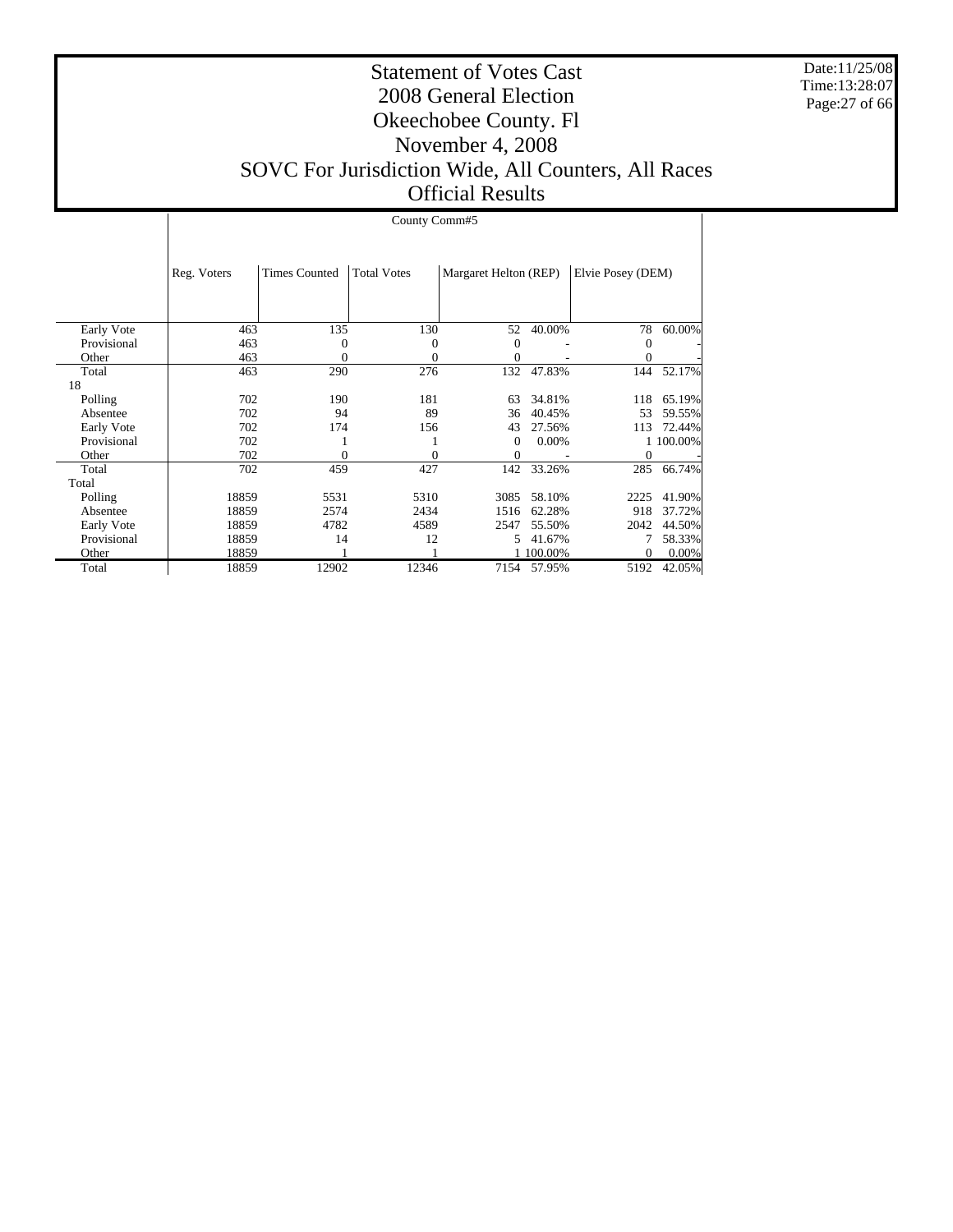Date:11/25/08 Time:13:28:07 Page:27 of 66

#### Statement of Votes Cast 2008 General Election Okeechobee County. Fl November 4, 2008 SOVC For Jurisdiction Wide, All Counters, All Races Official Results

|             |             | County Comm#5        |                    |                       |         |                   |           |  |  |
|-------------|-------------|----------------------|--------------------|-----------------------|---------|-------------------|-----------|--|--|
|             | Reg. Voters | <b>Times Counted</b> | <b>Total Votes</b> | Margaret Helton (REP) |         | Elvie Posey (DEM) |           |  |  |
|             |             |                      |                    |                       |         |                   |           |  |  |
| Early Vote  | 463         | 135                  | 130                | 52                    | 40.00%  | 78                | 60.00%    |  |  |
| Provisional | 463         | $\theta$             | 0                  | 0                     |         | 0                 |           |  |  |
| Other       | 463         | 0                    | $\Omega$           | 0                     |         | 0                 |           |  |  |
| Total       | 463         | 290                  | 276                | 132                   | 47.83%  | 144               | 52.17%    |  |  |
| 18          |             |                      |                    |                       |         |                   |           |  |  |
| Polling     | 702         | 190                  | 181                | 63                    | 34.81%  | 118               | 65.19%    |  |  |
| Absentee    | 702         | 94                   | 89                 | 36                    | 40.45%  | 53                | 59.55%    |  |  |
| Early Vote  | 702         | 174                  | 156                | 43                    | 27.56%  | 113               | 72.44%    |  |  |
| Provisional | 702         |                      |                    | 0                     | 0.00%   |                   | 1 100.00% |  |  |
| Other       | 702         | $\theta$             | 0                  | 0                     |         | $\mathbf{0}$      |           |  |  |
| Total       | 702         | 459                  | 427                | 142                   | 33.26%  | 285               | 66.74%    |  |  |
| Total       |             |                      |                    |                       |         |                   |           |  |  |
| Polling     | 18859       | 5531                 | 5310               | 3085                  | 58.10%  | 2225              | 41.90%    |  |  |
| Absentee    | 18859       | 2574                 | 2434               | 1516                  | 62.28%  | 918               | 37.72%    |  |  |
| Early Vote  | 18859       | 4782                 | 4589               | 2547                  | 55.50%  | 2042              | 44.50%    |  |  |
| Provisional | 18859       | 14                   | 12                 | 5.                    | 41.67%  | 7                 | 58.33%    |  |  |
| Other       | 18859       |                      |                    |                       | 100.00% | $\mathbf{0}$      | 0.00%     |  |  |
| Total       | 18859       | 12902                | 12346              | 7154                  | 57.95%  | 5192              | 42.05%    |  |  |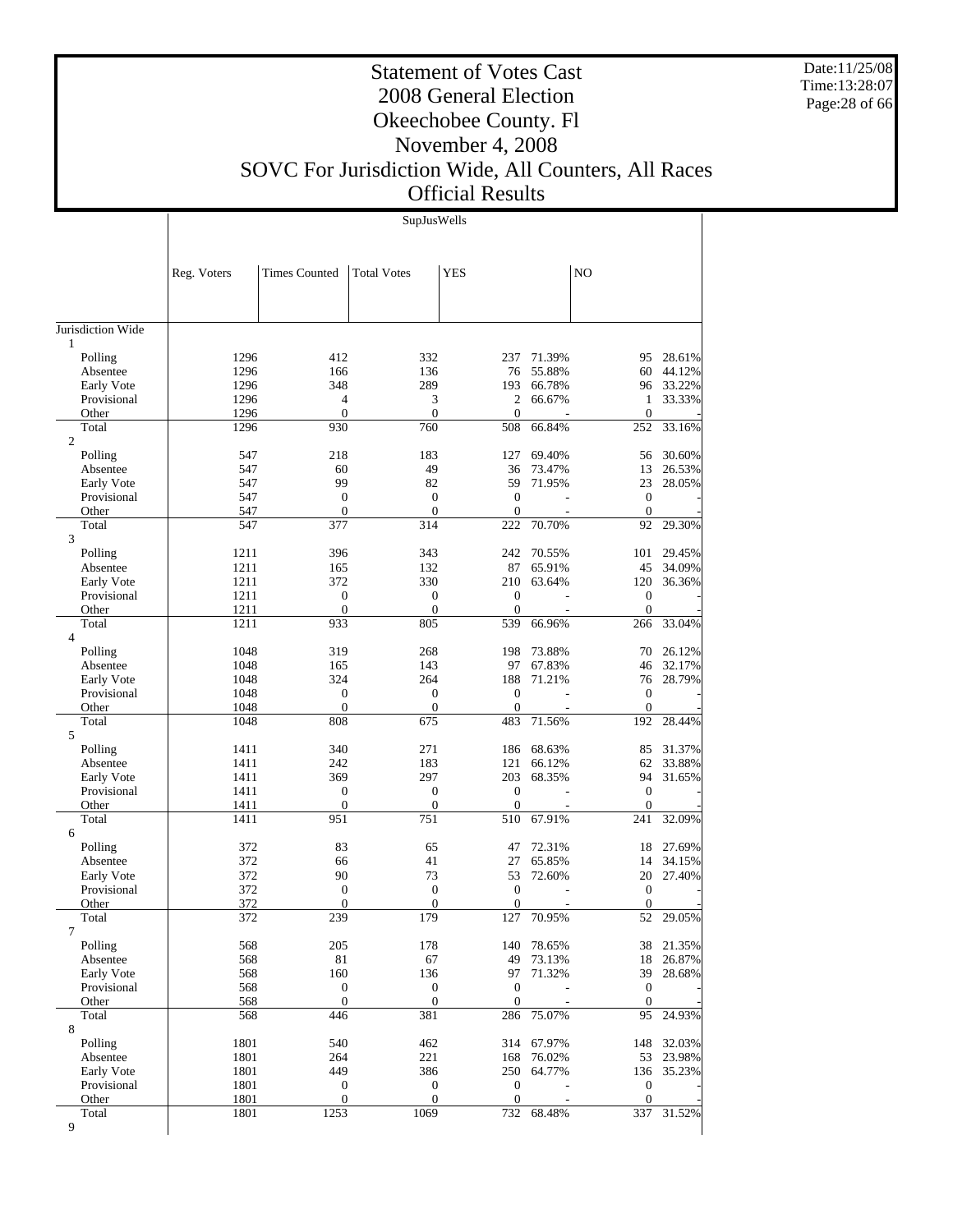Date:11/25/08 Time:13:28:07 Page:28 of 66

Τ

# Statement of Votes Cast 2008 General Election Okeechobee County. Fl November 4, 2008

SOVC For Jurisdiction Wide, All Counters, All Races

# Official Results

| N <sub>O</sub><br>Reg. Voters<br><b>Times Counted</b><br><b>Total Votes</b><br><b>YES</b><br>$\mathbf{1}$<br>Polling<br>1296<br>28.61%<br>412<br>332<br>237<br>71.39%<br>95<br>1296<br>55.88%<br>166<br>136<br>76<br>60<br>44.12%<br>Absentee<br>1296<br>289<br>193<br>33.22%<br>Early Vote<br>348<br>66.78%<br>96 |
|--------------------------------------------------------------------------------------------------------------------------------------------------------------------------------------------------------------------------------------------------------------------------------------------------------------------|
|                                                                                                                                                                                                                                                                                                                    |
| Jurisdiction Wide                                                                                                                                                                                                                                                                                                  |
|                                                                                                                                                                                                                                                                                                                    |
|                                                                                                                                                                                                                                                                                                                    |
|                                                                                                                                                                                                                                                                                                                    |
|                                                                                                                                                                                                                                                                                                                    |
|                                                                                                                                                                                                                                                                                                                    |
|                                                                                                                                                                                                                                                                                                                    |
|                                                                                                                                                                                                                                                                                                                    |
| 1296<br>3<br>2<br>33.33%<br>Provisional<br>$\overline{4}$<br>66.67%<br>1<br>1296<br>$\boldsymbol{0}$<br>$\mathbf{0}$<br>$\mathbf{0}$<br>$\mathbf{0}$<br>Other                                                                                                                                                      |
| Total<br>1296<br>930<br>760<br>508<br>66.84%<br>252<br>33.16%                                                                                                                                                                                                                                                      |
| $\mathfrak{2}$                                                                                                                                                                                                                                                                                                     |
| 218<br>183<br>69.40%<br>Polling<br>547<br>127<br>56<br>30.60%                                                                                                                                                                                                                                                      |
| 49<br>26.53%<br>547<br>60<br>36<br>73.47%<br>13<br>Absentee                                                                                                                                                                                                                                                        |
| 99<br>82<br>23<br>Early Vote<br>547<br>59<br>71.95%<br>28.05%<br>$\mathbf{0}$<br>$\mathbf{0}$<br>$\theta$<br>Provisional<br>547<br>$\mathbf{0}$                                                                                                                                                                    |
| $\boldsymbol{0}$<br>$\mathbf{0}$<br>Other<br>547<br>$\theta$<br>$\boldsymbol{0}$                                                                                                                                                                                                                                   |
| 547<br>377<br>314<br>222<br>70.70%<br>92<br>29.30%<br>Total                                                                                                                                                                                                                                                        |
| 3                                                                                                                                                                                                                                                                                                                  |
| 1211<br>396<br>242<br>29.45%<br>Polling<br>343<br>70.55%<br>101                                                                                                                                                                                                                                                    |
| 1211<br>132<br>34.09%<br>165<br>87<br>65.91%<br>45<br>Absentee<br>1211<br>372<br>330<br>120<br>Early Vote<br>210<br>63.64%<br>36.36%                                                                                                                                                                               |
| 1211<br>Provisional<br>$\mathbf{0}$<br>$\mathbf{0}$<br>$\theta$<br>$\boldsymbol{0}$                                                                                                                                                                                                                                |
| 1211<br>$\boldsymbol{0}$<br>$\boldsymbol{0}$<br>$\mathbf{0}$<br>$\boldsymbol{0}$<br>Other                                                                                                                                                                                                                          |
| 539<br>1211<br>933<br>805<br>66.96%<br>266<br>33.04%<br>Total                                                                                                                                                                                                                                                      |
| $\overline{4}$                                                                                                                                                                                                                                                                                                     |
| Polling<br>1048<br>319<br>268<br>198<br>73.88%<br>70<br>26.12%<br>97<br>Absentee<br>1048<br>165<br>143<br>67.83%<br>46<br>32.17%                                                                                                                                                                                   |
| 324<br>264<br>188<br>28.79%<br>1048<br>71.21%<br>76<br>Early Vote                                                                                                                                                                                                                                                  |
| 1048<br>$\mathbf{0}$<br>Provisional<br>$\theta$<br>$\theta$<br>$\mathbf{0}$                                                                                                                                                                                                                                        |
| $\boldsymbol{0}$<br>$\boldsymbol{0}$<br>$\mathbf{0}$<br>$\boldsymbol{0}$<br>1048<br>Other                                                                                                                                                                                                                          |
| 1048<br>808<br>483<br>71.56%<br>192<br>28.44%<br>Total<br>675                                                                                                                                                                                                                                                      |
| 5                                                                                                                                                                                                                                                                                                                  |
| 1411<br>68.63%<br>31.37%<br>Polling<br>340<br>271<br>186<br>85<br>1411<br>183<br>62<br>33.88%<br>242<br>121<br>66.12%<br>Absentee                                                                                                                                                                                  |
| 1411<br>297<br>Early Vote<br>369<br>203<br>68.35%<br>94<br>31.65%                                                                                                                                                                                                                                                  |
| 1411<br>$\boldsymbol{0}$<br>$\mathbf{0}$<br>$\mathbf{0}$<br>Provisional<br>$\mathbf{0}$                                                                                                                                                                                                                            |
| $\boldsymbol{0}$<br>$\mathbf{0}$<br>$\mathbf{0}$<br>1411<br>$\boldsymbol{0}$<br>Other                                                                                                                                                                                                                              |
| Total<br>1411<br>951<br>751<br>510<br>67.91%<br>241<br>32.09%                                                                                                                                                                                                                                                      |
| 6<br>83<br>372<br>65<br>47<br>72.31%<br>18<br>27.69%<br>Polling                                                                                                                                                                                                                                                    |
| 372<br>66<br>41<br>27<br>65.85%<br>14<br>34.15%<br>Absentee                                                                                                                                                                                                                                                        |
| 90<br>73<br>Early Vote<br>372<br>53<br>72.60%<br>20<br>27.40%                                                                                                                                                                                                                                                      |
| 372<br>$\boldsymbol{0}$<br>Provisional<br>$\mathbf{0}$<br>$\overline{0}$<br>$\boldsymbol{0}$                                                                                                                                                                                                                       |
| $\overline{0}$<br>$\mathbf{0}$<br>$\overline{0}$<br>$\mathbf{0}$<br>372<br>Other                                                                                                                                                                                                                                   |
| Total<br>372<br>239<br>179<br>127<br>70.95%<br>29.05%<br>52<br>7                                                                                                                                                                                                                                                   |
| Polling<br>568<br>205<br>78.65%<br>21.35%<br>178<br>140<br>38                                                                                                                                                                                                                                                      |
| 67<br>49<br>73.13%<br>26.87%<br>Absentee<br>568<br>81<br>18                                                                                                                                                                                                                                                        |
| 568<br>160<br>136<br>39<br>Early Vote<br>97<br>71.32%<br>28.68%                                                                                                                                                                                                                                                    |
| 568<br>$\boldsymbol{0}$<br>$\boldsymbol{0}$<br>Provisional<br>$\boldsymbol{0}$<br>$\boldsymbol{0}$                                                                                                                                                                                                                 |
| $\mathbf{0}$<br>$\mathbf{0}$<br>$\mathbf{0}$<br>$\mathbf{0}$<br>Other<br>568<br>Total<br>568<br>446<br>381<br>286<br>95<br>24.93%                                                                                                                                                                                  |
| 75.07%<br>8                                                                                                                                                                                                                                                                                                        |
| 1801<br>462<br>67.97%<br>32.03%<br>Polling<br>540<br>314<br>148                                                                                                                                                                                                                                                    |
| 1801<br>221<br>53<br>23.98%<br>264<br>168<br>76.02%<br>Absentee                                                                                                                                                                                                                                                    |
| 1801<br>449<br>386<br>250<br>Early Vote<br>64.77%<br>136<br>35.23%                                                                                                                                                                                                                                                 |
| 1801<br>$\boldsymbol{0}$<br>$\boldsymbol{0}$<br>Provisional<br>$\boldsymbol{0}$<br>$\boldsymbol{0}$                                                                                                                                                                                                                |
| 1801<br>$\boldsymbol{0}$<br>$\boldsymbol{0}$<br>$\mathbf{0}$<br>$\mathbf{0}$<br>Other<br>Total<br>1801<br>1253<br>1069<br>732<br>337<br>68.48%<br>31.52%                                                                                                                                                           |
| 9                                                                                                                                                                                                                                                                                                                  |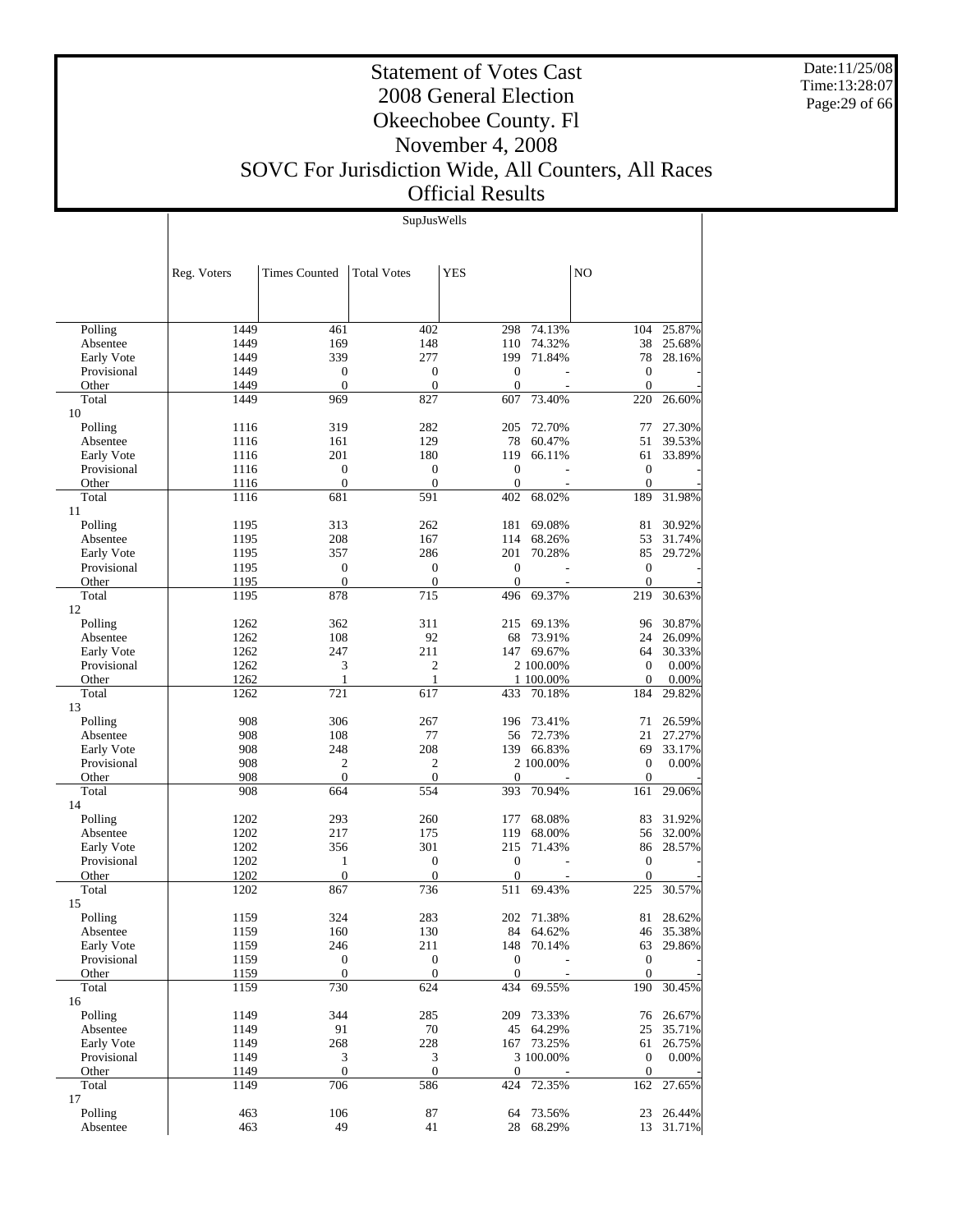Date:11/25/08 Time:13:28:07 Page:29 of 66

#### Statement of Votes Cast 2008 General Election Okeechobee County. Fl November 4, 2008 SOVC For Jurisdiction Wide, All Counters, All Races Official Results

SupJusWells

|                | Reg. Voters  | <b>Times Counted</b>             | <b>Total Votes</b>           | <b>YES</b>                       |           | N <sub>O</sub>                   |           |
|----------------|--------------|----------------------------------|------------------------------|----------------------------------|-----------|----------------------------------|-----------|
|                |              |                                  |                              |                                  |           |                                  |           |
| Polling        | 1449         | 461                              | 402                          | 298                              | 74.13%    | 104                              | 25.87%    |
| Absentee       | 1449         | 169                              | 148                          | 110                              | 74.32%    | 38                               | 25.68%    |
| Early Vote     | 1449         | 339                              | 277                          | 199                              | 71.84%    | 78                               | 28.16%    |
| Provisional    | 1449<br>1449 | $\boldsymbol{0}$<br>$\mathbf{0}$ | $\boldsymbol{0}$<br>$\theta$ | $\overline{0}$<br>$\overline{0}$ |           | $\mathbf{0}$<br>$\mathbf{0}$     |           |
| Other<br>Total | 1449         | 969                              | 827                          | 607                              | 73.40%    | 220                              | 26.60%    |
| 10             |              |                                  |                              |                                  |           |                                  |           |
| Polling        | 1116         | 319                              | 282                          | 205                              | 72.70%    | 77                               | 27.30%    |
| Absentee       | 1116         | 161                              | 129                          | 78                               | 60.47%    | 51                               | 39.53%    |
| Early Vote     | 1116         | 201                              | 180                          | 119                              | 66.11%    | 61                               | 33.89%    |
| Provisional    | 1116         | $\boldsymbol{0}$                 | $\theta$                     | $\overline{0}$                   |           | $\mathbf{0}$                     |           |
| Other          | 1116         | $\overline{0}$                   | $\mathbf{0}$                 | $\overline{0}$                   |           | $\mathbf{0}$                     |           |
| Total          | 1116         | 681                              | 591                          | 402                              | 68.02%    | 189                              | 31.98%    |
| 11             |              |                                  |                              |                                  |           |                                  |           |
| Polling        | 1195         | 313                              | 262                          | 181                              | 69.08%    | 81                               | 30.92%    |
| Absentee       | 1195         | 208                              | 167                          | 114                              | 68.26%    | 53                               | 31.74%    |
| Early Vote     | 1195         | 357                              | 286                          | 201                              | 70.28%    | 85                               | 29.72%    |
| Provisional    | 1195         | $\boldsymbol{0}$                 | $\mathbf{0}$                 | $\overline{0}$                   |           | $\boldsymbol{0}$                 |           |
| Other          | 1195         | $\boldsymbol{0}$                 | $\theta$                     | $\overline{0}$                   |           | $\mathbf{0}$                     |           |
| Total<br>12    | 1195         | 878                              | 715                          | 496                              | 69.37%    | 219                              | 30.63%    |
| Polling        | 1262         | 362                              | 311                          | 215                              | 69.13%    | 96                               | 30.87%    |
| Absentee       | 1262         | 108                              | 92                           | 68                               | 73.91%    | 24                               | 26.09%    |
| Early Vote     | 1262         | 247                              | 211                          | 147                              | 69.67%    | 64                               | 30.33%    |
| Provisional    | 1262         | 3                                | $\overline{c}$               |                                  | 2 100.00% | $\mathbf{0}$                     | 0.00%     |
| Other          | 1262         | 1                                | $\mathbf{1}$                 |                                  | 1 100,00% | $\mathbf{0}$                     | 0.00%     |
| Total          | 1262         | 721                              | 617                          | 433                              | 70.18%    | 184                              | 29.82%    |
| 13             |              |                                  |                              |                                  |           |                                  |           |
| Polling        | 908          | 306                              | 267                          | 196                              | 73.41%    | 71                               | 26.59%    |
| Absentee       | 908          | 108                              | 77                           | 56                               | 72.73%    | 21                               | 27.27%    |
| Early Vote     | 908          | 248                              | 208                          | 139                              | 66.83%    | 69                               | 33.17%    |
| Provisional    | 908          | $\overline{c}$                   | $\mathfrak{2}$               |                                  | 2 100.00% | $\boldsymbol{0}$                 | 0.00%     |
| Other          | 908          | $\overline{0}$                   | $\overline{0}$               | $\theta$                         |           | $\mathbf{0}$                     |           |
| Total          | 908          | 664                              | 554                          | 393                              | 70.94%    | 161                              | 29.06%    |
| 14             |              |                                  |                              |                                  |           |                                  |           |
| Polling        | 1202         | 293                              | 260                          | 177                              | 68.08%    | 83                               | 31.92%    |
| Absentee       | 1202         | 217                              | 175                          | 119                              | 68.00%    | 56                               | 32.00%    |
| Early Vote     | 1202         | 356                              | 301                          | 215                              | 71.43%    | 86                               | 28.57%    |
| Provisional    | 1202<br>1202 | 1<br>$\boldsymbol{0}$            | $\mathbf{0}$<br>$\mathbf{0}$ | $\theta$<br>$\mathbf{0}$         |           | $\mathbf{0}$<br>$\boldsymbol{0}$ |           |
| Other<br>Total | 1202         | 867                              | 736                          | 511                              | 69.43%    | 225                              | 30.57%    |
| 15             |              |                                  |                              |                                  |           |                                  |           |
| Polling        | 1159         | 324                              | 283                          | 202                              | 71.38%    | 81                               | 28.62%    |
| Absentee       | 1159         | 160                              | 130                          |                                  | 84 64.62% |                                  | 46 35.38% |
| Early Vote     | 1159         | 246                              | 211                          | 148                              | 70.14%    | 63                               | 29.86%    |
| Provisional    | 1159         | $\boldsymbol{0}$                 | $\boldsymbol{0}$             | $\boldsymbol{0}$                 |           | $\boldsymbol{0}$                 |           |
| Other          | 1159         | $\boldsymbol{0}$                 | $\mathbf{0}$                 | $\boldsymbol{0}$                 |           | $\boldsymbol{0}$                 |           |
| Total          | 1159         | 730                              | 624                          | 434                              | 69.55%    | 190                              | 30.45%    |
| 16             |              |                                  |                              |                                  |           |                                  |           |
| Polling        | 1149         | 344                              | 285                          | 209                              | 73.33%    | 76                               | 26.67%    |
| Absentee       | 1149         | 91                               | $70\,$                       | 45                               | 64.29%    | 25                               | 35.71%    |
| Early Vote     | 1149         | 268                              | 228                          | 167                              | 73.25%    | 61                               | 26.75%    |
| Provisional    | 1149         | $\mathfrak{Z}$                   | 3                            |                                  | 3 100.00% | $\mathbf{0}$                     | 0.00%     |
| Other<br>Total | 1149<br>1149 | $\boldsymbol{0}$<br>706          | $\boldsymbol{0}$<br>586      | $\boldsymbol{0}$<br>424          |           | $\mathbf{0}$                     | 27.65%    |
| 17             |              |                                  |                              |                                  | 72.35%    | 162                              |           |
| Polling        | 463          | 106                              | 87                           | 64                               | 73.56%    | 23                               | 26.44%    |
| Absentee       | 463          | 49                               | 41                           | 28                               | 68.29%    | 13                               | 31.71%    |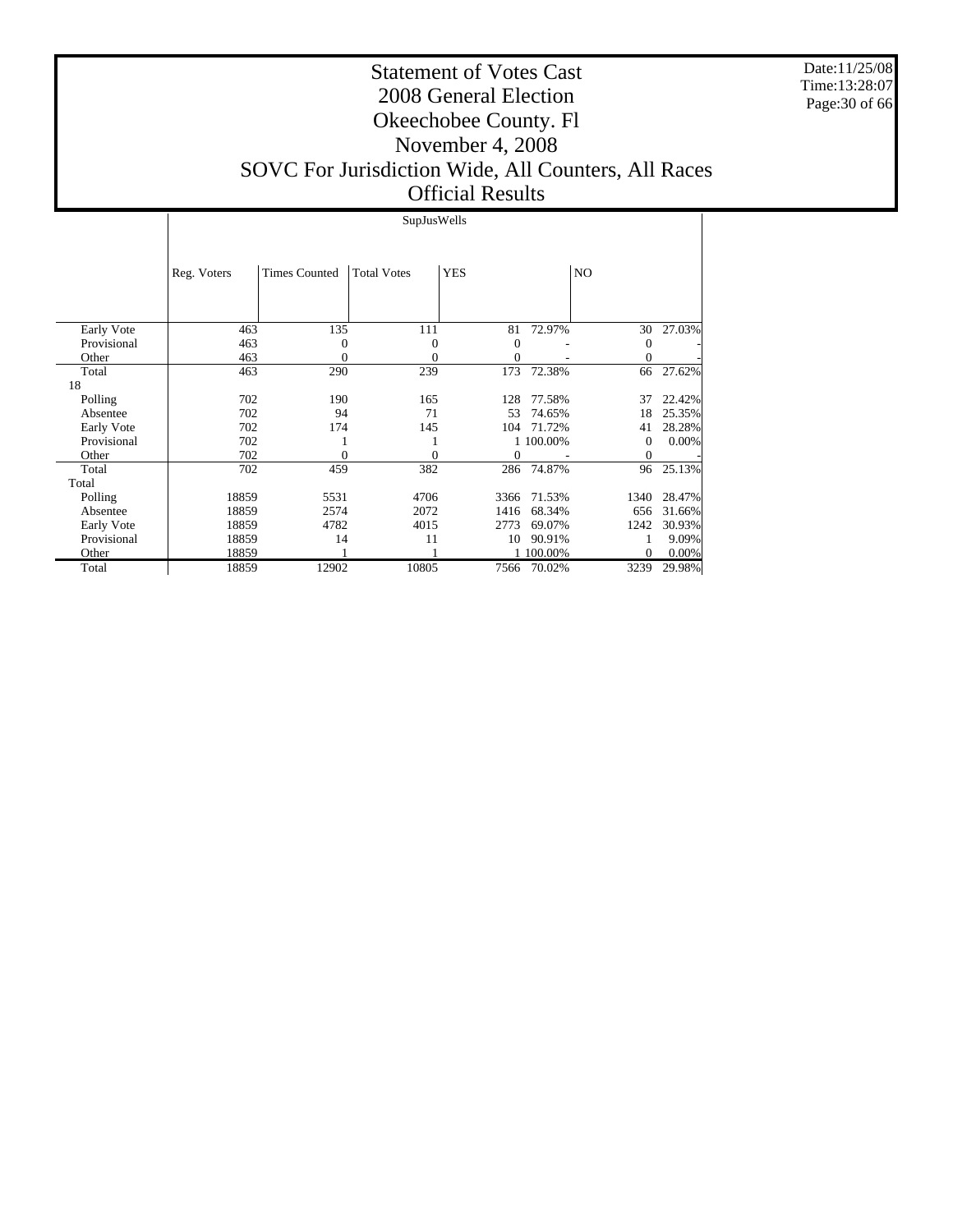Date:11/25/08 Time:13:28:07 Page:30 of 66

#### Statement of Votes Cast 2008 General Election Okeechobee County. Fl November 4, 2008 SOVC For Jurisdiction Wide, All Counters, All Races Official Results

#### SupJusWells

|             | Reg. Voters | <b>Times Counted</b> | <b>Total Votes</b> | <b>YES</b> |           | NO           |        |
|-------------|-------------|----------------------|--------------------|------------|-----------|--------------|--------|
|             |             |                      |                    |            |           |              |        |
| Early Vote  | 463         | 135                  | 111                | 81         | 72.97%    | 30           | 27.03% |
| Provisional | 463         | $\Omega$             | 0                  | $\Omega$   |           | $\mathbf{0}$ |        |
| Other       | 463         | 0                    | 0                  | $\theta$   |           | $\mathbf{0}$ |        |
| Total       | 463         | 290                  | 239                | 173        | 72.38%    | 66           | 27.62% |
| 18          |             |                      |                    |            |           |              |        |
| Polling     | 702         | 190                  | 165                | 128        | 77.58%    | 37           | 22.42% |
| Absentee    | 702         | 94                   | 71                 | 53         | 74.65%    | 18           | 25.35% |
| Early Vote  | 702         | 174                  | 145                | 104        | 71.72%    | 41           | 28.28% |
| Provisional | 702         |                      |                    |            | 1 100.00% | 0            | 0.00%  |
| Other       | 702         | 0                    | $\theta$           | $\theta$   |           | $\theta$     |        |
| Total       | 702         | 459                  | 382                | 286        | 74.87%    | 96           | 25.13% |
| Total       |             |                      |                    |            |           |              |        |
| Polling     | 18859       | 5531                 | 4706               | 3366       | 71.53%    | 1340         | 28.47% |
| Absentee    | 18859       | 2574                 | 2072               | 1416       | 68.34%    | 656          | 31.66% |
| Early Vote  | 18859       | 4782                 | 4015               | 2773       | 69.07%    | 1242         | 30.93% |
| Provisional | 18859       | 14                   | 11                 | 10         | 90.91%    |              | 9.09%  |
| Other       | 18859       |                      |                    |            | 100.00%   | $\mathbf{0}$ | 0.00%  |
| Total       | 18859       | 12902                | 10805              | 7566       | 70.02%    | 3239         | 29.98% |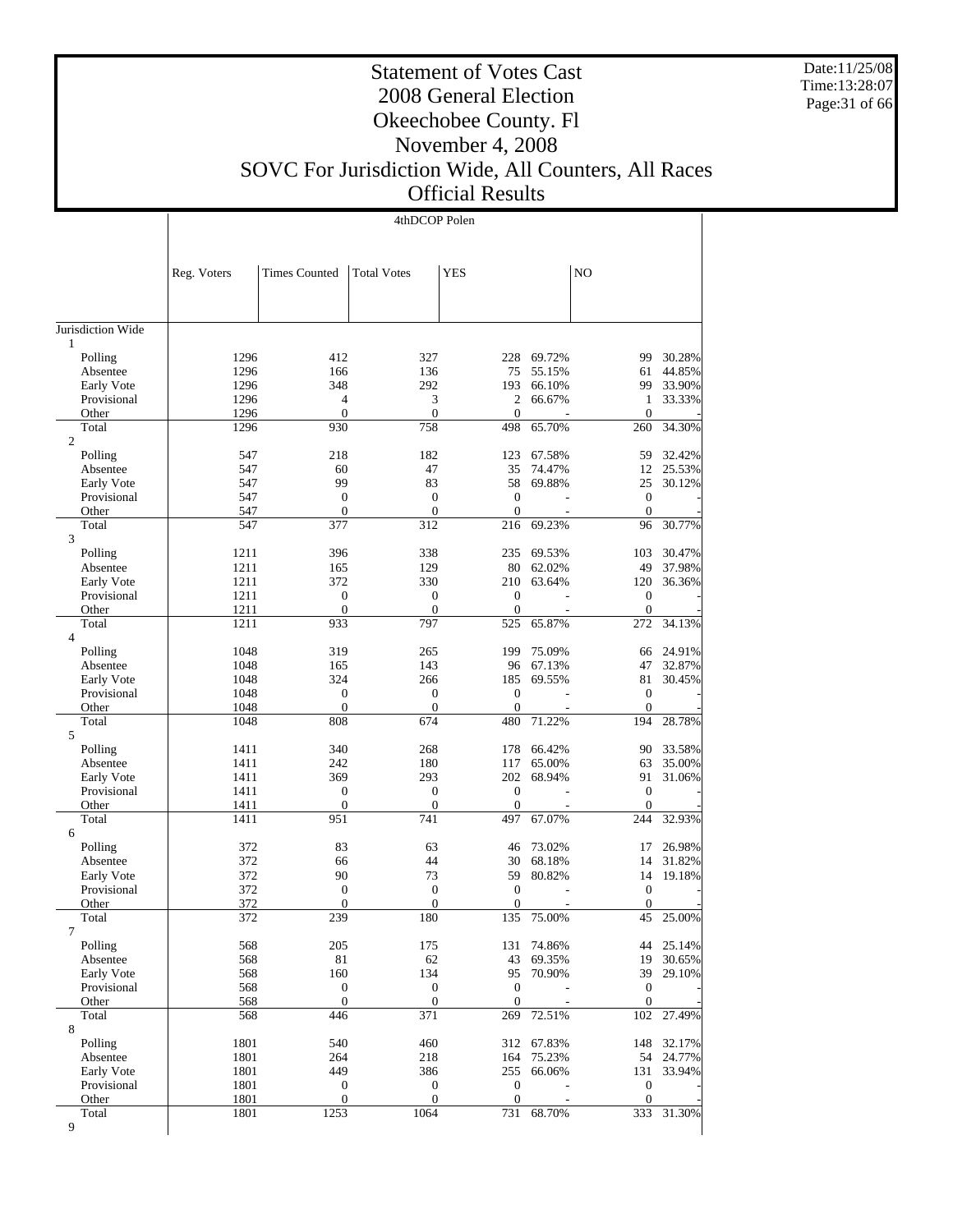Date:11/25/08 Time:13:28:07 Page:31 of 66

#### Statement of Votes Cast 2008 General Election Okeechobee County. Fl November 4, 2008 SOVC For Jurisdiction Wide, All Counters, All Races

Official Results

|                           | 4thDCOP Polen |                                    |                              |                              |                  |                                      |                  |
|---------------------------|---------------|------------------------------------|------------------------------|------------------------------|------------------|--------------------------------------|------------------|
|                           |               |                                    |                              |                              |                  |                                      |                  |
|                           |               |                                    |                              |                              |                  |                                      |                  |
|                           | Reg. Voters   | <b>Times Counted</b>               | <b>Total Votes</b>           | YES                          |                  | NO                                   |                  |
|                           |               |                                    |                              |                              |                  |                                      |                  |
|                           |               |                                    |                              |                              |                  |                                      |                  |
| Jurisdiction Wide         |               |                                    |                              |                              |                  |                                      |                  |
| $\mathbf{1}$              |               |                                    |                              |                              |                  |                                      |                  |
| Polling                   | 1296          | 412                                | 327                          |                              | 228 69.72%       | 99                                   | 30.28%           |
| Absentee                  | 1296          | 166                                | 136                          | 75                           | 55.15%           | 61                                   | 44.85%           |
| Early Vote<br>Provisional | 1296<br>1296  | 348<br>4                           | 292<br>3                     | 193<br>$\overline{c}$        | 66.10%<br>66.67% | 99<br>1                              | 33.90%<br>33.33% |
| Other                     | 1296          | $\overline{0}$                     | $\mathbf{0}$                 | $\mathbf{0}$                 |                  | $\overline{0}$                       |                  |
| Total                     | 1296          | 930                                | 758                          | 498                          | 65.70%           | 260                                  | 34.30%           |
| 2                         |               |                                    |                              |                              |                  |                                      |                  |
| Polling                   | 547           | 218                                | 182                          | 123                          | 67.58%           | 59                                   | 32.42%           |
| Absentee                  | 547           | 60                                 | 47                           | 35                           | 74.47%           | 12                                   | 25.53%           |
| Early Vote                | 547           | 99                                 | 83<br>$\mathbf{0}$           | 58<br>$\mathbf{0}$           | 69.88%           | 25<br>$\mathbf{0}$                   | 30.12%           |
| Provisional<br>Other      | 547<br>547    | $\boldsymbol{0}$<br>$\overline{0}$ | $\mathbf{0}$                 | $\mathbf{0}$                 |                  | $\mathbf{0}$                         |                  |
| Total                     | 547           | 377                                | 312                          | 216                          | 69.23%           | 96                                   | 30.77%           |
| 3                         |               |                                    |                              |                              |                  |                                      |                  |
| Polling                   | 1211          | 396                                | 338                          | 235                          | 69.53%           | 103                                  | 30.47%           |
| Absentee                  | 1211          | 165                                | 129                          | 80                           | 62.02%           | 49                                   | 37.98%           |
| Early Vote                | 1211          | 372                                | 330                          | 210                          | 63.64%           | 120                                  | 36.36%           |
| Provisional<br>Other      | 1211<br>1211  | $\boldsymbol{0}$<br>$\overline{0}$ | $\mathbf{0}$<br>$\mathbf{0}$ | $\mathbf{0}$<br>$\mathbf{0}$ |                  | $\boldsymbol{0}$<br>$\boldsymbol{0}$ |                  |
| Total                     | 1211          | 933                                | 797                          | 525                          | 65.87%           | 272                                  | 34.13%           |
| $\overline{4}$            |               |                                    |                              |                              |                  |                                      |                  |
| Polling                   | 1048          | 319                                | 265                          | 199                          | 75.09%           | 66                                   | 24.91%           |
| Absentee                  | 1048          | 165                                | 143                          | 96                           | 67.13%           | 47                                   | 32.87%           |
| Early Vote                | 1048          | 324                                | 266                          | 185                          | 69.55%           | 81                                   | 30.45%           |
| Provisional               | 1048          | $\overline{0}$                     | $\mathbf{0}$                 | $\mathbf{0}$                 |                  | $\mathbf{0}$                         |                  |
| Other<br>Total            | 1048<br>1048  | $\boldsymbol{0}$<br>808            | $\boldsymbol{0}$<br>674      | $\overline{0}$<br>480        | 71.22%           | $\overline{0}$<br>194                | 28.78%           |
| 5                         |               |                                    |                              |                              |                  |                                      |                  |
| Polling                   | 1411          | 340                                | 268                          | 178                          | 66.42%           | 90                                   | 33.58%           |
| Absentee                  | 1411          | 242                                | 180                          | 117                          | 65.00%           | 63                                   | 35.00%           |
| Early Vote                | 1411          | 369                                | 293                          | 202                          | 68.94%           | 91                                   | 31.06%           |
| Provisional               | 1411          | $\boldsymbol{0}$                   | $\boldsymbol{0}$             | $\boldsymbol{0}$             |                  | $\mathbf{0}$                         |                  |
| Other                     | 1411          | $\boldsymbol{0}$                   | $\boldsymbol{0}$             | $\mathbf{0}$                 |                  | $\overline{0}$                       |                  |
| Total<br>6                | 1411          | 951                                | 741                          | 497                          | 67.07%           | 244                                  | 32.93%           |
| Polling                   | 372           | 83                                 | 63                           | 46                           | 73.02%           | 17                                   | 26.98%           |
| Absentee                  | 372           | 66                                 | 44                           | 30                           | 68.18%           | 14                                   | 31.82%           |
| Early Vote                | 372           | 90                                 | 73                           | 59                           | 80.82%           | 14                                   | 19.18%           |
| Provisional               | 372           | $\overline{0}$                     | $\mathbf{0}$                 | $\overline{0}$               |                  | $\mathbf{0}$                         |                  |
| Other                     | 372           | $\theta$                           | $\mathbf{0}$                 | $\overline{0}$               |                  | $\overline{0}$                       |                  |
| Total<br>7                | 372           | 239                                | 180                          | 135                          | 75.00%           | 45                                   | 25.00%           |
| Polling                   | 568           | 205                                | 175                          | 131                          | 74.86%           | 44                                   | 25.14%           |
| Absentee                  | 568           | 81                                 | 62                           | 43                           | 69.35%           | 19                                   | 30.65%           |
| Early Vote                | 568           | 160                                | 134                          | 95                           | 70.90%           | 39                                   | 29.10%           |
| Provisional               | 568           | $\boldsymbol{0}$                   | $\boldsymbol{0}$             | $\boldsymbol{0}$             |                  | $\mathbf{0}$                         |                  |
| Other                     | 568           | $\boldsymbol{0}$                   | $\boldsymbol{0}$             | $\mathbf{0}$                 |                  | $\mathbf{0}$                         |                  |
| Total                     | 568           | 446                                | 371                          | 269                          | 72.51%           | 102                                  | 27.49%           |
| 8<br>Polling              | 1801          | 540                                | 460                          | 312                          | 67.83%           | 148                                  | 32.17%           |
| Absentee                  | 1801          | 264                                | 218                          | 164                          | 75.23%           | 54                                   | 24.77%           |
| Early Vote                | 1801          | 449                                | 386                          | 255                          | 66.06%           | 131                                  | 33.94%           |
| Provisional               | 1801          | $\mathbf{0}$                       | $\boldsymbol{0}$             | $\mathbf{0}$                 |                  | $\boldsymbol{0}$                     |                  |
| Other                     | 1801          | $\boldsymbol{0}$                   | $\boldsymbol{0}$             | $\mathbf{0}$                 |                  | $\boldsymbol{0}$                     |                  |
| Total                     | 1801          | 1253                               | 1064                         | 731                          | 68.70%           | 333                                  | 31.30%           |
| 9                         |               |                                    |                              |                              |                  |                                      |                  |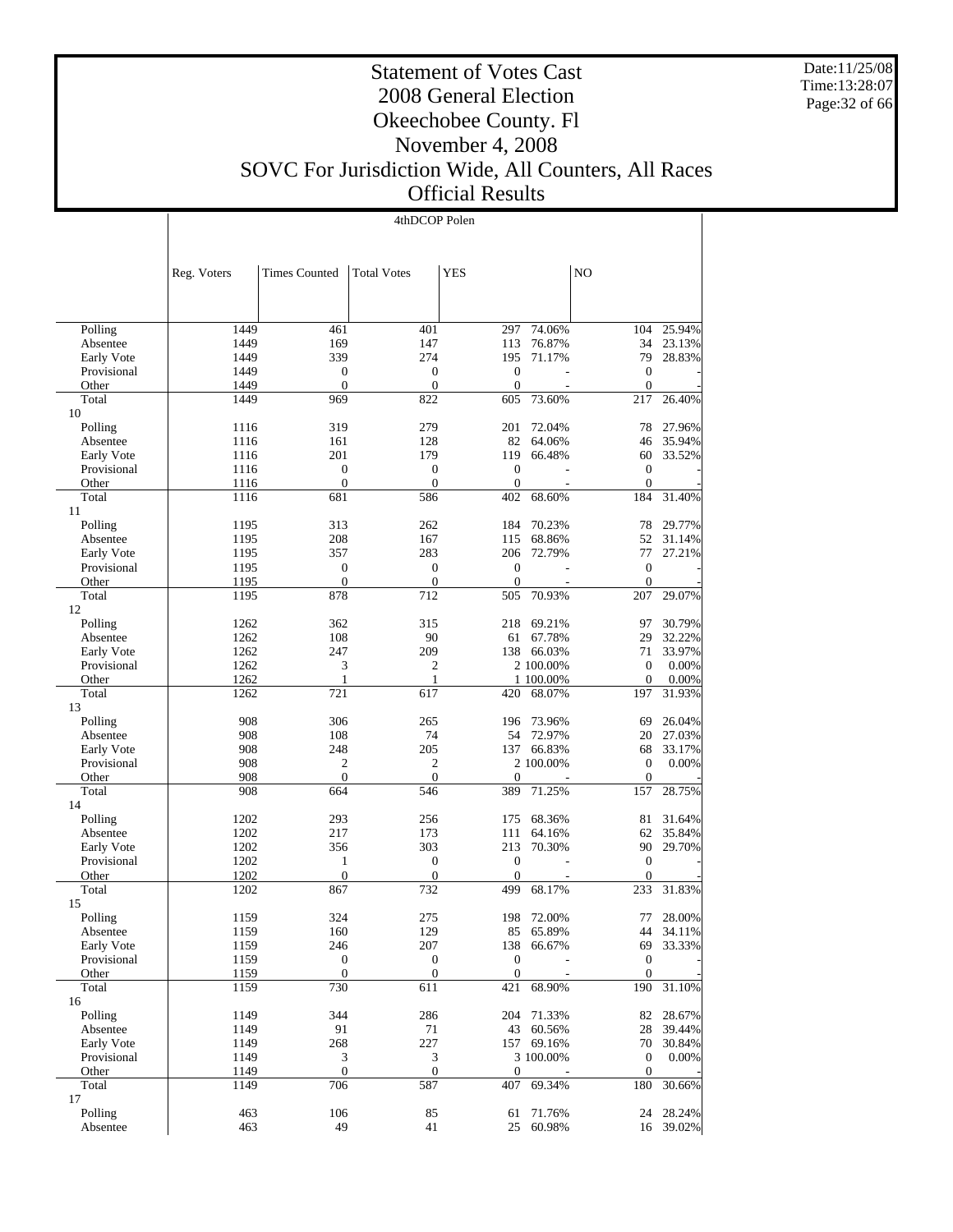Date:11/25/08 Time:13:28:07 Page:32 of 66

#### Statement of Votes Cast 2008 General Election Okeechobee County. Fl November 4, 2008 SOVC For Jurisdiction Wide, All Counters, All Races Official Results

4thDCOP Polen

|                        | Reg. Voters | <b>Times Counted</b> | <b>Total Votes</b> | <b>YES</b>       |                  | N <sub>O</sub>   |           |
|------------------------|-------------|----------------------|--------------------|------------------|------------------|------------------|-----------|
|                        |             |                      |                    |                  |                  |                  |           |
| Polling                | 1449        | 461                  | 401                | 297              | 74.06%           | 104              | 25.94%    |
| Absentee               | 1449        | 169                  | 147                | 113              | 76.87%           | 34               | 23.13%    |
| Early Vote             | 1449        | 339                  | 274                | 195              | 71.17%           | 79               | 28.83%    |
| Provisional            | 1449        | $\boldsymbol{0}$     | $\mathbf{0}$       | $\boldsymbol{0}$ |                  | $\boldsymbol{0}$ |           |
| Other                  | 1449        | $\overline{0}$       | $\mathbf{0}$       | $\theta$         |                  | $\mathbf{0}$     |           |
| Total<br>10            | 1449        | 969                  | 822                | 605              | 73.60%           | 217              | 26.40%    |
| Polling                | 1116        | 319                  | 279                | 201              | 72.04%           | 78               | 27.96%    |
| Absentee               | 1116        | 161                  | 128                | 82               | 64.06%           | 46               | 35.94%    |
| Early Vote             | 1116        | 201                  | 179                | 119              | 66.48%           | 60               | 33.52%    |
| Provisional            | 1116        | $\boldsymbol{0}$     | $\mathbf{0}$       | $\mathbf{0}$     |                  | $\mathbf{0}$     |           |
| Other                  | 1116        | $\overline{0}$       | $\boldsymbol{0}$   | $\boldsymbol{0}$ |                  | $\overline{0}$   |           |
| Total                  | 1116        | 681                  | 586                | 402              | 68.60%           | 184              | 31.40%    |
| 11                     |             |                      |                    |                  |                  |                  |           |
| Polling                | 1195        | 313                  | 262                | 184              | 70.23%           | 78               | 29.77%    |
| Absentee               | 1195        | 208                  | 167                | 115              | 68.86%           | 52               | 31.14%    |
| Early Vote             | 1195        | 357                  | 283                | 206              | 72.79%           | 77               | 27.21%    |
| Provisional            | 1195        | $\boldsymbol{0}$     | $\mathbf{0}$       | $\mathbf{0}$     |                  | $\boldsymbol{0}$ |           |
| Other                  | 1195        | $\overline{0}$       | $\mathbf{0}$       | $\boldsymbol{0}$ |                  | $\theta$         |           |
| Total<br>12            | 1195        | 878                  | 712                | 505              | 70.93%           | 207              | 29.07%    |
| Polling                | 1262        | 362                  | 315                | 218              | 69.21%           | 97               | 30.79%    |
| Absentee               | 1262        | 108                  | 90                 | 61               | 67.78%           | 29               | 32.22%    |
| Early Vote             | 1262        | 247                  | 209                |                  | 138 66.03%       | 71               | 33.97%    |
| Provisional            | 1262        | 3                    | 2                  |                  | 2 100.00%        | $\mathbf{0}$     | 0.00%     |
| Other                  | 1262        | 1                    | $\mathbf{1}$       |                  | 1 100.00%        | $\mathbf{0}$     | 0.00%     |
| Total                  | 1262        | 721                  | 617                | 420              | 68.07%           | 197              | 31.93%    |
| 13                     | 908         | 306                  |                    |                  |                  |                  | 26.04%    |
| Polling                | 908         | 108                  | 265<br>74          | 196<br>54        | 73.96%<br>72.97% | 69<br>20         | 27.03%    |
| Absentee<br>Early Vote | 908         | 248                  | 205                | 137              | 66.83%           | 68               | 33.17%    |
| Provisional            | 908         | $\boldsymbol{2}$     | $\boldsymbol{2}$   |                  | 2 100.00%        | $\mathbf{0}$     | 0.00%     |
| Other                  | 908         | $\overline{0}$       | $\theta$           | $\mathbf{0}$     |                  | $\theta$         |           |
| Total                  | 908         | 664                  | 546                | 389              | 71.25%           | 157              | 28.75%    |
| 14                     |             |                      |                    |                  |                  |                  |           |
| Polling                | 1202        | 293                  | 256                | 175              | 68.36%           | 81               | 31.64%    |
| Absentee               | 1202        | 217                  | 173                | 111              | 64.16%           | 62               | 35.84%    |
| Early Vote             | 1202        | 356                  | 303                | 213              | 70.30%           | 90               | 29.70%    |
| Provisional            | 1202        | 1                    | $\mathbf{0}$       | $\mathbf{0}$     |                  | $\mathbf{0}$     |           |
| Other                  | 1202        | $\overline{0}$       | $\mathbf{0}$       | $\mathbf{0}$     |                  | $\mathbf{0}$     |           |
| Total<br>15            | 1202        | 867                  | 732                | 499              | 68.17%           | 233              | 31.83%    |
| Polling                | 1159        | 324                  | 275                | 198              | 72.00%           | 77               | 28.00%    |
| Absentee               | 1159        | 160                  | 129                | 85               | 65.89%           | 44               | 34.11%    |
| Early Vote             | 1159        | 246                  | 207                |                  | 138 66.67%       | 69               | 33.33%    |
| Provisional            | 1159        | $\boldsymbol{0}$     | $\boldsymbol{0}$   | $\boldsymbol{0}$ |                  | $\boldsymbol{0}$ |           |
| Other                  | 1159        | $\boldsymbol{0}$     | $\boldsymbol{0}$   | $\mathbf{0}$     |                  | $\mathbf{0}$     |           |
| Total                  | 1159        | 730                  | 611                | 421              | 68.90%           | 190              | 31.10%    |
| 16<br>Polling          | 1149        | 344                  | 286                | 204              | 71.33%           | 82               | 28.67%    |
| Absentee               | 1149        | 91                   | 71                 | 43               | 60.56%           | 28               | 39.44%    |
| Early Vote             | 1149        | 268                  | 227                |                  | 157 69.16%       | 70               | 30.84%    |
| Provisional            | 1149        | $\mathfrak{Z}$       | 3                  |                  | 3 100.00%        | $\boldsymbol{0}$ | 0.00%     |
| Other                  | 1149        | $\boldsymbol{0}$     | $\mathbf{0}$       | $\mathbf{0}$     |                  | $\mathbf{0}$     |           |
| Total                  | 1149        | 706                  | 587                | 407              | 69.34%           | 180              | 30.66%    |
| 17                     |             |                      |                    |                  |                  |                  |           |
| Polling                | 463         | 106                  | 85                 | 61               | 71.76%           | 24               | 28.24%    |
| Absentee               | 463         | 49                   | 41                 | 25               | 60.98%           |                  | 16 39.02% |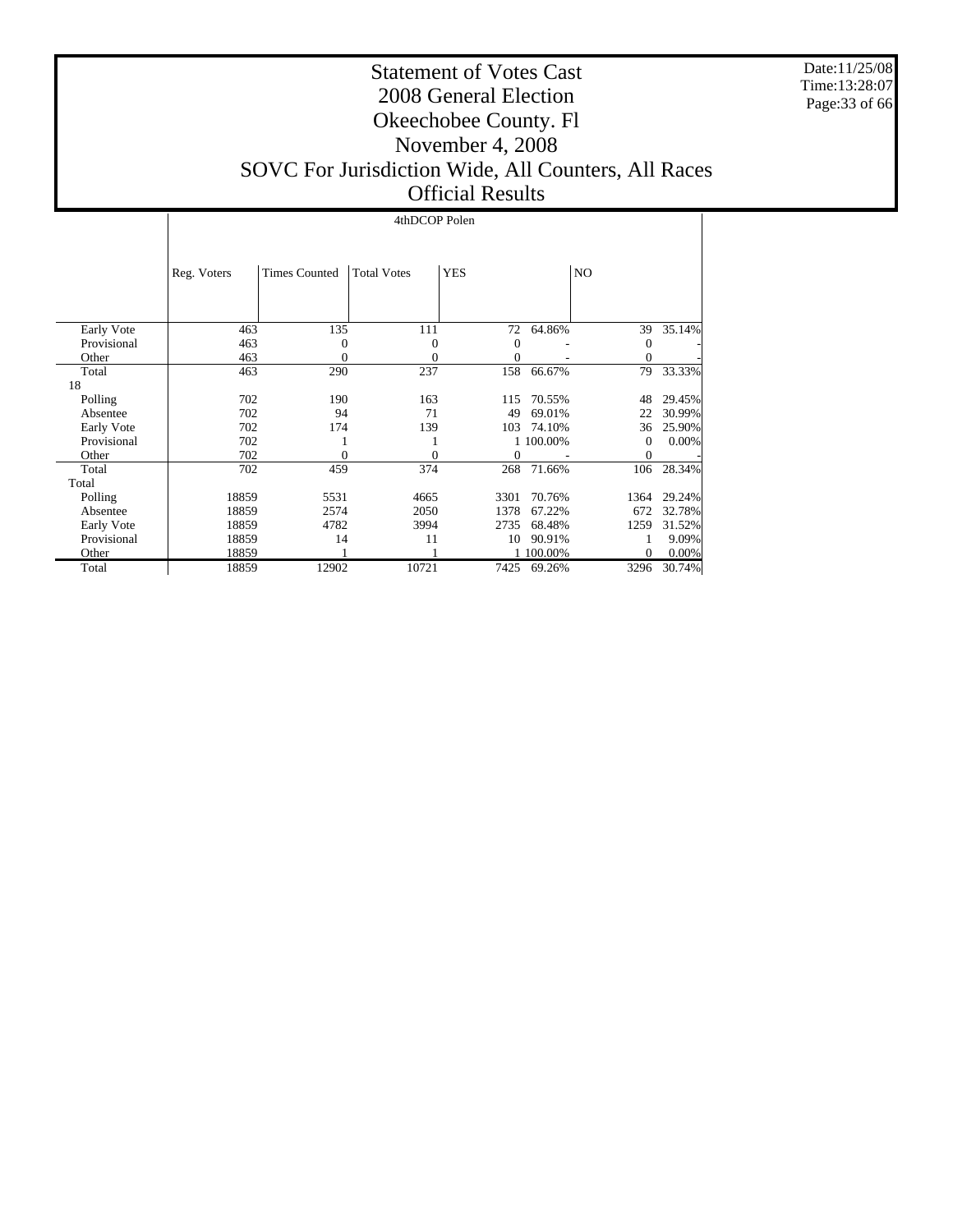Date:11/25/08 Time:13:28:07 Page:33 of 66

#### Statement of Votes Cast 2008 General Election Okeechobee County. Fl November 4, 2008 SOVC For Jurisdiction Wide, All Counters, All Races Official Results

#### 4thDCOP Polen

|             | Reg. Voters | <b>Times Counted</b> | <b>Total Votes</b> | <b>YES</b> |           | NO.          |        |
|-------------|-------------|----------------------|--------------------|------------|-----------|--------------|--------|
|             |             |                      |                    |            |           |              |        |
| Early Vote  | 463         | 135                  | 111                | 72         | 64.86%    | 39           | 35.14% |
| Provisional | 463         | $\Omega$             | $\theta$           | 0          |           | $\mathbf{0}$ |        |
| Other       | 463         | 0                    | 0                  | $\Omega$   |           | $\Omega$     |        |
| Total       | 463         | 290                  | 237                | 158        | 66.67%    | 79           | 33.33% |
| 18          |             |                      |                    |            |           |              |        |
| Polling     | 702         | 190                  | 163                | 115        | 70.55%    | 48           | 29.45% |
| Absentee    | 702         | 94                   | 71                 | 49         | 69.01%    | 22           | 30.99% |
| Early Vote  | 702         | 174                  | 139                | 103        | 74.10%    | 36           | 25.90% |
| Provisional | 702         |                      |                    |            | 1 100.00% | $\Omega$     | 0.00%  |
| Other       | 702         | 0                    | 0                  | $\Omega$   |           | $\theta$     |        |
| Total       | 702         | 459                  | 374                | 268        | 71.66%    | 106          | 28.34% |
| Total       |             |                      |                    |            |           |              |        |
| Polling     | 18859       | 5531                 | 4665               | 3301       | 70.76%    | 1364         | 29.24% |
| Absentee    | 18859       | 2574                 | 2050               | 1378       | 67.22%    | 672          | 32.78% |
| Early Vote  | 18859       | 4782                 | 3994               | 2735       | 68.48%    | 1259         | 31.52% |
| Provisional | 18859       | 14                   | 11                 | 10         | 90.91%    |              | 9.09%  |
| Other       | 18859       |                      |                    |            | 100.00%   | $\mathbf{0}$ | 0.00%  |
| Total       | 18859       | 12902                | 10721              | 7425       | 69.26%    | 3296         | 30.74% |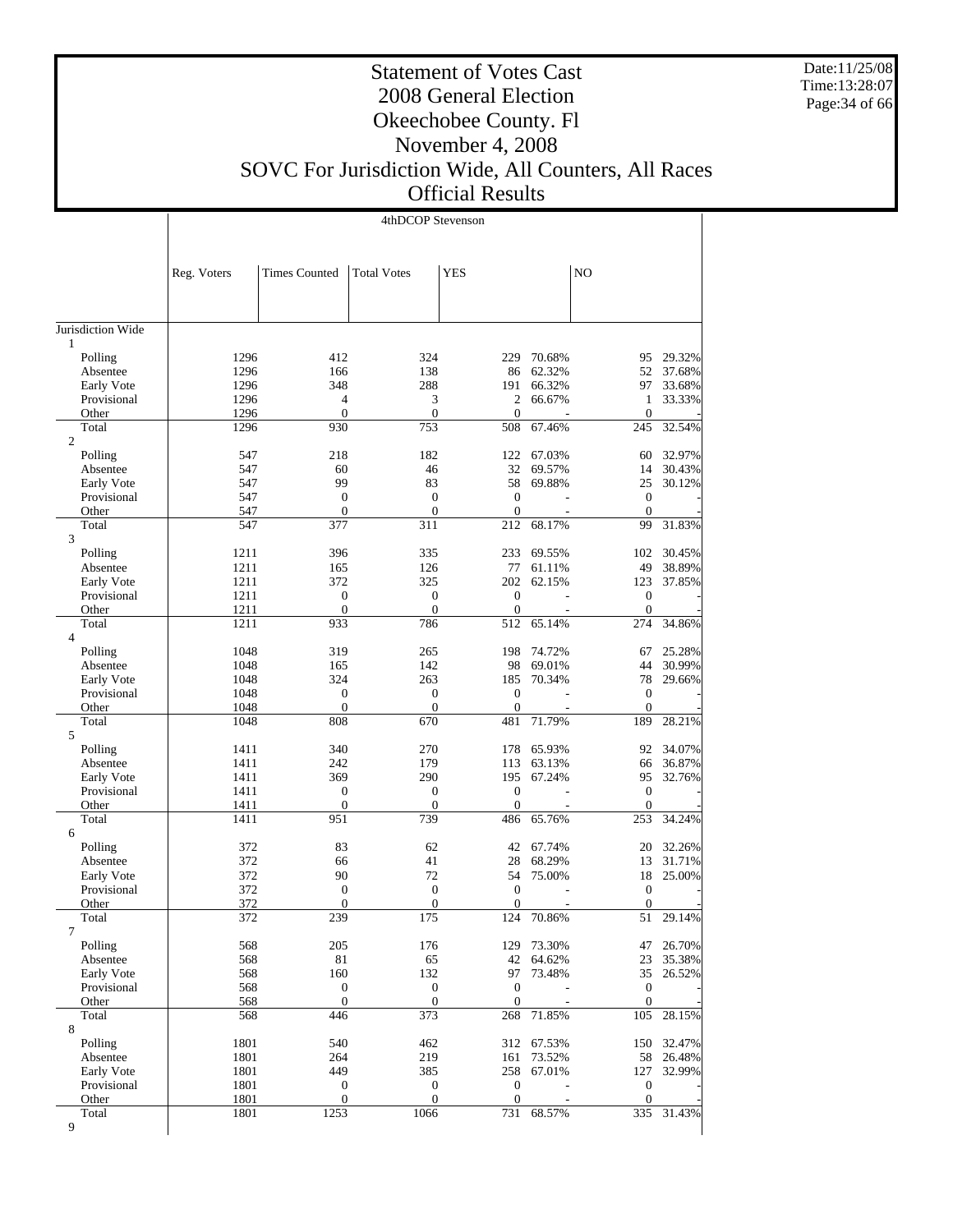Date:11/25/08 Time:13:28:07 Page:34 of 66

## Statement of Votes Cast 2008 General Election Okeechobee County. Fl November 4, 2008 SOVC For Jurisdiction Wide, All Counters, All Races

Official Results

|                                  |              |                      | 4thDCOP Stevenson       |                         |            |                         |        |
|----------------------------------|--------------|----------------------|-------------------------|-------------------------|------------|-------------------------|--------|
|                                  |              |                      |                         |                         |            |                         |        |
|                                  | Reg. Voters  | <b>Times Counted</b> | <b>Total Votes</b>      | <b>YES</b>              |            | NO                      |        |
| Jurisdiction Wide                |              |                      |                         |                         |            |                         |        |
| 1                                |              |                      |                         |                         |            |                         |        |
| Polling                          | 1296         | 412                  | 324                     | 229                     | 70.68%     | 95                      | 29.32% |
| Absentee                         | 1296         | 166                  | 138                     | 86                      | 62.32%     | 52                      | 37.68% |
| Early Vote                       | 1296         | 348                  | 288                     | 191                     | 66.32%     | 97                      | 33.68% |
| Provisional                      | 1296         | $\overline{4}$       | 3                       | $\overline{c}$          | 66.67%     | 1                       | 33.33% |
| Other                            | 1296         | $\boldsymbol{0}$     | $\boldsymbol{0}$        | $\mathbf{0}$            |            | $\mathbf{0}$            |        |
| Total<br>$\overline{c}$          | 1296         | 930                  | 753                     | 508                     | 67.46%     | 245                     | 32.54% |
| Polling                          | 547          | 218                  | 182                     | 122                     | 67.03%     | 60                      | 32.97% |
| Absentee                         | 547          | 60                   | 46                      | 32                      | 69.57%     | 14                      | 30.43% |
| Early Vote                       | 547          | 99                   | 83                      | 58                      | 69.88%     | 25                      | 30.12% |
| Provisional                      | 547          | $\boldsymbol{0}$     | $\mathbf{0}$            | $\boldsymbol{0}$        |            | $\mathbf{0}$            |        |
| Other                            | 547          | $\mathbf{0}$         | $\boldsymbol{0}$        | $\boldsymbol{0}$        |            | $\theta$                |        |
| Total                            | 547          | 377                  | 311                     | 212                     | 68.17%     | 99                      | 31.83% |
| 3<br>Polling                     | 1211         | 396                  | 335                     | 233                     | 69.55%     | 102                     | 30.45% |
| Absentee                         | 1211         | 165                  | 126                     | 77                      | 61.11%     | 49                      | 38.89% |
| Early Vote                       | 1211         | 372                  | 325                     | 202                     | 62.15%     | 123                     | 37.85% |
| Provisional                      | 1211         | $\boldsymbol{0}$     | $\mathbf{0}$            | $\boldsymbol{0}$        |            | $\mathbf{0}$            |        |
| Other                            | 1211         | $\mathbf{0}$         | $\overline{0}$          | $\boldsymbol{0}$        |            | $\boldsymbol{0}$        |        |
| Total                            | 1211         | 933                  | 786                     | 512                     | 65.14%     | 274                     | 34.86% |
| $\overline{4}$                   |              |                      |                         |                         |            |                         |        |
| Polling                          | 1048         | 319                  | 265                     | 198                     | 74.72%     | 67                      | 25.28% |
| Absentee                         | 1048         | 165                  | 142                     | 98                      | 69.01%     | 44                      | 30.99% |
| Early Vote                       | 1048         | 324                  | 263                     | 185                     | 70.34%     | 78                      | 29.66% |
| Provisional                      | 1048         | $\boldsymbol{0}$     | $\boldsymbol{0}$        | $\boldsymbol{0}$        |            | $\mathbf{0}$            |        |
| Other<br>Total                   | 1048<br>1048 | $\mathbf{0}$<br>808  | $\boldsymbol{0}$<br>670 | $\boldsymbol{0}$<br>481 | 71.79%     | $\boldsymbol{0}$<br>189 | 28.21% |
| 5                                |              |                      |                         |                         |            |                         |        |
| Polling                          | 1411         | 340                  | 270                     | 178                     | 65.93%     | 92                      | 34.07% |
| Absentee                         | 1411         | 242                  | 179                     | 113                     | 63.13%     | 66                      | 36.87% |
| Early Vote                       | 1411         | 369                  | 290                     | 195                     | 67.24%     | 95                      | 32.76% |
| Provisional                      | 1411         | $\boldsymbol{0}$     | $\boldsymbol{0}$        | $\boldsymbol{0}$        |            | $\mathbf{0}$            |        |
| Other                            | 1411         | $\boldsymbol{0}$     | $\boldsymbol{0}$        | $\boldsymbol{0}$        |            | $\boldsymbol{0}$        |        |
| Total<br>6                       | 1411         | 951                  | 739                     | 486                     | 65.76%     | 253                     | 34.24% |
| Polling                          | 372          | 83                   | 62                      | 42                      | 67.74%     | 20                      | 32.26% |
| Absentee                         | 372          | 66                   | 41                      | 28                      | 68.29%     | 13                      | 31.71% |
| Early Vote                       | 372          | 90                   | 72                      | 54                      | 75.00%     | 18                      | 25.00% |
| Provisional                      | 372          | $\boldsymbol{0}$     | $\mathbf{0}$            | $\boldsymbol{0}$        |            | $\boldsymbol{0}$        |        |
| Other                            | 372          | $\mathbf{0}$         | $\overline{0}$          | $\overline{0}$          |            | $\overline{0}$          |        |
| Total                            | 372          | 239                  | 175                     | 124                     | 70.86%     | 51                      | 29.14% |
| 7                                |              |                      |                         |                         |            |                         |        |
| Polling                          | 568          | 205                  | 176                     | 129                     | 73.30%     | 47                      | 26.70% |
| Absentee                         | 568          | 81<br>160            | 65<br>132               | 42<br>97                | 64.62%     | 23                      | 35.38% |
| <b>Early Vote</b><br>Provisional | 568<br>568   | $\boldsymbol{0}$     | $\boldsymbol{0}$        | $\boldsymbol{0}$        | 73.48%     | 35<br>$\mathbf{0}$      | 26.52% |
| Other                            | 568          | $\boldsymbol{0}$     | $\boldsymbol{0}$        | $\mathbf{0}$            |            | $\boldsymbol{0}$        |        |
| Total                            | 568          | 446                  | 373                     | 268                     | 71.85%     | 105                     | 28.15% |
| 8                                |              |                      |                         |                         |            |                         |        |
| Polling                          | 1801         | 540                  | 462                     |                         | 312 67.53% | 150                     | 32.47% |
| Absentee                         | 1801         | 264                  | 219                     | 161                     | 73.52%     | 58                      | 26.48% |
| Early Vote                       | 1801         | 449                  | 385                     | 258                     | 67.01%     | 127                     | 32.99% |
| Provisional                      | 1801         | $\boldsymbol{0}$     | $\boldsymbol{0}$        | $\boldsymbol{0}$        |            | $\boldsymbol{0}$        |        |
| Other                            | 1801         | $\boldsymbol{0}$     | $\boldsymbol{0}$        | $\boldsymbol{0}$        |            | $\mathbf{0}$            |        |
| Total<br>9                       | 1801         | 1253                 | 1066                    | 731                     | 68.57%     | 335                     | 31.43% |
|                                  |              |                      |                         |                         |            |                         |        |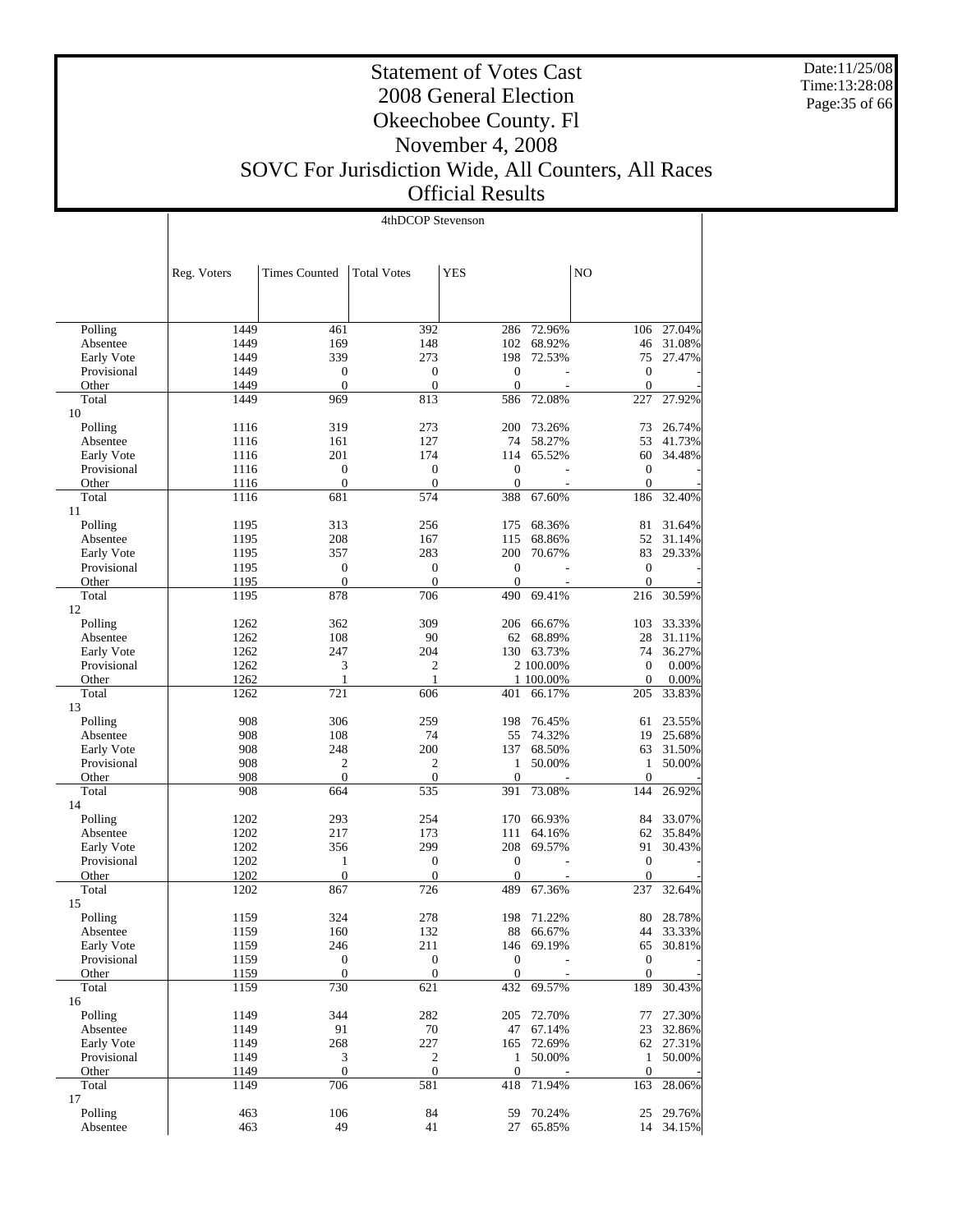Date:11/25/08 Time:13:28:08 Page:35 of 66

Τ

#### Statement of Votes Cast 2008 General Election Okeechobee County. Fl November 4, 2008 SOVC For Jurisdiction Wide, All Counters, All Races Official Results

|                           | 4thDCOP Stevenson |                              |                              |                                    |                  |                                    |                  |
|---------------------------|-------------------|------------------------------|------------------------------|------------------------------------|------------------|------------------------------------|------------------|
|                           |                   |                              |                              |                                    |                  |                                    |                  |
|                           |                   |                              |                              |                                    |                  |                                    |                  |
|                           | Reg. Voters       | <b>Times Counted</b>         | <b>Total Votes</b>           | <b>YES</b>                         |                  | N <sub>O</sub>                     |                  |
|                           |                   |                              |                              |                                    |                  |                                    |                  |
|                           |                   |                              |                              |                                    |                  |                                    |                  |
| Polling                   | 1449              | 461                          | 392                          | 286                                | 72.96%           | 106                                | 27.04%           |
| Absentee                  | 1449              | 169                          | 148                          | 102                                | 68.92%           | 46                                 | 31.08%           |
| Early Vote                | 1449              | 339                          | 273                          | 198                                | 72.53%           | 75                                 | 27.47%           |
| Provisional               | 1449              | $\boldsymbol{0}$             | $\mathbf{0}$                 | $\boldsymbol{0}$                   |                  | $\boldsymbol{0}$                   |                  |
| Other                     | 1449              | $\overline{0}$               | $\mathbf{0}$                 | $\overline{0}$                     |                  | $\overline{0}$                     |                  |
| Total<br>10               | 1449              | 969                          | 813                          | 586                                | 72.08%           | 227                                | 27.92%           |
| Polling                   | 1116              | 319                          | 273                          | 200                                | 73.26%           | 73                                 | 26.74%           |
| Absentee                  | 1116              | 161                          | 127                          | 74                                 | 58.27%           | 53                                 | 41.73%           |
| Early Vote                | 1116              | 201                          | 174                          | 114                                | 65.52%           | 60                                 | 34.48%           |
| Provisional               | 1116              | $\boldsymbol{0}$             | $\mathbf{0}$                 | $\boldsymbol{0}$                   |                  | $\boldsymbol{0}$                   |                  |
| Other                     | 1116              | $\mathbf{0}$                 | $\mathbf{0}$                 | $\boldsymbol{0}$                   |                  | $\mathbf{0}$                       |                  |
| Total                     | 1116              | 681                          | 574                          | 388                                | 67.60%           | 186                                | 32.40%           |
| 11                        |                   |                              |                              |                                    |                  |                                    |                  |
| Polling                   | 1195              | 313                          | 256                          | 175                                | 68.36%           | 81                                 | 31.64%           |
| Absentee                  | 1195              | 208                          | 167                          | 115                                | 68.86%           | 52                                 | 31.14%           |
| Early Vote                | 1195              | 357                          | 283                          | 200                                | 70.67%           | 83                                 | 29.33%           |
| Provisional<br>Other      | 1195<br>1195      | $\mathbf{0}$<br>$\mathbf{0}$ | $\mathbf{0}$<br>$\mathbf{0}$ | $\boldsymbol{0}$<br>$\overline{0}$ |                  | $\boldsymbol{0}$<br>$\overline{0}$ |                  |
| Total                     | 1195              | 878                          | 706                          | 490                                | 69.41%           | 216                                | 30.59%           |
| 12                        |                   |                              |                              |                                    |                  |                                    |                  |
| Polling                   | 1262              | 362                          | 309                          | 206                                | 66.67%           | 103                                | 33.33%           |
| Absentee                  | 1262              | 108                          | 90                           | 62                                 | 68.89%           | 28                                 | 31.11%           |
| Early Vote                | 1262              | 247                          | 204                          |                                    | 130 63.73%       | 74                                 | 36.27%           |
| Provisional               | 1262              | 3                            | $\overline{c}$               |                                    | 2 100.00%        | $\boldsymbol{0}$                   | 0.00%            |
| Other                     | 1262              | 1                            | $\mathbf{1}$                 |                                    | 1 100.00%        | $\mathbf{0}$                       | 0.00%            |
| Total                     | 1262              | 721                          | 606                          | 401                                | 66.17%           | 205                                | 33.83%           |
| 13                        |                   |                              |                              |                                    |                  |                                    |                  |
| Polling                   | 908               | 306                          | 259                          | 198                                | 76.45%           | 61                                 | 23.55%           |
| Absentee                  | 908               | 108                          | 74<br>200                    | 55                                 | 74.32%           | 19                                 | 25.68%           |
| Early Vote<br>Provisional | 908<br>908        | 248<br>$\overline{2}$        | $\overline{c}$               | 137<br>1                           | 68.50%<br>50.00% | 63<br>$\mathbf{1}$                 | 31.50%<br>50.00% |
| Other                     | 908               | $\mathbf{0}$                 | $\mathbf{0}$                 | $\overline{0}$                     |                  | $\overline{0}$                     |                  |
| Total                     | 908               | 664                          | 535                          | 391                                | 73.08%           | 144                                | 26.92%           |
| 14                        |                   |                              |                              |                                    |                  |                                    |                  |
| Polling                   | 1202              | 293                          | 254                          | 170                                | 66.93%           | 84                                 | 33.07%           |
| Absentee                  | 1202              | 217                          | 173                          | 111                                | 64.16%           | 62                                 | 35.84%           |
| Early Vote                | 1202              | 356                          | 299                          | 208                                | 69.57%           | 91                                 | 30.43%           |
| Provisional               | 1202              | 1                            | $\mathbf{0}$                 | $\boldsymbol{0}$                   |                  | $\boldsymbol{0}$                   |                  |
| Other                     | 1202              | $\mathbf{0}$                 | $\boldsymbol{0}$             | $\overline{0}$                     |                  | $\mathbf{0}$                       |                  |
| Total                     | 1202              | 867                          | 726                          | 489                                | 67.36%           | 237                                | 32.64%           |
| 15                        |                   | 324                          |                              |                                    |                  |                                    | 28.78%           |
| Polling<br>Absentee       | 1159<br>1159      | 160                          | 278<br>132                   | 198<br>88                          | 71.22%<br>66.67% | 80<br>44                           | 33.33%           |
| Early Vote                | 1159              | 246                          | 211                          | 146                                | 69.19%           | 65                                 | 30.81%           |
| Provisional               | 1159              | $\boldsymbol{0}$             | $\boldsymbol{0}$             | $\boldsymbol{0}$                   |                  | $\boldsymbol{0}$                   |                  |
| Other                     | 1159              | $\boldsymbol{0}$             | $\boldsymbol{0}$             | $\mathbf{0}$                       |                  | $\boldsymbol{0}$                   |                  |
| Total                     | 1159              | 730                          | 621                          | 432                                | 69.57%           | 189                                | 30.43%           |
| 16                        |                   |                              |                              |                                    |                  |                                    |                  |
| Polling                   | 1149              | 344                          | 282                          | 205                                | 72.70%           | 77                                 | 27.30%           |
| Absentee                  | 1149              | 91                           | $70\,$                       | 47                                 | 67.14%           | 23                                 | 32.86%           |
| Early Vote                | 1149              | 268                          | 227                          | 165                                | 72.69%           | 62                                 | 27.31%           |
| Provisional               | 1149              | 3                            | $\mathbf{2}$                 | 1                                  | 50.00%           | $\mathbf{1}$                       | 50.00%           |
| Other                     | 1149              | $\boldsymbol{0}$             | $\boldsymbol{0}$             | $\boldsymbol{0}$                   |                  | $\boldsymbol{0}$                   |                  |
| Total                     | 1149              | 706                          | 581                          | 418                                | 71.94%           | 163                                | 28.06%           |
| 17<br>Polling             | 463               | 106                          | 84                           |                                    | 70.24%           | 25                                 | 29.76%           |
| Absentee                  | 463               | 49                           | 41                           | 59<br>27                           | 65.85%           |                                    | 14 34.15%        |
|                           |                   |                              |                              |                                    |                  |                                    |                  |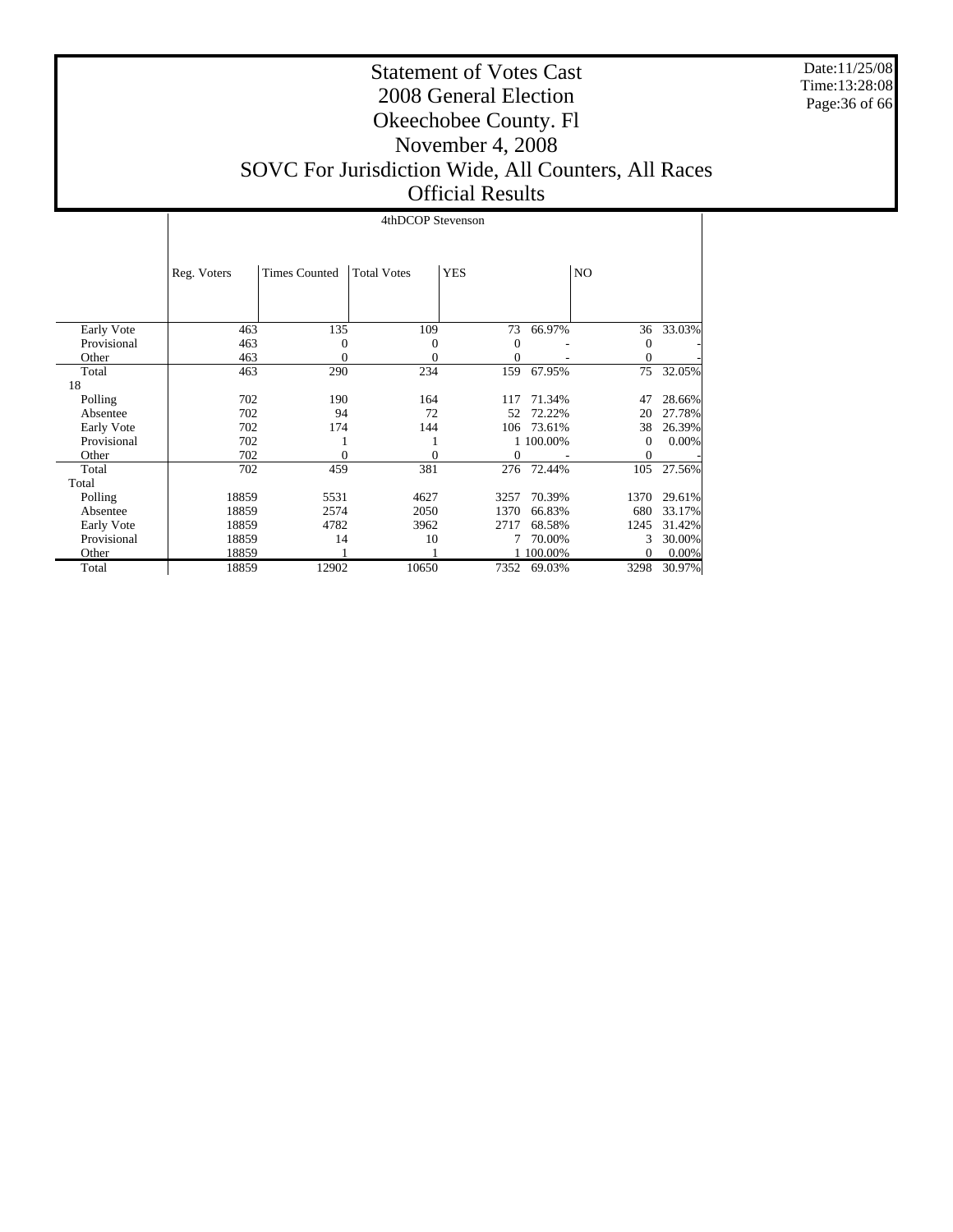Date:11/25/08 Time:13:28:08 Page:36 of 66

#### Statement of Votes Cast 2008 General Election Okeechobee County. Fl November 4, 2008 SOVC For Jurisdiction Wide, All Counters, All Races Official Results

|             |             | 4thDCOP Stevenson    |                    |            |           |                  |        |  |
|-------------|-------------|----------------------|--------------------|------------|-----------|------------------|--------|--|
|             | Reg. Voters | <b>Times Counted</b> | <b>Total Votes</b> | <b>YES</b> |           | NO.              |        |  |
| Early Vote  | 463         | 135                  | 109                | 73         | 66.97%    | 36               | 33.03% |  |
| Provisional | 463         | 0                    | 0                  | 0          |           | $\mathbf{0}$     |        |  |
| Other       | 463         | $\theta$             | 0                  | 0          |           | 0                |        |  |
| Total       | 463         | 290                  | 234                | 159        | 67.95%    | 75               | 32.05% |  |
| 18          |             |                      |                    |            |           |                  |        |  |
| Polling     | 702         | 190                  | 164                | 117        | 71.34%    | 47               | 28.66% |  |
| Absentee    | 702         | 94                   | 72                 | 52         | 72.22%    | 20               | 27.78% |  |
| Early Vote  | 702         | 174                  | 144                | 106        | 73.61%    | 38               | 26.39% |  |
| Provisional | 702         |                      |                    |            | 1 100.00% | $\boldsymbol{0}$ | 0.00%  |  |
| Other       | 702         | 0                    | $\theta$           | 0          |           | $\mathbf{0}$     |        |  |
| Total       | 702         | 459                  | 381                | 276        | 72.44%    | 105              | 27.56% |  |
| Total       |             |                      |                    |            |           |                  |        |  |
| Polling     | 18859       | 5531                 | 4627               | 3257       | 70.39%    | 1370             | 29.61% |  |
| Absentee    | 18859       | 2574                 | 2050               | 1370       | 66.83%    | 680              | 33.17% |  |
| Early Vote  | 18859       | 4782                 | 3962               | 2717       | 68.58%    | 1245             | 31.42% |  |
| Provisional | 18859       | 14                   | 10                 | 7          | 70.00%    | 3                | 30.00% |  |
| Other       | 18859       |                      |                    |            | 1 100.00% | 0                | 0.00%  |  |
| Total       | 18859       | 12902                | 10650              | 7352       | 69.03%    | 3298             | 30.97% |  |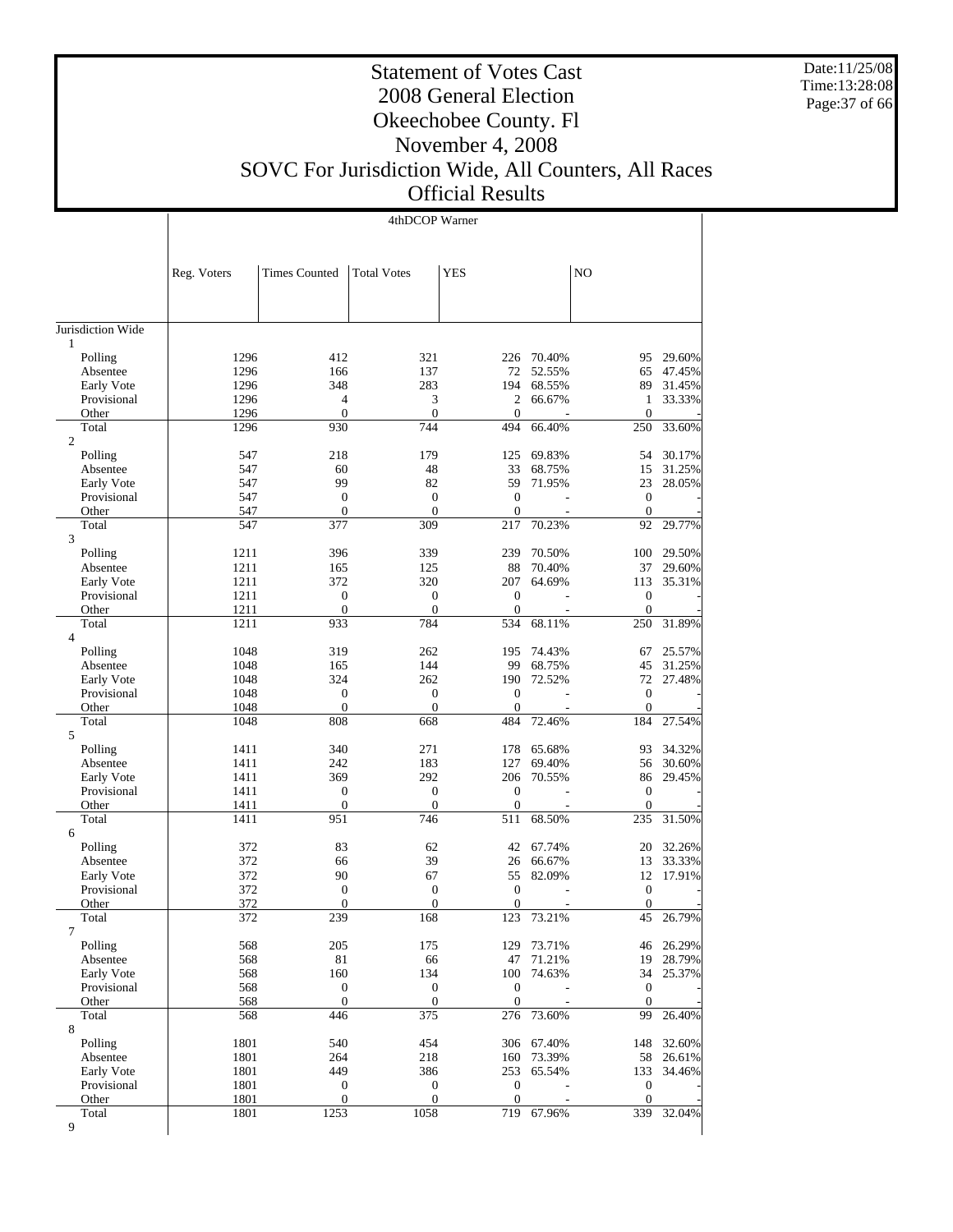Date:11/25/08 Time:13:28:08 Page:37 of 66

## Statement of Votes Cast 2008 General Election Okeechobee County. Fl November 4, 2008 SOVC For Jurisdiction Wide, All Counters, All Races

Official Results

|                           | 4thDCOP Warner |                                      |                                  |                                    |                     |                              |                  |
|---------------------------|----------------|--------------------------------------|----------------------------------|------------------------------------|---------------------|------------------------------|------------------|
|                           |                |                                      |                                  |                                    |                     |                              |                  |
|                           |                |                                      |                                  |                                    |                     |                              |                  |
|                           | Reg. Voters    | <b>Times Counted</b>                 | <b>Total Votes</b>               | <b>YES</b>                         |                     | N <sub>O</sub>               |                  |
|                           |                |                                      |                                  |                                    |                     |                              |                  |
|                           |                |                                      |                                  |                                    |                     |                              |                  |
| Jurisdiction Wide         |                |                                      |                                  |                                    |                     |                              |                  |
| $\mathbf{1}$              |                |                                      |                                  |                                    |                     |                              |                  |
| Polling                   | 1296           | 412                                  | 321                              |                                    | 226 70.40%          | 95                           | 29.60%           |
| Absentee                  | 1296           | 166                                  | 137                              | 72                                 | 52.55%              | 65                           | 47.45%           |
| Early Vote<br>Provisional | 1296<br>1296   | 348<br>4                             | 283<br>3                         | 194<br>2                           | 68.55%<br>66.67%    | 89<br>1                      | 31.45%<br>33.33% |
| Other                     | 1296           | $\overline{0}$                       | $\boldsymbol{0}$                 | $\overline{0}$                     |                     | $\boldsymbol{0}$             |                  |
| Total                     | 1296           | 930                                  | 744                              | 494                                | 66.40%              | 250                          | 33.60%           |
| $\overline{2}$            |                |                                      |                                  |                                    |                     |                              |                  |
| Polling                   | 547            | 218                                  | 179                              | 125                                | 69.83%              | 54                           | 30.17%           |
| Absentee                  | 547            | 60                                   | 48                               | 33                                 | 68.75%              | 15                           | 31.25%           |
| Early Vote                | 547            | 99                                   | 82                               | 59                                 | 71.95%              | 23                           | 28.05%           |
| Provisional<br>Other      | 547<br>547     | $\boldsymbol{0}$<br>$\overline{0}$   | $\boldsymbol{0}$<br>$\mathbf{0}$ | $\boldsymbol{0}$<br>$\overline{0}$ |                     | $\mathbf{0}$<br>$\mathbf{0}$ |                  |
| Total                     | 547            | 377                                  | 309                              | 217                                | 70.23%              | 92                           | 29.77%           |
| 3                         |                |                                      |                                  |                                    |                     |                              |                  |
| Polling                   | 1211           | 396                                  | 339                              | 239                                | 70.50%              | 100                          | 29.50%           |
| Absentee                  | 1211           | 165                                  | 125                              | 88                                 | 70.40%              | 37                           | 29.60%           |
| Early Vote                | 1211           | 372                                  | 320                              | 207                                | 64.69%              | 113                          | 35.31%           |
| Provisional               | 1211           | $\boldsymbol{0}$<br>$\boldsymbol{0}$ | $\boldsymbol{0}$                 | $\boldsymbol{0}$                   |                     | $\boldsymbol{0}$             |                  |
| Other<br>Total            | 1211<br>1211   | 933                                  | $\boldsymbol{0}$<br>784          | $\boldsymbol{0}$<br>534            | 68.11%              | $\mathbf{0}$<br>250          | 31.89%           |
| $\overline{4}$            |                |                                      |                                  |                                    |                     |                              |                  |
| Polling                   | 1048           | 319                                  | 262                              | 195                                | 74.43%              | 67                           | 25.57%           |
| Absentee                  | 1048           | 165                                  | 144                              | 99                                 | 68.75%              | 45                           | 31.25%           |
| Early Vote                | 1048           | 324                                  | 262                              | 190                                | 72.52%              |                              | 72 27.48%        |
| Provisional               | 1048           | $\boldsymbol{0}$                     | $\boldsymbol{0}$                 | $\overline{0}$                     |                     | $\mathbf{0}$                 |                  |
| Other                     | 1048           | $\boldsymbol{0}$                     | $\boldsymbol{0}$                 | $\overline{0}$                     |                     | $\mathbf{0}$                 |                  |
| Total<br>5                | 1048           | 808                                  | 668                              | 484                                | 72.46%              | 184                          | 27.54%           |
| Polling                   | 1411           | 340                                  | 271                              | 178                                | 65.68%              | 93                           | 34.32%           |
| Absentee                  | 1411           | 242                                  | 183                              | 127                                | 69.40%              | 56                           | 30.60%           |
| Early Vote                | 1411           | 369                                  | 292                              | 206                                | 70.55%              | 86                           | 29.45%           |
| Provisional               | 1411           | $\boldsymbol{0}$                     | $\boldsymbol{0}$                 | $\boldsymbol{0}$                   |                     | $\boldsymbol{0}$             |                  |
| Other                     | 1411           | $\boldsymbol{0}$                     | $\boldsymbol{0}$                 | $\overline{0}$                     |                     | $\mathbf{0}$                 |                  |
| Total                     | 1411           | 951                                  | 746                              | 511                                | 68.50%              | 235                          | 31.50%           |
| 6<br>Polling              | 372            | 83                                   | 62                               | 42                                 | 67.74%              | 20                           | 32.26%           |
| Absentee                  | 372            | 66                                   | 39                               | 26                                 | 66.67%              | 13                           | 33.33%           |
| Early Vote                | 372            | 90                                   | 67                               | 55                                 | 82.09%              | 12                           | 17.91%           |
| Provisional               | 372            | $\boldsymbol{0}$                     | $\boldsymbol{0}$                 | $\boldsymbol{0}$                   |                     | $\boldsymbol{0}$             |                  |
| Other                     | 372            | $\theta$                             | $\boldsymbol{0}$                 | $\boldsymbol{0}$                   |                     | $\boldsymbol{0}$             |                  |
| Total                     | 372            | 239                                  | 168                              | 123                                | 73.21%              | 45                           | 26.79%           |
| $\overline{7}$            |                |                                      |                                  |                                    |                     |                              |                  |
| Polling<br>Absentee       | 568<br>568     | 205<br>81                            | 175<br>66                        | 129                                | 73.71%<br>47 71.21% | 46<br>19                     | 26.29%<br>28.79% |
| Early Vote                | 568            | 160                                  | 134                              | 100                                | 74.63%              | 34                           | 25.37%           |
| Provisional               | 568            | $\boldsymbol{0}$                     | $\boldsymbol{0}$                 | $\boldsymbol{0}$                   |                     | $\boldsymbol{0}$             |                  |
| Other                     | 568            | $\boldsymbol{0}$                     | $\boldsymbol{0}$                 | $\overline{0}$                     |                     | $\mathbf{0}$                 |                  |
| Total                     | 568            | 446                                  | 375                              | 276                                | 73.60%              | 99                           | 26.40%           |
| $\,8\,$                   |                |                                      |                                  |                                    |                     |                              |                  |
| Polling                   | 1801           | 540                                  | 454                              |                                    | 306 67.40%          | 148                          | 32.60%           |
| Absentee<br>Early Vote    | 1801<br>1801   | 264<br>449                           | 218<br>386                       | 160<br>253                         | 73.39%<br>65.54%    | 58<br>133                    | 26.61%<br>34.46% |
| Provisional               | 1801           | $\boldsymbol{0}$                     | $\boldsymbol{0}$                 | $\mathbf{0}$                       |                     | $\boldsymbol{0}$             |                  |
| Other                     | 1801           | $\overline{0}$                       | $\boldsymbol{0}$                 | $\mathbf{0}$                       |                     | $\mathbf{0}$                 |                  |
| Total                     | 1801           | 1253                                 | 1058                             | 719                                | 67.96%              | 339                          | 32.04%           |
| 9                         |                |                                      |                                  |                                    |                     |                              |                  |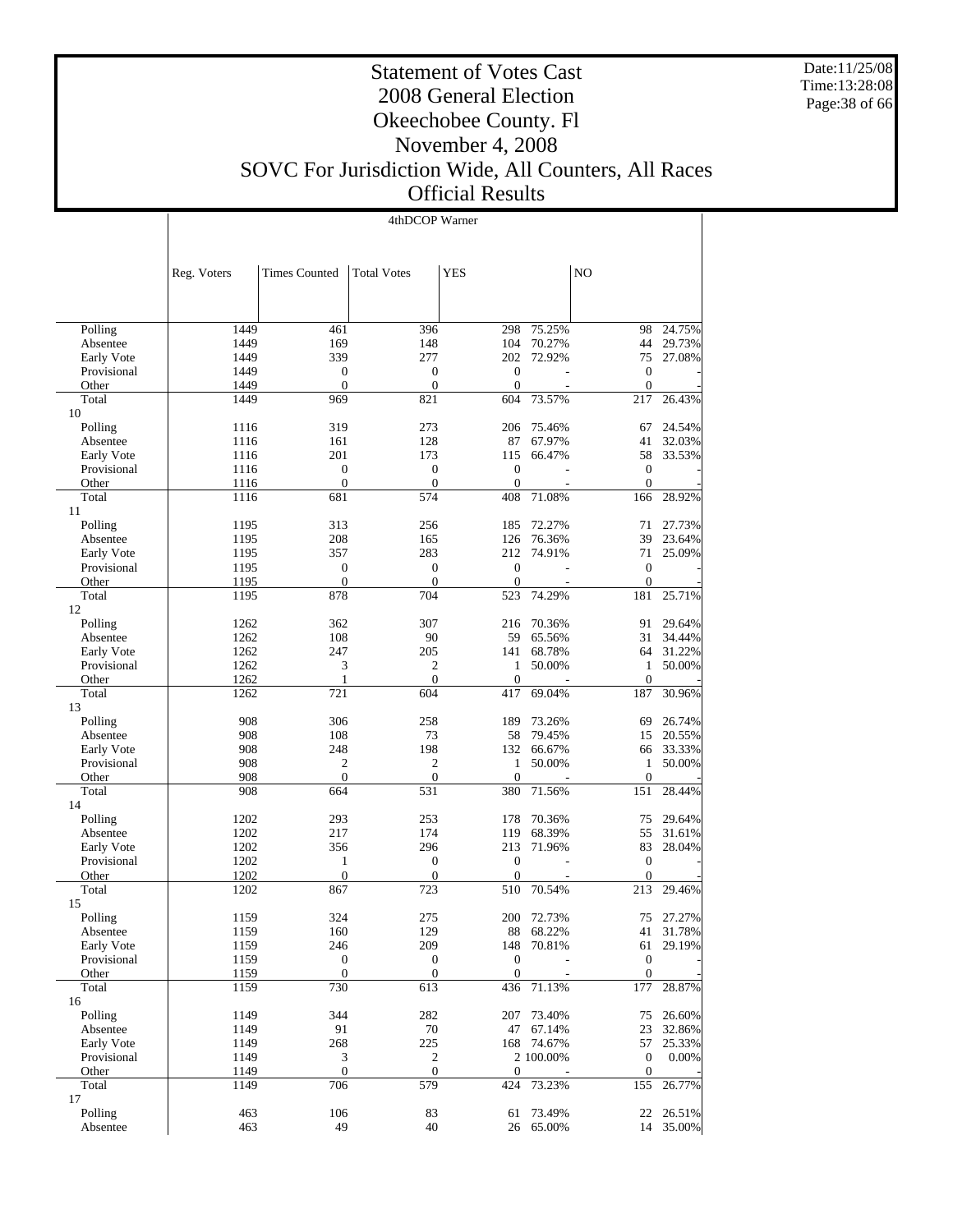Date:11/25/08 Time:13:28:08 Page:38 of 66

#### Statement of Votes Cast 2008 General Election Okeechobee County. Fl November 4, 2008 SOVC For Jurisdiction Wide, All Counters, All Races Official Results

| 4thDCOP Warner |  |
|----------------|--|

|                        | Reg. Voters  | <b>Times Counted</b>         | <b>Total Votes</b>           | <b>YES</b>                         |                                       | N <sub>O</sub>                       |           |
|------------------------|--------------|------------------------------|------------------------------|------------------------------------|---------------------------------------|--------------------------------------|-----------|
|                        |              |                              |                              |                                    |                                       |                                      |           |
|                        |              |                              |                              |                                    |                                       |                                      |           |
| Polling                | 1449         | 461                          | 396                          | 298                                | 75.25%                                | 98                                   | 24.75%    |
| Absentee               | 1449         | 169                          | 148                          | 104                                | 70.27%                                | 44                                   | 29.73%    |
| Early Vote             | 1449<br>1449 | 339<br>$\boldsymbol{0}$      | 277<br>$\boldsymbol{0}$      | 202<br>$\boldsymbol{0}$            | 72.92%<br>÷,                          | 75<br>$\boldsymbol{0}$               | 27.08%    |
| Provisional<br>Other   | 1449         | $\overline{0}$               | $\mathbf{0}$                 | $\theta$                           |                                       | $\mathbf{0}$                         |           |
| Total                  | 1449         | 969                          | 821                          | 604                                | 73.57%                                | 217                                  | 26.43%    |
| 10                     |              |                              |                              |                                    |                                       |                                      |           |
| Polling                | 1116         | 319                          | 273                          | 206                                | 75.46%                                | 67                                   | 24.54%    |
| Absentee               | 1116         | 161                          | 128                          | 87                                 | 67.97%                                | 41                                   | 32.03%    |
| Early Vote             | 1116         | 201                          | 173                          | 115                                | 66.47%                                | 58                                   | 33.53%    |
| Provisional            | 1116         | $\mathbf{0}$                 | $\boldsymbol{0}$             | $\boldsymbol{0}$                   |                                       | $\boldsymbol{0}$                     |           |
| Other                  | 1116         | $\overline{0}$               | $\mathbf{0}$                 | $\mathbf{0}$                       | ÷                                     | $\mathbf{0}$                         |           |
| Total<br>11            | 1116         | 681                          | 574                          | 408                                | 71.08%                                | 166                                  | 28.92%    |
| Polling                | 1195         | 313                          | 256                          | 185                                | 72.27%                                | 71                                   | 27.73%    |
| Absentee               | 1195         | 208                          | 165                          | 126                                | 76.36%                                | 39                                   | 23.64%    |
| Early Vote             | 1195         | 357                          | 283                          | 212                                | 74.91%                                | 71                                   | 25.09%    |
| Provisional            | 1195         | $\boldsymbol{0}$             | $\boldsymbol{0}$             | $\mathbf{0}$                       |                                       | $\mathbf{0}$                         |           |
| Other                  | 1195         | $\boldsymbol{0}$             | $\mathbf{0}$                 | $\overline{0}$                     |                                       | $\boldsymbol{0}$                     |           |
| Total                  | 1195         | 878                          | 704                          | 523                                | 74.29%                                | 181                                  | 25.71%    |
| 12                     |              |                              |                              |                                    |                                       | 91                                   | 29.64%    |
| Polling                | 1262         | 362<br>108                   | 307<br>90                    | 216                                | 70.36%<br>65.56%                      | 31                                   | 34.44%    |
| Absentee<br>Early Vote | 1262<br>1262 | 247                          | 205                          | 59<br>141                          | 68.78%                                | 64                                   | 31.22%    |
| Provisional            | 1262         | 3                            | 2                            | $\mathbf{1}$                       | 50.00%                                | $\mathbf{1}$                         | 50.00%    |
| Other                  | 1262         | 1                            | $\mathbf{0}$                 | $\mathbf{0}$                       |                                       | $\mathbf{0}$                         |           |
| Total                  | 1262         | 721                          | 604                          | 417                                | 69.04%                                | 187                                  | 30.96%    |
| 13                     |              |                              |                              |                                    |                                       |                                      |           |
| Polling                | 908          | 306                          | 258                          | 189                                | 73.26%                                | 69                                   | 26.74%    |
| Absentee               | 908          | 108                          | 73                           | 58                                 | 79.45%                                | 15                                   | 20.55%    |
| Early Vote             | 908          | 248                          | 198                          | 132                                | 66.67%                                | 66                                   | 33.33%    |
| Provisional            | 908          | $\overline{c}$               | $\overline{c}$               | $\mathbf{1}$                       | 50.00%                                | $\mathbf{1}$                         | 50.00%    |
| Other                  | 908          | $\theta$                     | $\mathbf{0}$                 | $\overline{0}$                     |                                       | $\mathbf{0}$                         |           |
| Total                  | 908          | 664                          | 531                          | 380                                | 71.56%                                | 151                                  | 28.44%    |
| 14                     |              |                              |                              |                                    |                                       |                                      |           |
| Polling                | 1202         | 293                          | 253                          | 178                                | 70.36%                                | 75                                   | 29.64%    |
| Absentee               | 1202         | 217                          | 174                          | 119                                | 68.39%                                | 55                                   | 31.61%    |
| Early Vote             | 1202         | 356                          | 296                          | 213                                | 71.96%                                | 83                                   | 28.04%    |
| Provisional<br>Other   | 1202<br>1202 | $\mathbf{1}$<br>$\mathbf{0}$ | $\mathbf{0}$<br>$\mathbf{0}$ | $\boldsymbol{0}$<br>$\overline{0}$ | $\overline{\phantom{a}}$              | $\boldsymbol{0}$<br>$\boldsymbol{0}$ |           |
| Total                  | 1202         | 867                          | 723                          | 510                                | 70.54%                                | 213                                  | 29.46%    |
| 15                     |              |                              |                              |                                    |                                       |                                      |           |
| Polling                | 1159         | 324                          | 275                          |                                    | 200 72.73%                            |                                      | 75 27.27% |
| Absentee               | 1159         | 160                          | 129                          |                                    | 88 68.22%                             |                                      | 41 31.78% |
| Early Vote             | 1159         | 246                          | 209                          |                                    | 148 70.81%                            | 61                                   | 29.19%    |
| Provisional            | 1159         | $\boldsymbol{0}$             | $\boldsymbol{0}$             | $\boldsymbol{0}$                   |                                       | $\mathbf{0}$                         |           |
| Other                  | 1159         | $\boldsymbol{0}$             | $\boldsymbol{0}$             | $\theta$                           |                                       | $\boldsymbol{0}$                     |           |
| Total                  | 1159         | 730                          | 613                          | 436                                | 71.13%                                | 177                                  | 28.87%    |
| 16                     |              |                              |                              |                                    |                                       |                                      |           |
| Polling                | 1149         | 344                          | 282                          | 207                                | 73.40%                                | 75                                   | 26.60%    |
| Absentee               | 1149         | 91                           | 70                           |                                    | 47 67.14%                             | 23                                   | 32.86%    |
| Early Vote             | 1149         | 268                          | 225                          |                                    | 168 74.67%                            | 57                                   | 25.33%    |
| Provisional<br>Other   | 1149<br>1149 | 3<br>$\boldsymbol{0}$        | 2<br>$\mathbf{0}$            | $\overline{0}$                     | 2 100.00%<br>$\overline{\phantom{a}}$ | $\boldsymbol{0}$<br>$\mathbf{0}$     | 0.00%     |
| Total                  | 1149         | 706                          | 579                          | 424                                | 73.23%                                | 155                                  | 26.77%    |
| 17                     |              |                              |                              |                                    |                                       |                                      |           |
| Polling                | 463          | 106                          | 83                           | 61                                 | 73.49%                                | 22                                   | 26.51%    |
| Absentee               | 463          | 49                           | 40                           |                                    | 26 65.00%                             |                                      | 14 35.00% |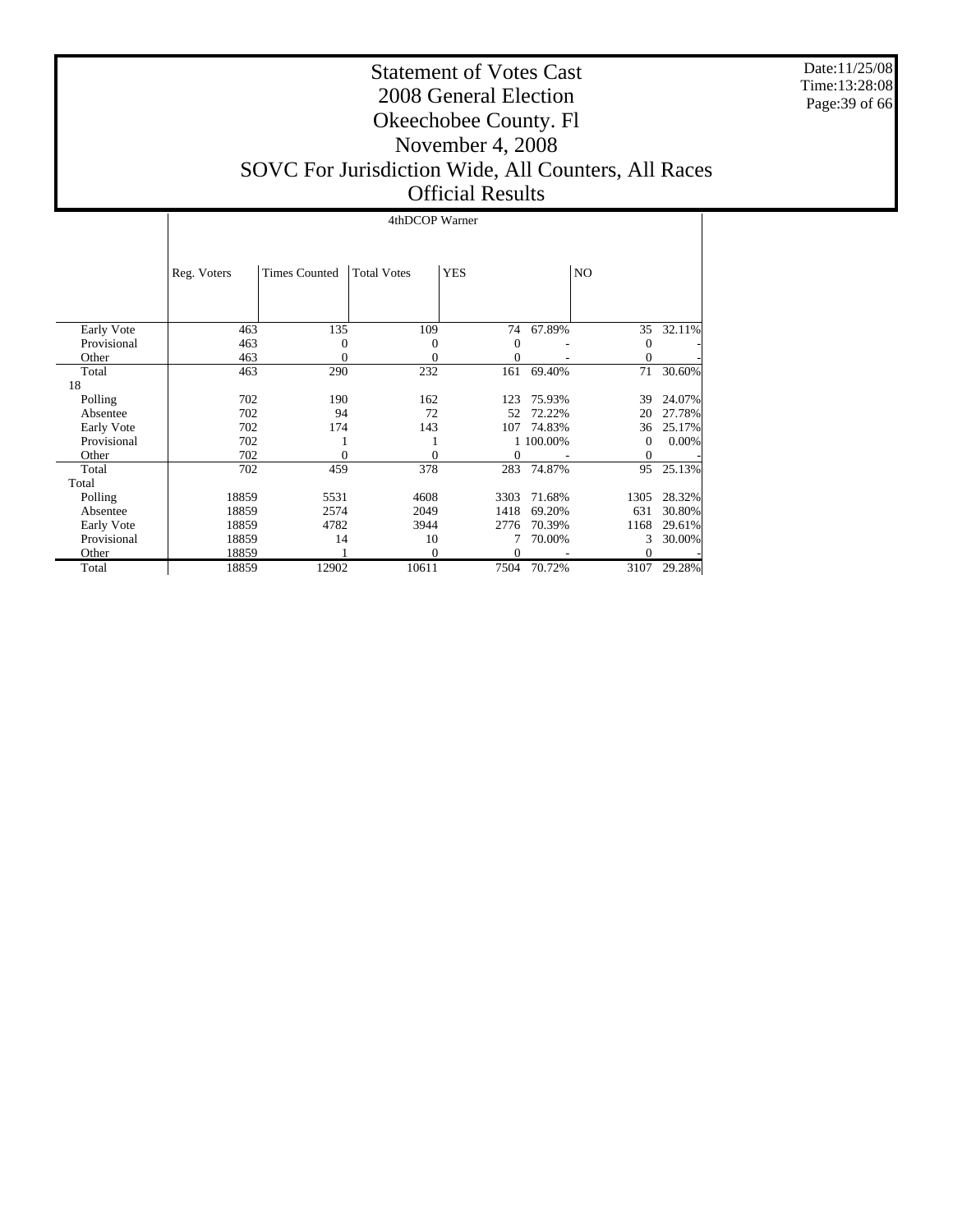Date:11/25/08 Time:13:28:08 Page:39 of 66

#### Statement of Votes Cast 2008 General Election Okeechobee County. Fl November 4, 2008 SOVC For Jurisdiction Wide, All Counters, All Races Official Results

|             |             | 4thDCOP Warner       |                    |                |           |                |        |  |  |  |
|-------------|-------------|----------------------|--------------------|----------------|-----------|----------------|--------|--|--|--|
|             | Reg. Voters | <b>Times Counted</b> | <b>Total Votes</b> | <b>YES</b>     |           | NO.            |        |  |  |  |
|             |             |                      |                    |                |           |                |        |  |  |  |
| Early Vote  | 463         | 135                  | 109                | 74             | 67.89%    | 35             | 32.11% |  |  |  |
| Provisional | 463         | 0                    | $\mathbf{0}$       | 0              |           | 0              |        |  |  |  |
| Other       | 463         | 0                    | $\mathbf{0}$       | $\overline{0}$ |           | $\overline{0}$ |        |  |  |  |
| Total       | 463         | 290                  | 232                | 161            | 69.40%    | 71             | 30.60% |  |  |  |
| 18          |             |                      |                    |                |           |                |        |  |  |  |
| Polling     | 702         | 190                  | 162                | 123            | 75.93%    | 39             | 24.07% |  |  |  |
| Absentee    | 702         | 94                   | 72                 | 52             | 72.22%    | 20             | 27.78% |  |  |  |
| Early Vote  | 702         | 174                  | 143                | 107            | 74.83%    | 36             | 25.17% |  |  |  |
| Provisional | 702         |                      |                    |                | 1 100.00% | $\mathbf{0}$   | 0.00%  |  |  |  |
| Other       | 702         | $\theta$             | $\theta$           | $\theta$       |           | $\theta$       |        |  |  |  |
| Total       | 702         | 459                  | 378                | 283            | 74.87%    | 95             | 25.13% |  |  |  |
| Total       |             |                      |                    |                |           |                |        |  |  |  |
| Polling     | 18859       | 5531                 | 4608               | 3303           | 71.68%    | 1305           | 28.32% |  |  |  |
| Absentee    | 18859       | 2574                 | 2049               | 1418           | 69.20%    | 631            | 30.80% |  |  |  |
| Early Vote  | 18859       | 4782                 | 3944               | 2776           | 70.39%    | 1168           | 29.61% |  |  |  |
| Provisional | 18859       | 14                   | 10                 | 7              | 70.00%    | 3              | 30.00% |  |  |  |
| Other       | 18859       |                      | $\Omega$           | $\theta$       |           | 0              |        |  |  |  |
| Total       | 18859       | 12902                | 10611              | 7504           | 70.72%    | 3107           | 29.28% |  |  |  |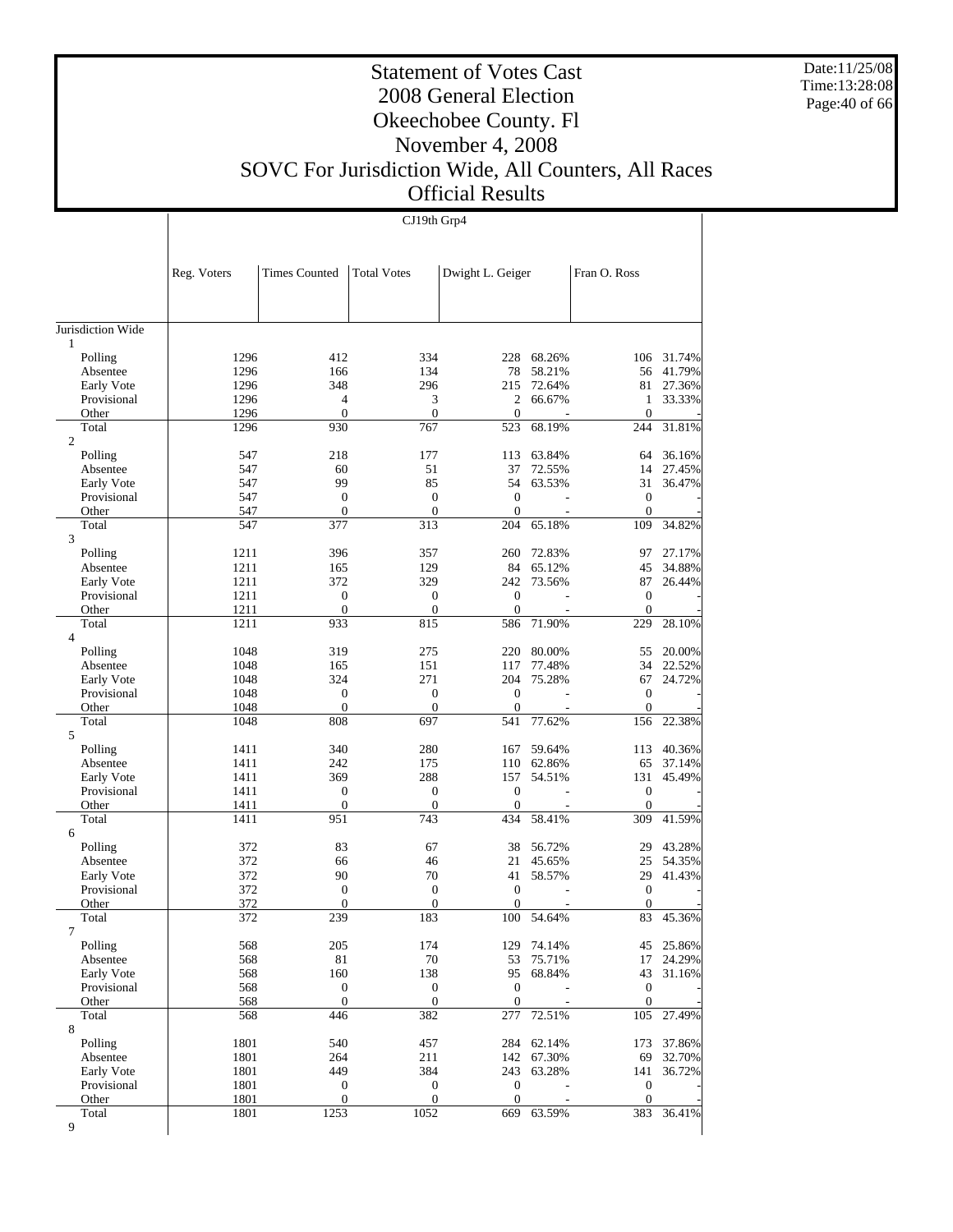Date:11/25/08 Time:13:28:08 Page:40 of 66

 $\overline{\phantom{a}}$ 

#### Statement of Votes Cast 2008 General Election Okeechobee County. Fl November 4, 2008 SOVC For Jurisdiction Wide, All Counters, All Races Official Results

CJ19th Grp4

 $\overline{1}$ 

|                     | Reg. Voters | <b>Times Counted</b> | <b>Total Votes</b>      | Dwight L. Geiger      |                          | Fran O. Ross           |                  |
|---------------------|-------------|----------------------|-------------------------|-----------------------|--------------------------|------------------------|------------------|
|                     |             |                      |                         |                       |                          |                        |                  |
| Jurisdiction Wide   |             |                      |                         |                       |                          |                        |                  |
| 1<br>Polling        | 1296        | 412                  | 334                     | 228                   | 68.26%                   | 106                    | 31.74%           |
| Absentee            | 1296        | 166                  | 134                     | 78                    | 58.21%                   | 56                     | 41.79%           |
| Early Vote          | 1296        | 348                  | 296                     | 215                   | 72.64%                   | 81                     | 27.36%           |
| Provisional         | 1296        | 4                    | 3                       | 2                     | 66.67%                   | 1                      | 33.33%           |
| Other               | 1296        | $\overline{0}$       | $\boldsymbol{0}$        | $\overline{0}$        |                          | $\boldsymbol{0}$       |                  |
| Total               | 1296        | 930                  | 767                     | 523                   | 68.19%                   | 244                    | 31.81%           |
| $\overline{c}$      |             |                      |                         |                       | 63.84%                   |                        |                  |
| Polling<br>Absentee | 547<br>547  | 218<br>60            | 177<br>51               | 113<br>37             | 72.55%                   | 64<br>14               | 36.16%<br>27.45% |
| Early Vote          | 547         | 99                   | 85                      | 54                    | 63.53%                   | 31                     | 36.47%           |
| Provisional         | 547         | $\boldsymbol{0}$     | $\mathbf{0}$            | $\overline{0}$        | $\overline{a}$           | $\boldsymbol{0}$       |                  |
| Other               | 547         | $\overline{0}$       | $\boldsymbol{0}$        | $\mathbf{0}$          |                          | $\mathbf{0}$           |                  |
| Total               | 547         | 377                  | 313                     | 204                   | 65.18%                   | 109                    | 34.82%           |
| 3                   |             |                      |                         |                       |                          |                        |                  |
| Polling             | 1211        | 396                  | 357                     | 260                   | 72.83%                   | 97                     | 27.17%           |
| Absentee            | 1211        | 165                  | 129                     | 84                    | 65.12%                   | 45                     | 34.88%           |
| Early Vote          | 1211        | 372                  | 329                     | 242                   | 73.56%                   | 87                     | 26.44%           |
| Provisional         | 1211        | $\mathbf{0}$         | $\boldsymbol{0}$        | $\overline{0}$        |                          | $\mathbf{0}$           |                  |
| Other               | 1211        | $\boldsymbol{0}$     | $\boldsymbol{0}$        | $\theta$              | ÷                        | $\mathbf{0}$           |                  |
| Total<br>4          | 1211        | 933                  | 815                     | 586                   | 71.90%                   | 229                    | 28.10%           |
| Polling             | 1048        | 319                  | 275                     | 220                   | 80.00%                   | 55                     | 20.00%           |
| Absentee            | 1048        | 165                  | 151                     | 117                   | 77.48%                   | 34                     | 22.52%           |
| Early Vote          | 1048        | 324                  | 271                     | 204                   | 75.28%                   | 67                     | 24.72%           |
| Provisional         | 1048        | $\boldsymbol{0}$     | $\boldsymbol{0}$        | $\overline{0}$        | $\overline{a}$           | $\boldsymbol{0}$       |                  |
| Other               | 1048        | $\boldsymbol{0}$     | $\boldsymbol{0}$        | $\overline{0}$        |                          | $\mathbf{0}$           |                  |
| Total               | 1048        | 808                  | 697                     | 541                   | 77.62%                   | 156                    | 22.38%           |
| 5<br>Polling        | 1411        | 340                  | 280                     | 167                   | 59.64%                   | 113                    | 40.36%           |
| Absentee            | 1411        | 242                  | 175                     | 110                   | 62.86%                   | 65                     | 37.14%           |
| Early Vote          | 1411        | 369                  | 288                     | 157                   | 54.51%                   | 131                    | 45.49%           |
| Provisional         | 1411        | 0                    | $\mathbf{0}$            | $\overline{0}$        |                          | $\mathbf{0}$           |                  |
| Other               | 1411        | $\boldsymbol{0}$     | $\boldsymbol{0}$        | $\theta$              | $\overline{\phantom{a}}$ | $\mathbf{0}$           |                  |
| Total               | 1411        | 951                  | 743                     | 434                   | 58.41%                   | 309                    | 41.59%           |
| 6                   |             |                      |                         |                       |                          |                        |                  |
| Polling             | 372         | 83                   | 67                      | 38                    | 56.72%                   | 29                     | 43.28%           |
| Absentee            | 372         | 66                   | 46                      | 21                    | 45.65%                   | 25                     | 54.35%           |
| Early Vote          | 372         | 90                   | 70                      | 41                    | 58.57%                   | 29                     | 41.43%           |
| Provisional         | 372         | 0                    | $\mathbf{0}$            | $\mathbf{0}$          | $\overline{a}$           | $\mathbf{0}$           |                  |
| Other               | 372<br>372  | $\mathbf{0}$<br>239  | $\boldsymbol{0}$<br>183 | $\overline{0}$<br>100 | 54.64%                   | $\boldsymbol{0}$<br>83 | 45.36%           |
| Total               |             |                      |                         |                       |                          |                        |                  |
| Polling             | 568         | 205                  | 174                     |                       | 129 74.14%               |                        | 45 25.86%        |
| Absentee            | 568         | $81\,$               | $70\,$                  | 53                    | 75.71%                   | 17                     | 24.29%           |
| Early Vote          | 568         | 160                  | 138                     |                       | 95 68.84%                | 43                     | 31.16%           |
| Provisional         | 568         | $\boldsymbol{0}$     | $\boldsymbol{0}$        | $\boldsymbol{0}$      |                          | $\boldsymbol{0}$       |                  |
| Other               | 568         | $\boldsymbol{0}$     | $\boldsymbol{0}$        | $\boldsymbol{0}$      |                          | $\mathbf{0}$           |                  |
| Total               | 568         | 446                  | 382                     | 277                   | 72.51%                   | 105                    | 27.49%           |
| 8                   |             |                      |                         |                       |                          |                        |                  |
| Polling             | 1801        | 540                  | 457                     | 284                   | 62.14%                   | 173                    | 37.86%           |
| Absentee            | 1801        | 264                  | 211                     |                       | 142 67.30%               | 69                     | 32.70%           |
| Early Vote          | 1801        | 449                  | 384                     | 243                   | 63.28%                   | 141                    | 36.72%           |
| Provisional         | 1801        | 0                    | $\boldsymbol{0}$        | $\boldsymbol{0}$      |                          | $\boldsymbol{0}$       |                  |
| Other               | 1801        | $\boldsymbol{0}$     | $\boldsymbol{0}$        | $\mathbf{0}$          |                          | $\mathbf{0}$           |                  |
| Total<br>9          | 1801        | 1253                 | 1052                    | 669                   | 63.59%                   | 383                    | 36.41%           |
|                     |             |                      |                         |                       |                          |                        |                  |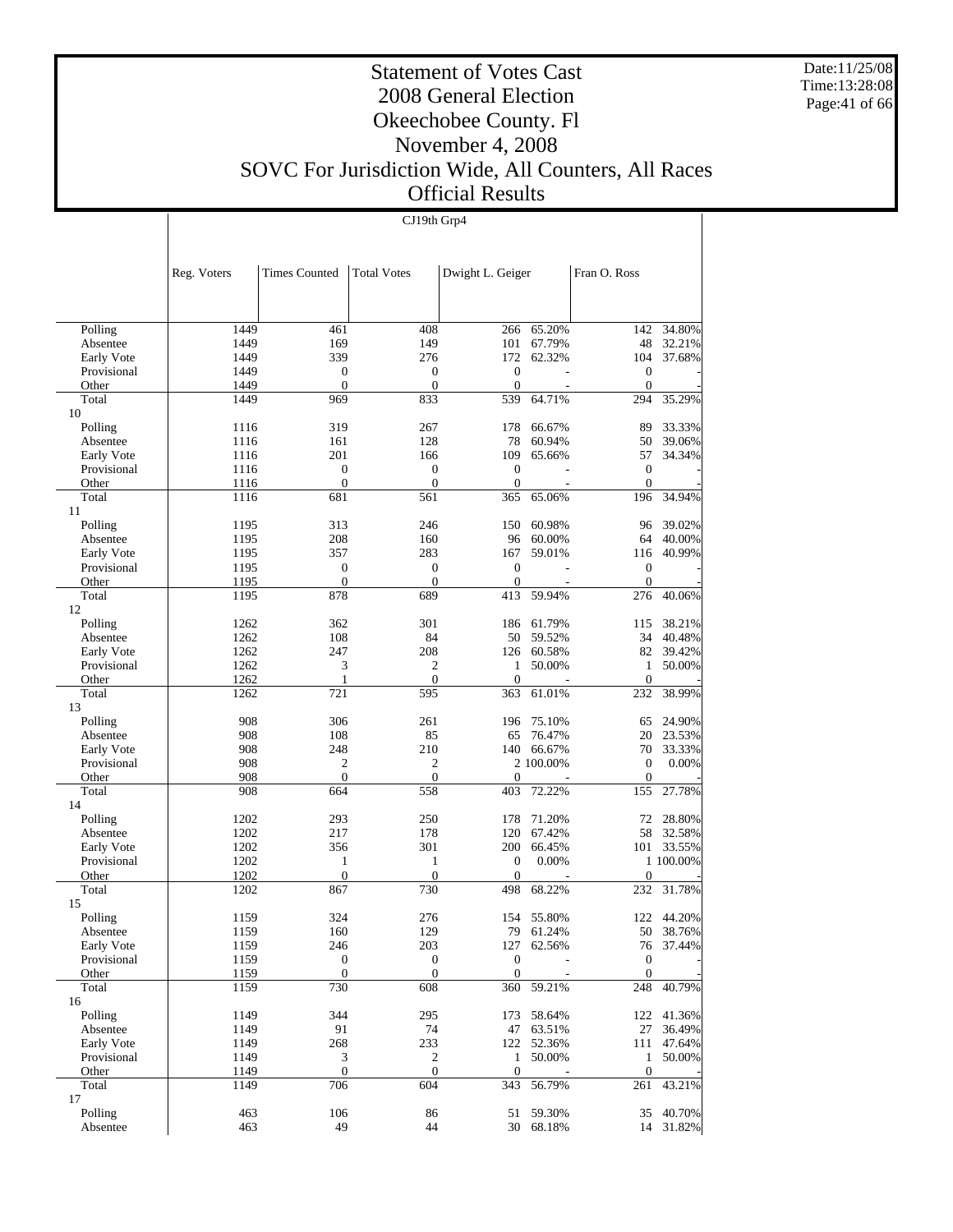Date:11/25/08 Time:13:28:08 Page:41 of 66

#### Statement of Votes Cast 2008 General Election Okeechobee County. Fl November 4, 2008 SOVC For Jurisdiction Wide, All Counters, All Races Official Results

CJ19th Grp4

|               | Reg. Voters | <b>Times Counted</b> | <b>Total Votes</b> | Dwight L. Geiger |           | Fran O. Ross     |           |
|---------------|-------------|----------------------|--------------------|------------------|-----------|------------------|-----------|
|               |             |                      |                    |                  |           |                  |           |
| Polling       | 1449        | 461                  | 408                | 266              | 65.20%    | 142              | 34.80%    |
| Absentee      | 1449        | 169                  | 149                | 101              | 67.79%    | 48               | 32.21%    |
| Early Vote    | 1449        | 339                  | 276                | 172              | 62.32%    | 104              | 37.68%    |
| Provisional   | 1449        | $\boldsymbol{0}$     | $\boldsymbol{0}$   | $\overline{0}$   |           | $\boldsymbol{0}$ |           |
| Other         | 1449        | $\boldsymbol{0}$     | $\boldsymbol{0}$   | $\boldsymbol{0}$ |           | $\mathbf{0}$     |           |
| Total         | 1449        | 969                  | 833                | 539              | 64.71%    | 294              | 35.29%    |
| 10            |             |                      |                    |                  |           |                  |           |
| Polling       | 1116        | 319                  | 267                | 178              | 66.67%    | 89               | 33.33%    |
| Absentee      | 1116        | 161                  | 128                | 78               | 60.94%    | 50               | 39.06%    |
| Early Vote    | 1116        | 201                  | 166                | 109              | 65.66%    | 57               | 34.34%    |
| Provisional   | 1116        | $\boldsymbol{0}$     | $\boldsymbol{0}$   | $\boldsymbol{0}$ |           | $\mathbf{0}$     |           |
| Other         | 1116        | $\boldsymbol{0}$     | $\boldsymbol{0}$   | $\mathbf{0}$     |           | $\boldsymbol{0}$ |           |
| Total         | 1116        | 681                  | 561                | 365              | 65.06%    | 196              | 34.94%    |
| 11            |             |                      |                    |                  |           |                  |           |
| Polling       | 1195        | 313                  | 246                | 150              | 60.98%    | 96               | 39.02%    |
| Absentee      | 1195        | 208                  | 160                | 96               | 60.00%    | 64               | 40.00%    |
| Early Vote    | 1195        | 357                  | 283                | 167              | 59.01%    | 116              | 40.99%    |
| Provisional   | 1195        | $\boldsymbol{0}$     | $\boldsymbol{0}$   | $\theta$         |           | $\boldsymbol{0}$ |           |
| Other         | 1195        | $\boldsymbol{0}$     | $\boldsymbol{0}$   | $\boldsymbol{0}$ |           | $\mathbf{0}$     |           |
| Total         | 1195        | 878                  | 689                | 413              | 59.94%    | 276              | 40.06%    |
| 12<br>Polling | 1262        | 362                  | 301                | 186              | 61.79%    | 115              | 38.21%    |
| Absentee      | 1262        | 108                  | 84                 | 50               | 59.52%    | 34               | 40.48%    |
| Early Vote    | 1262        | 247                  | 208                | 126              | 60.58%    | 82               | 39.42%    |
| Provisional   | 1262        | 3                    | 2                  | 1                | 50.00%    | 1                | 50.00%    |
| Other         | 1262        | 1                    | $\mathbf{0}$       | $\mathbf{0}$     |           | $\boldsymbol{0}$ |           |
| Total         | 1262        | 721                  | 595                | 363              | 61.01%    | 232              | 38.99%    |
| 13            |             |                      |                    |                  |           |                  |           |
| Polling       | 908         | 306                  | 261                | 196              | 75.10%    | 65               | 24.90%    |
| Absentee      | 908         | 108                  | 85                 | 65               | 76.47%    | 20               | 23.53%    |
| Early Vote    | 908         | 248                  | 210                | 140              | 66.67%    | 70               | 33.33%    |
| Provisional   | 908         | $\overline{c}$       | 2                  |                  | 2 100.00% | $\boldsymbol{0}$ | 0.00%     |
| Other         | 908         | $\boldsymbol{0}$     | $\boldsymbol{0}$   | $\boldsymbol{0}$ |           | $\boldsymbol{0}$ |           |
| Total         | 908         | 664                  | 558                | 403              | 72.22%    | 155              | 27.78%    |
| 14            |             |                      |                    |                  |           |                  |           |
| Polling       | 1202        | 293                  | 250                | 178              | 71.20%    | 72               | 28.80%    |
| Absentee      | 1202        | 217                  | 178                | 120              | 67.42%    | 58               | 32.58%    |
| Early Vote    | 1202        | 356                  | 301                | 200              | 66.45%    | 101              | 33.55%    |
| Provisional   | 1202        | 1                    | $\mathbf{1}$       | $\mathbf{0}$     | 0.00%     |                  | 1 100,00% |
| Other         | 1202        | $\boldsymbol{0}$     | $\mathbf{0}$       | $\mathbf{0}$     |           | $\mathbf{0}$     |           |
| Total         | 1202        | 867                  | 730                | 498              | 68.22%    | 232              | 31.78%    |
| 15            |             |                      |                    |                  |           |                  |           |
| Polling       | 1159        | 324                  | 276                | 154              | 55.80%    | 122              | 44.20%    |
| Absentee      | 1159        | 160                  | 129                | 79               | 61.24%    | 50               | 38.76%    |
| Early Vote    | 1159        | 246                  | 203                | 127              | 62.56%    | 76               | 37.44%    |
| Provisional   | 1159        | $\boldsymbol{0}$     | $\boldsymbol{0}$   | $\mathbf{0}$     |           | $\boldsymbol{0}$ |           |
| Other         | 1159        | $\boldsymbol{0}$     | $\boldsymbol{0}$   | $\boldsymbol{0}$ |           | $\boldsymbol{0}$ |           |
| Total         | 1159        | 730                  | 608                | $\overline{3}60$ | 59.21%    | 248              | 40.79%    |
| 16            |             |                      |                    |                  |           |                  |           |
| Polling       | 1149        | 344                  | 295                | 173              | 58.64%    | 122              | 41.36%    |
| Absentee      | 1149        | 91                   | 74                 | 47               | 63.51%    | 27               | 36.49%    |
| Early Vote    | 1149        | 268                  | 233                | 122              | 52.36%    | 111              | 47.64%    |
| Provisional   | 1149        | 3                    | $\overline{c}$     | 1                | 50.00%    | 1                | 50.00%    |
| Other         | 1149        | $\boldsymbol{0}$     | $\boldsymbol{0}$   | $\mathbf{0}$     |           | $\mathbf{0}$     |           |
| Total         | 1149        | 706                  | 604                | 343              | 56.79%    | 261              | 43.21%    |
| 17            |             |                      |                    |                  |           |                  |           |
| Polling       | 463         | 106                  | 86                 | 51               | 59.30%    | 35               | 40.70%    |
| Absentee      | 463         | 49                   | 44                 |                  | 30 68.18% |                  | 14 31.82% |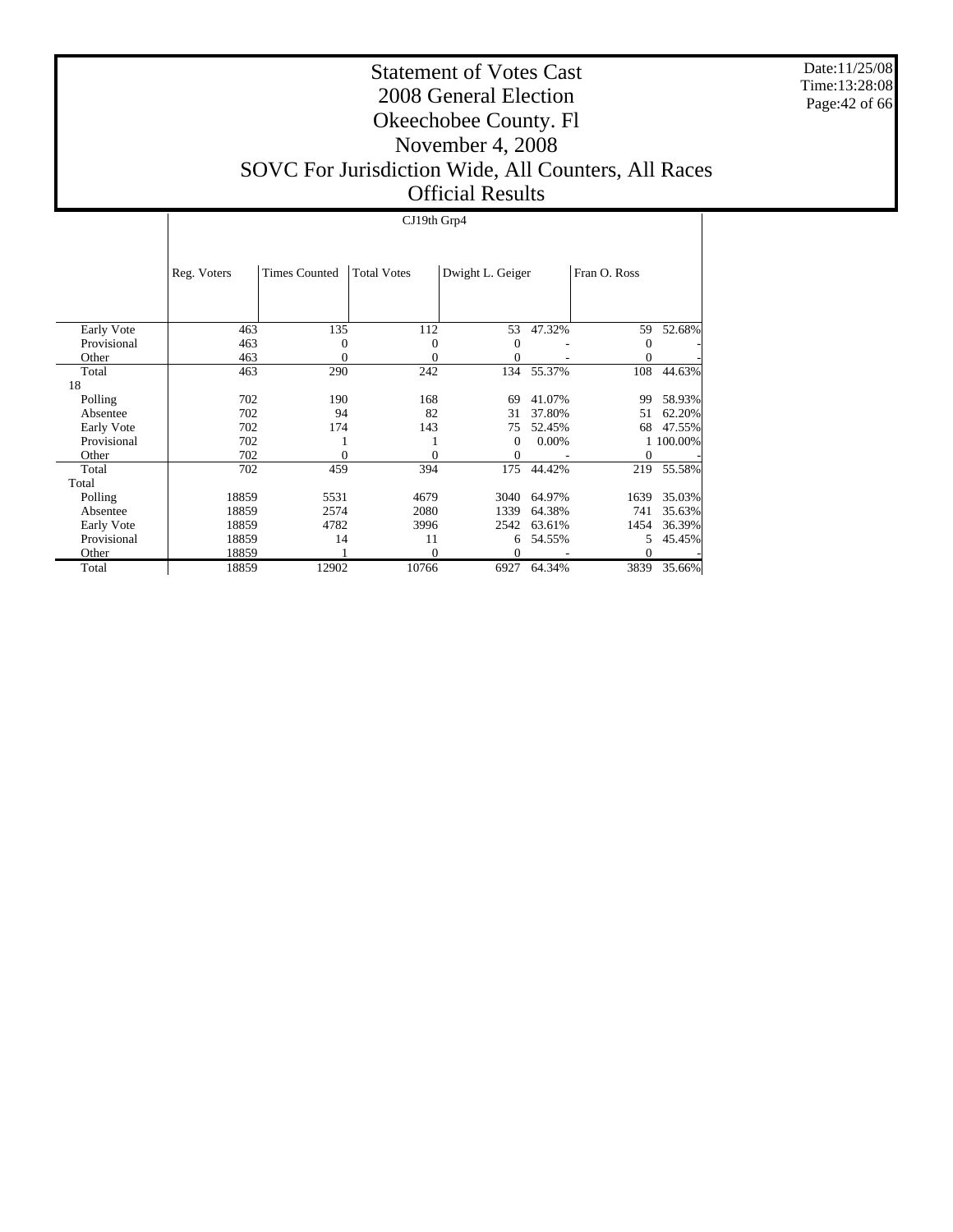Date:11/25/08 Time:13:28:08 Page:42 of 66

#### Statement of Votes Cast 2008 General Election Okeechobee County. Fl November 4, 2008 SOVC For Jurisdiction Wide, All Counters, All Races Official Results

#### CJ19th Grp4

|             | Reg. Voters | <b>Times Counted</b> | <b>Total Votes</b> | Dwight L. Geiger |        | Fran O. Ross |           |
|-------------|-------------|----------------------|--------------------|------------------|--------|--------------|-----------|
|             |             |                      |                    |                  |        |              |           |
| Early Vote  | 463         | 135                  | 112                | 53               | 47.32% | 59           | 52.68%    |
| Provisional | 463         | 0                    | 0                  | $\Omega$         |        | $\Omega$     |           |
| Other       | 463         | 0                    | 0                  | 0                |        |              |           |
| Total       | 463         | 290                  | 242                | 134              | 55.37% | 108          | 44.63%    |
| 18          |             |                      |                    |                  |        |              |           |
| Polling     | 702         | 190                  | 168                | 69               | 41.07% | 99           | 58.93%    |
| Absentee    | 702         | 94                   | 82                 | 31               | 37.80% | 51           | 62.20%    |
| Early Vote  | 702         | 174                  | 143                | 75               | 52.45% | 68           | 47.55%    |
| Provisional | 702         |                      |                    | $\Omega$         | 0.00%  |              | 1 100.00% |
| Other       | 702         | 0                    | 0                  | 0                |        | 0            |           |
| Total       | 702         | 459                  | 394                | 175              | 44.42% | 219          | 55.58%    |
| Total       |             |                      |                    |                  |        |              |           |
| Polling     | 18859       | 5531                 | 4679               | 3040             | 64.97% | 1639         | 35.03%    |
| Absentee    | 18859       | 2574                 | 2080               | 1339             | 64.38% | 741          | 35.63%    |
| Early Vote  | 18859       | 4782                 | 3996               | 2542             | 63.61% | 1454         | 36.39%    |
| Provisional | 18859       | 14                   | 11                 | 6                | 54.55% | 5.           | 45.45%    |
| Other       | 18859       |                      | 0                  | 0                |        | $\theta$     |           |
| Total       | 18859       | 12902                | 10766              | 6927             | 64.34% | 3839         | 35.66%    |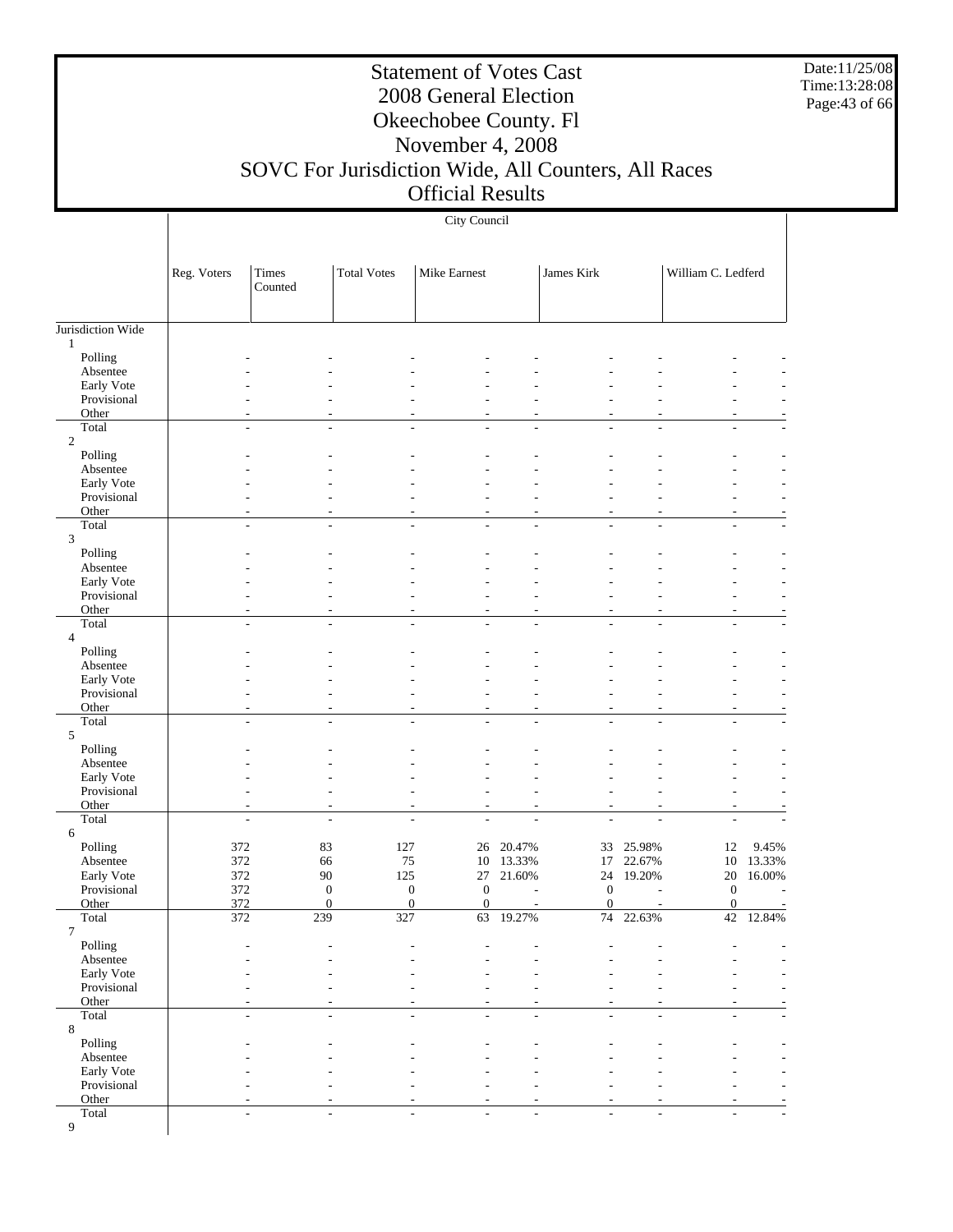Date:11/25/08 Time:13:28:08 Page:43 of 66

### Statement of Votes Cast 2008 General Election Okeechobee County. Fl November 4, 2008

# SOVC For Jurisdiction Wide, All Counters, All Races

# Official Results

|                           |                  |                                            |                              | City Council             |           |                              |                |                          |                          |
|---------------------------|------------------|--------------------------------------------|------------------------------|--------------------------|-----------|------------------------------|----------------|--------------------------|--------------------------|
|                           | Reg. Voters      | Times<br>Counted                           | <b>Total Votes</b>           | Mike Earnest             |           | James Kirk                   |                | William C. Ledferd       |                          |
| Jurisdiction Wide         |                  |                                            |                              |                          |           |                              |                |                          |                          |
| $\mathbf{1}$<br>Polling   |                  |                                            |                              |                          |           |                              |                |                          |                          |
| Absentee                  |                  |                                            |                              |                          |           |                              |                |                          |                          |
| Early Vote                |                  |                                            |                              |                          |           |                              |                |                          |                          |
| Provisional               |                  |                                            |                              |                          |           |                              |                |                          |                          |
| Other<br>Total            |                  | $\overline{\phantom{a}}$                   |                              |                          |           |                              |                |                          |                          |
| $\overline{c}$            |                  | $\overline{a}$                             |                              |                          |           |                              |                |                          |                          |
| Polling                   |                  |                                            |                              |                          |           |                              |                |                          |                          |
| Absentee                  |                  |                                            |                              |                          |           |                              |                |                          |                          |
| Early Vote                |                  |                                            |                              |                          |           |                              |                |                          |                          |
| Provisional<br>Other      |                  |                                            |                              |                          |           |                              |                |                          |                          |
| Total                     |                  | $\sim$<br>$\overline{\phantom{0}}$         | $\overline{a}$               |                          | L,        | L                            | $\overline{a}$ | L,                       |                          |
| 3                         |                  |                                            |                              |                          |           |                              |                |                          |                          |
| Polling                   |                  |                                            |                              |                          |           |                              |                |                          |                          |
| Absentee                  |                  |                                            |                              |                          |           |                              |                |                          |                          |
| Early Vote<br>Provisional |                  |                                            |                              |                          |           |                              |                |                          |                          |
| Other                     |                  |                                            |                              |                          |           |                              |                |                          |                          |
| Total                     |                  | $\overline{\phantom{a}}$<br>$\overline{a}$ | $\overline{\phantom{a}}$     | $\overline{\phantom{a}}$ | ÷,        | $\overline{a}$               | L.             | ÷.                       |                          |
| $\overline{4}$            |                  |                                            |                              |                          |           |                              |                |                          |                          |
| Polling                   |                  |                                            |                              |                          |           |                              |                |                          |                          |
| Absentee<br>Early Vote    |                  |                                            |                              |                          |           |                              |                |                          |                          |
| Provisional               |                  |                                            |                              |                          |           |                              |                |                          |                          |
| Other                     |                  |                                            |                              |                          |           |                              |                | ÷,                       |                          |
| Total                     |                  | $\sim$                                     |                              |                          |           |                              |                |                          |                          |
| 5<br>Polling              |                  |                                            |                              |                          |           |                              |                |                          |                          |
| Absentee                  |                  |                                            |                              |                          |           |                              |                |                          |                          |
| Early Vote                |                  |                                            |                              |                          |           |                              |                |                          |                          |
| Provisional               |                  |                                            |                              |                          |           |                              |                |                          |                          |
| Other                     |                  | ٠                                          |                              |                          |           | L,                           |                |                          |                          |
| Total<br>6                |                  | $\overline{\phantom{a}}$<br>$\frac{1}{2}$  | $\overline{a}$               | $\overline{a}$           | ÷,        | $\overline{a}$               |                | L,                       |                          |
| Polling                   | 372              | 83                                         | 127                          | 26                       | 20.47%    | 33                           | 25.98%         | 12                       | 9.45%                    |
| Absentee                  | 372              | 66                                         | 75                           | 10                       | 13.33%    | 17                           | 22.67%         | 10                       | 13.33%                   |
| Early Vote                | 372              | 90                                         | 125                          | 27                       | 21.60%    | 24                           | 19.20%         | 20                       | 16.00%                   |
| Provisional<br>Other      | 372<br>372       | $\boldsymbol{0}$<br>$\Omega$               | $\boldsymbol{0}$<br>$\Omega$ | $\mathbf{0}$<br>$\Omega$ |           | $\boldsymbol{0}$<br>$\Omega$ |                | $\mathbf{0}$<br>$\Omega$ | $\overline{\phantom{a}}$ |
| Total                     | $\overline{372}$ | 239                                        | 327                          |                          | 63 19.27% |                              | 74 22.63%      | 42                       | 12.84%                   |
| $\overline{7}$            |                  |                                            |                              |                          |           |                              |                |                          |                          |
| Polling                   |                  |                                            |                              |                          |           |                              |                |                          |                          |
| Absentee                  |                  |                                            |                              |                          |           |                              |                |                          |                          |
| Early Vote<br>Provisional |                  |                                            |                              |                          |           |                              |                |                          |                          |
| Other                     |                  |                                            |                              |                          |           |                              |                |                          |                          |
| Total                     |                  | $\overline{\phantom{a}}$<br>÷,             |                              |                          |           |                              |                |                          |                          |
| $\,8\,$                   |                  |                                            |                              |                          |           |                              |                |                          |                          |
| Polling<br>Absentee       |                  |                                            |                              |                          |           |                              |                |                          |                          |
| Early Vote                |                  |                                            |                              |                          |           |                              |                |                          |                          |
| Provisional               |                  |                                            |                              |                          |           |                              |                |                          |                          |
| Other                     |                  |                                            |                              |                          |           |                              |                |                          |                          |
| Total                     |                  | $\frac{1}{2}$<br>$\overline{\phantom{0}}$  | $\overline{a}$               |                          | ÷.        | L                            | $\overline{a}$ | ÷                        |                          |
| 9                         |                  |                                            |                              |                          |           |                              |                |                          |                          |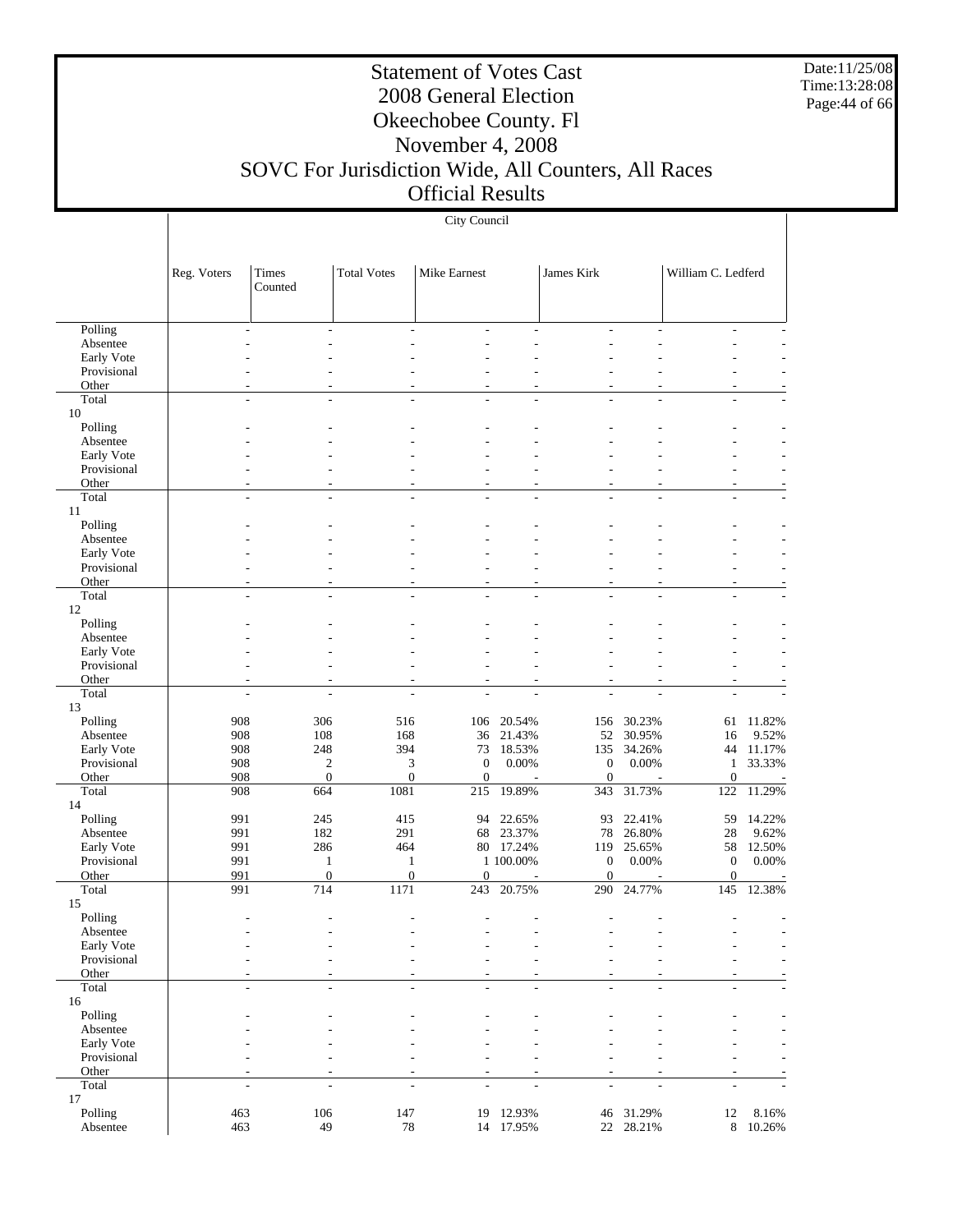Date:11/25/08 Time:13:28:08 Page:44 of 66

т

## Statement of Votes Cast 2008 General Election Okeechobee County. Fl November 4, 2008 SOVC For Jurisdiction Wide, All Counters, All Races

### Official Results

|                           | City Council   |                     |                              |                          |                     |                                      |                     |                              |                 |
|---------------------------|----------------|---------------------|------------------------------|--------------------------|---------------------|--------------------------------------|---------------------|------------------------------|-----------------|
|                           |                |                     |                              |                          |                     |                                      |                     |                              |                 |
|                           |                |                     |                              |                          |                     |                                      |                     |                              |                 |
|                           | Reg. Voters    | Times               | <b>Total Votes</b>           | Mike Earnest             |                     | James Kirk                           |                     | William C. Ledferd           |                 |
|                           |                | Counted             |                              |                          |                     |                                      |                     |                              |                 |
|                           |                |                     |                              |                          |                     |                                      |                     |                              |                 |
| Polling                   |                |                     | ÷,                           |                          |                     |                                      |                     |                              |                 |
| Absentee                  |                |                     |                              |                          |                     |                                      |                     |                              |                 |
| Early Vote<br>Provisional |                |                     |                              |                          |                     |                                      |                     |                              |                 |
| Other                     |                |                     |                              | ٠                        |                     |                                      |                     | ٠                            |                 |
| Total                     | $\overline{a}$ | $\overline{a}$      | $\overline{a}$               | ÷.                       | ÷,                  | L,                                   | ÷,                  | $\overline{a}$               |                 |
| 10                        |                |                     |                              |                          |                     |                                      |                     |                              |                 |
| Polling                   |                |                     |                              |                          |                     |                                      |                     |                              |                 |
| Absentee<br>Early Vote    |                |                     |                              |                          |                     |                                      |                     |                              |                 |
| Provisional               |                |                     |                              |                          |                     |                                      |                     |                              |                 |
| Other                     |                | ۰                   |                              | ٠                        | ٠                   | ٠                                    | ٠                   | $\overline{\phantom{a}}$     |                 |
| Total                     |                |                     |                              |                          |                     |                                      |                     |                              |                 |
| 11                        |                |                     |                              |                          |                     |                                      |                     |                              |                 |
| Polling<br>Absentee       |                |                     |                              |                          |                     |                                      |                     |                              |                 |
| Early Vote                |                |                     |                              |                          |                     |                                      |                     |                              |                 |
| Provisional               |                |                     |                              |                          |                     |                                      |                     |                              |                 |
| Other                     |                | ۰                   |                              | $\overline{\phantom{a}}$ | ٠                   | ٠                                    |                     | $\overline{\phantom{a}}$     |                 |
| Total                     | L,             | L,                  | $\overline{a}$               | ÷,                       | L                   |                                      |                     |                              |                 |
| 12<br>Polling             |                |                     |                              |                          |                     |                                      |                     |                              |                 |
| Absentee                  |                |                     |                              |                          |                     |                                      |                     |                              |                 |
| Early Vote                |                |                     |                              |                          |                     |                                      |                     |                              |                 |
| Provisional               |                |                     |                              |                          |                     |                                      |                     |                              |                 |
| Other                     |                |                     |                              |                          |                     | ٠                                    |                     |                              |                 |
| Total<br>13               |                |                     |                              |                          |                     |                                      |                     |                              |                 |
| Polling                   | 908            | 306                 | 516                          | 106                      | 20.54%              | 156                                  | 30.23%              | 61                           | 11.82%          |
| Absentee                  | 908            | 108                 | 168                          | 36                       | 21.43%              | 52                                   | 30.95%              | 16                           | 9.52%           |
| Early Vote                | 908            | 248                 | 394                          | 73                       | 18.53%              | 135                                  | 34.26%              | 44                           | 11.17%          |
| Provisional               | 908            | $\mathbf{c}$        | 3                            | $\mathbf{0}$             | 0.00%               | $\boldsymbol{0}$                     | 0.00%               | $\mathbf{1}$                 | 33.33%          |
| Other<br>Total            | 908<br>908     | $\mathbf{0}$<br>664 | $\boldsymbol{0}$<br>1081     | $\mathbf{0}$<br>215      | 19.89%              | $\boldsymbol{0}$<br>343              | 31.73%              | $\boldsymbol{0}$<br>122      | 11.29%          |
| 14                        |                |                     |                              |                          |                     |                                      |                     |                              |                 |
| Polling                   | 991            | 245                 | 415                          |                          | 94 22.65%           | 93                                   | 22.41%              | 59                           | 14.22%          |
| Absentee                  | 991            | 182                 | 291                          | 68                       | 23.37%              | 78                                   | 26.80%              | 28                           | 9.62%           |
| Early Vote                | 991            | 286                 | 464                          |                          | 80 17.24%           | 119                                  | 25.65%              | 58                           | 12.50%          |
| Provisional               | 991            | 1<br>$\mathbf{0}$   | $\mathbf{1}$<br>$\mathbf{0}$ | $\mathbf{0}$             | 1 100.00%           | $\boldsymbol{0}$<br>$\boldsymbol{0}$ | 0.00%               | $\mathbf{0}$<br>$\mathbf{0}$ | 0.00%           |
| Other<br>Total            | 991<br>991     | 714                 | 1171                         | 243                      | 20.75%              | 290                                  | 24.77%              | 145                          | 12.38%          |
| 15                        |                |                     |                              |                          |                     |                                      |                     |                              |                 |
| Polling                   |                |                     |                              |                          |                     |                                      |                     |                              |                 |
| Absentee                  |                |                     |                              |                          |                     |                                      |                     |                              |                 |
| Early Vote<br>Provisional |                |                     |                              |                          |                     |                                      |                     |                              |                 |
| Other                     |                |                     |                              | ٠<br>٠                   | ٠                   | ٠                                    |                     | $\tilde{\phantom{a}}$        |                 |
| Total                     | $\overline{a}$ | ÷.                  | $\overline{\phantom{a}}$     | $\overline{\phantom{a}}$ | ÷,                  | L,                                   | ÷,                  | $\overline{\phantom{a}}$     |                 |
| 16                        |                |                     |                              |                          |                     |                                      |                     |                              |                 |
| Polling                   |                |                     |                              |                          |                     |                                      |                     |                              |                 |
| Absentee<br>Early Vote    |                |                     |                              |                          |                     |                                      |                     |                              |                 |
| Provisional               |                |                     |                              |                          |                     |                                      |                     |                              |                 |
| Other                     |                |                     |                              | ٠                        |                     |                                      |                     | $\overline{\phantom{a}}$     |                 |
| Total                     |                |                     | ÷,                           | ÷                        |                     |                                      |                     |                              |                 |
| 17                        |                |                     |                              |                          |                     |                                      |                     |                              |                 |
| Polling<br>Absentee       | 463<br>463     | 106<br>49           | 147<br>$78\,$                | 19                       | 12.93%<br>14 17.95% | 46                                   | 31.29%<br>22 28.21% | 12<br>$\,8\,$                | 8.16%<br>10.26% |
|                           |                |                     |                              |                          |                     |                                      |                     |                              |                 |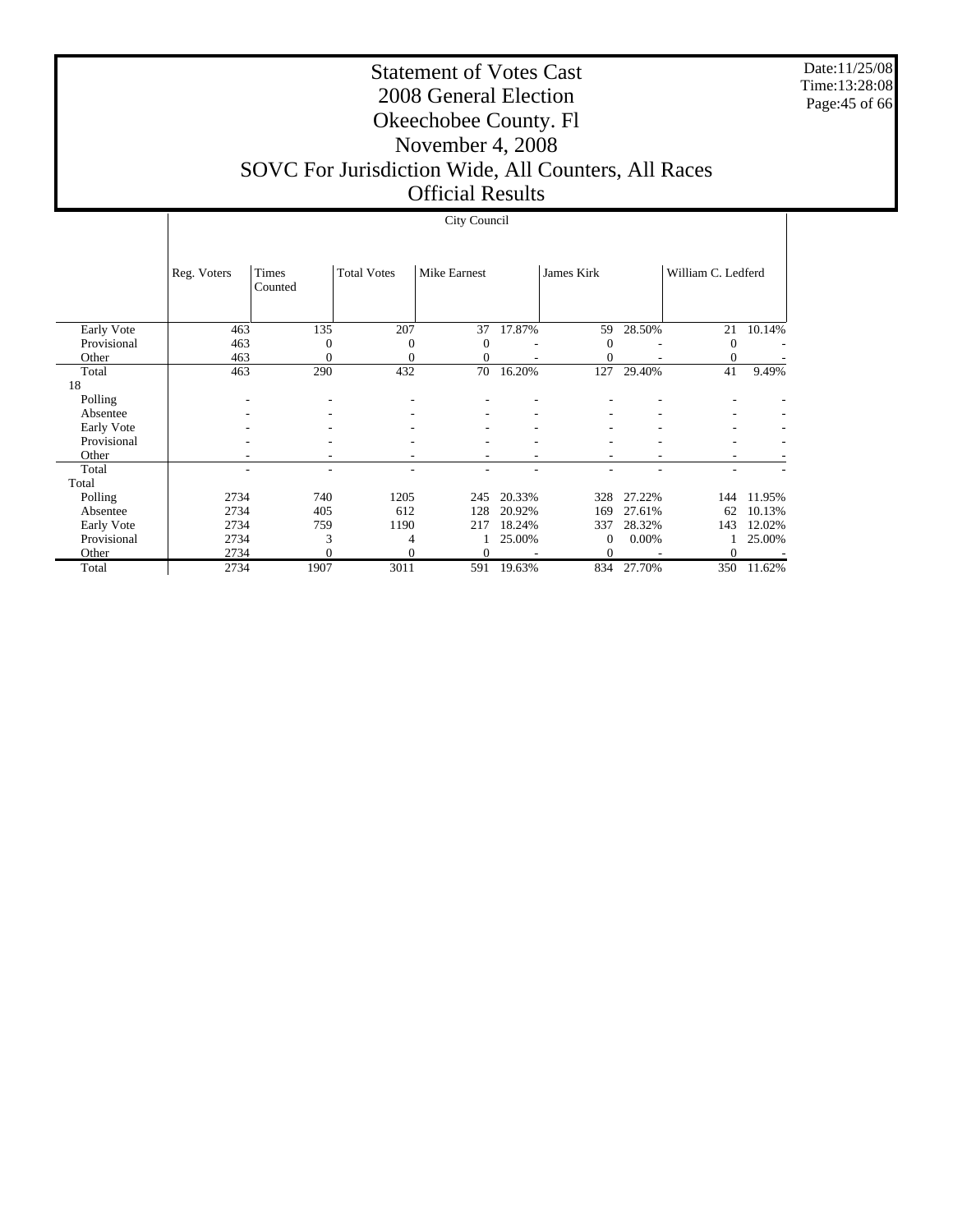Date:11/25/08 Time:13:28:08 Page:45 of 66

 $\overline{1}$ 

#### Statement of Votes Cast 2008 General Election Okeechobee County. Fl November 4, 2008 SOVC For Jurisdiction Wide, All Counters, All Races Official Results

# City Council

|             | Reg. Voters | Times<br>Counted | <b>Total Votes</b> | Mike Earnest |        | James Kirk   |        | William C. Ledferd |        |
|-------------|-------------|------------------|--------------------|--------------|--------|--------------|--------|--------------------|--------|
| Early Vote  | 463         | 135              | 207                | 37           | 17.87% | 59           | 28.50% | 21                 | 10.14% |
| Provisional | 463         | $\theta$         | $\mathbf{0}$       | $\Omega$     |        | $\theta$     |        | 0                  |        |
| Other       | 463         | 0                | $\mathbf{0}$       | $\Omega$     |        | $\mathbf{0}$ |        | $\Omega$           |        |
| Total       | 463         | 290              | 432                | 70           | 16.20% | 127          | 29.40% | 41                 | 9.49%  |
| 18          |             |                  |                    |              |        |              |        |                    |        |
| Polling     |             |                  | ٠                  |              |        |              |        |                    |        |
| Absentee    |             |                  |                    |              |        |              |        |                    |        |
| Early Vote  |             |                  |                    |              |        |              |        | ۰                  |        |
| Provisional |             |                  |                    |              |        |              |        |                    |        |
| Other       |             |                  |                    |              |        |              |        | ۰                  |        |
| Total       |             |                  |                    |              |        |              |        |                    |        |
| Total       |             |                  |                    |              |        |              |        |                    |        |
| Polling     | 2734        | 740              | 1205               | 245          | 20.33% | 328          | 27.22% | 144                | 11.95% |
| Absentee    | 2734        | 405              | 612                | 128          | 20.92% | 169          | 27.61% | 62                 | 10.13% |
| Early Vote  | 2734        | 759              | 1190               | 217          | 18.24% | 337          | 28.32% | 143                | 12.02% |
| Provisional | 2734        | 3                | 4                  |              | 25.00% | $\mathbf{0}$ | 0.00%  |                    | 25.00% |
| Other       | 2734        | $\theta$         | $\Omega$           | $\Omega$     |        | $\theta$     |        | $\Omega$           |        |
| Total       | 2734        | 1907             | 3011               | 591          | 19.63% | 834          | 27.70% | 350                | 11.62% |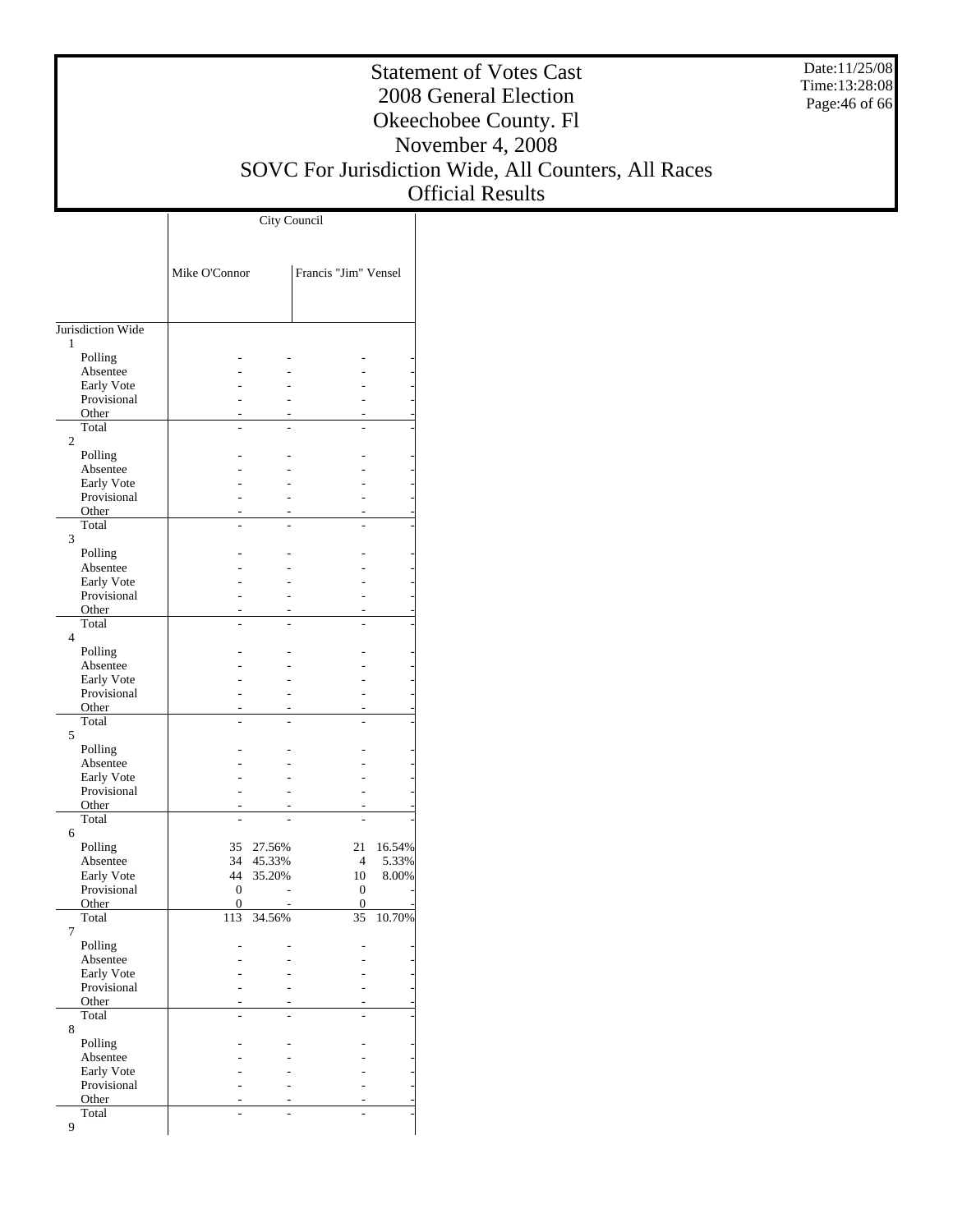Date:11/25/08 Time:13:28:08 Page:46 of 66

#### Statement of Votes Cast 2008 General Election Okeechobee County. Fl November 4, 2008 SOVC For Jurisdiction Wide, All Counters, All Races Official Results

|                           | Mike O'Connor           |        | Francis "Jim" Vensel |        |
|---------------------------|-------------------------|--------|----------------------|--------|
|                           |                         |        |                      |        |
| Jurisdiction Wide<br>1    |                         |        |                      |        |
| Polling                   |                         |        |                      |        |
| Absentee                  |                         |        |                      |        |
| Early Vote<br>Provisional |                         |        |                      |        |
| Other                     |                         |        |                      |        |
| Total                     |                         |        |                      |        |
| $\overline{c}$<br>Polling |                         |        |                      |        |
| Absentee                  |                         |        |                      |        |
| Early Vote                |                         |        |                      |        |
| Provisional               |                         |        |                      |        |
| Other<br>Total            |                         |        |                      |        |
| 3                         |                         |        |                      |        |
| Polling                   |                         |        |                      |        |
| Absentee                  |                         |        |                      |        |
| Early Vote<br>Provisional |                         |        |                      |        |
| Other                     |                         |        |                      |        |
| Total                     |                         |        |                      | ÷      |
| $\overline{4}$<br>Polling |                         |        |                      |        |
| Absentee                  |                         |        |                      |        |
| Early Vote                |                         |        |                      |        |
| Provisional               |                         |        |                      |        |
| Other<br>Total            |                         |        | ٠                    |        |
| 5                         |                         |        |                      |        |
| Polling                   |                         |        |                      |        |
| Absentee                  |                         |        |                      |        |
| Early Vote<br>Provisional |                         |        |                      |        |
| Other                     |                         |        |                      |        |
| Total                     |                         |        |                      |        |
| 6<br>Polling              | 35                      | 27.56% | 21                   | 16.54% |
| Absentee                  | 34                      | 45.33% | $\overline{4}$       | 5.33%  |
| Early Vote                | 44                      | 35.20% | 10                   | 8.00%  |
| Provisional               | $\boldsymbol{0}$        |        | $\boldsymbol{0}$     |        |
| Other<br>Total            | $\boldsymbol{0}$<br>113 | 34.56% | $\mathbf{0}$<br>35   | 10.70% |
| 7                         |                         |        |                      |        |
| Polling                   |                         |        |                      |        |
| Absentee                  |                         |        |                      |        |
| Early Vote<br>Provisional |                         |        |                      |        |
| Other                     |                         |        |                      |        |
| Total                     |                         |        |                      |        |
| 8<br>Polling              |                         |        |                      |        |
| Absentee                  |                         |        |                      |        |
| Early Vote                |                         |        |                      |        |
| Provisional               |                         |        |                      |        |
| Other<br>Total            |                         |        |                      |        |
| 9                         |                         |        |                      |        |
|                           |                         |        |                      |        |

City Council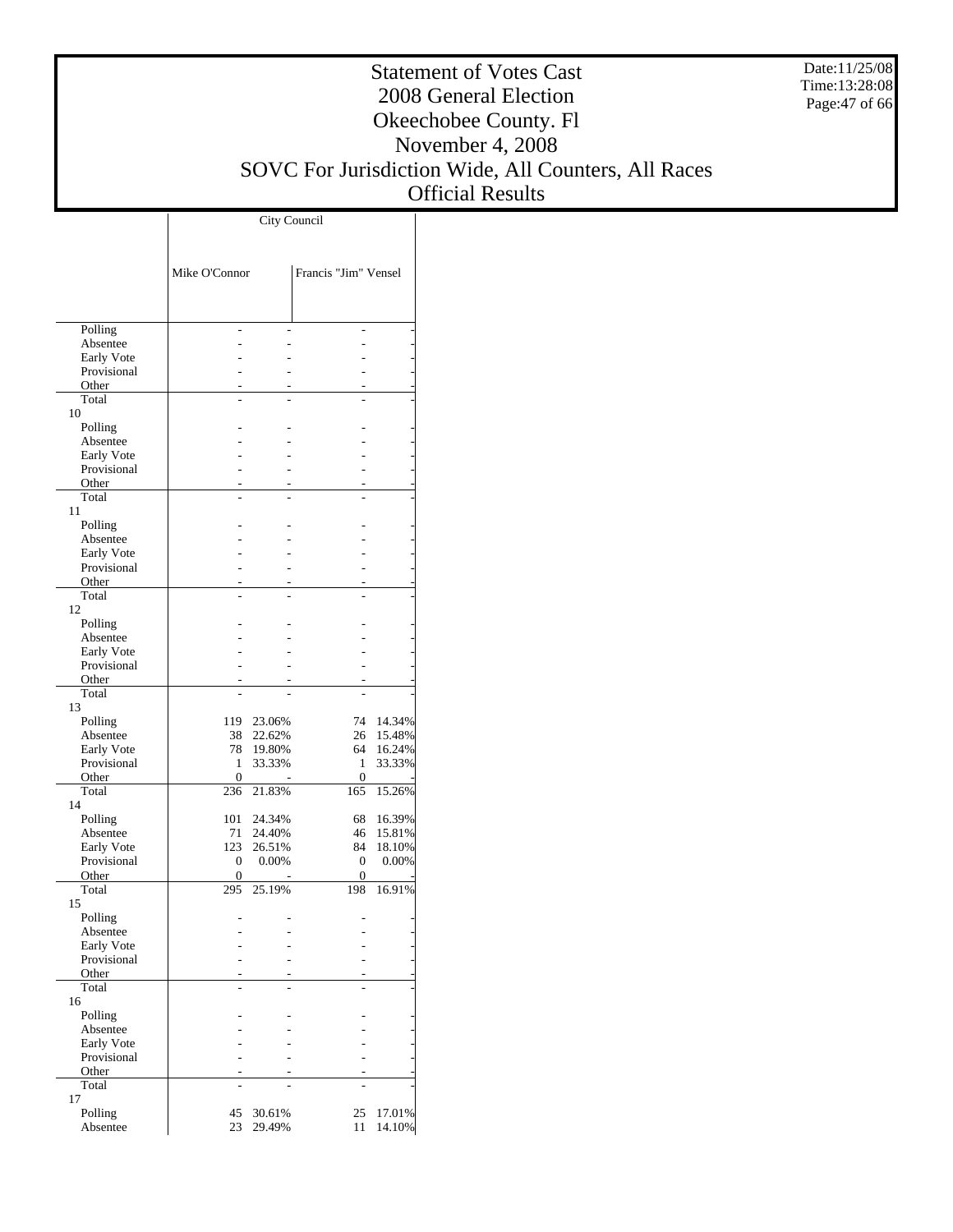Date:11/25/08 Time:13:28:08 Page:47 of 66

#### Statement of Votes Cast 2008 General Election Okeechobee County. Fl November 4, 2008 SOVC For Jurisdiction Wide, All Counters, All Races Official Results

|                           | Mike O'Connor         |        | Francis "Jim" Vensel |        |  |  |  |
|---------------------------|-----------------------|--------|----------------------|--------|--|--|--|
| Polling                   |                       |        |                      |        |  |  |  |
| Absentee                  |                       |        |                      |        |  |  |  |
| Early Vote<br>Provisional |                       |        |                      |        |  |  |  |
| Other                     |                       |        |                      |        |  |  |  |
| Total                     |                       |        |                      |        |  |  |  |
| 10                        |                       |        |                      |        |  |  |  |
| Polling                   |                       |        |                      |        |  |  |  |
| Absentee<br>Early Vote    |                       |        |                      |        |  |  |  |
| Provisional               |                       |        |                      |        |  |  |  |
| Other                     |                       |        |                      |        |  |  |  |
| Total                     |                       |        | L                    |        |  |  |  |
| 11                        |                       |        |                      |        |  |  |  |
| Polling<br>Absentee       |                       |        |                      |        |  |  |  |
| Early Vote                |                       |        |                      |        |  |  |  |
| Provisional               |                       |        |                      |        |  |  |  |
| Other                     |                       |        |                      |        |  |  |  |
| Total                     |                       |        |                      |        |  |  |  |
| 12<br>Polling             |                       |        |                      |        |  |  |  |
| Absentee                  |                       |        |                      |        |  |  |  |
| Early Vote                |                       |        |                      |        |  |  |  |
| Provisional               |                       |        |                      |        |  |  |  |
| Other                     |                       |        |                      |        |  |  |  |
| Total<br>13               |                       |        |                      |        |  |  |  |
| Polling                   | 119                   | 23.06% | 74                   | 14.34% |  |  |  |
| Absentee                  | 38                    | 22.62% | 26                   | 15.48% |  |  |  |
| Early Vote                | 78                    | 19.80% | 64                   | 16.24% |  |  |  |
| Provisional               | 1                     | 33.33% | 1                    | 33.33% |  |  |  |
| Other<br>Total            | $\mathbf{0}$<br>236   | 21.83% | $\mathbf{0}$<br>165  | 15.26% |  |  |  |
| 14                        |                       |        |                      |        |  |  |  |
| Polling                   | 101                   | 24.34% | 68                   | 16.39% |  |  |  |
| Absentee                  | 71                    | 24.40% | 46                   | 15.81% |  |  |  |
| Early Vote                | 123<br>$\overline{0}$ | 26.51% | 84<br>$\mathbf{0}$   | 18.10% |  |  |  |
| Provisional<br>Other      | $\boldsymbol{0}$      | 0.00%  | $\overline{0}$       | 0.00%  |  |  |  |
| Total                     | 295                   | 25.19% | 198                  | 16.91% |  |  |  |
| 15                        |                       |        |                      |        |  |  |  |
| Polling                   |                       |        |                      |        |  |  |  |
| Absentee<br>Early Vote    |                       |        |                      |        |  |  |  |
| Provisional               |                       |        |                      |        |  |  |  |
| Other                     |                       |        |                      |        |  |  |  |
| Total                     |                       |        | L                    |        |  |  |  |
| 16                        |                       |        |                      |        |  |  |  |
| Polling<br>Absentee       |                       |        |                      |        |  |  |  |
| Early Vote                |                       |        |                      |        |  |  |  |
| Provisional               |                       |        |                      |        |  |  |  |
| Other                     |                       |        |                      |        |  |  |  |
| Total<br>17               |                       |        |                      |        |  |  |  |
| Polling                   | 45                    | 30.61% | 25                   | 17.01% |  |  |  |
| Absentee                  | 23                    | 29.49% | 11                   | 14.10% |  |  |  |

City Council

 $\overline{1}$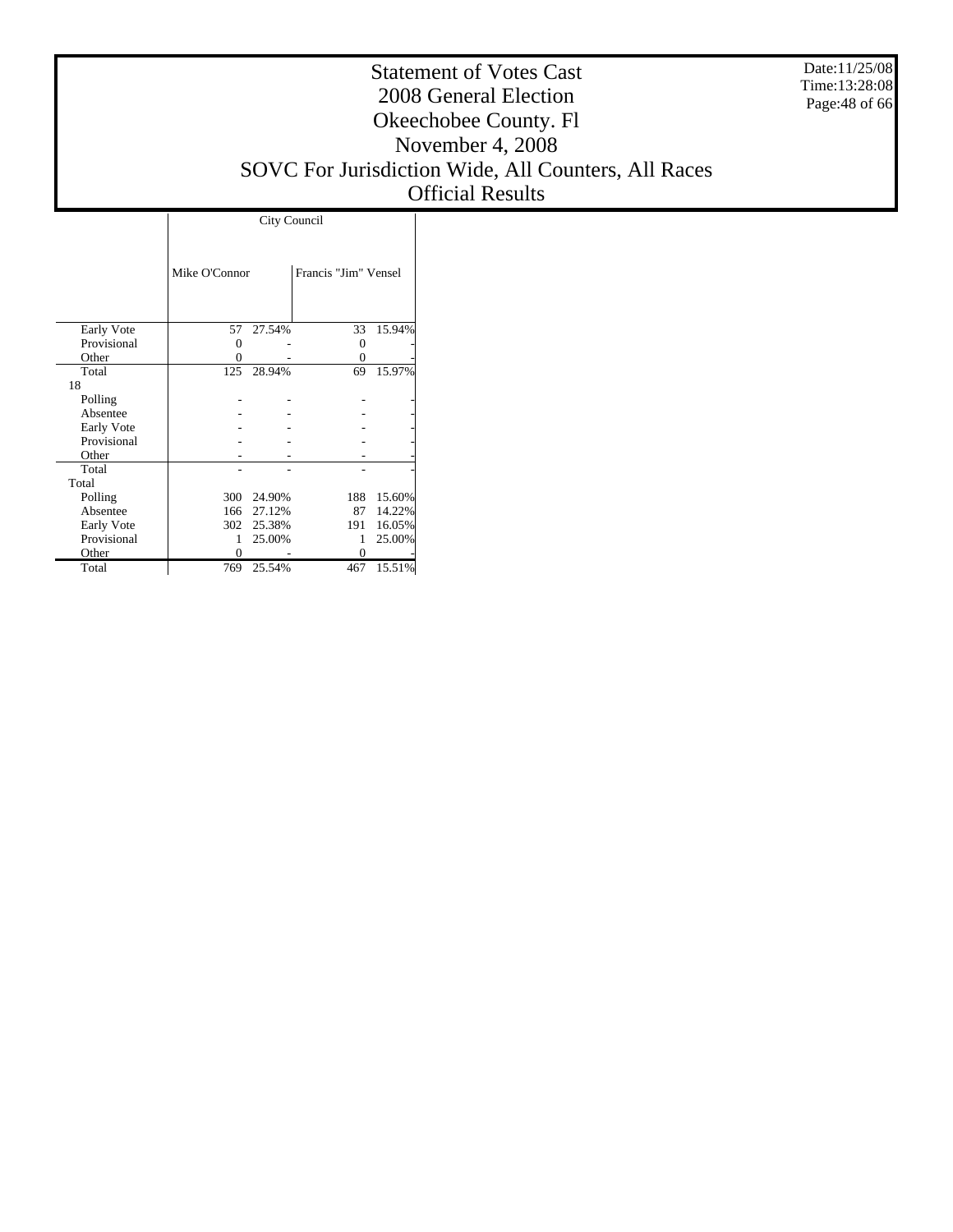Date:11/25/08 Time:13:28:08 Page:48 of 66

#### Statement of Votes Cast 2008 General Election Okeechobee County. Fl November 4, 2008 SOVC For Jurisdiction Wide, All Counters, All Races Official Results

|             |               | City Council |                      |        |
|-------------|---------------|--------------|----------------------|--------|
|             |               |              |                      |        |
|             | Mike O'Connor |              | Francis "Jim" Vensel |        |
|             |               |              |                      |        |
| Early Vote  | 57            | 27.54%       | 33                   | 15.94% |
| Provisional | 0             |              | Ω                    |        |
| Other       |               |              | 0                    |        |
| Total       | 125           | 28.94%       | 69                   | 15.97% |
| 18          |               |              |                      |        |
| Polling     |               |              |                      |        |
| Absentee    |               |              |                      |        |
| Early Vote  |               |              |                      |        |
| Provisional |               |              |                      |        |
| Other       |               |              |                      |        |
| Total       |               |              |                      |        |
| Total       |               |              |                      |        |
| Polling     |               | 300 24.90%   | 188                  | 15.60% |
| Absentee    |               | 166 27.12%   | 87                   | 14.22% |
| Early Vote  |               | 302 25.38%   | 191                  | 16.05% |
| Provisional | 1             | 25.00%       |                      | 25.00% |
| Other       | 0             |              |                      |        |
| Total       | 769           | 25.54%       | 467                  | 15.51% |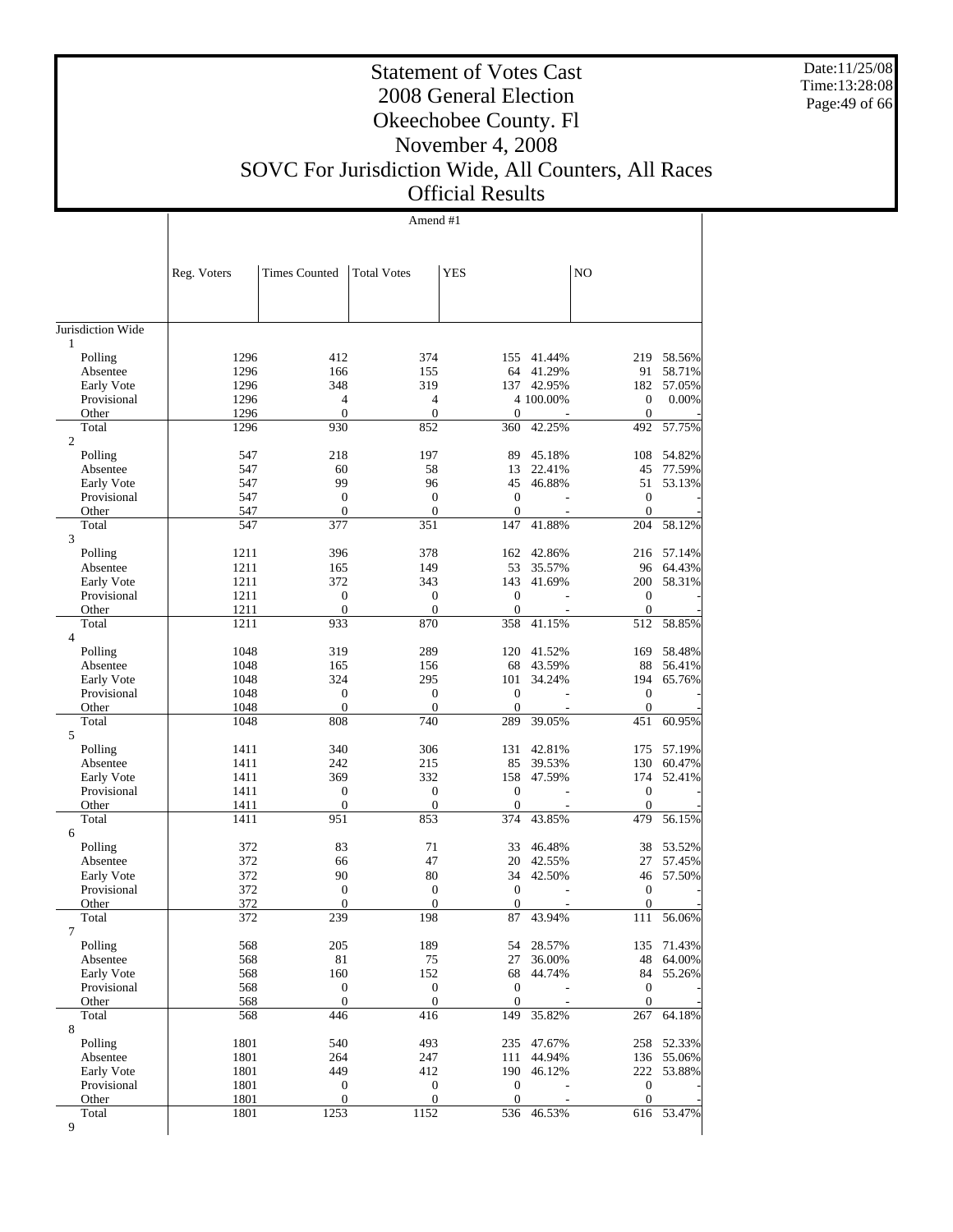Date:11/25/08 Time:13:28:08 Page:49 of 66

Τ

# Statement of Votes Cast 2008 General Election Okeechobee County. Fl November 4, 2008

SOVC For Jurisdiction Wide, All Counters, All Races

# Official Results

|                           |              |                                    | Amend #1                     |                         |                     |                                      |                  |
|---------------------------|--------------|------------------------------------|------------------------------|-------------------------|---------------------|--------------------------------------|------------------|
|                           |              |                                    |                              |                         |                     |                                      |                  |
|                           |              |                                    |                              |                         |                     |                                      |                  |
|                           | Reg. Voters  | <b>Times Counted</b>               | <b>Total Votes</b>           | <b>YES</b>              |                     | NO                                   |                  |
|                           |              |                                    |                              |                         |                     |                                      |                  |
|                           |              |                                    |                              |                         |                     |                                      |                  |
| Jurisdiction Wide         |              |                                    |                              |                         |                     |                                      |                  |
| 1                         |              |                                    |                              |                         |                     |                                      |                  |
| Polling                   | 1296         | 412                                | 374                          |                         | 155 41.44%          | 219                                  | 58.56%           |
| Absentee                  | 1296         | 166                                | 155                          | 64                      | 41.29%              | 91                                   | 58.71%           |
| Early Vote<br>Provisional | 1296<br>1296 | 348<br>4                           | 319<br>$\overline{4}$        | 137                     | 42.95%<br>4 100.00% | 182<br>$\boldsymbol{0}$              | 57.05%<br>0.00%  |
| Other                     | 1296         | $\boldsymbol{0}$                   | $\mathbf{0}$                 | $\theta$                |                     | $\boldsymbol{0}$                     |                  |
| Total                     | 1296         | 930                                | 852                          | 360                     | 42.25%              | 492                                  | 57.75%           |
| $\overline{c}$            |              |                                    |                              |                         |                     |                                      |                  |
| Polling                   | 547          | 218                                | 197                          | 89                      | 45.18%              | 108                                  | 54.82%           |
| Absentee                  | 547          | 60                                 | 58                           | 13                      | 22.41%              | 45                                   | 77.59%           |
| Early Vote                | 547          | 99                                 | 96                           | 45                      | 46.88%              | 51                                   | 53.13%           |
| Provisional<br>Other      | 547<br>547   | $\boldsymbol{0}$<br>$\overline{0}$ | $\mathbf{0}$<br>$\mathbf{0}$ | $\boldsymbol{0}$<br>0   |                     | $\boldsymbol{0}$<br>$\boldsymbol{0}$ |                  |
| Total                     | 547          | 377                                | 351                          | 147                     | 41.88%              | 204                                  | 58.12%           |
| 3                         |              |                                    |                              |                         |                     |                                      |                  |
| Polling                   | 1211         | 396                                | 378                          | 162                     | 42.86%              | 216                                  | 57.14%           |
| Absentee                  | 1211         | 165                                | 149                          | 53                      | 35.57%              | 96                                   | 64.43%           |
| Early Vote                | 1211         | 372                                | 343                          | 143                     | 41.69%              | 200                                  | 58.31%           |
| Provisional               | 1211         | $\boldsymbol{0}$                   | $\mathbf{0}$<br>$\mathbf{0}$ | $\boldsymbol{0}$        |                     | $\boldsymbol{0}$                     |                  |
| Other<br>Total            | 1211<br>1211 | $\boldsymbol{0}$<br>933            | 870                          | $\boldsymbol{0}$<br>358 | 41.15%              | $\mathbf{0}$<br>512                  | 58.85%           |
| $\overline{4}$            |              |                                    |                              |                         |                     |                                      |                  |
| Polling                   | 1048         | 319                                | 289                          | 120                     | 41.52%              | 169                                  | 58.48%           |
| Absentee                  | 1048         | 165                                | 156                          | 68                      | 43.59%              | 88                                   | 56.41%           |
| Early Vote                | 1048         | 324                                | 295                          | 101                     | 34.24%              | 194                                  | 65.76%           |
| Provisional               | 1048         | $\boldsymbol{0}$                   | $\mathbf{0}$                 | $\boldsymbol{0}$        |                     | $\boldsymbol{0}$                     |                  |
| Other                     | 1048         | $\boldsymbol{0}$                   | $\boldsymbol{0}$             | $\boldsymbol{0}$        |                     | $\boldsymbol{0}$                     |                  |
| Total<br>5                | 1048         | 808                                | 740                          | 289                     | 39.05%              | 451                                  | 60.95%           |
| Polling                   | 1411         | 340                                | 306                          | 131                     | 42.81%              | 175                                  | 57.19%           |
| Absentee                  | 1411         | 242                                | 215                          | 85                      | 39.53%              | 130                                  | 60.47%           |
| Early Vote                | 1411         | 369                                | 332                          | 158                     | 47.59%              | 174                                  | 52.41%           |
| Provisional               | 1411         | $\boldsymbol{0}$                   | $\mathbf{0}$                 | $\boldsymbol{0}$        |                     | $\boldsymbol{0}$                     |                  |
| Other                     | 1411         | $\boldsymbol{0}$                   | $\mathbf{0}$                 | $\mathbf{0}$            |                     | $\mathbf{0}$                         |                  |
| Total                     | 1411         | 951                                | 853                          | 374                     | 43.85%              | 479                                  | 56.15%           |
| 6<br>Polling              | 372          | 83                                 | 71                           | 33                      | 46.48%              | 38                                   | 53.52%           |
| Absentee                  | 372          | 66                                 | 47                           | 20                      | 42.55%              | 27                                   | 57.45%           |
| Early Vote                | 372          | 90                                 | 80                           | 34                      | 42.50%              | 46                                   | 57.50%           |
| Provisional               | 372          | $\boldsymbol{0}$                   | $\mathbf{0}$                 | $\boldsymbol{0}$        |                     | $\boldsymbol{0}$                     |                  |
| Other                     | 372          | $\overline{0}$                     | $\overline{0}$               | $\boldsymbol{0}$        |                     | $\boldsymbol{0}$                     |                  |
| Total                     | 372          | 239                                | 198                          | 87                      | 43.94%              | 111                                  | 56.06%           |
| $\tau$                    | 568          | 205                                | 189                          |                         |                     |                                      | 71.43%           |
| Polling<br>Absentee       | 568          | 81                                 | 75                           | 54<br>27                | 28.57%<br>36.00%    | 135<br>48                            | 64.00%           |
| Early Vote                | 568          | 160                                | 152                          | 68                      | 44.74%              | 84                                   | 55.26%           |
| Provisional               | 568          | $\boldsymbol{0}$                   | $\boldsymbol{0}$             | $\mathbf{0}$            |                     | $\boldsymbol{0}$                     |                  |
| Other                     | 568          | $\boldsymbol{0}$                   | $\mathbf{0}$                 | $\mathbf{0}$            |                     | $\mathbf{0}$                         |                  |
| Total                     | 568          | 446                                | 416                          | 149                     | 35.82%              | 267                                  | 64.18%           |
| 8                         |              |                                    |                              |                         |                     |                                      |                  |
| Polling                   | 1801         | 540                                | 493                          | 235                     | 47.67%              | 258                                  | 52.33%           |
| Absentee<br>Early Vote    | 1801<br>1801 | 264<br>449                         | 247<br>412                   | 111<br>190              | 44.94%<br>46.12%    | 136<br>222                           | 55.06%<br>53.88% |
| Provisional               | 1801         | $\boldsymbol{0}$                   | $\boldsymbol{0}$             | $\mathbf{0}$            |                     | $\boldsymbol{0}$                     |                  |
| Other                     | 1801         | $\boldsymbol{0}$                   | $\mathbf{0}$                 | $\mathbf{0}$            |                     | $\boldsymbol{0}$                     |                  |
| Total                     | 1801         | 1253                               | 1152                         | 536                     | 46.53%              |                                      | 616 53.47%       |
| 9                         |              |                                    |                              |                         |                     |                                      |                  |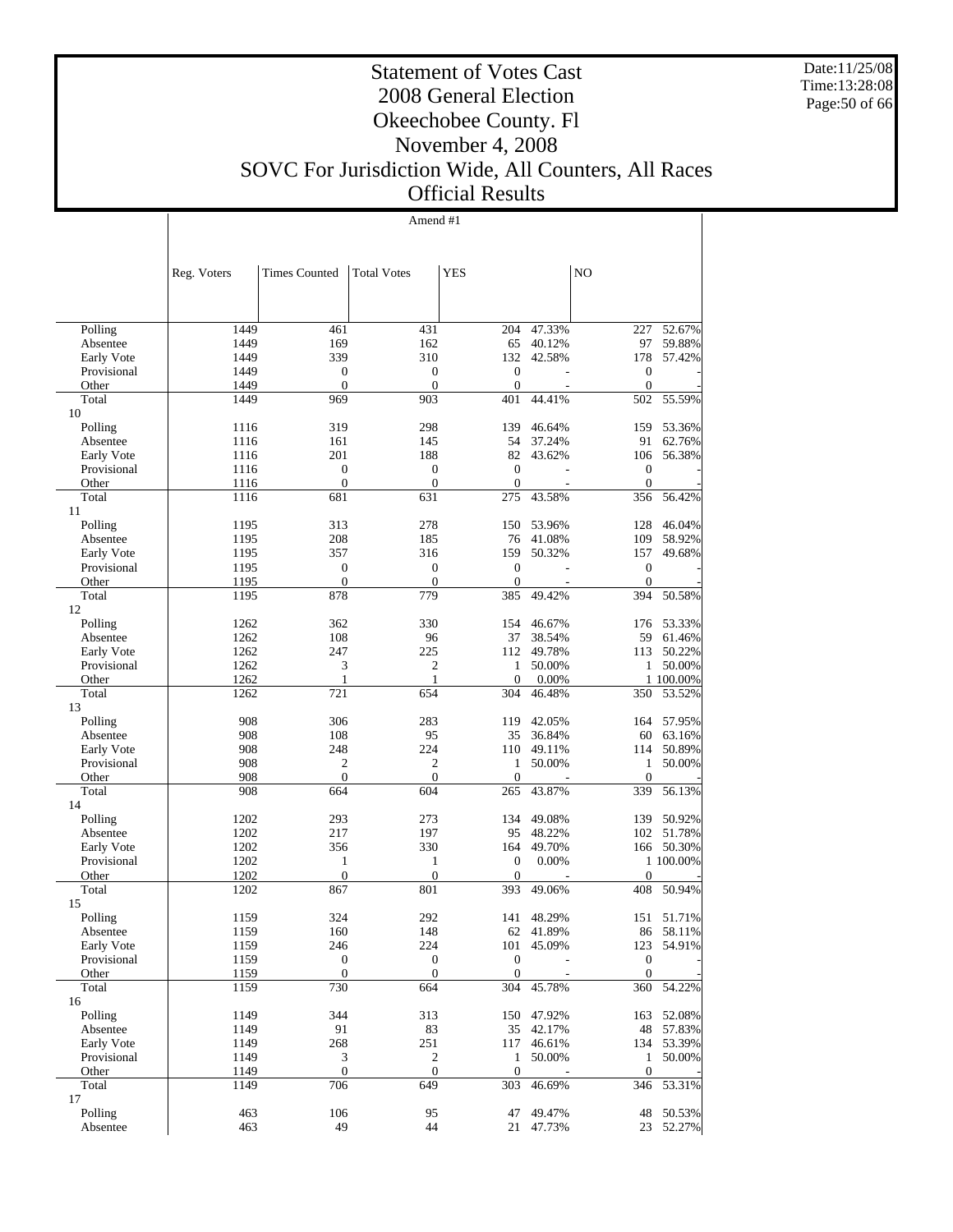Date:11/25/08 Time:13:28:08 Page:50 of 66

#### Statement of Votes Cast 2008 General Election Okeechobee County. Fl November 4, 2008 SOVC For Jurisdiction Wide, All Counters, All Races Official Results

Amend #1

|                           | Reg. Voters  | <b>Times Counted</b> | <b>Total Votes</b>  | <b>YES</b>          |                                    | NO                  |                  |
|---------------------------|--------------|----------------------|---------------------|---------------------|------------------------------------|---------------------|------------------|
|                           |              |                      |                     |                     |                                    |                     |                  |
| Polling                   | 1449         | 461                  | 431                 | 204                 | 47.33%                             | 227                 | 52.67%           |
| Absentee                  | 1449         | 169                  | 162                 | 65                  | 40.12%                             | 97                  | 59.88%           |
| Early Vote                | 1449         | 339                  | 310                 | 132                 | 42.58%                             | 178                 | 57.42%           |
| Provisional               | 1449         | $\boldsymbol{0}$     | $\mathbf{0}$        | $\boldsymbol{0}$    |                                    | $\mathbf{0}$        |                  |
| Other                     | 1449         | $\overline{0}$       | $\mathbf{0}$        | $\boldsymbol{0}$    | $\overline{\phantom{a}}$           | $\mathbf{0}$        |                  |
| Total                     | 1449         | 969                  | 903                 | 401                 | 44.41%                             | 502                 | 55.59%           |
| 10                        |              |                      |                     |                     |                                    |                     |                  |
| Polling                   | 1116         | 319                  | 298                 | 139                 | 46.64%                             | 159                 | 53.36%           |
| Absentee                  | 1116         | 161                  | 145                 | 54                  | 37.24%                             | 91                  | 62.76%           |
| Early Vote                | 1116         | 201                  | 188                 | 82                  | 43.62%                             | 106                 | 56.38%           |
| Provisional               | 1116         | $\boldsymbol{0}$     | $\boldsymbol{0}$    | $\mathbf{0}$        |                                    | $\boldsymbol{0}$    |                  |
| Other                     | 1116         | $\mathbf{0}$         | $\mathbf{0}$        | $\theta$            |                                    | $\mathbf{0}$        |                  |
| Total                     | 1116         | 681                  | 631                 | 275                 | 43.58%                             | 356                 | 56.42%           |
| 11                        |              |                      |                     |                     |                                    |                     |                  |
| Polling                   | 1195         | 313                  | 278                 | 150                 | 53.96%                             | 128                 | 46.04%           |
| Absentee                  | 1195         | 208                  | 185                 | 76                  | 41.08%                             | 109                 | 58.92%           |
| Early Vote                | 1195         | 357                  | 316                 | 159                 | 50.32%                             | 157                 | 49.68%           |
| Provisional               | 1195         | $\boldsymbol{0}$     | $\mathbf{0}$        | $\boldsymbol{0}$    |                                    | $\mathbf{0}$        |                  |
| Other                     | 1195         | $\overline{0}$       | $\mathbf{0}$<br>779 | $\boldsymbol{0}$    | $\overline{\phantom{a}}$<br>49.42% | $\mathbf{0}$        |                  |
| Total<br>12               | 1195         | 878                  |                     | 385                 |                                    | 394                 | 50.58%           |
| Polling                   | 1262         | 362                  | 330                 | 154                 | 46.67%                             | 176                 | 53.33%           |
| Absentee                  | 1262         | 108                  | 96                  | 37                  | 38.54%                             | 59                  | 61.46%           |
| Early Vote                | 1262         | 247                  | 225                 | 112                 | 49.78%                             | 113                 | 50.22%           |
| Provisional               | 1262         | 3                    | $\overline{c}$      | 1                   | 50.00%                             | $\mathbf{1}$        | 50.00%           |
| Other                     | 1262         | 1                    | $\mathbf{1}$        | $\theta$            | 0.00%                              |                     | 1 100.00%        |
| Total<br>13               | 1262         | 721                  | 654                 | 304                 | 46.48%                             | 350                 | 53.52%           |
| Polling                   | 908          | 306                  | 283                 | 119                 | 42.05%                             | 164                 | 57.95%           |
| Absentee                  | 908          | 108                  | 95                  | 35                  | 36.84%                             | 60                  | 63.16%           |
| Early Vote                | 908          | 248                  | 224                 | 110                 | 49.11%                             | 114                 | 50.89%           |
| Provisional               | 908          | $\mathfrak{2}$       | $\overline{2}$      | 1                   | 50.00%                             | 1                   | 50.00%           |
| Other                     | 908          | $\overline{0}$       | $\mathbf{0}$        | $\mathbf{0}$        |                                    | $\theta$            |                  |
| Total                     | 908          | 664                  | 604                 | 265                 | 43.87%                             | 339                 | 56.13%           |
| 14                        |              |                      |                     |                     |                                    |                     |                  |
| Polling                   | 1202         | 293                  | 273                 | 134                 | 49.08%                             | 139                 | 50.92%           |
| Absentee                  | 1202         | 217                  | 197                 | 95                  | 48.22%                             | 102                 | 51.78%           |
| Early Vote                | 1202         | 356                  | 330                 | 164                 | 49.70%                             | 166                 | 50.30%           |
| Provisional               | 1202         | 1                    | $\mathbf{1}$        | $\mathbf{0}$        | 0.00%                              |                     | 1 100.00%        |
| Other                     | 1202         | $\boldsymbol{0}$     | $\mathbf{0}$        | $\overline{0}$      |                                    | $\mathbf{0}$        |                  |
| Total<br>15               | 1202         | 867                  | 801                 | 393                 | 49.06%                             | 408                 | 50.94%           |
| Polling                   | 1159         | 324                  | 292                 | 141                 | 48.29%                             | 151                 | 51.71%           |
| Absentee                  | 1159         | 160                  | 148                 | 62                  | 41.89%                             | 86                  | 58.11%           |
| Early Vote                | 1159         | 246                  | 224                 |                     | 101 45.09%                         | 123                 | 54.91%           |
| Provisional               | 1159         | $\boldsymbol{0}$     | $\boldsymbol{0}$    | $\mathbf{0}$        |                                    | $\boldsymbol{0}$    |                  |
| Other                     | 1159         | $\boldsymbol{0}$     | $\mathbf{0}$        | $\mathbf{0}$        |                                    | $\mathbf{0}$        |                  |
| Total                     | 1159         | 730                  | 664                 | $\overline{3}04$    | 45.78%                             | 360                 | 54.22%           |
| 16                        |              |                      |                     |                     |                                    |                     |                  |
| Polling                   | 1149<br>1149 | 344<br>91            | 313                 | 150                 | 47.92%                             | 163<br>48           | 52.08%<br>57.83% |
| Absentee                  | 1149         | 268                  | 83<br>251           | 35                  | 42.17%                             |                     | 53.39%           |
| Early Vote<br>Provisional | 1149         | $\mathfrak{Z}$       | 2                   | 117<br>$\mathbf{1}$ | 46.61%<br>50.00%                   | 134<br>$\mathbf{1}$ | 50.00%           |
| Other                     | 1149         | $\boldsymbol{0}$     | $\mathbf{0}$        | $\mathbf{0}$        |                                    | $\boldsymbol{0}$    |                  |
| Total                     | 1149         | 706                  | 649                 | 303                 | 46.69%                             | 346                 | 53.31%           |
| 17                        |              |                      |                     |                     |                                    |                     |                  |
| Polling                   | 463          | 106                  | 95                  | 47                  | 49.47%                             | 48                  | 50.53%           |
| Absentee                  | 463          | 49                   | 44                  | 21                  | 47.73%                             | 23                  | 52.27%           |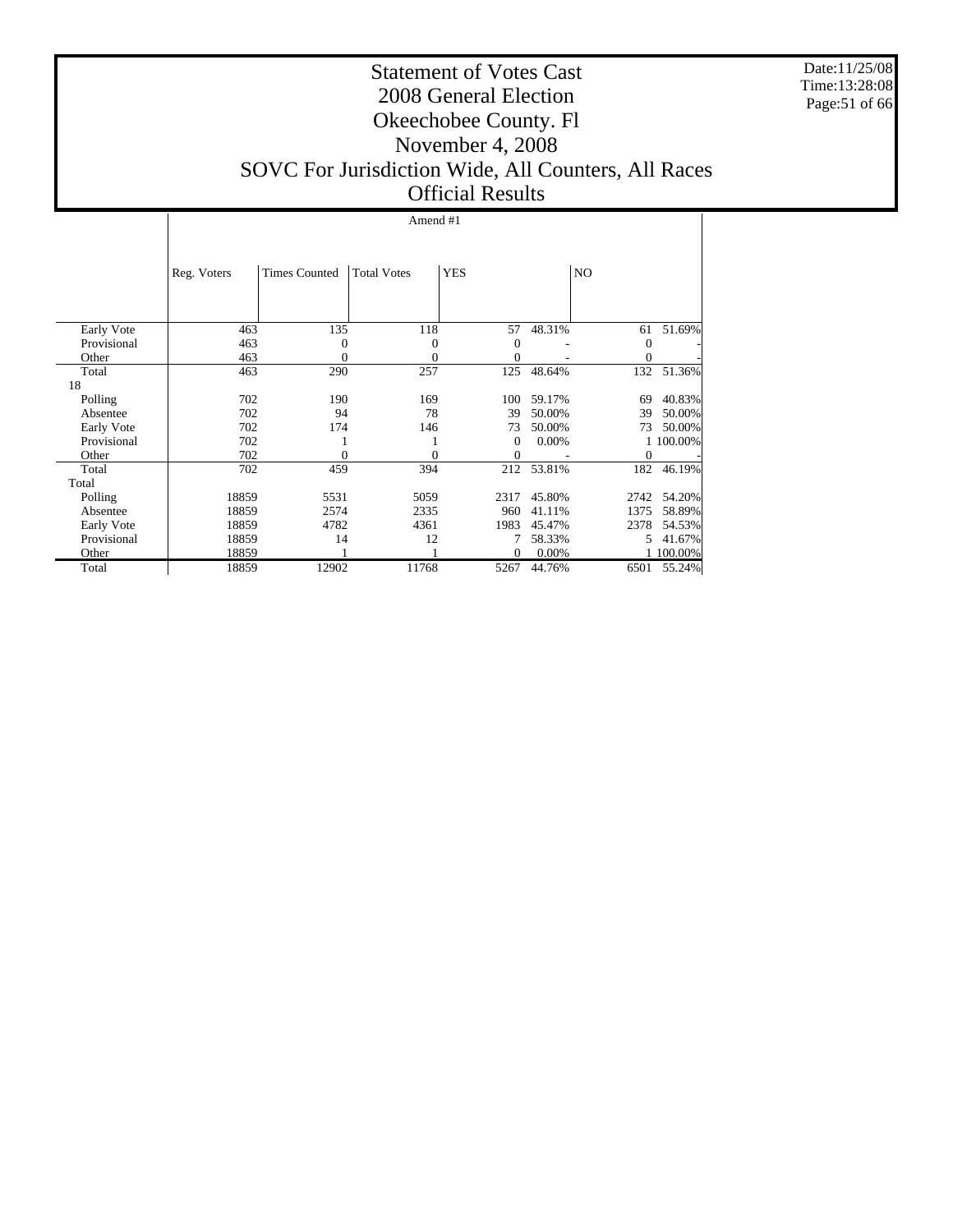Date:11/25/08 Time:13:28:08 Page:51 of 66

#### Statement of Votes Cast 2008 General Election Okeechobee County. Fl November 4, 2008 SOVC For Jurisdiction Wide, All Counters, All Races Official Results

#### Amend #1

|             | Reg. Voters | <b>Times Counted</b> | <b>Total Votes</b> | <b>YES</b> |        | N <sub>O</sub> |           |
|-------------|-------------|----------------------|--------------------|------------|--------|----------------|-----------|
|             |             |                      |                    |            |        |                |           |
| Early Vote  | 463         | 135                  | 118                | 57         | 48.31% | 61             | 51.69%    |
| Provisional | 463         | 0                    | 0                  | 0          |        | $\theta$       |           |
| Other       | 463         | 0                    | 0                  | $\theta$   |        | $\overline{0}$ |           |
| Total       | 463         | 290                  | 257                | 125        | 48.64% | 132            | 51.36%    |
| 18          |             |                      |                    |            |        |                |           |
| Polling     | 702         | 190                  | 169                | 100        | 59.17% | 69             | 40.83%    |
| Absentee    | 702         | 94                   | 78                 | 39         | 50.00% | 39             | 50.00%    |
| Early Vote  | 702         | 174                  | 146                | 73         | 50.00% | 73             | 50.00%    |
| Provisional | 702         |                      |                    | $\Omega$   | 0.00%  |                | 1 100.00% |
| Other       | 702         | 0                    | 0                  | $\theta$   |        | $\mathbf{0}$   |           |
| Total       | 702         | 459                  | 394                | 212        | 53.81% | 182            | 46.19%    |
| Total       |             |                      |                    |            |        |                |           |
| Polling     | 18859       | 5531                 | 5059               | 2317       | 45.80% | 2742           | 54.20%    |
| Absentee    | 18859       | 2574                 | 2335               | 960        | 41.11% | 1375           | 58.89%    |
| Early Vote  | 18859       | 4782                 | 4361               | 1983       | 45.47% | 2378           | 54.53%    |
| Provisional | 18859       | 14                   | 12                 |            | 58.33% | 5.             | 41.67%    |
| Other       | 18859       |                      |                    | $\Omega$   | 0.00%  |                | 100.00%   |
| Total       | 18859       | 12902                | 11768              | 5267       | 44.76% | 6501           | 55.24%    |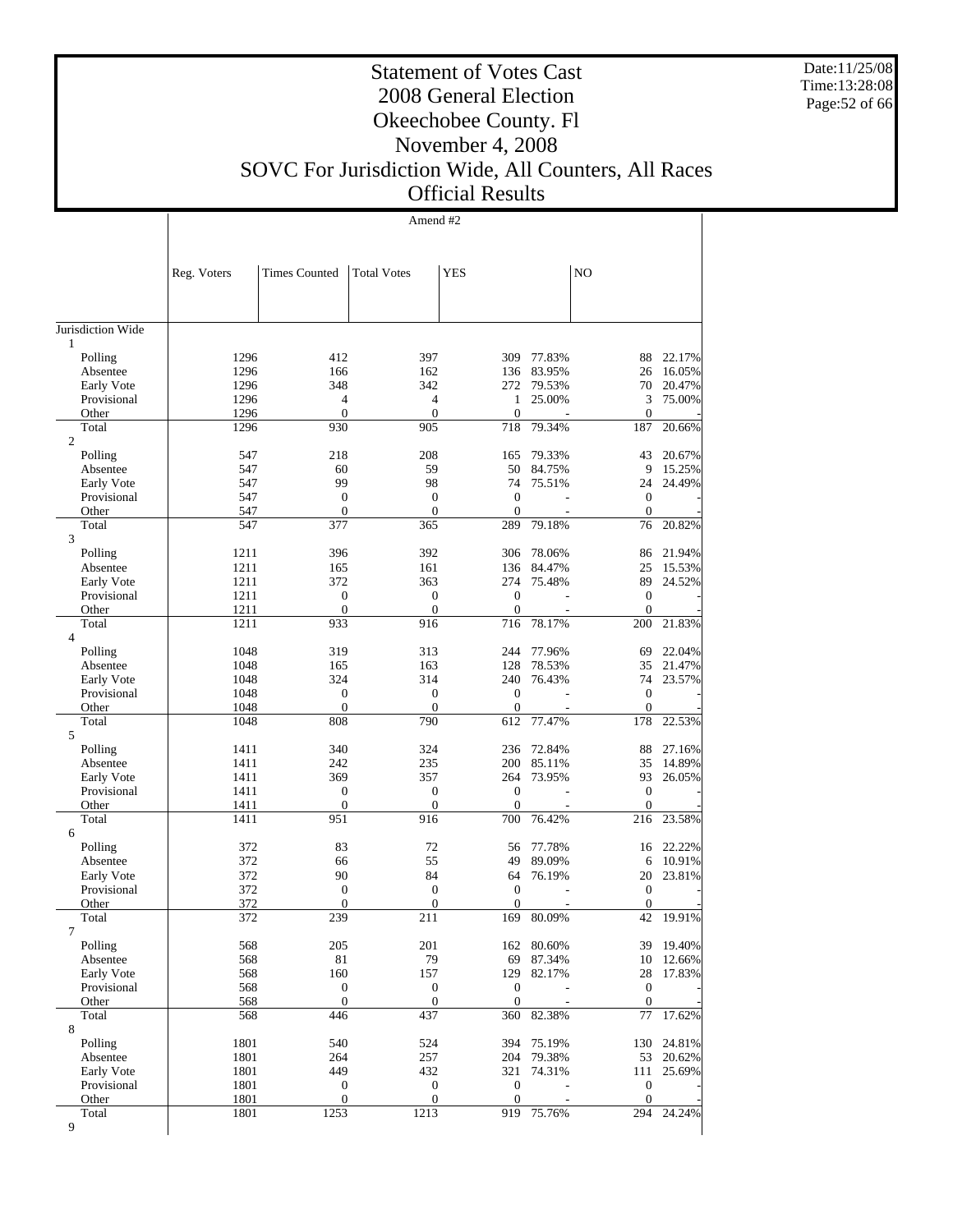Date:11/25/08 Time:13:28:08 Page:52 of 66

 $\overline{\phantom{a}}$ 

### Statement of Votes Cast 2008 General Election Okeechobee County. Fl November 4, 2008

### SOVC For Jurisdiction Wide, All Counters, All Races Official Results

Amend #2

 $\overline{1}$ 

| N <sub>O</sub><br><b>Times Counted</b><br><b>Total Votes</b><br>YES<br>Reg. Voters<br>1<br>22.17%<br>Polling<br>1296<br>412<br>397<br>309<br>77.83%<br>88<br>1296<br>166<br>162<br>83.95%<br>26<br>16.05%<br>Absentee<br>136<br>Early Vote<br>1296<br>348<br>342<br>79.53%<br>20.47%<br>272<br>70<br>Provisional<br>1296<br>4<br>$\overline{4}$<br>25.00%<br>3<br>75.00%<br>1<br>$\boldsymbol{0}$<br>$\boldsymbol{0}$<br>$\overline{0}$<br>1296<br>$\mathbf{0}$<br>Other<br>930<br>905<br>718<br>79.34%<br>187<br>20.66%<br>Total<br>1296<br>$\overline{c}$<br>Polling<br>547<br>218<br>208<br>79.33%<br>43<br>20.67%<br>165<br>547<br>60<br>59<br>50<br>84.75%<br>9<br>15.25%<br>Absentee<br>99<br>98<br>547<br>74<br>75.51%<br>24<br>24.49%<br>Early Vote<br>$\boldsymbol{0}$<br>$\overline{0}$<br>Provisional<br>547<br>$\mathbf{0}$<br>$\boldsymbol{0}$<br>$\boldsymbol{0}$<br>$\boldsymbol{0}$<br>Other<br>547<br>$\theta$<br>$\boldsymbol{0}$<br>547<br>377<br>365<br>79.18%<br>Total<br>289<br>76<br>20.82%<br>3<br>1211<br>Polling<br>396<br>392<br>306<br>78.06%<br>86<br>21.94%<br>Absentee<br>1211<br>165<br>136<br>84.47%<br>25<br>15.53%<br>161<br>Early Vote<br>1211<br>372<br>363<br>274<br>75.48%<br>89<br>24.52%<br>$\mathbf{0}$<br>Provisional<br>1211<br>0<br>$\mathbf{0}$<br>$\boldsymbol{0}$<br>$\boldsymbol{0}$<br>$\boldsymbol{0}$<br>Other<br>1211<br>$\theta$<br>$\boldsymbol{0}$<br>716<br>1211<br>933<br>916<br>78.17%<br>200<br>21.83%<br>Total<br>4<br>1048<br>319<br>313<br>244<br>77.96%<br>69<br>22.04%<br>Polling<br>Absentee<br>1048<br>163<br>128<br>78.53%<br>35<br>21.47%<br>165<br>314<br>1048<br>324<br>240<br>76.43%<br>74<br>23.57%<br>Early Vote<br>Provisional<br>1048<br>$\overline{0}$<br>$\mathbf{0}$<br>$\theta$<br>$\mathbf{0}$<br>$\boldsymbol{0}$<br>$\mathbf{0}$<br>$\mathbf{0}$<br>$\mathbf{0}$<br>1048<br>Other<br>1048<br>808<br>790<br>77.47%<br>178<br>22.53%<br>Total<br>612<br>5<br>Polling<br>1411<br>340<br>324<br>236<br>72.84%<br>88<br>27.16%<br>1411<br>242<br>235<br>200<br>85.11%<br>35<br>14.89%<br>Absentee<br>1411<br>369<br>357<br>264<br>73.95%<br>93<br>26.05%<br>Early Vote<br>$\mathbf{0}$<br>Provisional<br>1411<br>0<br>$\mathbf{0}$<br>$\boldsymbol{0}$<br>1411<br>0<br>$\boldsymbol{0}$<br>$\theta$<br>$\mathbf{0}$<br>Other<br>1411<br>951<br>916<br>700<br>76.42%<br>216<br>23.58%<br>Total<br>6<br>372<br>83<br>72<br>77.78%<br>22.22%<br>Polling<br>56<br>16<br>372<br>66<br>55<br>49<br>89.09%<br>10.91%<br>Absentee<br>6<br>372<br>90<br>84<br>76.19%<br>20<br>23.81%<br>Early Vote<br>64<br>Provisional<br>372<br>$\boldsymbol{0}$<br>$\mathbf{0}$<br>$\theta$<br>$\boldsymbol{0}$<br>372<br>$\boldsymbol{0}$<br>$\boldsymbol{0}$<br>$\mathbf{0}$<br>$\boldsymbol{0}$<br>Other<br>372<br>239<br>211<br>42<br>19.91%<br>Total<br>169<br>80.09%<br>7<br>568<br>205<br>19.40%<br>Polling<br>201<br>162<br>80.60%<br>39<br>79<br>Absentee<br>568<br>81<br>69<br>87.34%<br>10<br>12.66%<br>568<br>160<br>Early Vote<br>157<br>129<br>82.17%<br>28<br>17.83%<br>Provisional<br>568<br>$\boldsymbol{0}$<br>$\boldsymbol{0}$<br>$\boldsymbol{0}$<br>$\mathbf{0}$<br>$\mathbf{0}$<br>$\boldsymbol{0}$<br>$\mathbf{0}$<br>568<br>$\boldsymbol{0}$<br>Other<br>446<br>437<br>82.38%<br>77<br>17.62%<br>Total<br>568<br>360<br>8<br>1801<br>24.81%<br>Polling<br>540<br>524<br>394<br>75.19%<br>130<br>1801<br>264<br>257<br>204<br>79.38%<br>53<br>20.62%<br>Absentee<br>1801<br>449<br>432<br>321<br>74.31%<br>111<br>25.69%<br>Early Vote<br>1801<br>$\boldsymbol{0}$<br>$\boldsymbol{0}$<br>Provisional<br>$\mathbf{0}$<br>$\boldsymbol{0}$<br>$\boldsymbol{0}$<br>$\mathbf{0}$<br>$\mathbf{0}$<br>$\mathbf{0}$<br>Other<br>1801<br>1801<br>1253<br>1213<br>919<br>Total<br>75.76%<br>294<br>24.24% |                   |  |  |  |  |
|----------------------------------------------------------------------------------------------------------------------------------------------------------------------------------------------------------------------------------------------------------------------------------------------------------------------------------------------------------------------------------------------------------------------------------------------------------------------------------------------------------------------------------------------------------------------------------------------------------------------------------------------------------------------------------------------------------------------------------------------------------------------------------------------------------------------------------------------------------------------------------------------------------------------------------------------------------------------------------------------------------------------------------------------------------------------------------------------------------------------------------------------------------------------------------------------------------------------------------------------------------------------------------------------------------------------------------------------------------------------------------------------------------------------------------------------------------------------------------------------------------------------------------------------------------------------------------------------------------------------------------------------------------------------------------------------------------------------------------------------------------------------------------------------------------------------------------------------------------------------------------------------------------------------------------------------------------------------------------------------------------------------------------------------------------------------------------------------------------------------------------------------------------------------------------------------------------------------------------------------------------------------------------------------------------------------------------------------------------------------------------------------------------------------------------------------------------------------------------------------------------------------------------------------------------------------------------------------------------------------------------------------------------------------------------------------------------------------------------------------------------------------------------------------------------------------------------------------------------------------------------------------------------------------------------------------------------------------------------------------------------------------------------------------------------------------------------------------------------------------------------------------------------------------------------------------------------------------------------------------------------------------------------------------------------------------------------------------------------------------------------------------------------------------------------------------------------------------------------------------------------------------------------------------------------------------------------------------------------------------------------------------------------------------------------------------------------------------------------------------------------------------------------|-------------------|--|--|--|--|
|                                                                                                                                                                                                                                                                                                                                                                                                                                                                                                                                                                                                                                                                                                                                                                                                                                                                                                                                                                                                                                                                                                                                                                                                                                                                                                                                                                                                                                                                                                                                                                                                                                                                                                                                                                                                                                                                                                                                                                                                                                                                                                                                                                                                                                                                                                                                                                                                                                                                                                                                                                                                                                                                                                                                                                                                                                                                                                                                                                                                                                                                                                                                                                                                                                                                                                                                                                                                                                                                                                                                                                                                                                                                                                                                                                                  |                   |  |  |  |  |
|                                                                                                                                                                                                                                                                                                                                                                                                                                                                                                                                                                                                                                                                                                                                                                                                                                                                                                                                                                                                                                                                                                                                                                                                                                                                                                                                                                                                                                                                                                                                                                                                                                                                                                                                                                                                                                                                                                                                                                                                                                                                                                                                                                                                                                                                                                                                                                                                                                                                                                                                                                                                                                                                                                                                                                                                                                                                                                                                                                                                                                                                                                                                                                                                                                                                                                                                                                                                                                                                                                                                                                                                                                                                                                                                                                                  |                   |  |  |  |  |
|                                                                                                                                                                                                                                                                                                                                                                                                                                                                                                                                                                                                                                                                                                                                                                                                                                                                                                                                                                                                                                                                                                                                                                                                                                                                                                                                                                                                                                                                                                                                                                                                                                                                                                                                                                                                                                                                                                                                                                                                                                                                                                                                                                                                                                                                                                                                                                                                                                                                                                                                                                                                                                                                                                                                                                                                                                                                                                                                                                                                                                                                                                                                                                                                                                                                                                                                                                                                                                                                                                                                                                                                                                                                                                                                                                                  | Jurisdiction Wide |  |  |  |  |
|                                                                                                                                                                                                                                                                                                                                                                                                                                                                                                                                                                                                                                                                                                                                                                                                                                                                                                                                                                                                                                                                                                                                                                                                                                                                                                                                                                                                                                                                                                                                                                                                                                                                                                                                                                                                                                                                                                                                                                                                                                                                                                                                                                                                                                                                                                                                                                                                                                                                                                                                                                                                                                                                                                                                                                                                                                                                                                                                                                                                                                                                                                                                                                                                                                                                                                                                                                                                                                                                                                                                                                                                                                                                                                                                                                                  |                   |  |  |  |  |
|                                                                                                                                                                                                                                                                                                                                                                                                                                                                                                                                                                                                                                                                                                                                                                                                                                                                                                                                                                                                                                                                                                                                                                                                                                                                                                                                                                                                                                                                                                                                                                                                                                                                                                                                                                                                                                                                                                                                                                                                                                                                                                                                                                                                                                                                                                                                                                                                                                                                                                                                                                                                                                                                                                                                                                                                                                                                                                                                                                                                                                                                                                                                                                                                                                                                                                                                                                                                                                                                                                                                                                                                                                                                                                                                                                                  |                   |  |  |  |  |
|                                                                                                                                                                                                                                                                                                                                                                                                                                                                                                                                                                                                                                                                                                                                                                                                                                                                                                                                                                                                                                                                                                                                                                                                                                                                                                                                                                                                                                                                                                                                                                                                                                                                                                                                                                                                                                                                                                                                                                                                                                                                                                                                                                                                                                                                                                                                                                                                                                                                                                                                                                                                                                                                                                                                                                                                                                                                                                                                                                                                                                                                                                                                                                                                                                                                                                                                                                                                                                                                                                                                                                                                                                                                                                                                                                                  |                   |  |  |  |  |
|                                                                                                                                                                                                                                                                                                                                                                                                                                                                                                                                                                                                                                                                                                                                                                                                                                                                                                                                                                                                                                                                                                                                                                                                                                                                                                                                                                                                                                                                                                                                                                                                                                                                                                                                                                                                                                                                                                                                                                                                                                                                                                                                                                                                                                                                                                                                                                                                                                                                                                                                                                                                                                                                                                                                                                                                                                                                                                                                                                                                                                                                                                                                                                                                                                                                                                                                                                                                                                                                                                                                                                                                                                                                                                                                                                                  |                   |  |  |  |  |
|                                                                                                                                                                                                                                                                                                                                                                                                                                                                                                                                                                                                                                                                                                                                                                                                                                                                                                                                                                                                                                                                                                                                                                                                                                                                                                                                                                                                                                                                                                                                                                                                                                                                                                                                                                                                                                                                                                                                                                                                                                                                                                                                                                                                                                                                                                                                                                                                                                                                                                                                                                                                                                                                                                                                                                                                                                                                                                                                                                                                                                                                                                                                                                                                                                                                                                                                                                                                                                                                                                                                                                                                                                                                                                                                                                                  |                   |  |  |  |  |
|                                                                                                                                                                                                                                                                                                                                                                                                                                                                                                                                                                                                                                                                                                                                                                                                                                                                                                                                                                                                                                                                                                                                                                                                                                                                                                                                                                                                                                                                                                                                                                                                                                                                                                                                                                                                                                                                                                                                                                                                                                                                                                                                                                                                                                                                                                                                                                                                                                                                                                                                                                                                                                                                                                                                                                                                                                                                                                                                                                                                                                                                                                                                                                                                                                                                                                                                                                                                                                                                                                                                                                                                                                                                                                                                                                                  |                   |  |  |  |  |
|                                                                                                                                                                                                                                                                                                                                                                                                                                                                                                                                                                                                                                                                                                                                                                                                                                                                                                                                                                                                                                                                                                                                                                                                                                                                                                                                                                                                                                                                                                                                                                                                                                                                                                                                                                                                                                                                                                                                                                                                                                                                                                                                                                                                                                                                                                                                                                                                                                                                                                                                                                                                                                                                                                                                                                                                                                                                                                                                                                                                                                                                                                                                                                                                                                                                                                                                                                                                                                                                                                                                                                                                                                                                                                                                                                                  |                   |  |  |  |  |
|                                                                                                                                                                                                                                                                                                                                                                                                                                                                                                                                                                                                                                                                                                                                                                                                                                                                                                                                                                                                                                                                                                                                                                                                                                                                                                                                                                                                                                                                                                                                                                                                                                                                                                                                                                                                                                                                                                                                                                                                                                                                                                                                                                                                                                                                                                                                                                                                                                                                                                                                                                                                                                                                                                                                                                                                                                                                                                                                                                                                                                                                                                                                                                                                                                                                                                                                                                                                                                                                                                                                                                                                                                                                                                                                                                                  |                   |  |  |  |  |
|                                                                                                                                                                                                                                                                                                                                                                                                                                                                                                                                                                                                                                                                                                                                                                                                                                                                                                                                                                                                                                                                                                                                                                                                                                                                                                                                                                                                                                                                                                                                                                                                                                                                                                                                                                                                                                                                                                                                                                                                                                                                                                                                                                                                                                                                                                                                                                                                                                                                                                                                                                                                                                                                                                                                                                                                                                                                                                                                                                                                                                                                                                                                                                                                                                                                                                                                                                                                                                                                                                                                                                                                                                                                                                                                                                                  |                   |  |  |  |  |
|                                                                                                                                                                                                                                                                                                                                                                                                                                                                                                                                                                                                                                                                                                                                                                                                                                                                                                                                                                                                                                                                                                                                                                                                                                                                                                                                                                                                                                                                                                                                                                                                                                                                                                                                                                                                                                                                                                                                                                                                                                                                                                                                                                                                                                                                                                                                                                                                                                                                                                                                                                                                                                                                                                                                                                                                                                                                                                                                                                                                                                                                                                                                                                                                                                                                                                                                                                                                                                                                                                                                                                                                                                                                                                                                                                                  |                   |  |  |  |  |
|                                                                                                                                                                                                                                                                                                                                                                                                                                                                                                                                                                                                                                                                                                                                                                                                                                                                                                                                                                                                                                                                                                                                                                                                                                                                                                                                                                                                                                                                                                                                                                                                                                                                                                                                                                                                                                                                                                                                                                                                                                                                                                                                                                                                                                                                                                                                                                                                                                                                                                                                                                                                                                                                                                                                                                                                                                                                                                                                                                                                                                                                                                                                                                                                                                                                                                                                                                                                                                                                                                                                                                                                                                                                                                                                                                                  |                   |  |  |  |  |
|                                                                                                                                                                                                                                                                                                                                                                                                                                                                                                                                                                                                                                                                                                                                                                                                                                                                                                                                                                                                                                                                                                                                                                                                                                                                                                                                                                                                                                                                                                                                                                                                                                                                                                                                                                                                                                                                                                                                                                                                                                                                                                                                                                                                                                                                                                                                                                                                                                                                                                                                                                                                                                                                                                                                                                                                                                                                                                                                                                                                                                                                                                                                                                                                                                                                                                                                                                                                                                                                                                                                                                                                                                                                                                                                                                                  |                   |  |  |  |  |
|                                                                                                                                                                                                                                                                                                                                                                                                                                                                                                                                                                                                                                                                                                                                                                                                                                                                                                                                                                                                                                                                                                                                                                                                                                                                                                                                                                                                                                                                                                                                                                                                                                                                                                                                                                                                                                                                                                                                                                                                                                                                                                                                                                                                                                                                                                                                                                                                                                                                                                                                                                                                                                                                                                                                                                                                                                                                                                                                                                                                                                                                                                                                                                                                                                                                                                                                                                                                                                                                                                                                                                                                                                                                                                                                                                                  |                   |  |  |  |  |
|                                                                                                                                                                                                                                                                                                                                                                                                                                                                                                                                                                                                                                                                                                                                                                                                                                                                                                                                                                                                                                                                                                                                                                                                                                                                                                                                                                                                                                                                                                                                                                                                                                                                                                                                                                                                                                                                                                                                                                                                                                                                                                                                                                                                                                                                                                                                                                                                                                                                                                                                                                                                                                                                                                                                                                                                                                                                                                                                                                                                                                                                                                                                                                                                                                                                                                                                                                                                                                                                                                                                                                                                                                                                                                                                                                                  |                   |  |  |  |  |
|                                                                                                                                                                                                                                                                                                                                                                                                                                                                                                                                                                                                                                                                                                                                                                                                                                                                                                                                                                                                                                                                                                                                                                                                                                                                                                                                                                                                                                                                                                                                                                                                                                                                                                                                                                                                                                                                                                                                                                                                                                                                                                                                                                                                                                                                                                                                                                                                                                                                                                                                                                                                                                                                                                                                                                                                                                                                                                                                                                                                                                                                                                                                                                                                                                                                                                                                                                                                                                                                                                                                                                                                                                                                                                                                                                                  |                   |  |  |  |  |
|                                                                                                                                                                                                                                                                                                                                                                                                                                                                                                                                                                                                                                                                                                                                                                                                                                                                                                                                                                                                                                                                                                                                                                                                                                                                                                                                                                                                                                                                                                                                                                                                                                                                                                                                                                                                                                                                                                                                                                                                                                                                                                                                                                                                                                                                                                                                                                                                                                                                                                                                                                                                                                                                                                                                                                                                                                                                                                                                                                                                                                                                                                                                                                                                                                                                                                                                                                                                                                                                                                                                                                                                                                                                                                                                                                                  |                   |  |  |  |  |
|                                                                                                                                                                                                                                                                                                                                                                                                                                                                                                                                                                                                                                                                                                                                                                                                                                                                                                                                                                                                                                                                                                                                                                                                                                                                                                                                                                                                                                                                                                                                                                                                                                                                                                                                                                                                                                                                                                                                                                                                                                                                                                                                                                                                                                                                                                                                                                                                                                                                                                                                                                                                                                                                                                                                                                                                                                                                                                                                                                                                                                                                                                                                                                                                                                                                                                                                                                                                                                                                                                                                                                                                                                                                                                                                                                                  |                   |  |  |  |  |
|                                                                                                                                                                                                                                                                                                                                                                                                                                                                                                                                                                                                                                                                                                                                                                                                                                                                                                                                                                                                                                                                                                                                                                                                                                                                                                                                                                                                                                                                                                                                                                                                                                                                                                                                                                                                                                                                                                                                                                                                                                                                                                                                                                                                                                                                                                                                                                                                                                                                                                                                                                                                                                                                                                                                                                                                                                                                                                                                                                                                                                                                                                                                                                                                                                                                                                                                                                                                                                                                                                                                                                                                                                                                                                                                                                                  |                   |  |  |  |  |
|                                                                                                                                                                                                                                                                                                                                                                                                                                                                                                                                                                                                                                                                                                                                                                                                                                                                                                                                                                                                                                                                                                                                                                                                                                                                                                                                                                                                                                                                                                                                                                                                                                                                                                                                                                                                                                                                                                                                                                                                                                                                                                                                                                                                                                                                                                                                                                                                                                                                                                                                                                                                                                                                                                                                                                                                                                                                                                                                                                                                                                                                                                                                                                                                                                                                                                                                                                                                                                                                                                                                                                                                                                                                                                                                                                                  |                   |  |  |  |  |
|                                                                                                                                                                                                                                                                                                                                                                                                                                                                                                                                                                                                                                                                                                                                                                                                                                                                                                                                                                                                                                                                                                                                                                                                                                                                                                                                                                                                                                                                                                                                                                                                                                                                                                                                                                                                                                                                                                                                                                                                                                                                                                                                                                                                                                                                                                                                                                                                                                                                                                                                                                                                                                                                                                                                                                                                                                                                                                                                                                                                                                                                                                                                                                                                                                                                                                                                                                                                                                                                                                                                                                                                                                                                                                                                                                                  |                   |  |  |  |  |
|                                                                                                                                                                                                                                                                                                                                                                                                                                                                                                                                                                                                                                                                                                                                                                                                                                                                                                                                                                                                                                                                                                                                                                                                                                                                                                                                                                                                                                                                                                                                                                                                                                                                                                                                                                                                                                                                                                                                                                                                                                                                                                                                                                                                                                                                                                                                                                                                                                                                                                                                                                                                                                                                                                                                                                                                                                                                                                                                                                                                                                                                                                                                                                                                                                                                                                                                                                                                                                                                                                                                                                                                                                                                                                                                                                                  |                   |  |  |  |  |
|                                                                                                                                                                                                                                                                                                                                                                                                                                                                                                                                                                                                                                                                                                                                                                                                                                                                                                                                                                                                                                                                                                                                                                                                                                                                                                                                                                                                                                                                                                                                                                                                                                                                                                                                                                                                                                                                                                                                                                                                                                                                                                                                                                                                                                                                                                                                                                                                                                                                                                                                                                                                                                                                                                                                                                                                                                                                                                                                                                                                                                                                                                                                                                                                                                                                                                                                                                                                                                                                                                                                                                                                                                                                                                                                                                                  |                   |  |  |  |  |
|                                                                                                                                                                                                                                                                                                                                                                                                                                                                                                                                                                                                                                                                                                                                                                                                                                                                                                                                                                                                                                                                                                                                                                                                                                                                                                                                                                                                                                                                                                                                                                                                                                                                                                                                                                                                                                                                                                                                                                                                                                                                                                                                                                                                                                                                                                                                                                                                                                                                                                                                                                                                                                                                                                                                                                                                                                                                                                                                                                                                                                                                                                                                                                                                                                                                                                                                                                                                                                                                                                                                                                                                                                                                                                                                                                                  |                   |  |  |  |  |
|                                                                                                                                                                                                                                                                                                                                                                                                                                                                                                                                                                                                                                                                                                                                                                                                                                                                                                                                                                                                                                                                                                                                                                                                                                                                                                                                                                                                                                                                                                                                                                                                                                                                                                                                                                                                                                                                                                                                                                                                                                                                                                                                                                                                                                                                                                                                                                                                                                                                                                                                                                                                                                                                                                                                                                                                                                                                                                                                                                                                                                                                                                                                                                                                                                                                                                                                                                                                                                                                                                                                                                                                                                                                                                                                                                                  |                   |  |  |  |  |
|                                                                                                                                                                                                                                                                                                                                                                                                                                                                                                                                                                                                                                                                                                                                                                                                                                                                                                                                                                                                                                                                                                                                                                                                                                                                                                                                                                                                                                                                                                                                                                                                                                                                                                                                                                                                                                                                                                                                                                                                                                                                                                                                                                                                                                                                                                                                                                                                                                                                                                                                                                                                                                                                                                                                                                                                                                                                                                                                                                                                                                                                                                                                                                                                                                                                                                                                                                                                                                                                                                                                                                                                                                                                                                                                                                                  |                   |  |  |  |  |
|                                                                                                                                                                                                                                                                                                                                                                                                                                                                                                                                                                                                                                                                                                                                                                                                                                                                                                                                                                                                                                                                                                                                                                                                                                                                                                                                                                                                                                                                                                                                                                                                                                                                                                                                                                                                                                                                                                                                                                                                                                                                                                                                                                                                                                                                                                                                                                                                                                                                                                                                                                                                                                                                                                                                                                                                                                                                                                                                                                                                                                                                                                                                                                                                                                                                                                                                                                                                                                                                                                                                                                                                                                                                                                                                                                                  |                   |  |  |  |  |
|                                                                                                                                                                                                                                                                                                                                                                                                                                                                                                                                                                                                                                                                                                                                                                                                                                                                                                                                                                                                                                                                                                                                                                                                                                                                                                                                                                                                                                                                                                                                                                                                                                                                                                                                                                                                                                                                                                                                                                                                                                                                                                                                                                                                                                                                                                                                                                                                                                                                                                                                                                                                                                                                                                                                                                                                                                                                                                                                                                                                                                                                                                                                                                                                                                                                                                                                                                                                                                                                                                                                                                                                                                                                                                                                                                                  |                   |  |  |  |  |
|                                                                                                                                                                                                                                                                                                                                                                                                                                                                                                                                                                                                                                                                                                                                                                                                                                                                                                                                                                                                                                                                                                                                                                                                                                                                                                                                                                                                                                                                                                                                                                                                                                                                                                                                                                                                                                                                                                                                                                                                                                                                                                                                                                                                                                                                                                                                                                                                                                                                                                                                                                                                                                                                                                                                                                                                                                                                                                                                                                                                                                                                                                                                                                                                                                                                                                                                                                                                                                                                                                                                                                                                                                                                                                                                                                                  |                   |  |  |  |  |
|                                                                                                                                                                                                                                                                                                                                                                                                                                                                                                                                                                                                                                                                                                                                                                                                                                                                                                                                                                                                                                                                                                                                                                                                                                                                                                                                                                                                                                                                                                                                                                                                                                                                                                                                                                                                                                                                                                                                                                                                                                                                                                                                                                                                                                                                                                                                                                                                                                                                                                                                                                                                                                                                                                                                                                                                                                                                                                                                                                                                                                                                                                                                                                                                                                                                                                                                                                                                                                                                                                                                                                                                                                                                                                                                                                                  |                   |  |  |  |  |
|                                                                                                                                                                                                                                                                                                                                                                                                                                                                                                                                                                                                                                                                                                                                                                                                                                                                                                                                                                                                                                                                                                                                                                                                                                                                                                                                                                                                                                                                                                                                                                                                                                                                                                                                                                                                                                                                                                                                                                                                                                                                                                                                                                                                                                                                                                                                                                                                                                                                                                                                                                                                                                                                                                                                                                                                                                                                                                                                                                                                                                                                                                                                                                                                                                                                                                                                                                                                                                                                                                                                                                                                                                                                                                                                                                                  |                   |  |  |  |  |
|                                                                                                                                                                                                                                                                                                                                                                                                                                                                                                                                                                                                                                                                                                                                                                                                                                                                                                                                                                                                                                                                                                                                                                                                                                                                                                                                                                                                                                                                                                                                                                                                                                                                                                                                                                                                                                                                                                                                                                                                                                                                                                                                                                                                                                                                                                                                                                                                                                                                                                                                                                                                                                                                                                                                                                                                                                                                                                                                                                                                                                                                                                                                                                                                                                                                                                                                                                                                                                                                                                                                                                                                                                                                                                                                                                                  |                   |  |  |  |  |
|                                                                                                                                                                                                                                                                                                                                                                                                                                                                                                                                                                                                                                                                                                                                                                                                                                                                                                                                                                                                                                                                                                                                                                                                                                                                                                                                                                                                                                                                                                                                                                                                                                                                                                                                                                                                                                                                                                                                                                                                                                                                                                                                                                                                                                                                                                                                                                                                                                                                                                                                                                                                                                                                                                                                                                                                                                                                                                                                                                                                                                                                                                                                                                                                                                                                                                                                                                                                                                                                                                                                                                                                                                                                                                                                                                                  |                   |  |  |  |  |
|                                                                                                                                                                                                                                                                                                                                                                                                                                                                                                                                                                                                                                                                                                                                                                                                                                                                                                                                                                                                                                                                                                                                                                                                                                                                                                                                                                                                                                                                                                                                                                                                                                                                                                                                                                                                                                                                                                                                                                                                                                                                                                                                                                                                                                                                                                                                                                                                                                                                                                                                                                                                                                                                                                                                                                                                                                                                                                                                                                                                                                                                                                                                                                                                                                                                                                                                                                                                                                                                                                                                                                                                                                                                                                                                                                                  |                   |  |  |  |  |
|                                                                                                                                                                                                                                                                                                                                                                                                                                                                                                                                                                                                                                                                                                                                                                                                                                                                                                                                                                                                                                                                                                                                                                                                                                                                                                                                                                                                                                                                                                                                                                                                                                                                                                                                                                                                                                                                                                                                                                                                                                                                                                                                                                                                                                                                                                                                                                                                                                                                                                                                                                                                                                                                                                                                                                                                                                                                                                                                                                                                                                                                                                                                                                                                                                                                                                                                                                                                                                                                                                                                                                                                                                                                                                                                                                                  |                   |  |  |  |  |
|                                                                                                                                                                                                                                                                                                                                                                                                                                                                                                                                                                                                                                                                                                                                                                                                                                                                                                                                                                                                                                                                                                                                                                                                                                                                                                                                                                                                                                                                                                                                                                                                                                                                                                                                                                                                                                                                                                                                                                                                                                                                                                                                                                                                                                                                                                                                                                                                                                                                                                                                                                                                                                                                                                                                                                                                                                                                                                                                                                                                                                                                                                                                                                                                                                                                                                                                                                                                                                                                                                                                                                                                                                                                                                                                                                                  |                   |  |  |  |  |
|                                                                                                                                                                                                                                                                                                                                                                                                                                                                                                                                                                                                                                                                                                                                                                                                                                                                                                                                                                                                                                                                                                                                                                                                                                                                                                                                                                                                                                                                                                                                                                                                                                                                                                                                                                                                                                                                                                                                                                                                                                                                                                                                                                                                                                                                                                                                                                                                                                                                                                                                                                                                                                                                                                                                                                                                                                                                                                                                                                                                                                                                                                                                                                                                                                                                                                                                                                                                                                                                                                                                                                                                                                                                                                                                                                                  |                   |  |  |  |  |
|                                                                                                                                                                                                                                                                                                                                                                                                                                                                                                                                                                                                                                                                                                                                                                                                                                                                                                                                                                                                                                                                                                                                                                                                                                                                                                                                                                                                                                                                                                                                                                                                                                                                                                                                                                                                                                                                                                                                                                                                                                                                                                                                                                                                                                                                                                                                                                                                                                                                                                                                                                                                                                                                                                                                                                                                                                                                                                                                                                                                                                                                                                                                                                                                                                                                                                                                                                                                                                                                                                                                                                                                                                                                                                                                                                                  |                   |  |  |  |  |
|                                                                                                                                                                                                                                                                                                                                                                                                                                                                                                                                                                                                                                                                                                                                                                                                                                                                                                                                                                                                                                                                                                                                                                                                                                                                                                                                                                                                                                                                                                                                                                                                                                                                                                                                                                                                                                                                                                                                                                                                                                                                                                                                                                                                                                                                                                                                                                                                                                                                                                                                                                                                                                                                                                                                                                                                                                                                                                                                                                                                                                                                                                                                                                                                                                                                                                                                                                                                                                                                                                                                                                                                                                                                                                                                                                                  |                   |  |  |  |  |
|                                                                                                                                                                                                                                                                                                                                                                                                                                                                                                                                                                                                                                                                                                                                                                                                                                                                                                                                                                                                                                                                                                                                                                                                                                                                                                                                                                                                                                                                                                                                                                                                                                                                                                                                                                                                                                                                                                                                                                                                                                                                                                                                                                                                                                                                                                                                                                                                                                                                                                                                                                                                                                                                                                                                                                                                                                                                                                                                                                                                                                                                                                                                                                                                                                                                                                                                                                                                                                                                                                                                                                                                                                                                                                                                                                                  |                   |  |  |  |  |
|                                                                                                                                                                                                                                                                                                                                                                                                                                                                                                                                                                                                                                                                                                                                                                                                                                                                                                                                                                                                                                                                                                                                                                                                                                                                                                                                                                                                                                                                                                                                                                                                                                                                                                                                                                                                                                                                                                                                                                                                                                                                                                                                                                                                                                                                                                                                                                                                                                                                                                                                                                                                                                                                                                                                                                                                                                                                                                                                                                                                                                                                                                                                                                                                                                                                                                                                                                                                                                                                                                                                                                                                                                                                                                                                                                                  |                   |  |  |  |  |
|                                                                                                                                                                                                                                                                                                                                                                                                                                                                                                                                                                                                                                                                                                                                                                                                                                                                                                                                                                                                                                                                                                                                                                                                                                                                                                                                                                                                                                                                                                                                                                                                                                                                                                                                                                                                                                                                                                                                                                                                                                                                                                                                                                                                                                                                                                                                                                                                                                                                                                                                                                                                                                                                                                                                                                                                                                                                                                                                                                                                                                                                                                                                                                                                                                                                                                                                                                                                                                                                                                                                                                                                                                                                                                                                                                                  |                   |  |  |  |  |
|                                                                                                                                                                                                                                                                                                                                                                                                                                                                                                                                                                                                                                                                                                                                                                                                                                                                                                                                                                                                                                                                                                                                                                                                                                                                                                                                                                                                                                                                                                                                                                                                                                                                                                                                                                                                                                                                                                                                                                                                                                                                                                                                                                                                                                                                                                                                                                                                                                                                                                                                                                                                                                                                                                                                                                                                                                                                                                                                                                                                                                                                                                                                                                                                                                                                                                                                                                                                                                                                                                                                                                                                                                                                                                                                                                                  |                   |  |  |  |  |
|                                                                                                                                                                                                                                                                                                                                                                                                                                                                                                                                                                                                                                                                                                                                                                                                                                                                                                                                                                                                                                                                                                                                                                                                                                                                                                                                                                                                                                                                                                                                                                                                                                                                                                                                                                                                                                                                                                                                                                                                                                                                                                                                                                                                                                                                                                                                                                                                                                                                                                                                                                                                                                                                                                                                                                                                                                                                                                                                                                                                                                                                                                                                                                                                                                                                                                                                                                                                                                                                                                                                                                                                                                                                                                                                                                                  |                   |  |  |  |  |
|                                                                                                                                                                                                                                                                                                                                                                                                                                                                                                                                                                                                                                                                                                                                                                                                                                                                                                                                                                                                                                                                                                                                                                                                                                                                                                                                                                                                                                                                                                                                                                                                                                                                                                                                                                                                                                                                                                                                                                                                                                                                                                                                                                                                                                                                                                                                                                                                                                                                                                                                                                                                                                                                                                                                                                                                                                                                                                                                                                                                                                                                                                                                                                                                                                                                                                                                                                                                                                                                                                                                                                                                                                                                                                                                                                                  |                   |  |  |  |  |
|                                                                                                                                                                                                                                                                                                                                                                                                                                                                                                                                                                                                                                                                                                                                                                                                                                                                                                                                                                                                                                                                                                                                                                                                                                                                                                                                                                                                                                                                                                                                                                                                                                                                                                                                                                                                                                                                                                                                                                                                                                                                                                                                                                                                                                                                                                                                                                                                                                                                                                                                                                                                                                                                                                                                                                                                                                                                                                                                                                                                                                                                                                                                                                                                                                                                                                                                                                                                                                                                                                                                                                                                                                                                                                                                                                                  |                   |  |  |  |  |
|                                                                                                                                                                                                                                                                                                                                                                                                                                                                                                                                                                                                                                                                                                                                                                                                                                                                                                                                                                                                                                                                                                                                                                                                                                                                                                                                                                                                                                                                                                                                                                                                                                                                                                                                                                                                                                                                                                                                                                                                                                                                                                                                                                                                                                                                                                                                                                                                                                                                                                                                                                                                                                                                                                                                                                                                                                                                                                                                                                                                                                                                                                                                                                                                                                                                                                                                                                                                                                                                                                                                                                                                                                                                                                                                                                                  |                   |  |  |  |  |
|                                                                                                                                                                                                                                                                                                                                                                                                                                                                                                                                                                                                                                                                                                                                                                                                                                                                                                                                                                                                                                                                                                                                                                                                                                                                                                                                                                                                                                                                                                                                                                                                                                                                                                                                                                                                                                                                                                                                                                                                                                                                                                                                                                                                                                                                                                                                                                                                                                                                                                                                                                                                                                                                                                                                                                                                                                                                                                                                                                                                                                                                                                                                                                                                                                                                                                                                                                                                                                                                                                                                                                                                                                                                                                                                                                                  |                   |  |  |  |  |
|                                                                                                                                                                                                                                                                                                                                                                                                                                                                                                                                                                                                                                                                                                                                                                                                                                                                                                                                                                                                                                                                                                                                                                                                                                                                                                                                                                                                                                                                                                                                                                                                                                                                                                                                                                                                                                                                                                                                                                                                                                                                                                                                                                                                                                                                                                                                                                                                                                                                                                                                                                                                                                                                                                                                                                                                                                                                                                                                                                                                                                                                                                                                                                                                                                                                                                                                                                                                                                                                                                                                                                                                                                                                                                                                                                                  |                   |  |  |  |  |
|                                                                                                                                                                                                                                                                                                                                                                                                                                                                                                                                                                                                                                                                                                                                                                                                                                                                                                                                                                                                                                                                                                                                                                                                                                                                                                                                                                                                                                                                                                                                                                                                                                                                                                                                                                                                                                                                                                                                                                                                                                                                                                                                                                                                                                                                                                                                                                                                                                                                                                                                                                                                                                                                                                                                                                                                                                                                                                                                                                                                                                                                                                                                                                                                                                                                                                                                                                                                                                                                                                                                                                                                                                                                                                                                                                                  |                   |  |  |  |  |
|                                                                                                                                                                                                                                                                                                                                                                                                                                                                                                                                                                                                                                                                                                                                                                                                                                                                                                                                                                                                                                                                                                                                                                                                                                                                                                                                                                                                                                                                                                                                                                                                                                                                                                                                                                                                                                                                                                                                                                                                                                                                                                                                                                                                                                                                                                                                                                                                                                                                                                                                                                                                                                                                                                                                                                                                                                                                                                                                                                                                                                                                                                                                                                                                                                                                                                                                                                                                                                                                                                                                                                                                                                                                                                                                                                                  |                   |  |  |  |  |
|                                                                                                                                                                                                                                                                                                                                                                                                                                                                                                                                                                                                                                                                                                                                                                                                                                                                                                                                                                                                                                                                                                                                                                                                                                                                                                                                                                                                                                                                                                                                                                                                                                                                                                                                                                                                                                                                                                                                                                                                                                                                                                                                                                                                                                                                                                                                                                                                                                                                                                                                                                                                                                                                                                                                                                                                                                                                                                                                                                                                                                                                                                                                                                                                                                                                                                                                                                                                                                                                                                                                                                                                                                                                                                                                                                                  | 9                 |  |  |  |  |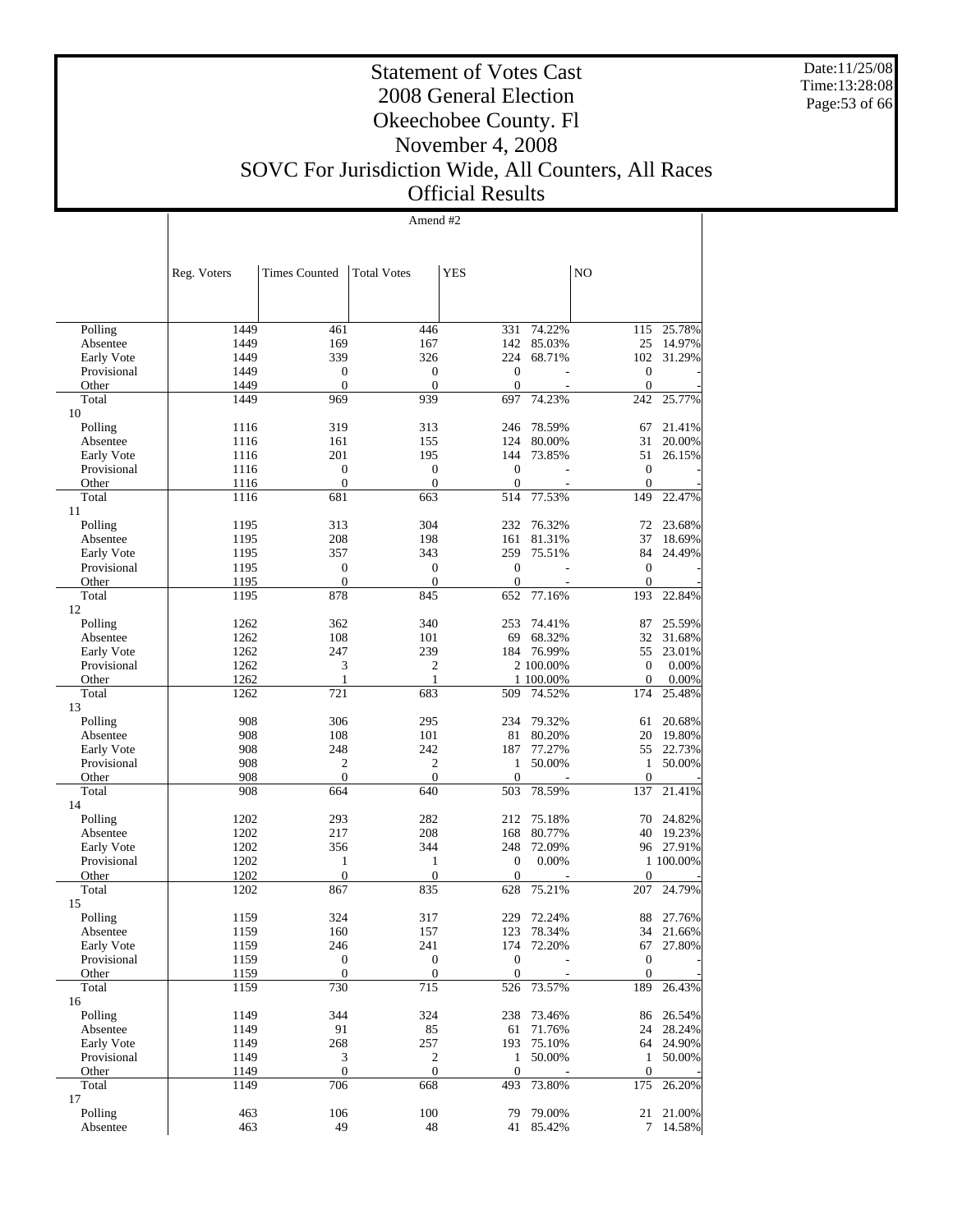Date:11/25/08 Time:13:28:08 Page:53 of 66

#### Statement of Votes Cast 2008 General Election Okeechobee County. Fl November 4, 2008 SOVC For Jurisdiction Wide, All Counters, All Races Official Results

Amend #2

|                           | Reg. Voters  | <b>Times Counted</b> | <b>Total Votes</b>               | <b>YES</b>          |                          | NO               |                  |
|---------------------------|--------------|----------------------|----------------------------------|---------------------|--------------------------|------------------|------------------|
|                           |              |                      |                                  |                     |                          |                  |                  |
| Polling                   | 1449         | 461                  | 446                              | 331                 | 74.22%                   | 115              | 25.78%           |
| Absentee                  | 1449         | 169                  | 167                              | 142                 | 85.03%                   | 25               | 14.97%           |
| Early Vote                | 1449         | 339                  | 326                              | 224                 | 68.71%                   | 102              | 31.29%           |
| Provisional               | 1449         | $\boldsymbol{0}$     | $\boldsymbol{0}$                 | $\boldsymbol{0}$    |                          | $\boldsymbol{0}$ |                  |
| Other                     | 1449         | $\mathbf{0}$         | $\mathbf{0}$                     | $\mathbf{0}$        | $\overline{\phantom{a}}$ | $\mathbf{0}$     |                  |
| Total                     | 1449         | 969                  | 939                              | 697                 | 74.23%                   | 242              | 25.77%           |
| 10                        |              |                      |                                  |                     |                          |                  |                  |
| Polling                   | 1116         | 319                  | 313                              | 246                 | 78.59%                   | 67               | 21.41%           |
| Absentee                  | 1116         | 161                  | 155                              | 124                 | 80.00%                   | 31               | 20.00%           |
| Early Vote                | 1116         | 201                  | 195                              | 144                 | 73.85%                   | 51               | 26.15%           |
| Provisional               | 1116         | $\boldsymbol{0}$     | $\boldsymbol{0}$<br>$\mathbf{0}$ | $\boldsymbol{0}$    |                          | $\mathbf{0}$     |                  |
| Other<br>Total            | 1116<br>1116 | $\mathbf{0}$<br>681  | 663                              | $\mathbf{0}$<br>514 | 77.53%                   | $\theta$<br>149  | 22.47%           |
| 11                        |              |                      |                                  |                     |                          |                  |                  |
| Polling                   | 1195         | 313                  | 304                              | 232                 | 76.32%                   | 72               | 23.68%           |
| Absentee                  | 1195         | 208                  | 198                              | 161                 | 81.31%                   | 37               | 18.69%           |
| Early Vote                | 1195         | 357                  | 343                              | 259                 | 75.51%                   | 84               | 24.49%           |
| Provisional               | 1195         | $\boldsymbol{0}$     | $\mathbf{0}$                     | $\boldsymbol{0}$    |                          | $\mathbf{0}$     |                  |
| Other                     | 1195         | $\mathbf{0}$         | $\mathbf{0}$                     | $\mathbf{0}$        | ÷.                       | $\mathbf{0}$     |                  |
| Total                     | 1195         | 878                  | 845                              | 652                 | 77.16%                   | 193              | 22.84%           |
| 12                        |              |                      |                                  |                     |                          |                  |                  |
| Polling                   | 1262         | 362                  | 340                              | 253                 | 74.41%                   | 87               | 25.59%           |
| Absentee                  | 1262         | 108                  | 101                              | 69                  | 68.32%                   | 32               | 31.68%           |
| Early Vote                | 1262         | 247                  | 239                              | 184                 | 76.99%                   | 55               | 23.01%           |
| Provisional               | 1262         | 3                    | $\overline{c}$                   |                     | 2 100.00%                | $\theta$         | 0.00%            |
| Other                     | 1262         | $\mathbf{1}$         | $\mathbf{1}$                     |                     | 1 100.00%                | $\mathbf{0}$     | 0.00%            |
| Total                     | 1262         | 721                  | 683                              | 509                 | 74.52%                   | 174              | 25.48%           |
| 13                        |              |                      |                                  |                     |                          |                  |                  |
| Polling                   | 908          | 306                  | 295                              | 234                 | 79.32%                   | 61               | 20.68%           |
| Absentee                  | 908<br>908   | 108<br>248           | 101<br>242                       | 81<br>187           | 80.20%<br>77.27%         | 20<br>55         | 19.80%<br>22.73% |
| Early Vote<br>Provisional | 908          | $\mathfrak{2}$       | $\mathfrak{2}$                   | 1                   | 50.00%                   | 1                | 50.00%           |
| Other                     | 908          | $\mathbf{0}$         | $\mathbf{0}$                     | $\mathbf{0}$        |                          | $\mathbf{0}$     |                  |
| Total                     | 908          | 664                  | 640                              | 503                 | 78.59%                   | 137              | 21.41%           |
| 14                        |              |                      |                                  |                     |                          |                  |                  |
| Polling                   | 1202         | 293                  | 282                              | 212                 | 75.18%                   | 70               | 24.82%           |
| Absentee                  | 1202         | 217                  | 208                              | 168                 | 80.77%                   | 40               | 19.23%           |
| Early Vote                | 1202         | 356                  | 344                              | 248                 | 72.09%                   |                  | 96 27.91%        |
| Provisional               | 1202         | $\mathbf{1}$         | $\mathbf{1}$                     | $\boldsymbol{0}$    | 0.00%                    |                  | 1 100.00%        |
| Other                     | 1202         | $\boldsymbol{0}$     | $\mathbf{0}$                     | $\mathbf{0}$        |                          | $\mathbf{0}$     |                  |
| Total                     | 1202         | 867                  | 835                              | 628                 | 75.21%                   | 207              | 24.79%           |
| 15                        |              |                      |                                  |                     |                          |                  |                  |
| Polling                   | 1159         | 324                  | 317                              | 229                 | 72.24%                   | 88               | 27.76%           |
| Absentee                  | 1159         | 160                  | 157                              | 123                 | 78.34%                   | 34               | 21.66%           |
| Early Vote                | 1159         | 246                  | 241                              |                     | 174 72.20%               | 67               | 27.80%           |
| Provisional               | 1159         | $\boldsymbol{0}$     | $\boldsymbol{0}$                 | $\boldsymbol{0}$    |                          | $\mathbf{0}$     |                  |
| Other                     | 1159         | $\mathbf{0}$         | $\mathbf{0}$                     | $\boldsymbol{0}$    |                          | $\theta$         |                  |
| Total<br>16               | 1159         | 730                  | 715                              |                     | 526 73.57%               | 189              | 26.43%           |
| Polling                   | 1149         | 344                  | 324                              | 238                 | 73.46%                   | 86               | 26.54%           |
| Absentee                  | 1149         | 91                   | 85                               | 61                  | 71.76%                   |                  | 24 28.24%        |
| Early Vote                | 1149         | 268                  | 257                              | 193                 | 75.10%                   | 64               | 24.90%           |
| Provisional               | 1149         | 3                    | $\overline{c}$                   | $\mathbf{1}$        | 50.00%                   | $\mathbf{1}$     | 50.00%           |
| Other                     | 1149         | $\boldsymbol{0}$     | $\mathbf{0}$                     | $\boldsymbol{0}$    |                          | $\mathbf{0}$     |                  |
| Total                     | 1149         | 706                  | 668                              | 493                 | 73.80%                   | 175              | 26.20%           |
| 17                        |              |                      |                                  |                     |                          |                  |                  |
| Polling                   | 463          | 106                  | 100                              | 79                  | 79.00%                   | 21               | 21.00%           |
| Absentee                  | 463          | 49                   | 48                               | 41                  | 85.42%                   | 7                | 14.58%           |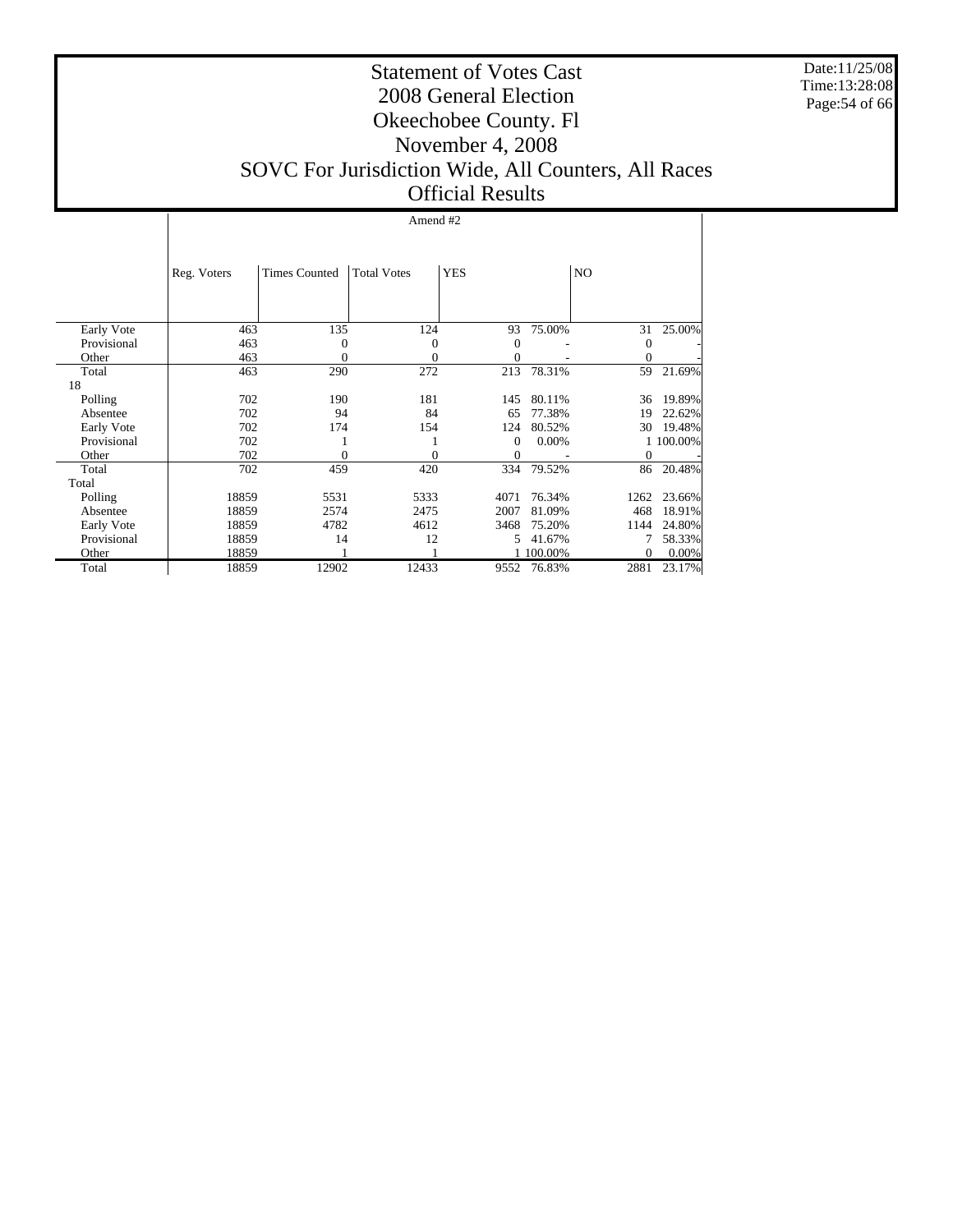Date:11/25/08 Time:13:28:08 Page:54 of 66

#### Statement of Votes Cast 2008 General Election Okeechobee County. Fl November 4, 2008 SOVC For Jurisdiction Wide, All Counters, All Races Official Results

#### Amend #2

|             | Reg. Voters | <b>Times Counted</b> | <b>Total Votes</b> | <b>YES</b> |         | N <sub>O</sub> |           |
|-------------|-------------|----------------------|--------------------|------------|---------|----------------|-----------|
|             |             |                      |                    |            |         |                |           |
| Early Vote  | 463         | 135                  | 124                | 93         | 75.00%  | 31             | 25.00%    |
| Provisional | 463         | $\Omega$             | 0                  | $\theta$   |         | $\mathbf{0}$   |           |
| Other       | 463         | 0                    | 0                  | $\theta$   |         | 0              |           |
| Total       | 463         | 290                  | 272                | 213        | 78.31%  | 59             | 21.69%    |
| 18          |             |                      |                    |            |         |                |           |
| Polling     | 702         | 190                  | 181                | 145        | 80.11%  | 36             | 19.89%    |
| Absentee    | 702         | 94                   | 84                 | 65         | 77.38%  | 19             | 22.62%    |
| Early Vote  | 702         | 174                  | 154                | 124        | 80.52%  | 30             | 19.48%    |
| Provisional | 702         |                      |                    | $\Omega$   | 0.00%   |                | 1 100.00% |
| Other       | 702         | 0                    | 0                  | $\theta$   |         | $\Omega$       |           |
| Total       | 702         | 459                  | 420                | 334        | 79.52%  | 86             | 20.48%    |
| Total       |             |                      |                    |            |         |                |           |
| Polling     | 18859       | 5531                 | 5333               | 4071       | 76.34%  | 1262           | 23.66%    |
| Absentee    | 18859       | 2574                 | 2475               | 2007       | 81.09%  | 468            | 18.91%    |
| Early Vote  | 18859       | 4782                 | 4612               | 3468       | 75.20%  | 1144           | 24.80%    |
| Provisional | 18859       | 14                   | 12                 | 5          | 41.67%  |                | 58.33%    |
| Other       | 18859       |                      |                    |            | 100.00% | $\Omega$       | 0.00%     |
| Total       | 18859       | 12902                | 12433              | 9552       | 76.83%  | 2881           | 23.17%    |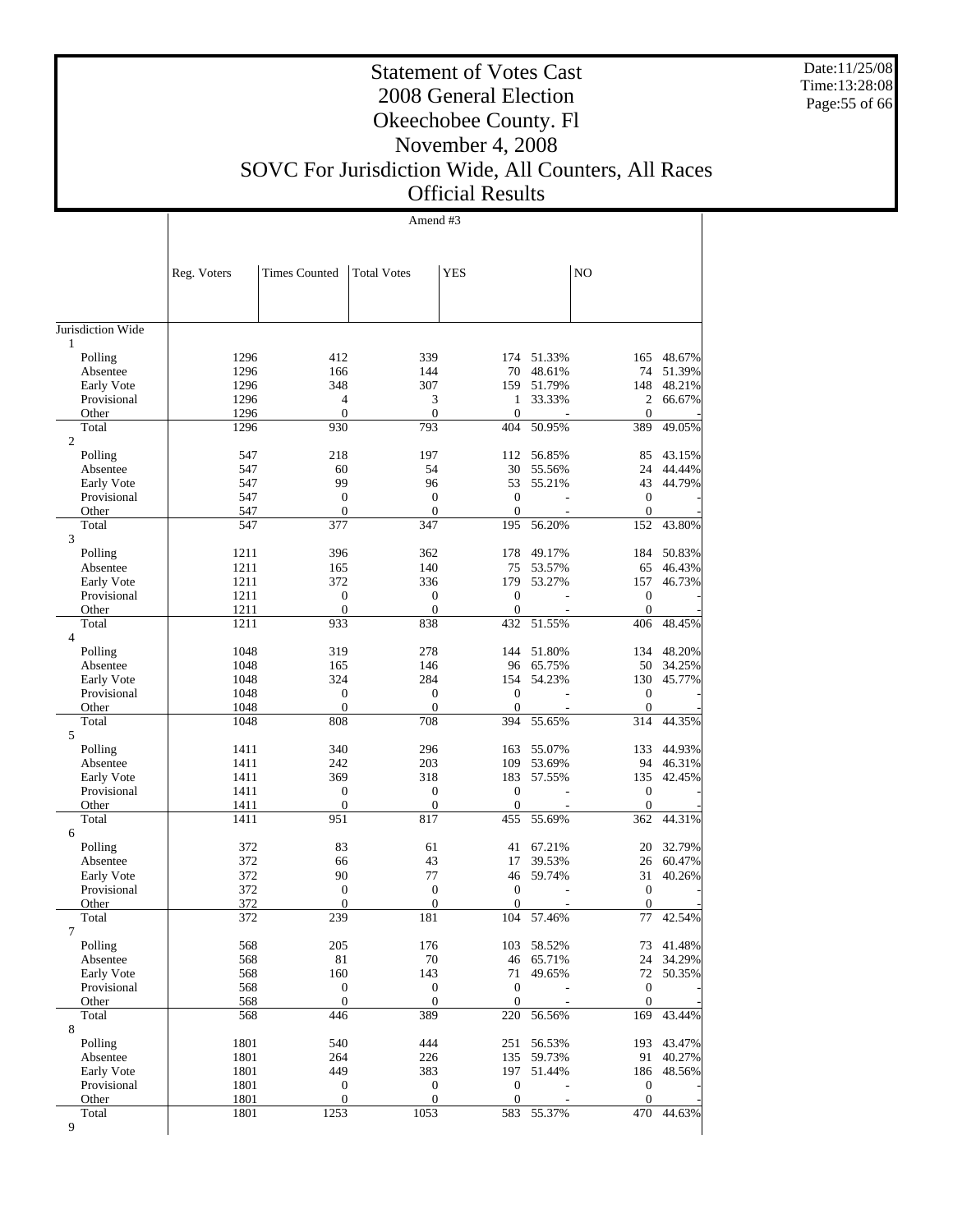Date:11/25/08 Time:13:28:08 Page:55 of 66

Τ

## Statement of Votes Cast 2008 General Election Okeechobee County. Fl November 4, 2008

# SOVC For Jurisdiction Wide, All Counters, All Races

# Official Results

|                         |              |                      | Amend #3           |                  |                      |                  |                  |
|-------------------------|--------------|----------------------|--------------------|------------------|----------------------|------------------|------------------|
|                         |              |                      |                    |                  |                      |                  |                  |
|                         |              |                      |                    |                  |                      |                  |                  |
|                         | Reg. Voters  | <b>Times Counted</b> | <b>Total Votes</b> | <b>YES</b>       |                      | NO               |                  |
|                         |              |                      |                    |                  |                      |                  |                  |
|                         |              |                      |                    |                  |                      |                  |                  |
| Jurisdiction Wide       |              |                      |                    |                  |                      |                  |                  |
| 1                       |              |                      |                    |                  |                      |                  |                  |
| Polling<br>Absentee     | 1296<br>1296 | 412<br>166           | 339<br>144         | 70               | 174 51.33%<br>48.61% | 165<br>74        | 48.67%<br>51.39% |
| Early Vote              | 1296         | 348                  | 307                | 159              | 51.79%               | 148              | 48.21%           |
| Provisional             | 1296         | 4                    | 3                  | 1                | 33.33%               | 2                | 66.67%           |
| Other                   | 1296         | $\overline{0}$       | $\mathbf{0}$       | $\mathbf{0}$     |                      | $\mathbf{0}$     |                  |
| Total<br>$\overline{c}$ | 1296         | 930                  | 793                | 404              | 50.95%               | 389              | 49.05%           |
| Polling                 | 547          | 218                  | 197                | 112              | 56.85%               | 85               | 43.15%           |
| Absentee                | 547          | 60                   | 54                 | 30               | 55.56%               | 24               | 44.44%           |
| Early Vote              | 547          | 99                   | 96                 | 53               | 55.21%               | 43               | 44.79%           |
| Provisional             | 547          | $\boldsymbol{0}$     | $\boldsymbol{0}$   | $\boldsymbol{0}$ |                      | $\mathbf{0}$     |                  |
| Other                   | 547          | $\overline{0}$       | $\mathbf{0}$       | $\mathbf{0}$     |                      | $\mathbf{0}$     |                  |
| Total<br>3              | 547          | 377                  | 347                | 195              | 56.20%               | 152              | 43.80%           |
| Polling                 | 1211         | 396                  | 362                | 178              | 49.17%               | 184              | 50.83%           |
| Absentee                | 1211         | 165                  | 140                | 75               | 53.57%               | 65               | 46.43%           |
| Early Vote              | 1211         | 372                  | 336                | 179              | 53.27%               | 157              | 46.73%           |
| Provisional             | 1211         | $\boldsymbol{0}$     | 0                  | $\boldsymbol{0}$ |                      | $\boldsymbol{0}$ |                  |
| Other                   | 1211         | $\overline{0}$       | $\boldsymbol{0}$   | $\boldsymbol{0}$ |                      | $\mathbf{0}$     |                  |
| Total<br>$\overline{4}$ | 1211         | 933                  | 838                | 432              | 51.55%               | 406              | 48.45%           |
| Polling                 | 1048         | 319                  | 278                | 144              | 51.80%               | 134              | 48.20%           |
| Absentee                | 1048         | 165                  | 146                | 96               | 65.75%               | 50               | 34.25%           |
| Early Vote              | 1048         | 324                  | 284                | 154              | 54.23%               | 130              | 45.77%           |
| Provisional             | 1048         | $\boldsymbol{0}$     | 0                  | $\boldsymbol{0}$ |                      | $\mathbf{0}$     |                  |
| Other                   | 1048         | $\boldsymbol{0}$     | $\boldsymbol{0}$   | $\boldsymbol{0}$ |                      | $\mathbf{0}$     |                  |
| Total                   | 1048         | 808                  | 708                | 394              | 55.65%               | 314              | 44.35%           |
| 5<br>Polling            | 1411         | 340                  | 296                | 163              | 55.07%               | 133              | 44.93%           |
| Absentee                | 1411         | 242                  | 203                | 109              | 53.69%               | 94               | 46.31%           |
| Early Vote              | 1411         | 369                  | 318                | 183              | 57.55%               | 135              | 42.45%           |
| Provisional             | 1411         | $\boldsymbol{0}$     | 0                  | $\boldsymbol{0}$ |                      | $\boldsymbol{0}$ |                  |
| Other                   | 1411         | $\overline{0}$       | $\boldsymbol{0}$   | $\mathbf{0}$     |                      | $\overline{0}$   |                  |
| Total                   | 1411         | 951                  | 817                | 455              | 55.69%               | 362              | 44.31%           |
| 6                       |              | 83                   |                    |                  |                      |                  |                  |
| Polling<br>Absentee     | 372<br>372   | 66                   | 61<br>43           | 41<br>17         | 67.21%<br>39.53%     | 20<br>26         | 32.79%<br>60.47% |
| Early Vote              | 372          | 90                   | 77                 | 46               | 59.74%               | 31               | 40.26%           |
| Provisional             | 372          | $\boldsymbol{0}$     | $\boldsymbol{0}$   | $\boldsymbol{0}$ |                      | $\boldsymbol{0}$ |                  |
| Other                   | 372          | $\overline{0}$       | $\overline{0}$     | $\boldsymbol{0}$ |                      | $\boldsymbol{0}$ |                  |
| Total                   | 372          | 239                  | 181                | 104              | 57.46%               | 77               | 42.54%           |
| $\overline{7}$          | 568          | 205                  | 176                |                  | 58.52%               |                  | 41.48%           |
| Polling<br>Absentee     | 568          | 81                   | 70                 | 103              | 46 65.71%            | 73<br>24         | 34.29%           |
| Early Vote              | 568          | 160                  | 143                | 71               | 49.65%               | 72               | 50.35%           |
| Provisional             | 568          | $\boldsymbol{0}$     | $\boldsymbol{0}$   | $\boldsymbol{0}$ |                      | $\boldsymbol{0}$ |                  |
| Other                   | 568          | $\boldsymbol{0}$     | $\mathbf{0}$       | $\mathbf{0}$     |                      | $\mathbf{0}$     |                  |
| Total                   | 568          | 446                  | 389                | 220              | 56.56%               | 169              | 43.44%           |
| 8                       |              |                      |                    |                  |                      |                  |                  |
| Polling                 | 1801<br>1801 | 540<br>264           | 444<br>226         | 251<br>135       | 56.53%<br>59.73%     | 193<br>91        | 43.47%<br>40.27% |
| Absentee<br>Early Vote  | 1801         | 449                  | 383                | 197              | 51.44%               | 186              | 48.56%           |
| Provisional             | 1801         | $\boldsymbol{0}$     | $\mathbf{0}$       | $\mathbf{0}$     |                      | $\boldsymbol{0}$ |                  |
| Other                   | 1801         | $\boldsymbol{0}$     | $\boldsymbol{0}$   | $\boldsymbol{0}$ |                      | $\mathbf{0}$     |                  |
| Total                   | 1801         | 1253                 | 1053               | 583              | 55.37%               | 470              | 44.63%           |
| 9                       |              |                      |                    |                  |                      |                  |                  |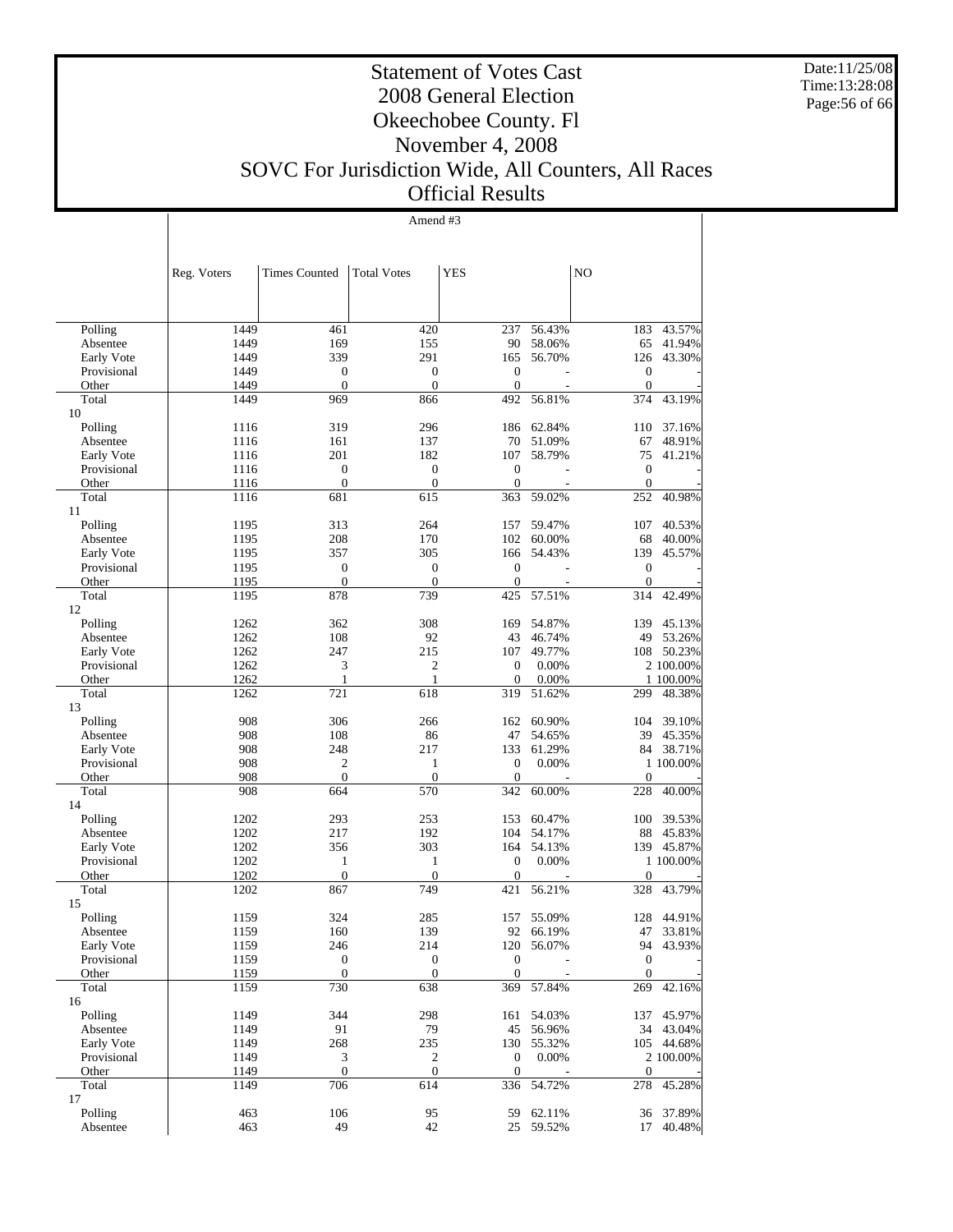Date:11/25/08 Time:13:28:08 Page:56 of 66

#### Statement of Votes Cast 2008 General Election Okeechobee County. Fl November 4, 2008 SOVC For Jurisdiction Wide, All Counters, All Races Official Results

Amend #3

|             | Reg. Voters | <b>Times Counted</b>        | <b>Total Votes</b> | <b>YES</b>       |                | NO               |            |
|-------------|-------------|-----------------------------|--------------------|------------------|----------------|------------------|------------|
|             |             |                             |                    |                  |                |                  |            |
| Polling     | 1449        | 461                         | 420                | 237              | 56.43%         | 183              | 43.57%     |
| Absentee    | 1449        | 169                         | 155                | 90               | 58.06%         | 65               | 41.94%     |
| Early Vote  | 1449        | 339                         | 291                | 165              | 56.70%         | 126              | 43.30%     |
| Provisional | 1449        | $\overline{0}$              | $\mathbf{0}$       | $\theta$         |                | $\boldsymbol{0}$ |            |
| Other       | 1449        | $\overline{0}$              | $\mathbf{0}$       | $\mathbf{0}$     | $\overline{a}$ | $\boldsymbol{0}$ |            |
| Total       | 1449        | 969                         | 866                | 492              | 56.81%         | 374              | 43.19%     |
| 10          |             |                             |                    |                  |                |                  |            |
| Polling     | 1116        | 319                         | 296                | 186              | 62.84%         | 110              | 37.16%     |
| Absentee    | 1116        | 161                         | 137                | 70               | 51.09%         | 67               | 48.91%     |
| Early Vote  | 1116        | 201                         | 182                | 107              | 58.79%         | 75               | 41.21%     |
| Provisional | 1116        | $\boldsymbol{0}$            | $\boldsymbol{0}$   | $\boldsymbol{0}$ |                | $\boldsymbol{0}$ |            |
| Other       | 1116        | $\mathbf{0}$                | $\mathbf{0}$       | $\mathbf{0}$     |                | $\boldsymbol{0}$ |            |
| Total       | 1116        | 681                         | 615                | 363              | 59.02%         | 252              | 40.98%     |
| 11          |             |                             |                    |                  |                |                  |            |
| Polling     | 1195        | 313                         | 264                | 157              | 59.47%         | 107              | 40.53%     |
| Absentee    | 1195        | 208                         | 170                | 102              | 60.00%         | 68               | 40.00%     |
| Early Vote  | 1195        | 357                         | 305                | 166              | 54.43%         | 139              | 45.57%     |
| Provisional | 1195        | $\mathbf{0}$                | $\mathbf{0}$       | $\theta$         |                | $\boldsymbol{0}$ |            |
| Other       | 1195        | $\overline{0}$              | $\mathbf{0}$       | $\mathbf{0}$     |                | $\boldsymbol{0}$ |            |
| Total<br>12 | 1195        | 878                         | 739                | 425              | 57.51%         | 314              | 42.49%     |
| Polling     | 1262        | 362                         | 308                | 169              | 54.87%         | 139              | 45.13%     |
| Absentee    | 1262        | 108                         | 92                 | 43               | 46.74%         | 49               | 53.26%     |
| Early Vote  | 1262        | 247                         | 215                | 107              | 49.77%         | 108              | 50.23%     |
| Provisional | 1262        | 3                           | $\overline{c}$     | $\overline{0}$   | 0.00%          |                  | 2 100.00%  |
| Other       | 1262        | 1                           | 1                  | $\theta$         | 0.00%          |                  | 1 100.00%  |
| Total<br>13 | 1262        | 721                         | 618                | 319              | 51.62%         | 299              | 48.38%     |
| Polling     | 908         | 306                         | 266                | 162              | 60.90%         | 104              | 39.10%     |
| Absentee    | 908         | 108                         | 86                 | 47               | 54.65%         | 39               | 45.35%     |
| Early Vote  | 908         | 248                         | 217                | 133              | 61.29%         |                  | 84 38.71%  |
| Provisional | 908         | $\mathfrak{2}$              | $\mathbf{1}$       | $\theta$         | 0.00%          |                  | 1 100.00%  |
| Other       | 908         | $\mathbf{0}$                | $\mathbf{0}$       | $\overline{0}$   |                | $\boldsymbol{0}$ |            |
| Total       | 908         | 664                         | 570                | 342              | 60.00%         | 228              | 40.00%     |
| 14          |             |                             |                    |                  |                |                  |            |
| Polling     | 1202        | 293                         | 253                | 153              | 60.47%         | 100              | 39.53%     |
| Absentee    | 1202        | 217                         | 192                | 104              | 54.17%         | 88               | 45.83%     |
| Early Vote  | 1202        | 356                         | 303                | 164              | 54.13%         | 139              | 45.87%     |
| Provisional | 1202        | 1                           | $\mathbf{1}$       | $\mathbf{0}$     | 0.00%          |                  | 1 100.00%  |
| Other       | 1202        | $\boldsymbol{0}$            | $\mathbf{0}$       | $\theta$         |                | $\boldsymbol{0}$ |            |
| Total       | 1202        | 867                         | 749                | 421              | 56.21%         | 328              | 43.79%     |
| 15          |             |                             |                    |                  |                |                  |            |
| Polling     | 1159        | 324                         | 285                | 157              | 55.09%         | 128              | 44.91%     |
| Absentee    | 1159        | 160                         | 139                | 92               | 66.19%         | 47               | 33.81%     |
| Early Vote  | 1159        | 246                         | 214                |                  | 120 56.07%     | 94               | 43.93%     |
| Provisional | 1159        | $\boldsymbol{0}$            | $\boldsymbol{0}$   | $\boldsymbol{0}$ |                | $\mathbf{0}$     |            |
| Other       | 1159        | $\boldsymbol{0}$            | $\mathbf{0}$       | $\mathbf{0}$     |                | $\mathbf{0}$     |            |
| Total<br>16 | 1159        | 730                         | 638                | 369              | 57.84%         | 269              | 42.16%     |
| Polling     | 1149        | 344                         | 298                | 161              | 54.03%         | 137              | 45.97%     |
| Absentee    | 1149        | 91                          | 79                 | 45               | 56.96%         |                  | 34 43.04%  |
| Early Vote  | 1149        | 268                         | 235                | 130              | 55.32%         |                  | 105 44.68% |
| Provisional | 1149        | $\ensuremath{\mathfrak{Z}}$ | 2                  | 0                | 0.00%          |                  | 2 100.00%  |
| Other       | 1149        | $\boldsymbol{0}$            | $\boldsymbol{0}$   | $\overline{0}$   |                | $\boldsymbol{0}$ |            |
| Total       | 1149        | 706                         | 614                | 336              | 54.72%         | 278              | 45.28%     |
| 17          |             |                             |                    |                  |                |                  |            |
| Polling     | 463         | 106                         | 95                 | 59               | 62.11%         | 36               | 37.89%     |
| Absentee    | 463         | 49                          | 42                 |                  | 25 59.52%      | 17               | 40.48%     |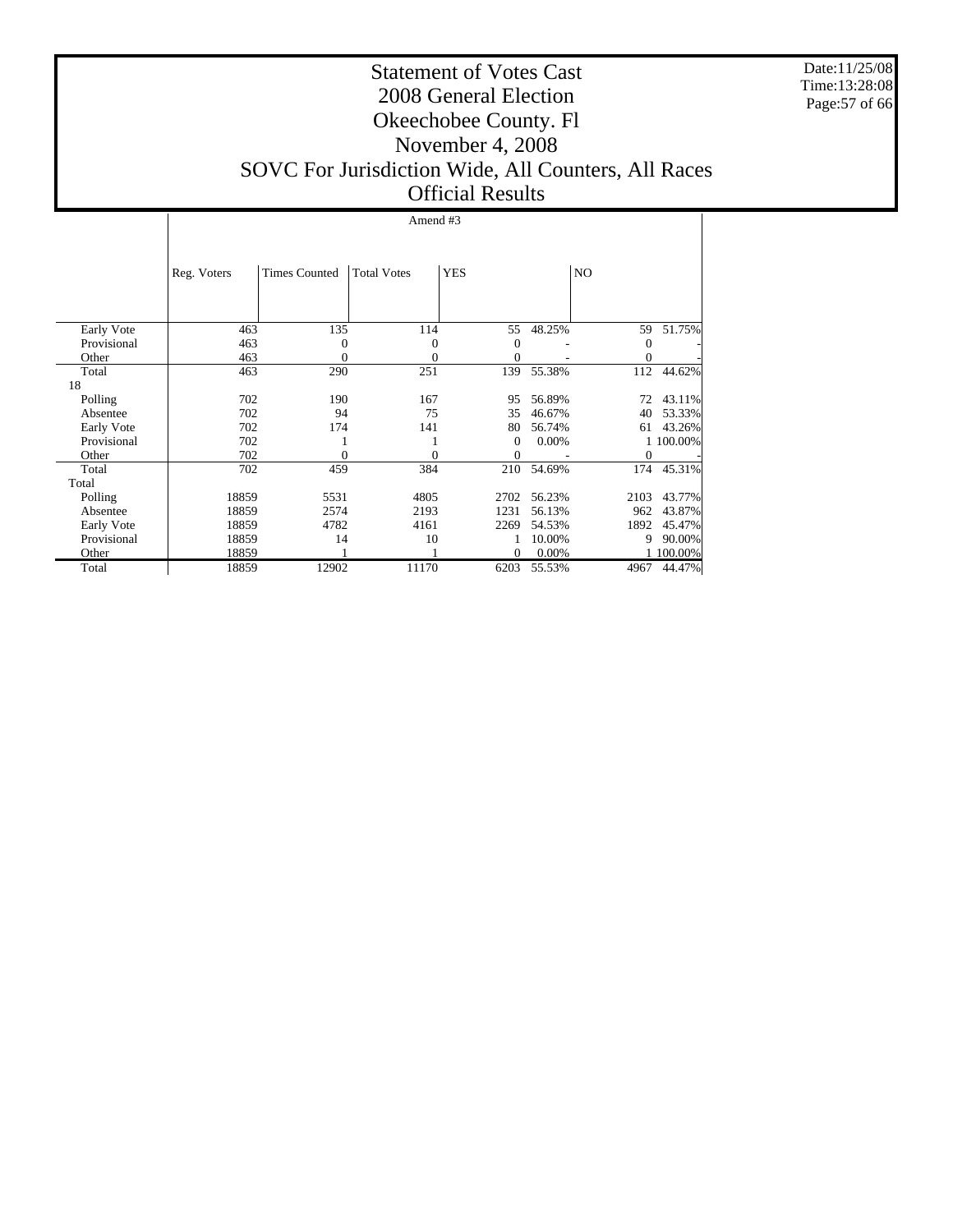Date:11/25/08 Time:13:28:08 Page:57 of 66

#### Statement of Votes Cast 2008 General Election Okeechobee County. Fl November 4, 2008 SOVC For Jurisdiction Wide, All Counters, All Races Official Results

#### Amend #3

|             | Reg. Voters | <b>Times Counted</b> | <b>Total Votes</b> | <b>YES</b> |        | N <sub>O</sub> |           |
|-------------|-------------|----------------------|--------------------|------------|--------|----------------|-----------|
|             |             |                      |                    |            |        |                |           |
| Early Vote  | 463         | 135                  | 114                | 55         | 48.25% | 59             | 51.75%    |
| Provisional | 463         | 0                    | 0                  | 0          |        | $\mathbf{0}$   |           |
| Other       | 463         | 0                    | $\theta$           | $\theta$   |        | $\mathbf{0}$   |           |
| Total       | 463         | 290                  | 251                | 139        | 55.38% | 112            | 44.62%    |
| 18          |             |                      |                    |            |        |                |           |
| Polling     | 702         | 190                  | 167                | 95         | 56.89% | 72             | 43.11%    |
| Absentee    | 702         | 94                   | 75                 | 35         | 46.67% | 40             | 53.33%    |
| Early Vote  | 702         | 174                  | 141                | 80         | 56.74% | 61             | 43.26%    |
| Provisional | 702         |                      |                    | $\Omega$   | 0.00%  |                | 1 100.00% |
| Other       | 702         | 0                    | 0                  | $\theta$   |        | $\Omega$       |           |
| Total       | 702         | 459                  | 384                | 210        | 54.69% | 174            | 45.31%    |
| Total       |             |                      |                    |            |        |                |           |
| Polling     | 18859       | 5531                 | 4805               | 2702       | 56.23% | 2103           | 43.77%    |
| Absentee    | 18859       | 2574                 | 2193               | 1231       | 56.13% | 962            | 43.87%    |
| Early Vote  | 18859       | 4782                 | 4161               | 2269       | 54.53% | 1892           | 45.47%    |
| Provisional | 18859       | 14                   | 10                 |            | 10.00% | 9              | 90.00%    |
| Other       | 18859       |                      |                    | $\Omega$   | 0.00%  |                | 1 100.00% |
| Total       | 18859       | 12902                | 11170              | 6203       | 55.53% | 4967           | 44.47%    |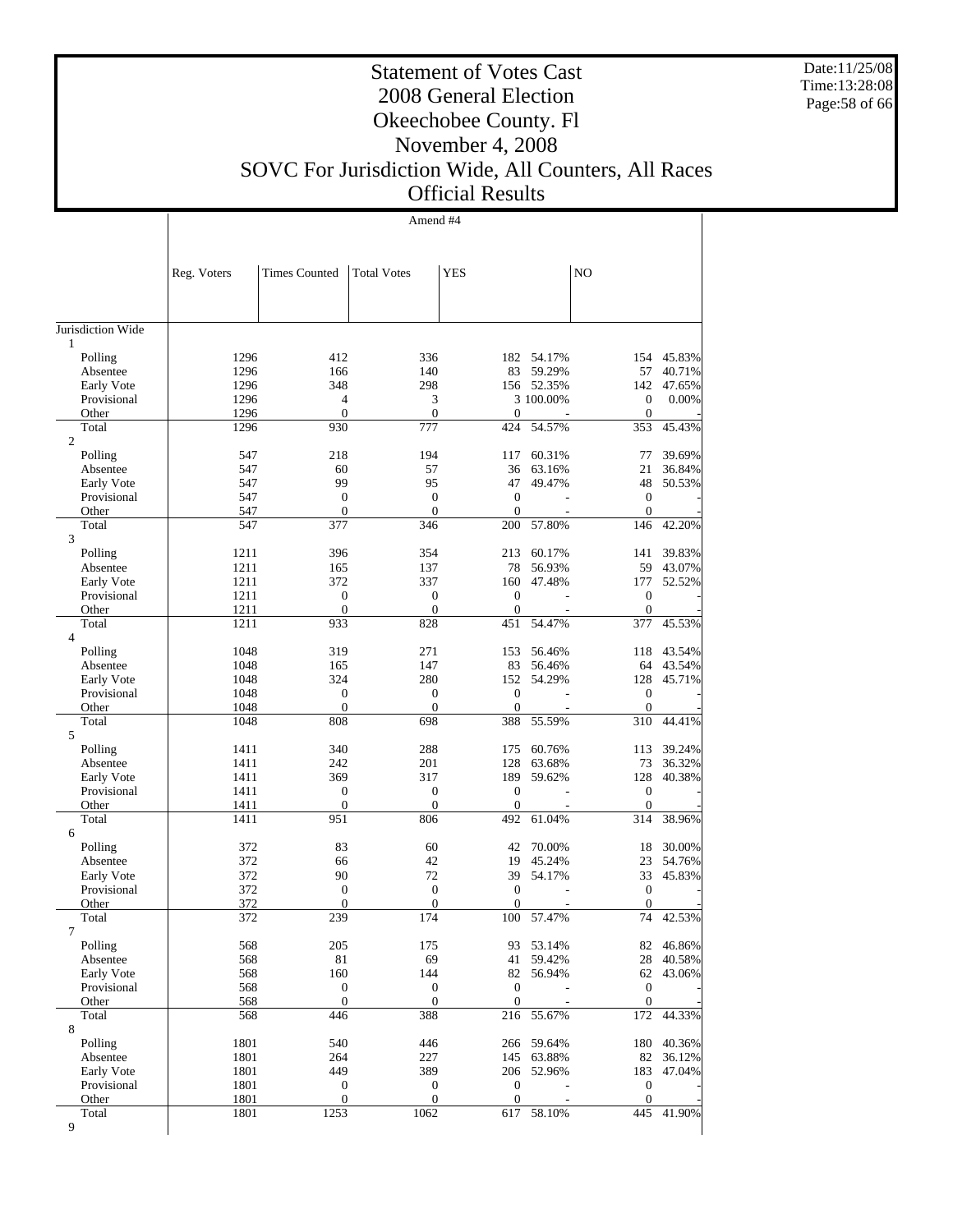Date:11/25/08 Time:13:28:08 Page:58 of 66

 $\top$ 

## Statement of Votes Cast 2008 General Election Okeechobee County. Fl November 4, 2008

### SOVC For Jurisdiction Wide, All Counters, All Races Official Results

|                         |              |                      | Amend #4           |                  |                      |                  |                  |
|-------------------------|--------------|----------------------|--------------------|------------------|----------------------|------------------|------------------|
|                         |              |                      |                    |                  |                      |                  |                  |
|                         |              |                      |                    |                  |                      |                  |                  |
|                         | Reg. Voters  | <b>Times Counted</b> | <b>Total Votes</b> | <b>YES</b>       |                      | N <sub>O</sub>   |                  |
|                         |              |                      |                    |                  |                      |                  |                  |
|                         |              |                      |                    |                  |                      |                  |                  |
| Jurisdiction Wide       |              |                      |                    |                  |                      |                  |                  |
| 1                       |              |                      |                    |                  |                      |                  |                  |
| Polling<br>Absentee     | 1296<br>1296 | 412<br>166           | 336<br>140         | 83               | 182 54.17%<br>59.29% | 154<br>57        | 45.83%<br>40.71% |
| Early Vote              | 1296         | 348                  | 298                |                  | 156 52.35%           | 142              | 47.65%           |
| Provisional             | 1296         | 4                    | 3                  |                  | 3 100.00%            | $\boldsymbol{0}$ | 0.00%            |
| Other                   | 1296         | $\mathbf{0}$         | $\mathbf{0}$       | $\overline{0}$   |                      | $\boldsymbol{0}$ |                  |
| Total<br>$\overline{c}$ | 1296         | 930                  | 777                | 424              | 54.57%               | 353              | 45.43%           |
| Polling                 | 547          | 218                  | 194                | 117              | 60.31%               | 77               | 39.69%           |
| Absentee                | 547          | 60                   | 57                 | 36               | 63.16%               | 21               | 36.84%           |
| Early Vote              | 547          | 99                   | 95                 | 47               | 49.47%               | 48               | 50.53%           |
| Provisional             | 547          | $\boldsymbol{0}$     | $\mathbf{0}$       | $\boldsymbol{0}$ |                      | $\boldsymbol{0}$ |                  |
| Other                   | 547          | $\mathbf{0}$         | $\overline{0}$     | $\overline{0}$   |                      | $\boldsymbol{0}$ |                  |
| Total<br>3              | 547          | 377                  | 346                | 200              | 57.80%               | 146              | 42.20%           |
| Polling                 | 1211         | 396                  | 354                | 213              | 60.17%               | 141              | 39.83%           |
| Absentee                | 1211         | 165                  | 137                | 78               | 56.93%               | 59               | 43.07%           |
| Early Vote              | 1211         | 372                  | 337                | 160              | 47.48%               | 177              | 52.52%           |
| Provisional             | 1211         | $\boldsymbol{0}$     | $\mathbf{0}$       | $\boldsymbol{0}$ |                      | $\boldsymbol{0}$ |                  |
| Other                   | 1211         | $\mathbf{0}$         | $\boldsymbol{0}$   | $\overline{0}$   |                      | $\boldsymbol{0}$ |                  |
| Total<br>$\overline{4}$ | 1211         | 933                  | 828                | 451              | 54.47%               | 377              | 45.53%           |
| Polling                 | 1048         | 319                  | 271                | 153              | 56.46%               | 118              | 43.54%           |
| Absentee                | 1048         | 165                  | 147                | 83               | 56.46%               | 64               | 43.54%           |
| Early Vote              | 1048         | 324                  | 280                | 152              | 54.29%               | 128              | 45.71%           |
| Provisional             | 1048         | $\boldsymbol{0}$     | $\boldsymbol{0}$   | $\boldsymbol{0}$ |                      | $\boldsymbol{0}$ |                  |
| Other                   | 1048         | $\boldsymbol{0}$     | $\boldsymbol{0}$   | $\boldsymbol{0}$ |                      | $\boldsymbol{0}$ |                  |
| Total                   | 1048         | 808                  | 698                | 388              | 55.59%               | 310              | 44.41%           |
| 5<br>Polling            | 1411         | 340                  | 288                | 175              | 60.76%               | 113              | 39.24%           |
| Absentee                | 1411         | 242                  | 201                | 128              | 63.68%               | 73               | 36.32%           |
| Early Vote              | 1411         | 369                  | 317                | 189              | 59.62%               | 128              | 40.38%           |
| Provisional             | 1411         | $\boldsymbol{0}$     | $\boldsymbol{0}$   | $\boldsymbol{0}$ |                      | $\boldsymbol{0}$ |                  |
| Other                   | 1411         | $\mathbf{0}$         | $\mathbf{0}$       | $\overline{0}$   |                      | $\mathbf{0}$     |                  |
| Total                   | 1411         | 951                  | 806                | 492              | 61.04%               | 314              | 38.96%           |
| 6<br>Polling            | 372          | 83                   | 60                 | 42               | 70.00%               | 18               | 30.00%           |
| Absentee                | 372          | 66                   | 42                 | 19               | 45.24%               | 23               | 54.76%           |
| Early Vote              | 372          | 90                   | 72                 | 39               | 54.17%               | 33               | 45.83%           |
| Provisional             | 372          | $\boldsymbol{0}$     | $\mathbf{0}$       | $\boldsymbol{0}$ |                      | $\boldsymbol{0}$ |                  |
| Other                   | 372          | $\Omega$             | $\overline{0}$     | $\overline{0}$   |                      | $\boldsymbol{0}$ |                  |
| Total                   | 372          | 239                  | 174                | 100              | 57.47%               |                  | 74 42.53%        |
| 7<br>Polling            | 568          | 205                  | 175                | 93               | 53.14%               | 82               | 46.86%           |
| Absentee                | 568          | 81                   | 69                 | 41               | 59.42%               | 28               | 40.58%           |
| Early Vote              | 568          | 160                  | 144                | 82               | 56.94%               | 62               | 43.06%           |
| Provisional             | 568          | $\boldsymbol{0}$     | $\boldsymbol{0}$   | $\boldsymbol{0}$ |                      | $\boldsymbol{0}$ |                  |
| Other                   | 568          | $\boldsymbol{0}$     | $\boldsymbol{0}$   | $\mathbf{0}$     |                      | $\mathbf{0}$     |                  |
| Total                   | 568          | 446                  | 388                | 216              | 55.67%               | 172              | 44.33%           |
| 8<br>Polling            | 1801         | 540                  | 446                | 266              | 59.64%               | 180              | 40.36%           |
| Absentee                | 1801         | 264                  | 227                | 145              | 63.88%               | 82               | 36.12%           |
| Early Vote              | 1801         | 449                  | 389                | 206              | 52.96%               | 183              | 47.04%           |
| Provisional             | 1801         | $\boldsymbol{0}$     | $\boldsymbol{0}$   | $\boldsymbol{0}$ |                      | $\boldsymbol{0}$ |                  |
| Other                   | 1801         | $\mathbf{0}$         | $\boldsymbol{0}$   | $\boldsymbol{0}$ |                      | $\mathbf{0}$     |                  |
| Total                   | 1801         | 1253                 | 1062               | 617              | 58.10%               | 445              | 41.90%           |
| 9                       |              |                      |                    |                  |                      |                  |                  |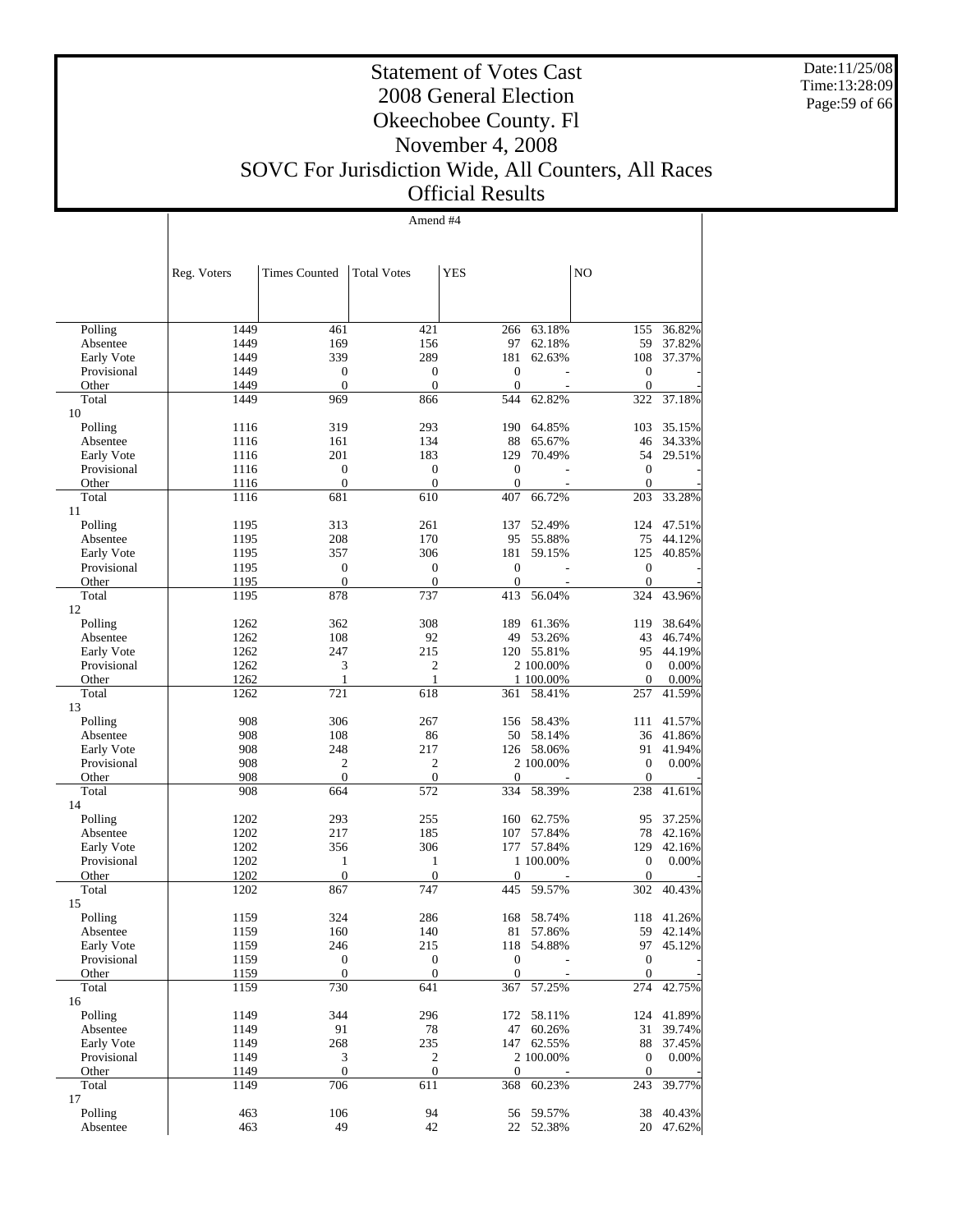Date:11/25/08 Time:13:28:09 Page:59 of 66

#### Statement of Votes Cast 2008 General Election Okeechobee County. Fl November 4, 2008 SOVC For Jurisdiction Wide, All Counters, All Races Official Results

Amend #4

|                           | Reg. Voters  | <b>Times Counted</b>  | <b>Total Votes</b>  | <b>YES</b>          |                         | NO                  |                  |
|---------------------------|--------------|-----------------------|---------------------|---------------------|-------------------------|---------------------|------------------|
|                           |              |                       |                     |                     |                         |                     |                  |
|                           |              |                       |                     |                     |                         |                     |                  |
| Polling                   | 1449<br>1449 | 461<br>169            | 421<br>156          | 266<br>97           | 63.18%<br>62.18%        | 155<br>59           | 36.82%<br>37.82% |
| Absentee<br>Early Vote    | 1449         | 339                   | 289                 | 181                 | 62.63%                  | 108                 | 37.37%           |
| Provisional               | 1449         | $\boldsymbol{0}$      | $\mathbf{0}$        | $\boldsymbol{0}$    |                         | $\boldsymbol{0}$    |                  |
| Other                     | 1449         | $\mathbf{0}$          | $\mathbf{0}$        | $\mathbf{0}$        |                         | $\mathbf{0}$        |                  |
| Total                     | 1449         | 969                   | 866                 | 544                 | 62.82%                  | 322                 | 37.18%           |
| 10                        |              |                       |                     |                     |                         |                     |                  |
| Polling                   | 1116         | 319                   | 293                 | 190                 | 64.85%                  | 103                 | 35.15%           |
| Absentee                  | 1116         | 161                   | 134                 | 88                  | 65.67%                  | 46                  | 34.33%           |
| Early Vote                | 1116         | 201                   | 183                 | 129                 | 70.49%                  | 54                  | 29.51%           |
| Provisional               | 1116         | $\boldsymbol{0}$      | $\mathbf{0}$        | $\overline{0}$      |                         | $\mathbf{0}$        |                  |
| Other<br>Total            | 1116<br>1116 | $\overline{0}$<br>681 | $\mathbf{0}$<br>610 | $\mathbf{0}$<br>407 | 66.72%                  | $\mathbf{0}$<br>203 |                  |
| 11                        |              |                       |                     |                     |                         |                     | 33.28%           |
| Polling                   | 1195         | 313                   | 261                 | 137                 | 52.49%                  | 124                 | 47.51%           |
| Absentee                  | 1195         | 208                   | 170                 | 95                  | 55.88%                  | 75                  | 44.12%           |
| Early Vote                | 1195         | 357                   | 306                 | 181                 | 59.15%                  | 125                 | 40.85%           |
| Provisional               | 1195         | $\boldsymbol{0}$      | $\overline{0}$      | $\overline{0}$      |                         | $\mathbf{0}$        |                  |
| Other                     | 1195         | $\mathbf{0}$          | $\mathbf{0}$        | $\mathbf{0}$        |                         | $\mathbf{0}$        |                  |
| Total                     | 1195         | 878                   | 737                 | 413                 | 56.04%                  | 324                 | 43.96%           |
| 12                        |              |                       |                     |                     |                         |                     |                  |
| Polling                   | 1262         | 362                   | 308                 |                     | 189 61.36%              | 119                 | 38.64%           |
| Absentee                  | 1262         | 108                   | 92                  | 49                  | 53.26%                  | 43                  | 46.74%           |
| Early Vote<br>Provisional | 1262<br>1262 | 247<br>$\mathfrak{Z}$ | 215<br>2            |                     | 120 55.81%<br>2 100.00% | 95<br>$\mathbf{0}$  | 44.19%<br>0.00%  |
| Other                     | 1262         | 1                     | 1                   |                     | 1 100.00%               | $\boldsymbol{0}$    | 0.00%            |
| Total                     | 1262         | 721                   | 618                 | 361                 | 58.41%                  | 257                 | 41.59%           |
| 13                        |              |                       |                     |                     |                         |                     |                  |
| Polling                   | 908          | 306                   | 267                 | 156                 | 58.43%                  | 111                 | 41.57%           |
| Absentee                  | 908          | 108                   | 86                  |                     | 50 58.14%               | 36                  | 41.86%           |
| Early Vote                | 908          | 248                   | 217                 |                     | 126 58.06%              | 91                  | 41.94%           |
| Provisional               | 908          | $\boldsymbol{2}$      | $\mathfrak{2}$      |                     | 2 100.00%               | $\mathbf{0}$        | 0.00%            |
| Other                     | 908          | $\mathbf{0}$          | $\mathbf{0}$        | $\theta$            |                         | $\overline{0}$      |                  |
| Total                     | 908          | 664                   | 572                 | 334                 | 58.39%                  | 238                 | 41.61%           |
| 14                        |              |                       |                     |                     |                         |                     |                  |
| Polling                   | 1202         | 293                   | 255                 | 160                 | 62.75%                  | 95                  | 37.25%           |
| Absentee                  | 1202<br>1202 | 217<br>356            | 185<br>306          | 107<br>177          | 57.84%<br>57.84%        | 78<br>129           | 42.16%<br>42.16% |
| Early Vote<br>Provisional | 1202         | $\mathbf{1}$          | $\mathbf{1}$        |                     | 1 100.00%               | $\mathbf{0}$        | 0.00%            |
| Other                     | 1202         | $\boldsymbol{0}$      | $\mathbf{0}$        | $\theta$            |                         | $\boldsymbol{0}$    |                  |
| Total                     | 1202         | 867                   | 747                 | 445                 | 59.57%                  | 302                 | 40.43%           |
| 15                        |              |                       |                     |                     |                         |                     |                  |
| Polling                   | 1159         | 324                   | 286                 | 168                 | 58.74%                  | 118                 | 41.26%           |
| Absentee                  | 1159         | 160                   | 140                 |                     | 81 57.86%               | 59                  | 42.14%           |
| Early Vote                | 1159         | 246                   | 215                 |                     | 118 54.88%              | 97                  | 45.12%           |
| Provisional               | 1159         | $\boldsymbol{0}$      | $\boldsymbol{0}$    | 0                   |                         | $\boldsymbol{0}$    |                  |
| Other                     | 1159         | $\boldsymbol{0}$      | $\boldsymbol{0}$    | $\boldsymbol{0}$    |                         | $\mathbf{0}$        |                  |
| Total                     | 1159         | 730                   | 641                 | 367                 | 57.25%                  | 274                 | 42.75%           |
| 16<br>Polling             | 1149         | 344                   | 296                 | 172                 | 58.11%                  | 124                 | 41.89%           |
| Absentee                  | 1149         | 91                    | 78                  | 47                  | 60.26%                  | 31                  | 39.74%           |
| Early Vote                | 1149         | 268                   | 235                 |                     | 147 62.55%              | 88                  | 37.45%           |
| Provisional               | 1149         | $\mathfrak{Z}$        | $\overline{c}$      |                     | 2 100.00%               | $\boldsymbol{0}$    | 0.00%            |
| Other                     | 1149         | $\boldsymbol{0}$      | $\boldsymbol{0}$    | $\boldsymbol{0}$    |                         | $\mathbf{0}$        |                  |
| Total                     | 1149         | 706                   | 611                 | 368                 | 60.23%                  | 243                 | 39.77%           |
| 17                        |              |                       |                     |                     |                         |                     |                  |
| Polling                   | 463          | 106                   | 94                  | 56                  | 59.57%                  | 38                  | 40.43%           |
| Absentee                  | 463          | 49                    | 42                  |                     | 22 52.38%               | 20                  | 47.62%           |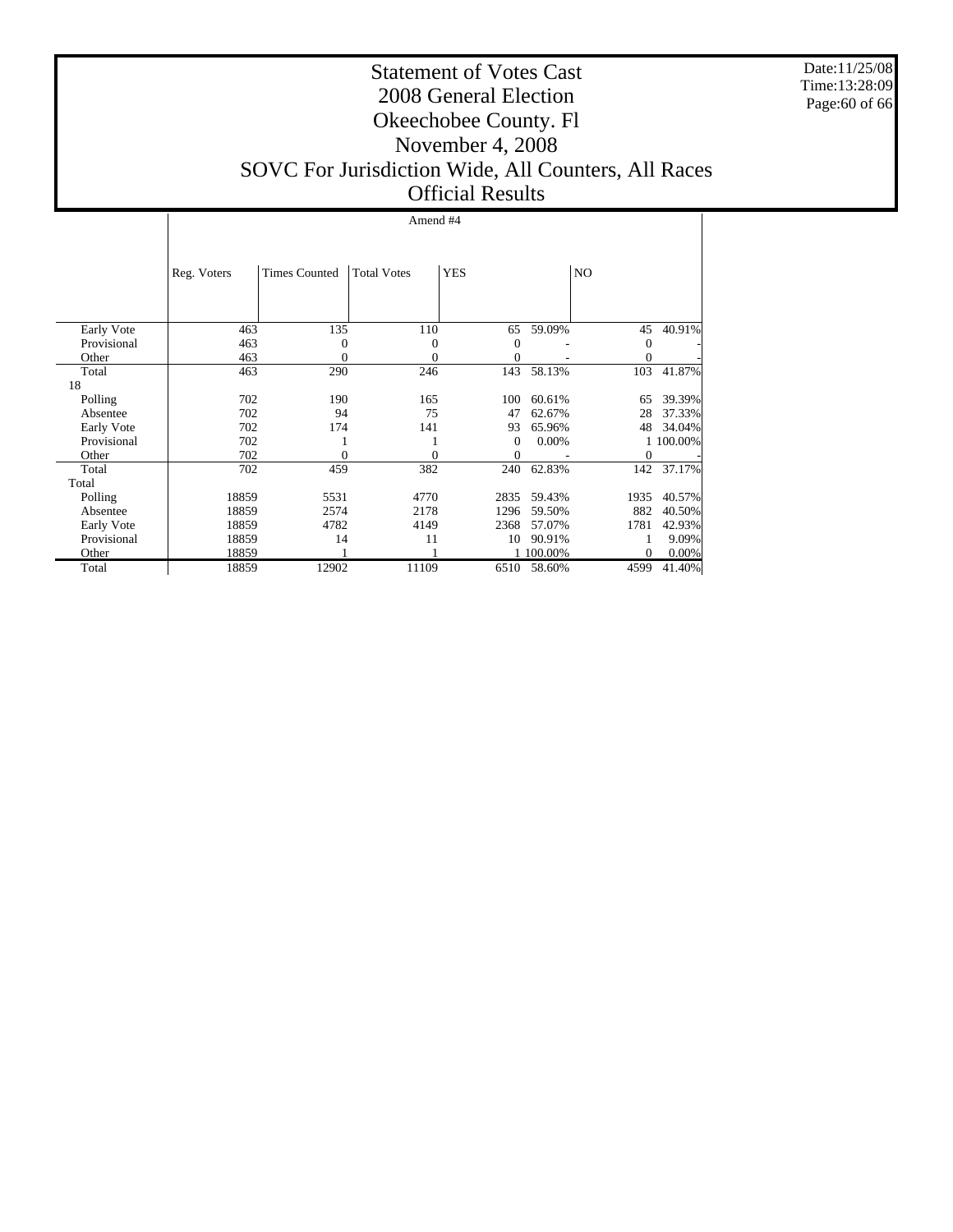Date:11/25/08 Time:13:28:09 Page:60 of 66

#### Statement of Votes Cast 2008 General Election Okeechobee County. Fl November 4, 2008 SOVC For Jurisdiction Wide, All Counters, All Races Official Results

#### Amend #4

|             | Reg. Voters | <b>Times Counted</b> | <b>Total Votes</b> | <b>YES</b>     |         | N <sub>O</sub> |           |
|-------------|-------------|----------------------|--------------------|----------------|---------|----------------|-----------|
|             |             |                      |                    |                |         |                |           |
| Early Vote  | 463         | 135                  | 110                | 65             | 59.09%  | 45             | 40.91%    |
| Provisional | 463         | $\Omega$             | $\overline{0}$     | $\overline{0}$ |         | $\mathbf{0}$   |           |
| Other       | 463         | 0                    | 0                  | $\theta$       |         | $\mathbf{0}$   |           |
| Total       | 463         | 290                  | 246                | 143            | 58.13%  | 103            | 41.87%    |
| 18          |             |                      |                    |                |         |                |           |
| Polling     | 702         | 190                  | 165                | 100            | 60.61%  | 65             | 39.39%    |
| Absentee    | 702         | 94                   | 75                 | 47             | 62.67%  | 28             | 37.33%    |
| Early Vote  | 702         | 174                  | 141                | 93             | 65.96%  | 48             | 34.04%    |
| Provisional | 702         |                      |                    | $\Omega$       | 0.00%   |                | 1 100.00% |
| Other       | 702         | 0                    | 0                  | $\theta$       |         | $\mathbf{0}$   |           |
| Total       | 702         | 459                  | 382                | 240            | 62.83%  | 142            | 37.17%    |
| Total       |             |                      |                    |                |         |                |           |
| Polling     | 18859       | 5531                 | 4770               | 2835           | 59.43%  | 1935           | 40.57%    |
| Absentee    | 18859       | 2574                 | 2178               | 1296           | 59.50%  | 882            | 40.50%    |
| Early Vote  | 18859       | 4782                 | 4149               | 2368           | 57.07%  | 1781           | 42.93%    |
| Provisional | 18859       | 14                   | 11                 | 10             | 90.91%  |                | 9.09%     |
| Other       | 18859       |                      |                    |                | 100.00% | $\Omega$       | 0.00%     |
| Total       | 18859       | 12902                | 11109              | 6510           | 58.60%  | 4599           | 41.40%    |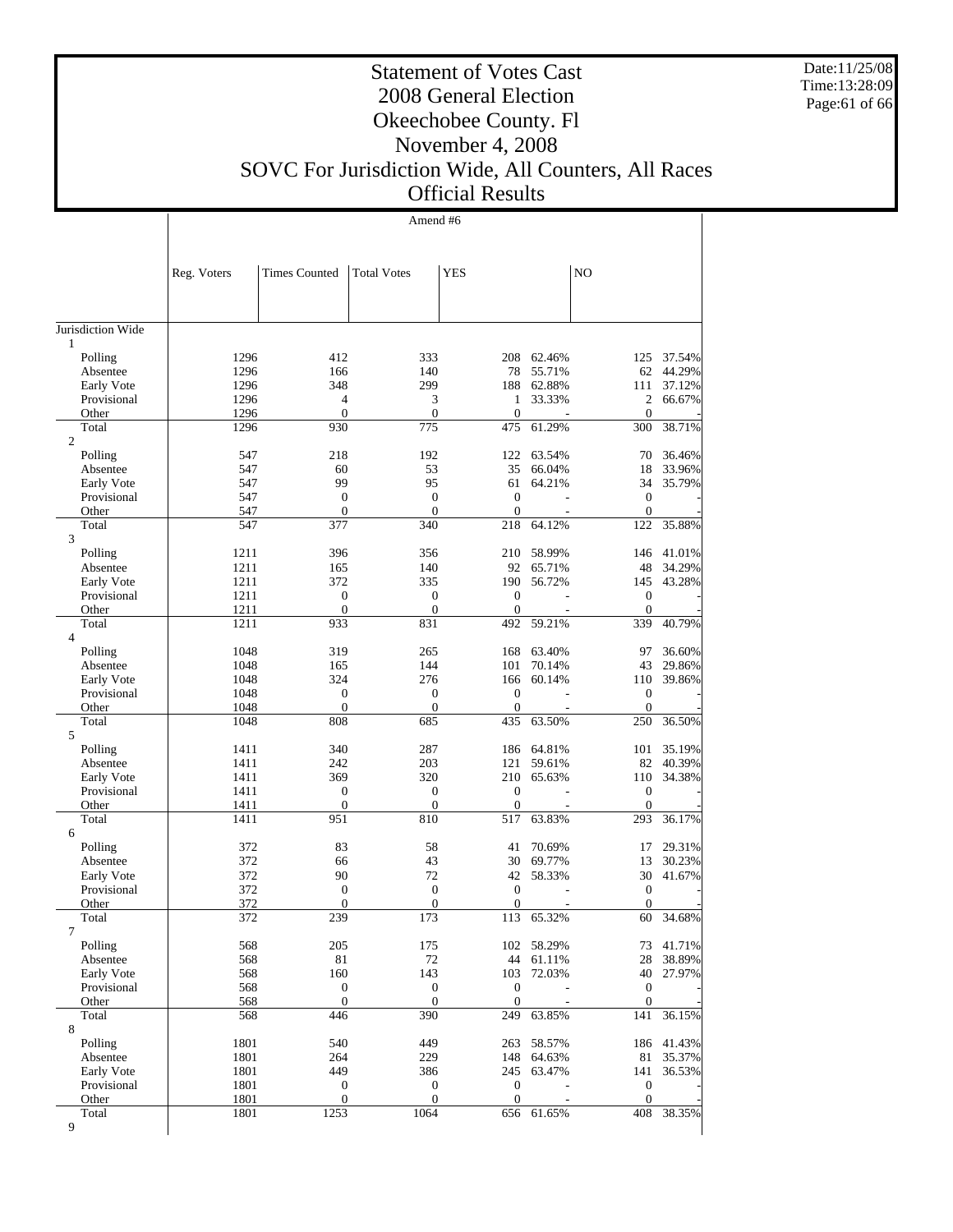Date:11/25/08 Time:13:28:09 Page:61 of 66

 $\mathbb{R}$ 

## Statement of Votes Cast 2008 General Election Okeechobee County. Fl November 4, 2008

### SOVC For Jurisdiction Wide, All Counters, All Races Official Results

Amend #6

 $\overline{1}$ 

|                         | Reg. Voters  | <b>Times Counted</b> | <b>Total Votes</b>  | YES              |                          | NO               |                  |
|-------------------------|--------------|----------------------|---------------------|------------------|--------------------------|------------------|------------------|
|                         |              |                      |                     |                  |                          |                  |                  |
| Jurisdiction Wide       |              |                      |                     |                  |                          |                  |                  |
| 1                       |              |                      |                     |                  |                          |                  |                  |
| Polling                 | 1296         | 412                  | 333                 | 208              | 62.46%                   | 125              | 37.54%           |
| Absentee                | 1296         | 166                  | 140                 | 78               | 55.71%                   | 62               | 44.29%           |
| Early Vote              | 1296         | 348                  | 299                 | 188              | 62.88%                   | 111              | 37.12%           |
| Provisional             | 1296         | 4                    | 3                   | 1                | 33.33%                   | 2                | 66.67%           |
| Other                   | 1296         | $\overline{0}$       | $\mathbf{0}$        | $\overline{0}$   | $\overline{a}$           | $\mathbf{0}$     |                  |
| Total<br>$\overline{c}$ | 1296         | 930                  | 775                 | 475              | 61.29%                   | 300              | 38.71%           |
| Polling                 | 547          | 218                  | 192                 | 122              | 63.54%                   | 70               | 36.46%           |
| Absentee                | 547          | 60                   | 53                  | 35               | 66.04%                   | 18               | 33.96%           |
| Early Vote              | 547          | 99                   | 95                  | 61               | 64.21%                   | 34               | 35.79%           |
| Provisional             | 547          | $\boldsymbol{0}$     | $\boldsymbol{0}$    | $\theta$         | $\overline{a}$           | $\boldsymbol{0}$ |                  |
| Other                   | 547          | $\overline{0}$       | $\boldsymbol{0}$    | $\mathbf{0}$     |                          | $\boldsymbol{0}$ |                  |
| Total                   | 547          | 377                  | 340                 | 218              | 64.12%                   | 122              | 35.88%           |
| 3                       |              |                      |                     |                  |                          |                  |                  |
| Polling                 | 1211         | 396                  | 356                 | 210              | 58.99%                   | 146              | 41.01%           |
| Absentee                | 1211         | 165                  | 140                 | 92               | 65.71%                   | 48               | 34.29%           |
| Early Vote              | 1211         | 372                  | 335                 | 190              | 56.72%                   | 145              | 43.28%           |
| Provisional             | 1211         | $\mathbf{0}$         | $\boldsymbol{0}$    | $\overline{0}$   |                          | $\boldsymbol{0}$ |                  |
| Other                   | 1211         | $\overline{0}$       | $\mathbf{0}$<br>831 | $\theta$         | ÷                        | $\mathbf{0}$     |                  |
| Total<br>4              | 1211         | 933                  |                     | 492              | 59.21%                   | 339              | 40.79%           |
| Polling                 | 1048         | 319                  | 265                 | 168              | 63.40%                   | 97               | 36.60%           |
| Absentee                | 1048         | 165                  | 144                 | 101              | 70.14%                   | 43               | 29.86%           |
| Early Vote              | 1048         | 324                  | 276                 | 166              | 60.14%                   | 110              | 39.86%           |
| Provisional             | 1048         | $\boldsymbol{0}$     | $\boldsymbol{0}$    | $\theta$         |                          | $\boldsymbol{0}$ |                  |
| Other                   | 1048         | $\boldsymbol{0}$     | $\boldsymbol{0}$    | $\boldsymbol{0}$ |                          | $\boldsymbol{0}$ |                  |
| Total                   | 1048         | 808                  | 685                 | 435              | 63.50%                   | 250              | 36.50%           |
| 5                       |              |                      |                     |                  |                          |                  |                  |
| Polling                 | 1411         | 340                  | 287                 | 186              | 64.81%                   | 101<br>82        | 35.19%<br>40.39% |
| Absentee<br>Early Vote  | 1411<br>1411 | 242<br>369           | 203<br>320          | 121<br>210       | 59.61%<br>65.63%         | 110              | 34.38%           |
| Provisional             | 1411         | 0                    | $\mathbf{0}$        | $\overline{0}$   |                          | $\mathbf{0}$     |                  |
| Other                   | 1411         | $\boldsymbol{0}$     | $\boldsymbol{0}$    | $\overline{0}$   | $\overline{\phantom{a}}$ | $\mathbf{0}$     |                  |
| Total                   | 1411         | 951                  | 810                 | 517              | 63.83%                   | 293              | 36.17%           |
| 6                       |              |                      |                     |                  |                          |                  |                  |
| Polling                 | 372          | 83                   | 58                  | 41               | 70.69%                   | 17               | 29.31%           |
| Absentee                | 372          | 66                   | 43                  | 30               | 69.77%                   | 13               | 30.23%           |
| Early Vote              | 372          | 90                   | 72                  | 42               | 58.33%                   | 30               | 41.67%           |
| Provisional             | 372          | 0                    | $\mathbf{0}$        | $\mathbf{0}$     | $\overline{a}$           | $\boldsymbol{0}$ |                  |
| Other                   | 372          | $\mathbf{0}$         | $\boldsymbol{0}$    | $\overline{0}$   |                          | $\boldsymbol{0}$ |                  |
| Total                   | 372          | 239                  | 173                 | 113              | 65.32%                   | 60               | 34.68%           |
| 7<br>Polling            | 568          | 205                  | 175                 |                  | 102 58.29%               | 73               | 41.71%           |
| Absentee                | 568          | $81\,$               | $72\,$              |                  | 44 61.11%                | 28               | 38.89%           |
| Early Vote              | 568          | 160                  | 143                 | 103              | 72.03%                   | 40               | 27.97%           |
| Provisional             | 568          | $\boldsymbol{0}$     | $\boldsymbol{0}$    | $\boldsymbol{0}$ |                          | $\mathbf{0}$     |                  |
| Other                   | 568          | $\boldsymbol{0}$     | $\mathbf{0}$        | $\boldsymbol{0}$ |                          | $\mathbf{0}$     |                  |
| Total                   | 568          | 446                  | 390                 | 249              | 63.85%                   | 141              | 36.15%           |
| 8                       |              |                      |                     |                  |                          |                  |                  |
| Polling                 | 1801         | 540                  | 449                 | 263              | 58.57%                   |                  | 186 41.43%       |
| Absentee                | 1801         | 264                  | 229                 | 148              | 64.63%                   | 81               | 35.37%           |
| Early Vote              | 1801         | 449                  | 386                 | 245              | 63.47%                   | 141              | 36.53%           |
| Provisional             | 1801         | 0                    | $\boldsymbol{0}$    | $\boldsymbol{0}$ |                          | $\boldsymbol{0}$ |                  |
| Other                   | 1801         | $\boldsymbol{0}$     | $\boldsymbol{0}$    | $\mathbf{0}$     |                          | $\mathbf{0}$     |                  |
| Total<br>9              | 1801         | 1253                 | 1064                |                  | 656 61.65%               | 408              | 38.35%           |
|                         |              |                      |                     |                  |                          |                  |                  |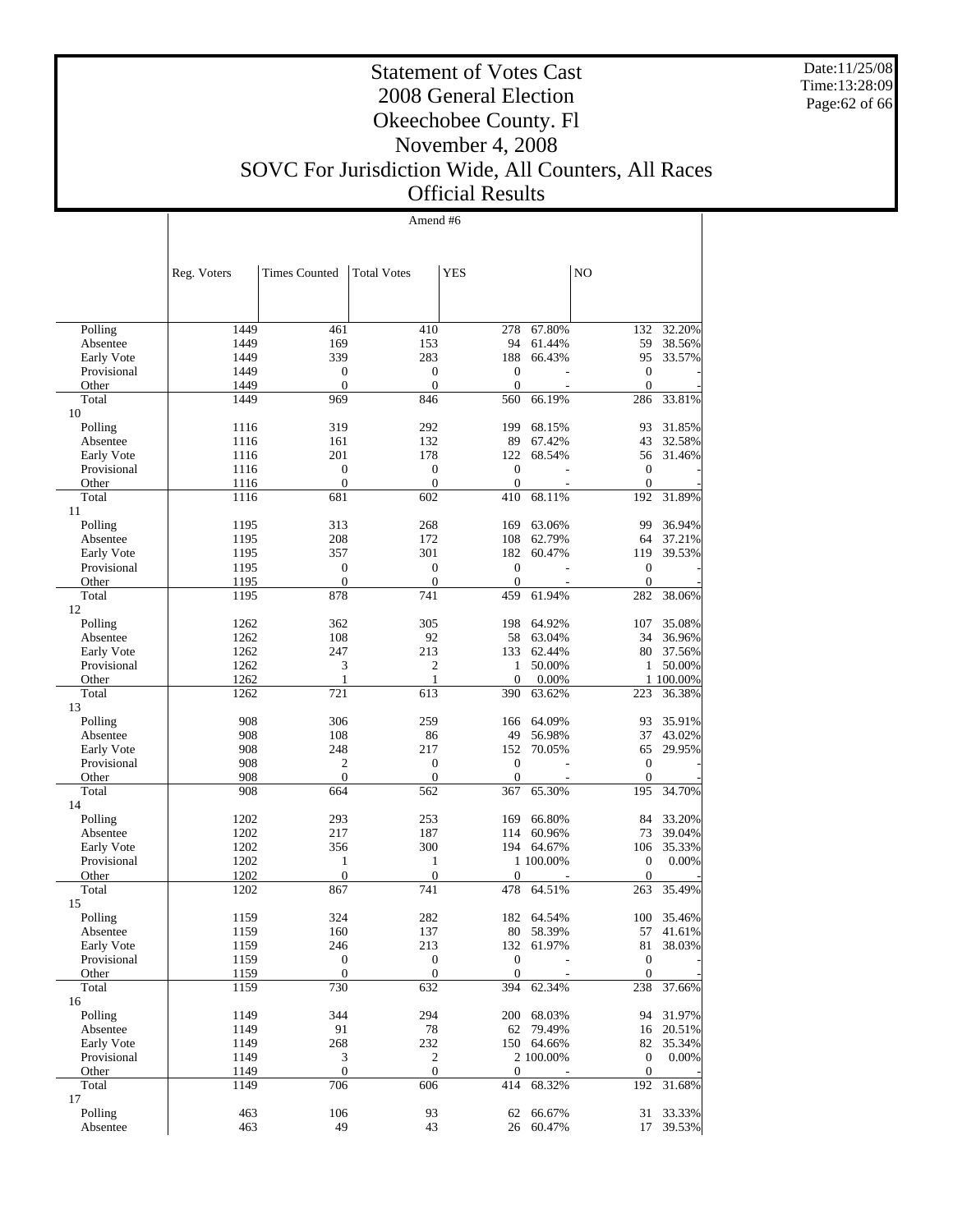Date:11/25/08 Time:13:28:09 Page:62 of 66

#### Statement of Votes Cast 2008 General Election Okeechobee County. Fl November 4, 2008 SOVC For Jurisdiction Wide, All Counters, All Races Official Results

Amend #6

|                      | Reg. Voters  | <b>Times Counted</b>    | <b>Total Votes</b>  | <b>YES</b>              |                 | N <sub>O</sub>      |                  |
|----------------------|--------------|-------------------------|---------------------|-------------------------|-----------------|---------------------|------------------|
|                      |              |                         |                     |                         |                 |                     |                  |
|                      |              |                         |                     |                         |                 |                     |                  |
| Polling              | 1449         | 461                     | 410                 | 278                     | 67.80%          | 132                 | 32.20%           |
| Absentee             | 1449         | 169                     | 153                 | 94                      | 61.44%          | 59                  | 38.56%           |
| Early Vote           | 1449         | 339                     | 283                 | 188                     | 66.43%          | 95                  | 33.57%           |
| Provisional          | 1449         | $\boldsymbol{0}$        | $\boldsymbol{0}$    | $\boldsymbol{0}$        |                 | $\boldsymbol{0}$    |                  |
| Other                | 1449         | $\theta$                | $\mathbf{0}$        | $\theta$                |                 | $\mathbf{0}$        |                  |
| Total<br>10          | 1449         | 969                     | 846                 | 560                     | 66.19%          | 286                 | 33.81%           |
| Polling              | 1116         | 319                     | 292                 | 199                     | 68.15%          | 93                  | 31.85%           |
| Absentee             | 1116         | 161                     | 132                 | 89                      | 67.42%          | 43                  | 32.58%           |
| Early Vote           | 1116         | 201                     | 178                 | 122                     | 68.54%          | 56                  | 31.46%           |
| Provisional          | 1116         | $\boldsymbol{0}$        | $\mathbf{0}$        | $\mathbf{0}$            |                 | $\mathbf{0}$        |                  |
| Other                | 1116         | $\boldsymbol{0}$        | $\mathbf{0}$        | $\theta$                |                 | $\theta$            |                  |
| Total                | 1116         | 681                     | 602                 | 410                     | 68.11%          | 192                 | 31.89%           |
| 11                   |              |                         |                     |                         |                 |                     |                  |
| Polling              | 1195         | 313                     | 268                 | 169                     | 63.06%          | 99                  | 36.94%           |
| Absentee             | 1195         | 208                     | 172                 | 108                     | 62.79%          | 64                  | 37.21%           |
| Early Vote           | 1195         | 357                     | 301                 | 182                     | 60.47%          | 119                 | 39.53%           |
| Provisional          | 1195         | $\boldsymbol{0}$        | $\boldsymbol{0}$    | $\mathbf{0}$            |                 | $\boldsymbol{0}$    |                  |
| Other                | 1195         | $\boldsymbol{0}$        | $\mathbf{0}$        | $\theta$                |                 | $\mathbf{0}$        |                  |
| Total                | 1195         | 878                     | 741                 | 459                     | 61.94%          | 282                 | 38.06%           |
| 12                   |              |                         |                     |                         |                 |                     |                  |
| Polling              | 1262         | 362                     | 305                 | 198                     | 64.92%          | 107                 | 35.08%           |
| Absentee             | 1262         | 108                     | 92                  | 58                      | 63.04%          | 34                  | 36.96%           |
| Early Vote           | 1262<br>1262 | 247                     | 213<br>2            | 133                     | 62.44%          | 80                  | 37.56%<br>50.00% |
| Provisional<br>Other | 1262         | 3<br>1                  | $\mathbf{1}$        | 1<br>$\mathbf{0}$       | 50.00%<br>0.00% | 1                   | 1 100.00%        |
| Total                | 1262         | 721                     | 613                 | 390                     | 63.62%          | 223                 | 36.38%           |
| 13                   |              |                         |                     |                         |                 |                     |                  |
| Polling              | 908          | 306                     | 259                 | 166                     | 64.09%          | 93                  | 35.91%           |
| Absentee             | 908          | 108                     | 86                  | 49                      | 56.98%          | 37                  | 43.02%           |
| Early Vote           | 908          | 248                     | 217                 | 152                     | 70.05%          | 65                  | 29.95%           |
| Provisional          | 908          | $\boldsymbol{2}$        | $\mathbf{0}$        | $\mathbf{0}$            |                 | $\boldsymbol{0}$    |                  |
| Other                | 908          | $\boldsymbol{0}$        | $\theta$            | $\Omega$                |                 | $\theta$            |                  |
| Total                | 908          | 664                     | 562                 | 367                     | 65.30%          | 195                 | 34.70%           |
| 14                   |              |                         |                     |                         |                 |                     |                  |
| Polling              | 1202         | 293                     | 253                 | 169                     | 66.80%          | 84                  | 33.20%           |
| Absentee             | 1202         | 217                     | 187                 | 114                     | 60.96%          | 73                  | 39.04%           |
| Early Vote           | 1202         | 356                     | 300                 |                         | 194 64.67%      | 106                 | 35.33%           |
| Provisional          | 1202         | 1                       | $\mathbf{1}$        |                         | 1 100.00%       | $\mathbf{0}$        | 0.00%            |
| Other<br>Total       | 1202<br>1202 | $\boldsymbol{0}$<br>867 | $\mathbf{0}$<br>741 | $\boldsymbol{0}$<br>478 | 64.51%          | $\mathbf{0}$<br>263 | 35.49%           |
| 15                   |              |                         |                     |                         |                 |                     |                  |
| Polling              | 1159         | 324                     | 282                 | 182                     | 64.54%          | 100                 | 35.46%           |
| Absentee             | 1159         | 160                     | 137                 |                         | 80 58.39%       | 57                  | 41.61%           |
| Early Vote           | 1159         | 246                     | 213                 |                         | 132 61.97%      | 81                  | 38.03%           |
| Provisional          | 1159         | $\boldsymbol{0}$        | $\boldsymbol{0}$    | $\boldsymbol{0}$        |                 | $\boldsymbol{0}$    |                  |
| Other                | 1159         | $\boldsymbol{0}$        | $\mathbf{0}$        | $\theta$                |                 | $\boldsymbol{0}$    |                  |
| Total                | 1159         | 730                     | 632                 | 394                     | 62.34%          | 238                 | 37.66%           |
| 16                   |              |                         |                     |                         |                 |                     |                  |
| Polling              | 1149         | 344                     | 294                 | 200                     | 68.03%          | 94                  | 31.97%           |
| Absentee             | 1149         | 91                      | $78\,$              | 62                      | 79.49%          | 16                  | 20.51%           |
| Early Vote           | 1149         | 268                     | 232                 |                         | 150 64.66%      | 82                  | 35.34%           |
| Provisional          | 1149         | $\mathfrak{Z}$          | 2                   |                         | 2 100.00%       | $\boldsymbol{0}$    | 0.00%            |
| Other                | 1149         | $\boldsymbol{0}$        | $\mathbf{0}$        | $\mathbf{0}$            |                 | $\mathbf{0}$        |                  |
| Total<br>17          | 1149         | 706                     | 606                 | 414                     | 68.32%          | 192                 | 31.68%           |
| Polling              | 463          | 106                     | 93                  | 62                      | 66.67%          | 31                  | 33.33%           |
| Absentee             | 463          | 49                      | 43                  | 26                      | 60.47%          | 17                  | 39.53%           |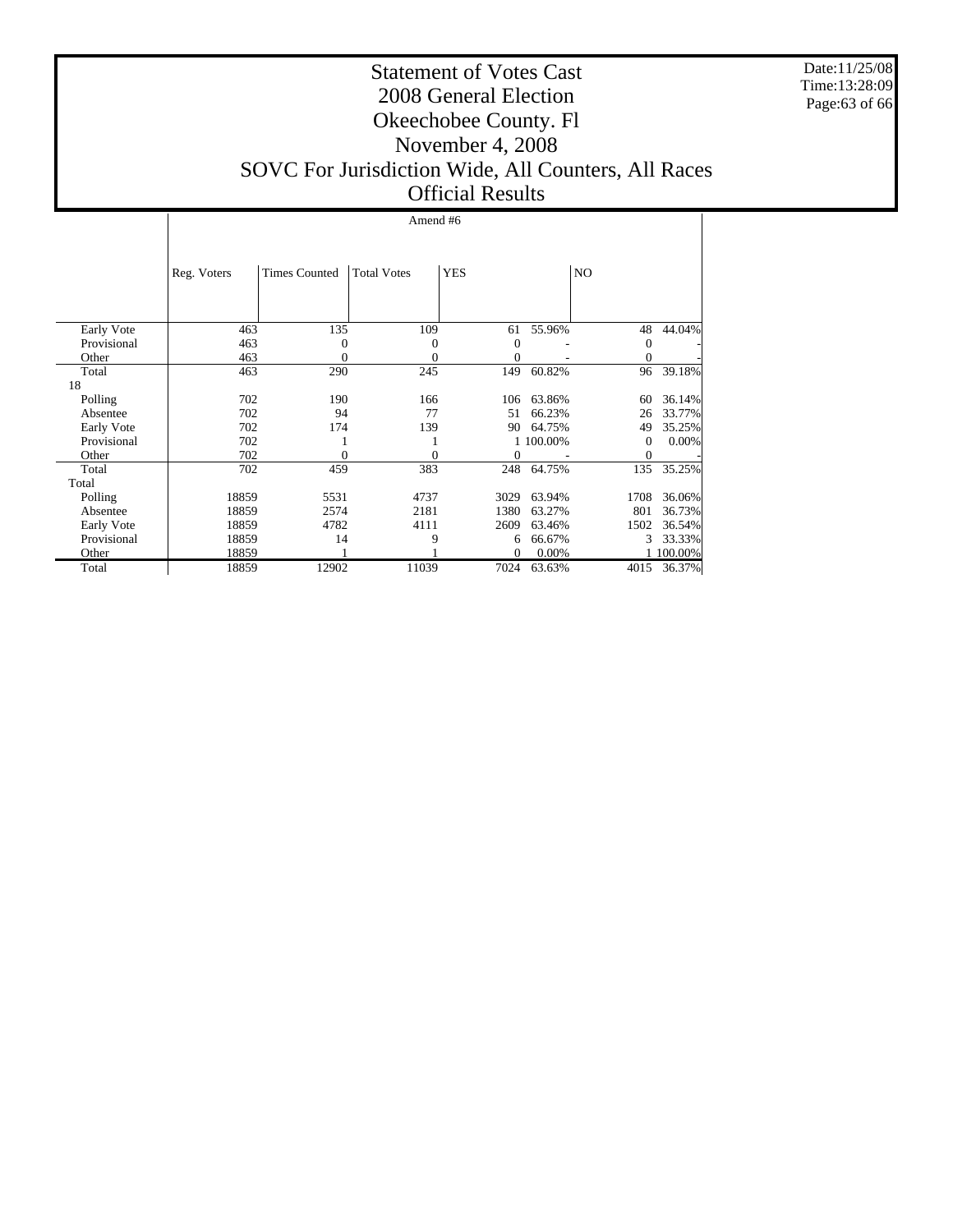Date:11/25/08 Time:13:28:09 Page:63 of 66

#### Statement of Votes Cast 2008 General Election Okeechobee County. Fl November 4, 2008 SOVC For Jurisdiction Wide, All Counters, All Races Official Results

#### Amend #6

|             | Reg. Voters | <b>Times Counted</b> | <b>Total Votes</b> | <b>YES</b> |           | NO           |         |
|-------------|-------------|----------------------|--------------------|------------|-----------|--------------|---------|
|             |             |                      |                    |            |           |              |         |
| Early Vote  | 463         | 135                  | 109                | 61         | 55.96%    | 48           | 44.04%  |
| Provisional | 463         | 0                    | 0                  | $\theta$   |           | $\mathbf{0}$ |         |
| Other       | 463         | 0                    | $\theta$           | $\theta$   |           | $\Omega$     |         |
| Total       | 463         | 290                  | 245                | 149        | 60.82%    | 96           | 39.18%  |
| 18          |             |                      |                    |            |           |              |         |
| Polling     | 702         | 190                  | 166                | 106        | 63.86%    | 60           | 36.14%  |
| Absentee    | 702         | 94                   | 77                 | 51         | 66.23%    | 26           | 33.77%  |
| Early Vote  | 702         | 174                  | 139                | 90         | 64.75%    | 49           | 35.25%  |
| Provisional | 702         |                      |                    |            | 1 100.00% | $\theta$     | 0.00%   |
| Other       | 702         | 0                    | 0                  | $\theta$   |           | $\Omega$     |         |
| Total       | 702         | 459                  | 383                | 248        | 64.75%    | 135          | 35.25%  |
| Total       |             |                      |                    |            |           |              |         |
| Polling     | 18859       | 5531                 | 4737               | 3029       | 63.94%    | 1708         | 36.06%  |
| Absentee    | 18859       | 2574                 | 2181               | 1380       | 63.27%    | 801          | 36.73%  |
| Early Vote  | 18859       | 4782                 | 4111               | 2609       | 63.46%    | 1502         | 36.54%  |
| Provisional | 18859       | 14                   | 9                  | 6          | 66.67%    | 3            | 33.33%  |
| Other       | 18859       |                      |                    | $\Omega$   | 0.00%     |              | 100.00% |
| Total       | 18859       | 12902                | 11039              | 7024       | 63.63%    | 4015         | 36.37%  |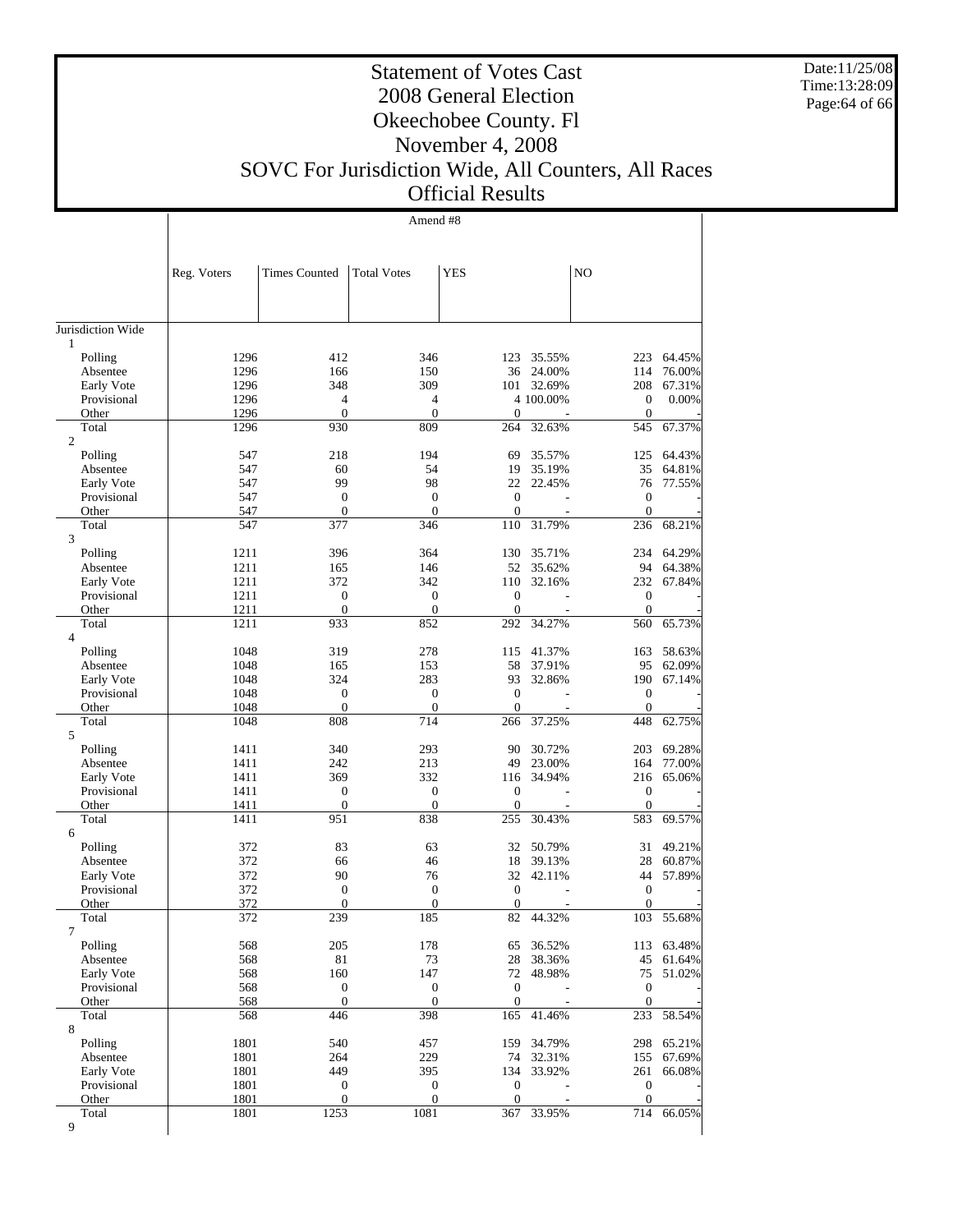Date:11/25/08 Time:13:28:09 Page:64 of 66

 $\mathbf{I}$ 

## Statement of Votes Cast 2008 General Election Okeechobee County. Fl November 4, 2008

### SOVC For Jurisdiction Wide, All Counters, All Races Official Results

Amend #8

 $\overline{1}$ 

|                         | Reg. Voters  | <b>Times Counted</b>               | <b>Total Votes</b>           | YES                            |                      | N <sub>O</sub>                 |                  |
|-------------------------|--------------|------------------------------------|------------------------------|--------------------------------|----------------------|--------------------------------|------------------|
|                         |              |                                    |                              |                                |                      |                                |                  |
| Jurisdiction Wide       |              |                                    |                              |                                |                      |                                |                  |
| $\mathbf{1}$            |              |                                    |                              |                                |                      |                                |                  |
| Polling                 | 1296         | 412                                | 346                          | 123                            | 35.55%               | 223                            | 64.45%           |
| Absentee<br>Early Vote  | 1296<br>1296 | 166<br>348                         | 150<br>309                   | 36                             | 24.00%<br>101 32.69% | 114<br>208                     | 76.00%<br>67.31% |
| Provisional             | 1296         | 4                                  | $\overline{4}$               |                                | 4 100.00%            | $\mathbf{0}$                   | 0.00%            |
| Other                   | 1296         | $\overline{0}$                     | $\mathbf{0}$                 | $\overline{0}$                 |                      | $\mathbf{0}$                   |                  |
| Total                   | 1296         | 930                                | 809                          | 264                            | 32.63%               | 545                            | 67.37%           |
| $\overline{c}$          |              |                                    |                              |                                |                      |                                |                  |
| Polling                 | 547          | 218                                | 194                          | 69                             | 35.57%               | 125                            | 64.43%           |
| Absentee                | 547          | 60                                 | 54                           | 19                             | 35.19%               | 35                             | 64.81%           |
| Early Vote              | 547          | 99                                 | 98                           | 22                             | 22.45%               | 76                             | 77.55%           |
| Provisional             | 547          | $\boldsymbol{0}$<br>$\overline{0}$ | $\mathbf{0}$<br>$\mathbf{0}$ | $\overline{0}$<br>$\mathbf{0}$ |                      | $\overline{0}$<br>$\mathbf{0}$ |                  |
| Other<br>Total          | 547<br>547   | 377                                | 346                          | 110                            | 31.79%               | 236                            | 68.21%           |
| 3                       |              |                                    |                              |                                |                      |                                |                  |
| Polling                 | 1211         | 396                                | 364                          | 130                            | 35.71%               | 234                            | 64.29%           |
| Absentee                | 1211         | 165                                | 146                          | 52                             | 35.62%               | 94                             | 64.38%           |
| Early Vote              | 1211         | 372                                | 342                          | 110                            | 32.16%               | 232                            | 67.84%           |
| Provisional             | 1211         | $\overline{0}$                     | $\mathbf{0}$                 | $\Omega$                       |                      | $\mathbf{0}$                   |                  |
| Other                   | 1211         | $\overline{0}$                     | $\mathbf{0}$                 | $\overline{0}$                 |                      | $\mathbf{0}$                   |                  |
| Total<br>$\overline{4}$ | 1211         | 933                                | 852                          | 292                            | 34.27%               | 560                            | 65.73%           |
| Polling                 | 1048         | 319                                | 278                          | 115                            | 41.37%               | 163                            | 58.63%           |
| Absentee                | 1048         | 165                                | 153                          | 58                             | 37.91%               | 95                             | 62.09%           |
| Early Vote              | 1048         | 324                                | 283                          | 93                             | 32.86%               | 190                            | 67.14%           |
| Provisional             | 1048         | $\boldsymbol{0}$                   | $\mathbf{0}$                 | $\overline{0}$                 |                      | $\mathbf{0}$                   |                  |
| Other                   | 1048         | $\overline{0}$                     | $\mathbf{0}$                 | $\overline{0}$                 |                      | $\mathbf{0}$                   |                  |
| Total                   | 1048         | 808                                | 714                          | 266                            | 37.25%               | 448                            | 62.75%           |
| 5<br>Polling            | 1411         | 340                                | 293                          | 90                             | 30.72%               | 203                            | 69.28%           |
| Absentee                | 1411         | 242                                | 213                          | 49                             | 23.00%               | 164                            | 77.00%           |
| Early Vote              | 1411         | 369                                | 332                          | 116                            | 34.94%               | 216                            | 65.06%           |
| Provisional             | 1411         | $\overline{0}$                     | $\mathbf{0}$                 | $\Omega$                       |                      | $\mathbf{0}$                   |                  |
| Other                   | 1411         | $\boldsymbol{0}$                   | $\mathbf{0}$                 | $\overline{0}$                 |                      | $\mathbf{0}$                   |                  |
| Total                   | 1411         | 951                                | 838                          | 255                            | 30.43%               | 583                            | 69.57%           |
| 6                       |              |                                    |                              |                                |                      |                                |                  |
| Polling                 | 372          | 83                                 | 63                           | 32                             | 50.79%               | 31                             | 49.21%           |
| Absentee                | 372          | 66                                 | 46                           | 18                             | 39.13%               | 28                             | 60.87%           |
| Early Vote              | 372<br>372   | 90<br>$\boldsymbol{0}$             | 76<br>$\mathbf{0}$           | 32<br>$\overline{0}$           | 42.11%               | 44<br>$\overline{0}$           | 57.89%           |
| Provisional<br>Other    | 372          | $\overline{0}$                     | $\boldsymbol{0}$             | $\Omega$                       |                      | $\Omega$                       |                  |
| Total                   | 372          | 239                                | 185                          | 82                             | 44.32%               | 103                            | 55.68%           |
| 7                       |              |                                    |                              |                                |                      |                                |                  |
| Polling                 | 568          | 205                                | 178                          |                                | 65 36.52%            |                                | 113 63.48%       |
| Absentee                | 568          | $81\,$                             | 73                           | 28                             | 38.36%               | 45                             | 61.64%           |
| Early Vote              | 568          | 160                                | 147                          |                                | 72 48.98%            | 75                             | 51.02%           |
| Provisional             | 568          | $\boldsymbol{0}$                   | $\boldsymbol{0}$             | $\mathbf{0}$                   |                      | $\boldsymbol{0}$               |                  |
| Other                   | 568          | $\boldsymbol{0}$                   | $\boldsymbol{0}$             | $\mathbf{0}$                   |                      | $\boldsymbol{0}$               |                  |
| Total<br>8              | 568          | 446                                | 398                          | 165                            | 41.46%               | 233                            | 58.54%           |
| Polling                 | 1801         | 540                                | 457                          | 159                            | 34.79%               | 298                            | 65.21%           |
| Absentee                | 1801         | 264                                | 229                          |                                | 74 32.31%            | 155                            | 67.69%           |
| Early Vote              | 1801         | 449                                | 395                          | 134                            | 33.92%               | 261                            | 66.08%           |
| Provisional             | 1801         | 0                                  | $\boldsymbol{0}$             | $\boldsymbol{0}$               |                      | $\boldsymbol{0}$               |                  |
| Other                   | 1801         | $\overline{0}$                     | $\mathbf{0}$                 | $\overline{0}$                 |                      | $\mathbf{0}$                   |                  |
| Total                   | 1801         | 1253                               | 1081                         |                                | 367 33.95%           |                                | 714 66.05%       |
| 9                       |              |                                    |                              |                                |                      |                                |                  |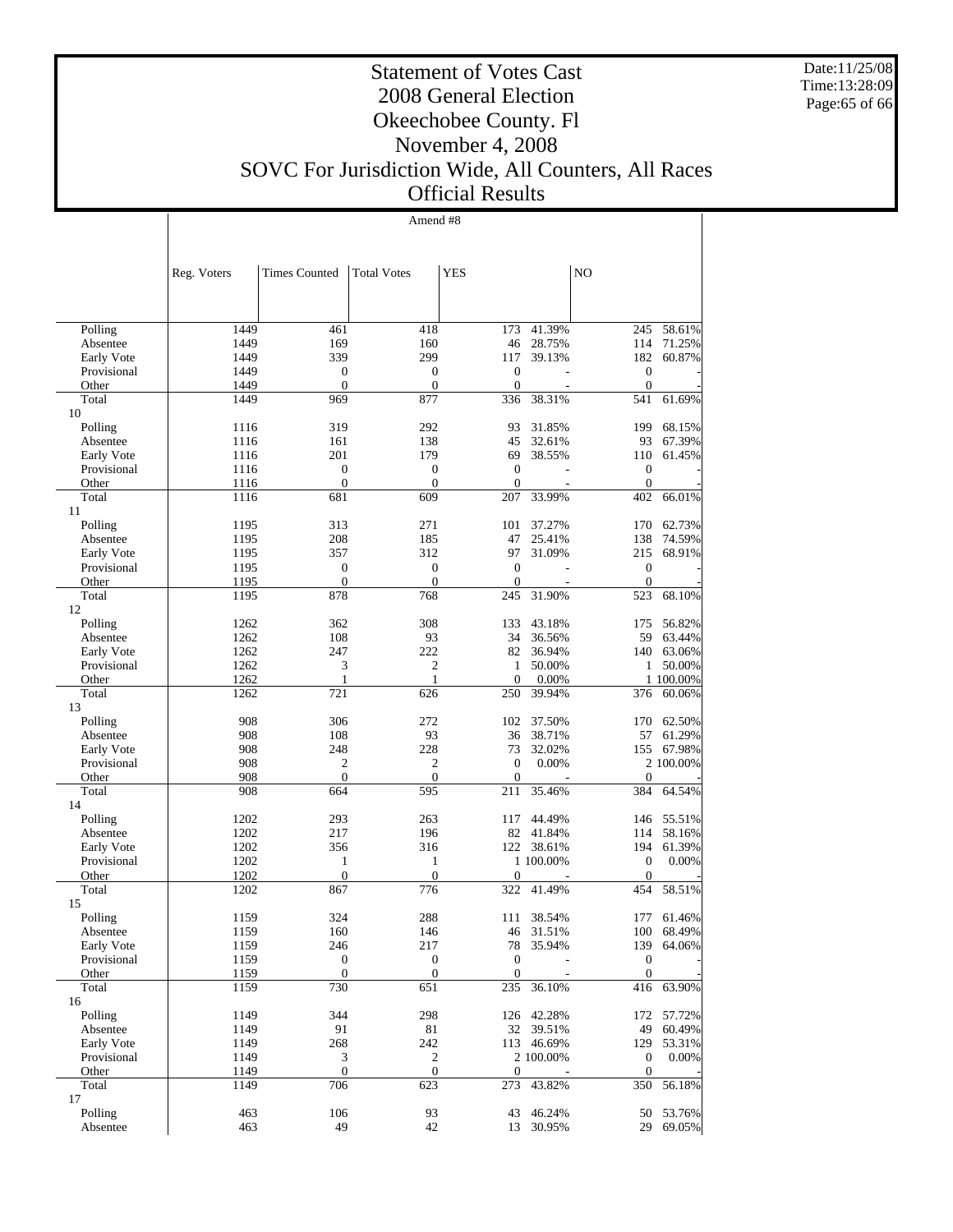Date:11/25/08 Time:13:28:09 Page:65 of 66

#### Statement of Votes Cast 2008 General Election Okeechobee County. Fl November 4, 2008 SOVC For Jurisdiction Wide, All Counters, All Races Official Results

Amend #8

|                           | Reg. Voters  | <b>Times Counted</b>         | <b>Total Votes</b>               | <b>YES</b>                   |            | N <sub>O</sub>          |            |
|---------------------------|--------------|------------------------------|----------------------------------|------------------------------|------------|-------------------------|------------|
|                           |              |                              |                                  |                              |            |                         |            |
| Polling                   | 1449         | 461                          | 418                              | 173                          | 41.39%     | 245                     | 58.61%     |
| Absentee                  | 1449         | 169                          | 160                              | 46                           | 28.75%     | 114                     | 71.25%     |
| Early Vote                | 1449         | 339                          | 299                              | 117                          | 39.13%     | 182                     | 60.87%     |
| Provisional               | 1449         | $\boldsymbol{0}$             | $\boldsymbol{0}$                 | $\boldsymbol{0}$             |            | $\boldsymbol{0}$        |            |
| Other                     | 1449         | $\overline{0}$               | $\boldsymbol{0}$                 | $\overline{0}$               |            | $\boldsymbol{0}$        |            |
| Total                     | 1449         | 969                          | 877                              | 336                          | 38.31%     | 541                     | 61.69%     |
| 10                        |              |                              |                                  |                              |            |                         |            |
| Polling                   | 1116         | 319                          | 292                              | 93                           | 31.85%     | 199                     | 68.15%     |
| Absentee                  | 1116         | 161                          | 138                              | 45                           | 32.61%     | 93                      | 67.39%     |
| Early Vote                | 1116         | 201                          | 179                              | 69                           | 38.55%     | 110                     | 61.45%     |
| Provisional               | 1116         | $\boldsymbol{0}$             | $\boldsymbol{0}$                 | $\boldsymbol{0}$             |            | $\boldsymbol{0}$        |            |
| Other                     | 1116         | $\overline{0}$               | $\mathbf{0}$                     | $\overline{0}$               |            | $\mathbf{0}$            |            |
| Total                     | 1116         | 681                          | 609                              | 207                          | 33.99%     | 402                     | 66.01%     |
| 11                        |              |                              |                                  |                              |            |                         |            |
| Polling                   | 1195         | 313                          | 271                              | 101                          | 37.27%     | 170                     | 62.73%     |
| Absentee                  | 1195         | 208                          | 185                              | 47                           | 25.41%     | 138                     | 74.59%     |
| Early Vote<br>Provisional | 1195<br>1195 | 357<br>$\boldsymbol{0}$      | 312<br>$\boldsymbol{0}$          | 97<br>$\boldsymbol{0}$       | 31.09%     | 215<br>$\boldsymbol{0}$ | 68.91%     |
| Other                     | 1195         | $\overline{0}$               | $\boldsymbol{0}$                 | $\mathbf{0}$                 |            | $\boldsymbol{0}$        |            |
| Total                     | 1195         | 878                          | 768                              | 245                          | 31.90%     | 523                     | 68.10%     |
| 12                        |              |                              |                                  |                              |            |                         |            |
| Polling                   | 1262         | 362                          | 308                              | 133                          | 43.18%     | 175                     | 56.82%     |
| Absentee                  | 1262         | 108                          | 93                               | 34                           | 36.56%     | 59                      | 63.44%     |
| Early Vote                | 1262         | 247                          | 222                              | 82                           | 36.94%     | 140                     | 63.06%     |
| Provisional               | 1262         | 3                            | $\mathfrak{2}$                   | 1                            | 50.00%     | 1                       | 50.00%     |
| Other                     | 1262         | 1                            | $\mathbf{1}$                     | $\mathbf{0}$                 | 0.00%      |                         | 1 100.00%  |
| Total                     | 1262         | 721                          | 626                              | 250                          | 39.94%     | 376                     | 60.06%     |
| 13                        |              |                              |                                  |                              |            |                         |            |
| Polling                   | 908          | 306                          | 272                              | 102                          | 37.50%     | 170                     | 62.50%     |
| Absentee                  | 908          | 108                          | 93                               | 36                           | 38.71%     | 57                      | 61.29%     |
| Early Vote                | 908          | 248                          | 228                              | 73                           | 32.02%     | 155                     | 67.98%     |
| Provisional<br>Other      | 908<br>908   | $\sqrt{2}$<br>$\overline{0}$ | $\boldsymbol{2}$<br>$\mathbf{0}$ | $\mathbf{0}$<br>$\mathbf{0}$ | 0.00%      | $\mathbf{0}$            | 2 100.00%  |
| Total                     | 908          | 664                          | 595                              | 211                          | 35.46%     | 384                     | 64.54%     |
| 14                        |              |                              |                                  |                              |            |                         |            |
| Polling                   | 1202         | 293                          | 263                              | 117                          | 44.49%     | 146                     | 55.51%     |
| Absentee                  | 1202         | 217                          | 196                              | 82                           | 41.84%     | 114                     | 58.16%     |
| Early Vote                | 1202         | 356                          | 316                              |                              | 122 38.61% | 194                     | 61.39%     |
| Provisional               | 1202         | 1                            | $\mathbf{1}$                     |                              | 1 100.00%  | $\mathbf{0}$            | 0.00%      |
| Other                     | 1202         | $\boldsymbol{0}$             | $\boldsymbol{0}$                 | $\boldsymbol{0}$             |            | $\boldsymbol{0}$        |            |
| Total                     | 1202         | 867                          | 776                              | 322                          | 41.49%     | 454                     | 58.51%     |
| 15                        |              |                              |                                  |                              |            |                         |            |
| Polling                   | 1159         | 324                          | 288                              | 111                          | 38.54%     | 177                     | 61.46%     |
| Absentee                  | 1159         | 160                          | 146                              | 46                           | 31.51%     | 100                     | 68.49%     |
| Early Vote                | 1159         | 246                          | 217                              | 78                           | 35.94%     | 139                     | 64.06%     |
| Provisional               | 1159         | $\boldsymbol{0}$             | $\boldsymbol{0}$                 | $\boldsymbol{0}$             |            | $\boldsymbol{0}$        |            |
| Other                     | 1159         | $\boldsymbol{0}$             | $\boldsymbol{0}$                 | $\boldsymbol{0}$             |            | $\boldsymbol{0}$        |            |
| Total                     | 1159         | 730                          | 651                              | 235                          | 36.10%     |                         | 416 63.90% |
| 16<br>Polling             | 1149         | 344                          | 298                              |                              | 126 42.28% | 172                     | 57.72%     |
| Absentee                  | 1149         | 91                           | 81                               | 32                           | 39.51%     | 49                      | 60.49%     |
| Early Vote                | 1149         | 268                          | 242                              |                              | 113 46.69% | 129                     | 53.31%     |
| Provisional               | 1149         | $\ensuremath{\mathfrak{Z}}$  | $\overline{c}$                   |                              | 2 100.00%  | $\boldsymbol{0}$        | 0.00%      |
| Other                     | 1149         | $\boldsymbol{0}$             | $\mathbf{0}$                     | $\boldsymbol{0}$             |            | $\boldsymbol{0}$        |            |
| Total                     | 1149         | 706                          | 623                              | 273                          | 43.82%     | 350                     | 56.18%     |
| 17                        |              |                              |                                  |                              |            |                         |            |
| Polling                   | 463          | 106                          | 93                               | 43                           | 46.24%     | 50                      | 53.76%     |
| Absentee                  | 463          | 49                           | 42                               |                              | 13 30.95%  | 29                      | 69.05%     |